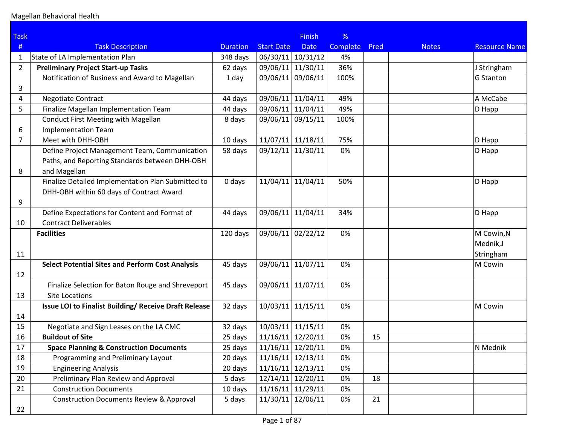| <b>Task</b>    |                                                              |                 |                     | <b>Finish</b> | %               |      |              |                      |
|----------------|--------------------------------------------------------------|-----------------|---------------------|---------------|-----------------|------|--------------|----------------------|
| #              | <b>Task Description</b>                                      | <b>Duration</b> | <b>Start Date</b>   | <b>Date</b>   | <b>Complete</b> | Pred | <b>Notes</b> | <b>Resource Name</b> |
| $\mathbf{1}$   | State of LA Implementation Plan                              | 348 days        | 06/30/11 10/31/12   |               | 4%              |      |              |                      |
| $\overline{2}$ | <b>Preliminary Project Start-up Tasks</b>                    | 62 days         | 09/06/11            | 11/30/11      | 36%             |      |              | J Stringham          |
|                | Notification of Business and Award to Magellan               | 1 day           | 09/06/11            | 09/06/11      | 100%            |      |              | <b>G</b> Stanton     |
| 3              |                                                              |                 |                     |               |                 |      |              |                      |
| 4              | <b>Negotiate Contract</b>                                    | 44 days         | 09/06/11            | 11/04/11      | 49%             |      |              | A McCabe             |
| 5              | Finalize Magellan Implementation Team                        | 44 days         | 09/06/11 11/04/11   |               | 49%             |      |              | D Happ               |
|                | <b>Conduct First Meeting with Magellan</b>                   | 8 days          | 09/06/11            | 09/15/11      | 100%            |      |              |                      |
| 6              | <b>Implementation Team</b>                                   |                 |                     |               |                 |      |              |                      |
| $\overline{7}$ | Meet with DHH-OBH                                            | 10 days         | $11/07/11$ 11/18/11 |               | 75%             |      |              | D Happ               |
|                | Define Project Management Team, Communication                | 58 days         | 09/12/11            | 11/30/11      | 0%              |      |              | D Happ               |
|                | Paths, and Reporting Standards between DHH-OBH               |                 |                     |               |                 |      |              |                      |
| 8              | and Magellan                                                 |                 |                     |               |                 |      |              |                      |
|                | Finalize Detailed Implementation Plan Submitted to           | 0 days          | 11/04/11            | 11/04/11      | 50%             |      |              | D Happ               |
|                | DHH-OBH within 60 days of Contract Award                     |                 |                     |               |                 |      |              |                      |
| 9              |                                                              |                 |                     |               |                 |      |              |                      |
|                | Define Expectations for Content and Format of                | 44 days         | 09/06/11            | 11/04/11      | 34%             |      |              | D Happ               |
| 10             | <b>Contract Deliverables</b>                                 |                 |                     |               |                 |      |              |                      |
|                | <b>Facilities</b>                                            | 120 days        | 09/06/11            | 02/22/12      | 0%              |      |              | M Cowin, N           |
|                |                                                              |                 |                     |               |                 |      |              | Mednik, J            |
| 11             |                                                              |                 |                     |               |                 |      |              | Stringham            |
|                | <b>Select Potential Sites and Perform Cost Analysis</b>      | 45 days         | 09/06/11            | 11/07/11      | 0%              |      |              | M Cowin              |
| 12             |                                                              |                 |                     |               |                 |      |              |                      |
|                | Finalize Selection for Baton Rouge and Shreveport            | 45 days         | 09/06/11            | 11/07/11      | 0%              |      |              |                      |
| 13             | <b>Site Locations</b>                                        |                 |                     |               |                 |      |              |                      |
|                | <b>Issue LOI to Finalist Building/ Receive Draft Release</b> | 32 days         | 10/03/11 11/15/11   |               | 0%              |      |              | M Cowin              |
| 14             |                                                              |                 |                     |               |                 |      |              |                      |
| 15             | Negotiate and Sign Leases on the LA CMC                      | 32 days         | $10/03/11$ 11/15/11 |               | 0%              |      |              |                      |
| 16             | <b>Buildout of Site</b>                                      | 25 days         | $11/16/11$ 12/20/11 |               | 0%              | 15   |              |                      |
| 17             | <b>Space Planning &amp; Construction Documents</b>           | 25 days         | $11/16/11$ 12/20/11 |               | 0%              |      |              | N Mednik             |
| 18             | Programming and Preliminary Layout                           | 20 days         | $11/16/11$ 12/13/11 |               | 0%              |      |              |                      |
| 19             | <b>Engineering Analysis</b>                                  | 20 days         | $11/16/11$ 12/13/11 |               | 0%              |      |              |                      |
| 20             | Preliminary Plan Review and Approval                         | 5 days          | $12/14/11$ 12/20/11 |               | 0%              | 18   |              |                      |
| 21             | <b>Construction Documents</b>                                | 10 days         | $11/16/11$ 11/29/11 |               | 0%              |      |              |                      |
|                | <b>Construction Documents Review &amp; Approval</b>          | 5 days          | 11/30/11            | 12/06/11      | 0%              | 21   |              |                      |
| 22             |                                                              |                 |                     |               |                 |      |              |                      |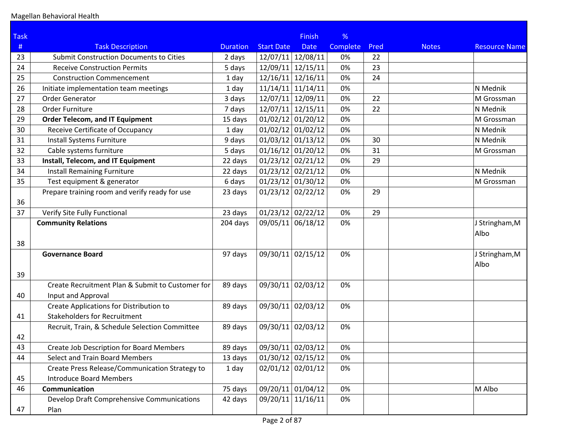| <b>Task</b> |                                                  |                 |                     | <b>Finish</b> | %               |      |              |                      |
|-------------|--------------------------------------------------|-----------------|---------------------|---------------|-----------------|------|--------------|----------------------|
| #           | <b>Task Description</b>                          | <b>Duration</b> | <b>Start Date</b>   | <b>Date</b>   | <b>Complete</b> | Pred | <b>Notes</b> | <b>Resource Name</b> |
| 23          | <b>Submit Construction Documents to Cities</b>   | 2 days          | 12/07/11 12/08/11   |               | 0%              | 22   |              |                      |
| 24          | <b>Receive Construction Permits</b>              | 5 days          | 12/09/11            | 12/15/11      | 0%              | 23   |              |                      |
| 25          | <b>Construction Commencement</b>                 | 1 day           | $12/16/11$ 12/16/11 |               | 0%              | 24   |              |                      |
| 26          | Initiate implementation team meetings            | 1 day           | $11/14/11$ 11/14/11 |               | 0%              |      |              | N Mednik             |
| 27          | <b>Order Generator</b>                           | 3 days          | 12/07/11 12/09/11   |               | 0%              | 22   |              | M Grossman           |
| 28          | Order Furniture                                  | 7 days          | 12/07/11 12/15/11   |               | 0%              | 22   |              | N Mednik             |
| 29          | <b>Order Telecom, and IT Equipment</b>           | 15 days         | $01/02/12$ 01/20/12 |               | 0%              |      |              | M Grossman           |
| 30          | Receive Certificate of Occupancy                 | 1 day           | $01/02/12$ 01/02/12 |               | 0%              |      |              | N Mednik             |
| 31          | Install Systems Furniture                        | 9 days          | $01/03/12$ 01/13/12 |               | 0%              | 30   |              | N Mednik             |
| 32          | Cable systems furniture                          | 5 days          | $01/16/12$ 01/20/12 |               | 0%              | 31   |              | M Grossman           |
| 33          | Install, Telecom, and IT Equipment               | 22 days         | $01/23/12$ 02/21/12 |               | 0%              | 29   |              |                      |
| 34          | <b>Install Remaining Furniture</b>               | 22 days         | $01/23/12$ 02/21/12 |               | 0%              |      |              | N Mednik             |
| 35          | Test equipment & generator                       | 6 days          | $01/23/12$ 01/30/12 |               | 0%              |      |              | M Grossman           |
|             | Prepare training room and verify ready for use   | 23 days         | $01/23/12$ 02/22/12 |               | 0%              | 29   |              |                      |
| 36          |                                                  |                 |                     |               |                 |      |              |                      |
| 37          | Verify Site Fully Functional                     | 23 days         | $01/23/12$ 02/22/12 |               | 0%              | 29   |              |                      |
|             | <b>Community Relations</b>                       | 204 days        | 09/05/11 06/18/12   |               | 0%              |      |              | J Stringham, M       |
|             |                                                  |                 |                     |               |                 |      |              | Albo                 |
| 38          |                                                  |                 |                     |               |                 |      |              |                      |
|             | <b>Governance Board</b>                          | 97 days         | 09/30/11 02/15/12   |               | 0%              |      |              | J Stringham, M       |
|             |                                                  |                 |                     |               |                 |      |              | Albo                 |
| 39          |                                                  |                 |                     |               |                 |      |              |                      |
|             | Create Recruitment Plan & Submit to Customer for | 89 days         | 09/30/11 02/03/12   |               | 0%              |      |              |                      |
| 40          | Input and Approval                               |                 |                     |               |                 |      |              |                      |
|             | Create Applications for Distribution to          | 89 days         | 09/30/11 02/03/12   |               | 0%              |      |              |                      |
| 41          | <b>Stakeholders for Recruitment</b>              |                 |                     |               |                 |      |              |                      |
|             | Recruit, Train, & Schedule Selection Committee   | 89 days         | 09/30/11 02/03/12   |               | 0%              |      |              |                      |
| 42          |                                                  |                 |                     |               |                 |      |              |                      |
| 43          | Create Job Description for Board Members         | 89 days         | 09/30/11 02/03/12   |               | 0%              |      |              |                      |
| 44          | <b>Select and Train Board Members</b>            | 13 days         | $01/30/12$ 02/15/12 |               | 0%              |      |              |                      |
|             | Create Press Release/Communication Strategy to   | 1 day           | $02/01/12$ 02/01/12 |               | 0%              |      |              |                      |
| 45          | <b>Introduce Board Members</b>                   |                 |                     |               |                 |      |              |                      |
| 46          | Communication                                    | 75 days         | 09/20/11 01/04/12   |               | 0%              |      |              | M Albo               |
|             | Develop Draft Comprehensive Communications       | 42 days         | 09/20/11 11/16/11   |               | 0%              |      |              |                      |
| 47          | Plan                                             |                 |                     |               |                 |      |              |                      |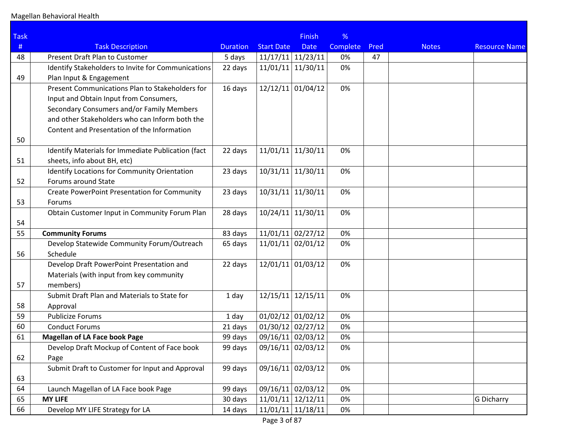| <b>Task</b> |                                                     |                 |                     | <b>Finish</b> | %               |      |              |                      |
|-------------|-----------------------------------------------------|-----------------|---------------------|---------------|-----------------|------|--------------|----------------------|
| #           | <b>Task Description</b>                             | <b>Duration</b> | <b>Start Date</b>   | <b>Date</b>   | <b>Complete</b> | Pred | <b>Notes</b> | <b>Resource Name</b> |
| 48          | Present Draft Plan to Customer                      | 5 days          | $11/17/11$ 11/23/11 |               | 0%              | 47   |              |                      |
|             | Identify Stakeholders to Invite for Communications  | 22 days         | $11/01/11$ 11/30/11 |               | 0%              |      |              |                      |
| 49          | Plan Input & Engagement                             |                 |                     |               |                 |      |              |                      |
|             | Present Communications Plan to Stakeholders for     | 16 days         | $12/12/11$ 01/04/12 |               | 0%              |      |              |                      |
|             | Input and Obtain Input from Consumers,              |                 |                     |               |                 |      |              |                      |
|             | Secondary Consumers and/or Family Members           |                 |                     |               |                 |      |              |                      |
|             | and other Stakeholders who can Inform both the      |                 |                     |               |                 |      |              |                      |
|             | Content and Presentation of the Information         |                 |                     |               |                 |      |              |                      |
| 50          |                                                     |                 |                     |               |                 |      |              |                      |
|             | Identify Materials for Immediate Publication (fact  | 22 days         | $11/01/11$ 11/30/11 |               | 0%              |      |              |                      |
| 51          | sheets, info about BH, etc)                         |                 |                     |               |                 |      |              |                      |
|             | Identify Locations for Community Orientation        | 23 days         | $10/31/11$ 11/30/11 |               | 0%              |      |              |                      |
| 52          | Forums around State                                 |                 |                     |               |                 |      |              |                      |
|             | <b>Create PowerPoint Presentation for Community</b> | 23 days         | $10/31/11$ 11/30/11 |               | 0%              |      |              |                      |
| 53          | Forums                                              |                 |                     |               |                 |      |              |                      |
|             | Obtain Customer Input in Community Forum Plan       | 28 days         | $10/24/11$ 11/30/11 |               | 0%              |      |              |                      |
| 54          |                                                     |                 |                     |               |                 |      |              |                      |
| 55          | <b>Community Forums</b>                             | 83 days         | $11/01/11$ 02/27/12 |               | 0%              |      |              |                      |
|             | Develop Statewide Community Forum/Outreach          | 65 days         | $11/01/11$ 02/01/12 |               | 0%              |      |              |                      |
| 56          | Schedule                                            |                 |                     |               |                 |      |              |                      |
|             | Develop Draft PowerPoint Presentation and           | 22 days         | $12/01/11$ 01/03/12 |               | 0%              |      |              |                      |
|             | Materials (with input from key community            |                 |                     |               |                 |      |              |                      |
| 57          | members)                                            |                 |                     |               |                 |      |              |                      |
|             | Submit Draft Plan and Materials to State for        | 1 day           | $12/15/11$ 12/15/11 |               | 0%              |      |              |                      |
| 58          | Approval                                            |                 |                     |               |                 |      |              |                      |
| 59          | <b>Publicize Forums</b>                             | 1 day           | $01/02/12$ 01/02/12 |               | 0%              |      |              |                      |
| 60          | <b>Conduct Forums</b>                               | 21 days         | $01/30/12$ 02/27/12 |               | 0%              |      |              |                      |
| 61          | <b>Magellan of LA Face book Page</b>                | 99 days         | 09/16/11 02/03/12   |               | 0%              |      |              |                      |
|             | Develop Draft Mockup of Content of Face book        | 99 days         | 09/16/11 02/03/12   |               | 0%              |      |              |                      |
| 62          | Page                                                |                 |                     |               |                 |      |              |                      |
|             | Submit Draft to Customer for Input and Approval     | 99 days         | 09/16/11 02/03/12   |               | 0%              |      |              |                      |
| 63          |                                                     |                 |                     |               |                 |      |              |                      |
| 64          | Launch Magellan of LA Face book Page                | 99 days         | 09/16/11 02/03/12   |               | 0%              |      |              |                      |
| 65          | <b>MY LIFE</b>                                      | 30 days         | $11/01/11$ 12/12/11 |               | 0%              |      |              | <b>G Dicharry</b>    |
| 66          | Develop MY LIFE Strategy for LA                     | 14 days         | $11/01/11$ 11/18/11 |               | 0%              |      |              |                      |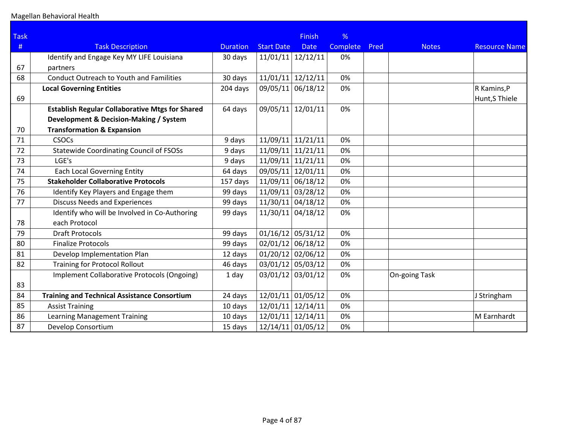| <b>Task</b> |                                                        |                 |                     | <b>Finish</b>       | %               |      |               |                      |
|-------------|--------------------------------------------------------|-----------------|---------------------|---------------------|-----------------|------|---------------|----------------------|
| #           | <b>Task Description</b>                                | <b>Duration</b> | <b>Start Date</b>   | <b>Date</b>         | <b>Complete</b> | Pred | <b>Notes</b>  | <b>Resource Name</b> |
|             | Identify and Engage Key MY LIFE Louisiana              | 30 days         | 11/01/11            | 12/12/11            | 0%              |      |               |                      |
| 67          | partners                                               |                 |                     |                     |                 |      |               |                      |
| 68          | <b>Conduct Outreach to Youth and Familities</b>        | 30 days         |                     | $11/01/11$ 12/12/11 | 0%              |      |               |                      |
|             | <b>Local Governing Entities</b>                        | 204 days        | 09/05/11            | 06/18/12            | 0%              |      |               | R Kamins, P          |
| 69          |                                                        |                 |                     |                     |                 |      |               | Hunt, S Thiele       |
|             | <b>Establish Regular Collaborative Mtgs for Shared</b> | 64 days         | 09/05/11            | 12/01/11            | 0%              |      |               |                      |
|             | Development & Decision-Making / System                 |                 |                     |                     |                 |      |               |                      |
| 70          | <b>Transformation &amp; Expansion</b>                  |                 |                     |                     |                 |      |               |                      |
| 71          | <b>CSOCs</b>                                           | 9 days          | 11/09/11            | 11/21/11            | 0%              |      |               |                      |
| 72          | <b>Statewide Coordinating Council of FSOSs</b>         | 9 days          | 11/09/11            | 11/21/11            | 0%              |      |               |                      |
| 73          | LGE's                                                  | 9 days          | 11/09/11            | 11/21/11            | 0%              |      |               |                      |
| 74          | <b>Each Local Governing Entity</b>                     | 64 days         | 09/05/11            | 12/01/11            | 0%              |      |               |                      |
| 75          | <b>Stakeholder Collaborative Protocols</b>             | 157 days        | 11/09/11            | 06/18/12            | 0%              |      |               |                      |
| 76          | Identify Key Players and Engage them                   | 99 days         | 11/09/11            | 03/28/12            | 0%              |      |               |                      |
| 77          | <b>Discuss Needs and Experiences</b>                   | 99 days         | 11/30/11            | 04/18/12            | 0%              |      |               |                      |
|             | Identify who will be Involved in Co-Authoring          | 99 days         | 11/30/11            | 04/18/12            | 0%              |      |               |                      |
| 78          | each Protocol                                          |                 |                     |                     |                 |      |               |                      |
| 79          | <b>Draft Protocols</b>                                 | 99 days         | $01/16/12$ 05/31/12 |                     | 0%              |      |               |                      |
| 80          | <b>Finalize Protocols</b>                              | 99 days         | $02/01/12$ 06/18/12 |                     | 0%              |      |               |                      |
| 81          | Develop Implementation Plan                            | 12 days         | $01/20/12$ 02/06/12 |                     | 0%              |      |               |                      |
| 82          | <b>Training for Protocol Rollout</b>                   | 46 days         | 03/01/12 05/03/12   |                     | 0%              |      |               |                      |
|             | Implement Collaborative Protocols (Ongoing)            | 1 day           | $03/01/12$ 03/01/12 |                     | 0%              |      | On-going Task |                      |
| 83          |                                                        |                 |                     |                     |                 |      |               |                      |
| 84          | <b>Training and Technical Assistance Consortium</b>    | 24 days         | 12/01/11            | 01/05/12            | 0%              |      |               | J Stringham          |
| 85          | <b>Assist Training</b>                                 | 10 days         | 12/01/11            | 12/14/11            | 0%              |      |               |                      |
| 86          | <b>Learning Management Training</b>                    | 10 days         | 12/01/11            | 12/14/11            | 0%              |      |               | M Earnhardt          |
| 87          | Develop Consortium                                     | 15 days         | 12/14/11 01/05/12   |                     | 0%              |      |               |                      |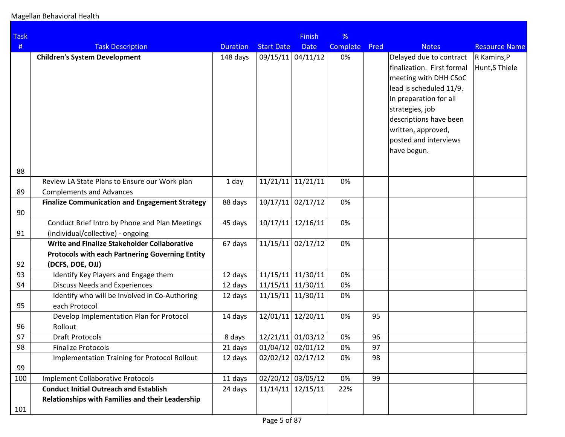Magellan Behavioral Health

| <b>Task</b> |                                                                |                 |                     | <b>Finish</b>       | %        |      |                            |                      |
|-------------|----------------------------------------------------------------|-----------------|---------------------|---------------------|----------|------|----------------------------|----------------------|
| #           | <b>Task Description</b>                                        | <b>Duration</b> | <b>Start Date</b>   | <b>Date</b>         | Complete | Pred | <b>Notes</b>               | <b>Resource Name</b> |
|             | <b>Children's System Development</b>                           | 148 days        | 09/15/11 04/11/12   |                     | 0%       |      | Delayed due to contract    | R Kamins, P          |
|             |                                                                |                 |                     |                     |          |      | finalization. First formal | Hunt,S Thiele        |
|             |                                                                |                 |                     |                     |          |      | meeting with DHH CSoC      |                      |
|             |                                                                |                 |                     |                     |          |      | lead is scheduled 11/9.    |                      |
|             |                                                                |                 |                     |                     |          |      | In preparation for all     |                      |
|             |                                                                |                 |                     |                     |          |      | strategies, job            |                      |
|             |                                                                |                 |                     |                     |          |      | descriptions have been     |                      |
|             |                                                                |                 |                     |                     |          |      | written, approved,         |                      |
|             |                                                                |                 |                     |                     |          |      | posted and interviews      |                      |
|             |                                                                |                 |                     |                     |          |      | have begun.                |                      |
| 88          |                                                                |                 |                     |                     |          |      |                            |                      |
|             | Review LA State Plans to Ensure our Work plan                  | 1 day           | $11/21/11$ 11/21/11 |                     | 0%       |      |                            |                      |
| 89          | <b>Complements and Advances</b>                                |                 |                     |                     |          |      |                            |                      |
|             | <b>Finalize Communication and Engagement Strategy</b>          | 88 days         |                     | $10/17/11$ 02/17/12 | 0%       |      |                            |                      |
| 90          |                                                                |                 |                     |                     |          |      |                            |                      |
|             | Conduct Brief Intro by Phone and Plan Meetings                 | 45 days         |                     | $10/17/11$ 12/16/11 | 0%       |      |                            |                      |
| 91          | (individual/collective) - ongoing                              |                 |                     |                     |          |      |                            |                      |
|             | Write and Finalize Stakeholder Collaborative                   | 67 days         |                     | $11/15/11$ 02/17/12 | 0%       |      |                            |                      |
|             | <b>Protocols with each Partnering Governing Entity</b>         |                 |                     |                     |          |      |                            |                      |
| 92          | (DCFS, DOE, OJJ)                                               |                 |                     |                     |          |      |                            |                      |
| 93          | Identify Key Players and Engage them                           | 12 days         | $11/15/11$ 11/30/11 |                     | 0%       |      |                            |                      |
| 94          | <b>Discuss Needs and Experiences</b>                           | 12 days         |                     | $11/15/11$ 11/30/11 | 0%<br>0% |      |                            |                      |
| 95          | Identify who will be Involved in Co-Authoring<br>each Protocol | 12 days         |                     | $11/15/11$ 11/30/11 |          |      |                            |                      |
|             | Develop Implementation Plan for Protocol                       | 14 days         |                     | 12/01/11 12/20/11   | 0%       | 95   |                            |                      |
| 96          | Rollout                                                        |                 |                     |                     |          |      |                            |                      |
| 97          | <b>Draft Protocols</b>                                         | 8 days          |                     | 12/21/11 01/03/12   | 0%       | 96   |                            |                      |
| 98          | <b>Finalize Protocols</b>                                      | 21 days         | $01/04/12$ 02/01/12 |                     | 0%       | 97   |                            |                      |
|             | <b>Implementation Training for Protocol Rollout</b>            | 12 days         |                     | $02/02/12$ 02/17/12 | 0%       | 98   |                            |                      |
| 99          |                                                                |                 |                     |                     |          |      |                            |                      |
| 100         | <b>Implement Collaborative Protocols</b>                       | 11 days         | 02/20/12 03/05/12   |                     | 0%       | 99   |                            |                      |
|             | <b>Conduct Initial Outreach and Establish</b>                  | 24 days         |                     | $11/14/11$ 12/15/11 | 22%      |      |                            |                      |
|             | Relationships with Families and their Leadership               |                 |                     |                     |          |      |                            |                      |
| 101         |                                                                |                 |                     |                     |          |      |                            |                      |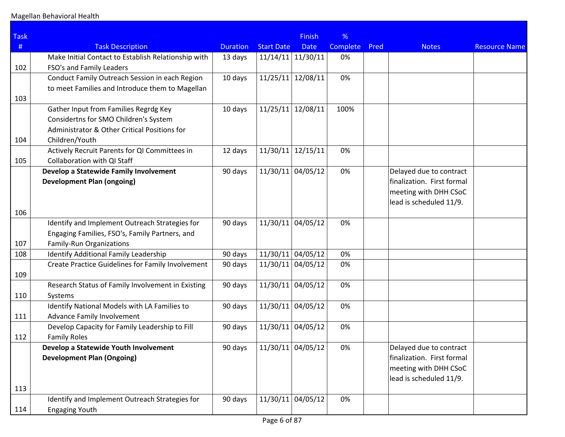| <b>Task</b> |                                                     |                 |                     | <b>Finish</b> | %               |      |                                                       |                      |
|-------------|-----------------------------------------------------|-----------------|---------------------|---------------|-----------------|------|-------------------------------------------------------|----------------------|
| #           | <b>Task Description</b>                             | <b>Duration</b> | <b>Start Date</b>   | <b>Date</b>   | <b>Complete</b> | Pred | <b>Notes</b>                                          | <b>Resource Name</b> |
|             | Make Initial Contact to Establish Relationship with | 13 days         | $11/14/11$ 11/30/11 |               | 0%              |      |                                                       |                      |
| 102         | FSO's and Family Leaders                            |                 |                     |               |                 |      |                                                       |                      |
|             | Conduct Family Outreach Session in each Region      | 10 days         | 11/25/11            | 12/08/11      | 0%              |      |                                                       |                      |
|             | to meet Families and Introduce them to Magellan     |                 |                     |               |                 |      |                                                       |                      |
| 103         |                                                     |                 |                     |               |                 |      |                                                       |                      |
|             | Gather Input from Families Regrdg Key               | 10 days         | 11/25/11            | 12/08/11      | 100%            |      |                                                       |                      |
|             | Considertns for SMO Children's System               |                 |                     |               |                 |      |                                                       |                      |
|             | Administrator & Other Critical Positions for        |                 |                     |               |                 |      |                                                       |                      |
| 104         | Children/Youth                                      |                 |                     |               |                 |      |                                                       |                      |
|             | Actively Recruit Parents for QI Committees in       | 12 days         | 11/30/11            | 12/15/11      | 0%              |      |                                                       |                      |
| 105         | <b>Collaboration with QI Staff</b>                  |                 |                     |               |                 |      |                                                       |                      |
|             | Develop a Statewide Family Involvement              | 90 days         | $11/30/11$ 04/05/12 |               | 0%              |      | Delayed due to contract                               |                      |
|             | <b>Development Plan (ongoing)</b>                   |                 |                     |               |                 |      | finalization. First formal                            |                      |
|             |                                                     |                 |                     |               |                 |      | meeting with DHH CSoC                                 |                      |
|             |                                                     |                 |                     |               |                 |      | lead is scheduled 11/9.                               |                      |
| 106         |                                                     |                 |                     |               |                 |      |                                                       |                      |
|             | Identify and Implement Outreach Strategies for      | 90 days         | $11/30/11$ 04/05/12 |               | 0%              |      |                                                       |                      |
|             | Engaging Families, FSO's, Family Partners, and      |                 |                     |               |                 |      |                                                       |                      |
| 107         | Family-Run Organizations                            |                 |                     |               |                 |      |                                                       |                      |
| 108         | Identify Additional Family Leadership               | 90 days         | $11/30/11$ 04/05/12 |               | 0%              |      |                                                       |                      |
|             | Create Practice Guidelines for Family Involvement   | 90 days         | $11/30/11$ 04/05/12 |               | 0%              |      |                                                       |                      |
| 109         |                                                     |                 |                     |               |                 |      |                                                       |                      |
|             | Research Status of Family Involvement in Existing   | 90 days         | 11/30/11            | 04/05/12      | 0%              |      |                                                       |                      |
| 110         | Systems                                             |                 |                     |               |                 |      |                                                       |                      |
|             | Identify National Models with LA Families to        | 90 days         | $11/30/11$ 04/05/12 |               | 0%              |      |                                                       |                      |
| 111         | Advance Family Involvement                          |                 |                     |               |                 |      |                                                       |                      |
|             | Develop Capacity for Family Leadership to Fill      | 90 days         | 11/30/11            | 04/05/12      | 0%              |      |                                                       |                      |
| 112         | <b>Family Roles</b>                                 |                 |                     |               |                 |      |                                                       |                      |
|             | Develop a Statewide Youth Involvement               | 90 days         | $11/30/11$ 04/05/12 |               | 0%              |      | Delayed due to contract<br>finalization. First formal |                      |
|             | <b>Development Plan (Ongoing)</b>                   |                 |                     |               |                 |      |                                                       |                      |
|             |                                                     |                 |                     |               |                 |      | meeting with DHH CSoC<br>lead is scheduled 11/9.      |                      |
| 113         |                                                     |                 |                     |               |                 |      |                                                       |                      |
|             | Identify and Implement Outreach Strategies for      | 90 days         | 11/30/11            | 04/05/12      | 0%              |      |                                                       |                      |
| 114         | <b>Engaging Youth</b>                               |                 |                     |               |                 |      |                                                       |                      |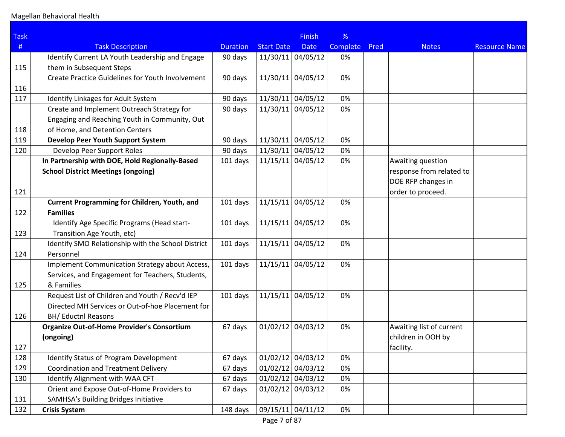| <b>Task</b> |                                                         |                 |                     | <b>Finish</b>     | %        |      |                          |                      |
|-------------|---------------------------------------------------------|-----------------|---------------------|-------------------|----------|------|--------------------------|----------------------|
| $\#$        | <b>Task Description</b>                                 | <b>Duration</b> | <b>Start Date</b>   | <b>Date</b>       | Complete | Pred | <b>Notes</b>             | <b>Resource Name</b> |
|             | Identify Current LA Youth Leadership and Engage         | 90 days         | $11/30/11$ 04/05/12 |                   | 0%       |      |                          |                      |
| 115         | them in Subsequent Steps                                |                 |                     |                   |          |      |                          |                      |
|             | <b>Create Practice Guidelines for Youth Involvement</b> | 90 days         | 11/30/11 04/05/12   |                   | 0%       |      |                          |                      |
| 116         |                                                         |                 |                     |                   |          |      |                          |                      |
| 117         | Identify Linkages for Adult System                      | 90 days         | $11/30/11$ 04/05/12 |                   | 0%       |      |                          |                      |
|             | Create and Implement Outreach Strategy for              | 90 days         | 11/30/11 04/05/12   |                   | 0%       |      |                          |                      |
|             | Engaging and Reaching Youth in Community, Out           |                 |                     |                   |          |      |                          |                      |
| 118         | of Home, and Detention Centers                          |                 |                     |                   |          |      |                          |                      |
| 119         | <b>Develop Peer Youth Support System</b>                | 90 days         | 11/30/11            | 04/05/12          | 0%       |      |                          |                      |
| 120         | Develop Peer Support Roles                              | 90 days         | 11/30/11 04/05/12   |                   | 0%       |      |                          |                      |
|             | In Partnership with DOE, Hold Regionally-Based          | 101 days        | $11/15/11$ 04/05/12 |                   | 0%       |      | Awaiting question        |                      |
|             | <b>School District Meetings (ongoing)</b>               |                 |                     |                   |          |      | response from related to |                      |
|             |                                                         |                 |                     |                   |          |      | DOE RFP changes in       |                      |
| 121         |                                                         |                 |                     |                   |          |      | order to proceed.        |                      |
|             | <b>Current Programming for Children, Youth, and</b>     | 101 days        | 11/15/11            | 04/05/12          | 0%       |      |                          |                      |
| 122         | <b>Families</b>                                         |                 |                     |                   |          |      |                          |                      |
|             | Identify Age Specific Programs (Head start-             | 101 days        | $11/15/11$ 04/05/12 |                   | 0%       |      |                          |                      |
| 123         | Transition Age Youth, etc)                              |                 |                     |                   |          |      |                          |                      |
|             | Identify SMO Relationship with the School District      | 101 days        | $11/15/11$ 04/05/12 |                   | 0%       |      |                          |                      |
| 124         | Personnel                                               |                 |                     |                   |          |      |                          |                      |
|             | Implement Communication Strategy about Access,          | 101 days        | $11/15/11$ 04/05/12 |                   | 0%       |      |                          |                      |
|             | Services, and Engagement for Teachers, Students,        |                 |                     |                   |          |      |                          |                      |
| 125         | & Families                                              |                 |                     |                   |          |      |                          |                      |
|             | Request List of Children and Youth / Recv'd IEP         | 101 days        | $11/15/11$ 04/05/12 |                   | 0%       |      |                          |                      |
|             | Directed MH Services or Out-of-hoe Placement for        |                 |                     |                   |          |      |                          |                      |
| 126         | <b>BH/ Eductnl Reasons</b>                              |                 |                     |                   |          |      |                          |                      |
|             | <b>Organize Out-of-Home Provider's Consortium</b>       | 67 days         | 01/02/12            | 04/03/12          | 0%       |      | Awaiting list of current |                      |
|             | (ongoing)                                               |                 |                     |                   |          |      | children in OOH by       |                      |
| 127         |                                                         |                 |                     |                   |          |      | facility.                |                      |
| 128         | Identify Status of Program Development                  | 67 days         | $01/02/12$ 04/03/12 |                   | 0%       |      |                          |                      |
| 129         | <b>Coordination and Treatment Delivery</b>              | 67 days         | $01/02/12$ 04/03/12 |                   | 0%       |      |                          |                      |
| 130         | Identify Alignment with WAA CFT                         | 67 days         | $01/02/12$ 04/03/12 |                   | 0%       |      |                          |                      |
|             | Orient and Expose Out-of-Home Providers to              | 67 days         | $01/02/12$ 04/03/12 |                   | 0%       |      |                          |                      |
| 131         | <b>SAMHSA's Building Bridges Initiative</b>             |                 |                     |                   |          |      |                          |                      |
| 132         | <b>Crisis System</b>                                    | 148 days        |                     | 09/15/11 04/11/12 | 0%       |      |                          |                      |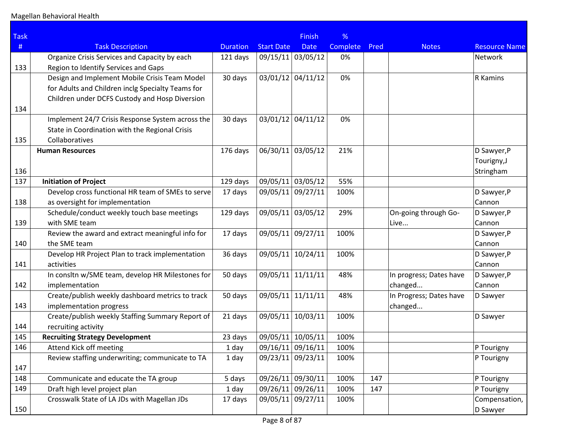| <b>Task</b> |                                                   |                 |                   | <b>Finish</b> | %        |      |                         |                      |
|-------------|---------------------------------------------------|-----------------|-------------------|---------------|----------|------|-------------------------|----------------------|
| $\#$        | <b>Task Description</b>                           | <b>Duration</b> | <b>Start Date</b> | <b>Date</b>   | Complete | Pred | <b>Notes</b>            | <b>Resource Name</b> |
|             | Organize Crisis Services and Capacity by each     | 121 days        | 09/15/11 03/05/12 |               | 0%       |      |                         | Network              |
| 133         | Region to Identify Services and Gaps              |                 |                   |               |          |      |                         |                      |
|             | Design and Implement Mobile Crisis Team Model     | 30 days         | 03/01/12 04/11/12 |               | 0%       |      |                         | R Kamins             |
|             | for Adults and Children inclg Specialty Teams for |                 |                   |               |          |      |                         |                      |
|             | Children under DCFS Custody and Hosp Diversion    |                 |                   |               |          |      |                         |                      |
| 134         |                                                   |                 |                   |               |          |      |                         |                      |
|             | Implement 24/7 Crisis Response System across the  | 30 days         | 03/01/12 04/11/12 |               | 0%       |      |                         |                      |
|             | State in Coordination with the Regional Crisis    |                 |                   |               |          |      |                         |                      |
| 135         | Collaboratives                                    |                 |                   |               |          |      |                         |                      |
|             | <b>Human Resources</b>                            | 176 days        | 06/30/11          | 03/05/12      | 21%      |      |                         | D Sawyer, P          |
|             |                                                   |                 |                   |               |          |      |                         | Tourigny, J          |
| 136         |                                                   |                 |                   |               |          |      |                         | Stringham            |
| 137         | <b>Initiation of Project</b>                      | 129 days        | 09/05/11 03/05/12 |               | 55%      |      |                         |                      |
|             | Develop cross functional HR team of SMEs to serve | 17 days         | 09/05/11          | 09/27/11      | 100%     |      |                         | D Sawyer, P          |
| 138         | as oversight for implementation                   |                 |                   |               |          |      |                         | Cannon               |
|             | Schedule/conduct weekly touch base meetings       | 129 days        | 09/05/11          | 03/05/12      | 29%      |      | On-going through Go-    | D Sawyer, P          |
| 139         | with SME team                                     |                 |                   |               |          |      | Live                    | Cannon               |
|             | Review the award and extract meaningful info for  | 17 days         | 09/05/11          | 09/27/11      | 100%     |      |                         | D Sawyer, P          |
| 140         | the SME team                                      |                 |                   |               |          |      |                         | Cannon               |
|             | Develop HR Project Plan to track implementation   | 36 days         | 09/05/11          | 10/24/11      | 100%     |      |                         | D Sawyer, P          |
| 141         | activities                                        |                 |                   |               |          |      |                         | Cannon               |
|             | In consitn w/SME team, develop HR Milestones for  | 50 days         | 09/05/11          | 11/11/11      | 48%      |      | In progress; Dates have | D Sawyer, P          |
| 142         | implementation                                    |                 |                   |               |          |      | changed                 | Cannon               |
|             | Create/publish weekly dashboard metrics to track  | 50 days         | 09/05/11          | 11/11/11      | 48%      |      | In Progress; Dates have | D Sawyer             |
| 143         | implementation progress                           |                 |                   |               |          |      | changed                 |                      |
|             | Create/publish weekly Staffing Summary Report of  | 21 days         | 09/05/11          | 10/03/11      | 100%     |      |                         | D Sawyer             |
| 144         | recruiting activity                               |                 |                   |               |          |      |                         |                      |
| 145         | <b>Recruiting Strategy Development</b>            | 23 days         | 09/05/11 10/05/11 |               | 100%     |      |                         |                      |
| 146         | Attend Kick off meeting                           | 1 day           | 09/16/11 09/16/11 |               | 100%     |      |                         | P Tourigny           |
|             | Review staffing underwriting; communicate to TA   | 1 day           | 09/23/11 09/23/11 |               | 100%     |      |                         | P Tourigny           |
| 147         |                                                   |                 |                   |               |          |      |                         |                      |
| 148         | Communicate and educate the TA group              | 5 days          | 09/26/11 09/30/11 |               | 100%     | 147  |                         | P Tourigny           |
| 149         | Draft high level project plan                     | 1 day           | 09/26/11 09/26/11 |               | 100%     | 147  |                         | P Tourigny           |
|             | Crosswalk State of LA JDs with Magellan JDs       | 17 days         | 09/05/11 09/27/11 |               | 100%     |      |                         | Compensation,        |
| 150         |                                                   |                 |                   |               |          |      |                         | D Sawyer             |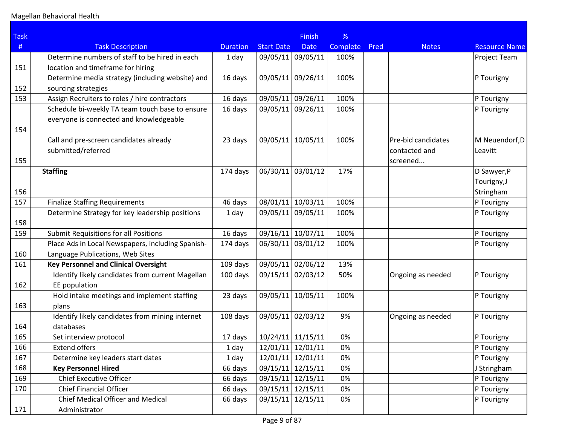| <b>Task</b> |                                                   |                 |                   | <b>Finish</b>       | %        |      |                    |                      |
|-------------|---------------------------------------------------|-----------------|-------------------|---------------------|----------|------|--------------------|----------------------|
| #           | <b>Task Description</b>                           | <b>Duration</b> | <b>Start Date</b> | <b>Date</b>         | Complete | Pred | <b>Notes</b>       | <b>Resource Name</b> |
|             | Determine numbers of staff to be hired in each    | 1 day           |                   | 09/05/11 09/05/11   | 100%     |      |                    | Project Team         |
| 151         | location and timeframe for hiring                 |                 |                   |                     |          |      |                    |                      |
|             | Determine media strategy (including website) and  | 16 days         |                   | 09/05/11 09/26/11   | 100%     |      |                    | P Tourigny           |
| 152         | sourcing strategies                               |                 |                   |                     |          |      |                    |                      |
| 153         | Assign Recruiters to roles / hire contractors     | 16 days         | 09/05/11 09/26/11 |                     | 100%     |      |                    | P Tourigny           |
|             | Schedule bi-weekly TA team touch base to ensure   | 16 days         | 09/05/11 09/26/11 |                     | 100%     |      |                    | P Tourigny           |
|             | everyone is connected and knowledgeable           |                 |                   |                     |          |      |                    |                      |
| 154         |                                                   |                 |                   |                     |          |      |                    |                      |
|             | Call and pre-screen candidates already            | 23 days         | 09/05/11          | 10/05/11            | 100%     |      | Pre-bid candidates | M Neuendorf, D       |
|             | submitted/referred                                |                 |                   |                     |          |      | contacted and      | Leavitt              |
| 155         |                                                   |                 |                   |                     |          |      | screened           |                      |
|             | <b>Staffing</b>                                   | 174 days        | 06/30/11          | 03/01/12            | 17%      |      |                    | D Sawyer, P          |
|             |                                                   |                 |                   |                     |          |      |                    | Tourigny, J          |
| 156         |                                                   |                 |                   |                     |          |      |                    | Stringham            |
| 157         | <b>Finalize Staffing Requirements</b>             | 46 days         | 08/01/11 10/03/11 |                     | 100%     |      |                    | P Tourigny           |
|             | Determine Strategy for key leadership positions   | 1 day           | 09/05/11          | 09/05/11            | 100%     |      |                    | P Tourigny           |
| 158         |                                                   |                 |                   |                     |          |      |                    |                      |
| 159         | <b>Submit Requisitions for all Positions</b>      | 16 days         |                   | 09/16/11 10/07/11   | 100%     |      |                    | P Tourigny           |
|             | Place Ads in Local Newspapers, including Spanish- | 174 days        |                   | 06/30/11 03/01/12   | 100%     |      |                    | P Tourigny           |
| 160         | Language Publications, Web Sites                  |                 |                   |                     |          |      |                    |                      |
| 161         | <b>Key Personnel and Clinical Oversight</b>       | 109 days        |                   | 09/05/11 02/06/12   | 13%      |      |                    |                      |
|             | Identify likely candidates from current Magellan  | 100 days        |                   | 09/15/11 02/03/12   | 50%      |      | Ongoing as needed  | P Tourigny           |
| 162         | EE population                                     |                 |                   |                     |          |      |                    |                      |
|             | Hold intake meetings and implement staffing       | 23 days         |                   | 09/05/11 10/05/11   | 100%     |      |                    | P Tourigny           |
| 163         | plans                                             |                 |                   |                     |          |      |                    |                      |
|             | Identify likely candidates from mining internet   | 108 days        |                   | 09/05/11 02/03/12   | 9%       |      | Ongoing as needed  | P Tourigny           |
| 164         | databases                                         |                 |                   |                     |          |      |                    |                      |
| 165         | Set interview protocol                            | 17 days         |                   | 10/24/11 11/15/11   | 0%       |      |                    | P Tourigny           |
| 166         | <b>Extend offers</b>                              | 1 day           |                   | $12/01/11$ 12/01/11 | 0%       |      |                    | P Tourigny           |
| 167         | Determine key leaders start dates                 | 1 day           |                   | 12/01/11 12/01/11   | 0%       |      |                    | P Tourigny           |
| 168         | <b>Key Personnel Hired</b>                        | 66 days         | 09/15/11 12/15/11 |                     | 0%       |      |                    | J Stringham          |
| 169         | <b>Chief Executive Officer</b>                    | 66 days         |                   | 09/15/11 12/15/11   | 0%       |      |                    | P Tourigny           |
| 170         | <b>Chief Financial Officer</b>                    | 66 days         |                   | 09/15/11 12/15/11   | 0%       |      |                    | P Tourigny           |
|             | <b>Chief Medical Officer and Medical</b>          | 66 days         |                   | 09/15/11 12/15/11   | 0%       |      |                    | P Tourigny           |
| 171         | Administrator                                     |                 |                   |                     |          |      |                    |                      |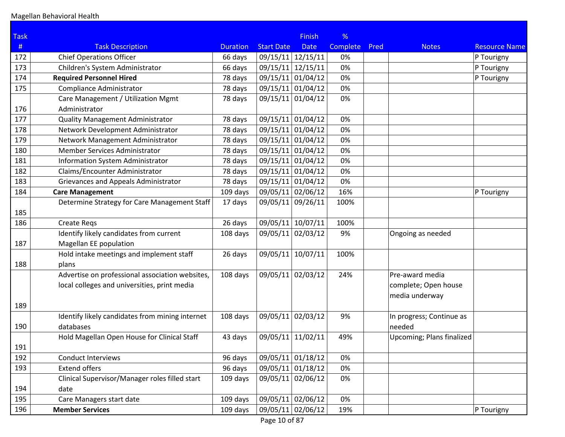| <b>Task</b> |                                                 |                 |                   | <b>Finish</b> | %        |      |                           |                      |
|-------------|-------------------------------------------------|-----------------|-------------------|---------------|----------|------|---------------------------|----------------------|
| $\#$        | <b>Task Description</b>                         | <b>Duration</b> | <b>Start Date</b> | <b>Date</b>   | Complete | Pred | <b>Notes</b>              | <b>Resource Name</b> |
| 172         | <b>Chief Operations Officer</b>                 | 66 days         | 09/15/11 12/15/11 |               | 0%       |      |                           | P Tourigny           |
| 173         | Children's System Administrator                 | 66 days         | 09/15/11          | 12/15/11      | 0%       |      |                           | P Tourigny           |
| 174         | <b>Required Personnel Hired</b>                 | 78 days         | 09/15/11          | 01/04/12      | 0%       |      |                           | P Tourigny           |
| 175         | Compliance Administrator                        | 78 days         | 09/15/11 01/04/12 |               | 0%       |      |                           |                      |
|             | Care Management / Utilization Mgmt              | 78 days         | 09/15/11 01/04/12 |               | 0%       |      |                           |                      |
| 176         | Administrator                                   |                 |                   |               |          |      |                           |                      |
| 177         | <b>Quality Management Administrator</b>         | 78 days         | 09/15/11 01/04/12 |               | 0%       |      |                           |                      |
| 178         | Network Development Administrator               | 78 days         | 09/15/11 01/04/12 |               | 0%       |      |                           |                      |
| 179         | Network Management Administrator                | 78 days         | 09/15/11 01/04/12 |               | 0%       |      |                           |                      |
| 180         | Member Services Administrator                   | 78 days         | 09/15/11 01/04/12 |               | 0%       |      |                           |                      |
| 181         | Information System Administrator                | 78 days         | 09/15/11 01/04/12 |               | 0%       |      |                           |                      |
| 182         | Claims/Encounter Administrator                  | 78 days         | 09/15/11 01/04/12 |               | 0%       |      |                           |                      |
| 183         | Grievances and Appeals Administrator            | 78 days         | 09/15/11 01/04/12 |               | 0%       |      |                           |                      |
| 184         | <b>Care Management</b>                          | 109 days        | 09/05/11 02/06/12 |               | 16%      |      |                           | P Tourigny           |
|             | Determine Strategy for Care Management Staff    | 17 days         | 09/05/11 09/26/11 |               | 100%     |      |                           |                      |
| 185         |                                                 |                 |                   |               |          |      |                           |                      |
| 186         | <b>Create Regs</b>                              | 26 days         | 09/05/11          | 10/07/11      | 100%     |      |                           |                      |
|             | Identify likely candidates from current         | 108 days        | 09/05/11 02/03/12 |               | 9%       |      | Ongoing as needed         |                      |
| 187         | Magellan EE population                          |                 |                   |               |          |      |                           |                      |
|             | Hold intake meetings and implement staff        | 26 days         | 09/05/11          | 10/07/11      | 100%     |      |                           |                      |
| 188         | plans                                           |                 |                   |               |          |      |                           |                      |
|             | Advertise on professional association websites, | 108 days        | 09/05/11 02/03/12 |               | 24%      |      | Pre-award media           |                      |
|             | local colleges and universities, print media    |                 |                   |               |          |      | complete; Open house      |                      |
|             |                                                 |                 |                   |               |          |      | media underway            |                      |
| 189         |                                                 |                 |                   |               |          |      |                           |                      |
|             | Identify likely candidates from mining internet | 108 days        | 09/05/11 02/03/12 |               | 9%       |      | In progress; Continue as  |                      |
| 190         | databases                                       |                 |                   |               |          |      | needed                    |                      |
|             | Hold Magellan Open House for Clinical Staff     | 43 days         | 09/05/11          | 11/02/11      | 49%      |      | Upcoming; Plans finalized |                      |
| 191         |                                                 |                 |                   |               |          |      |                           |                      |
| 192         | <b>Conduct Interviews</b>                       | 96 days         | 09/05/11 01/18/12 |               | 0%       |      |                           |                      |
| 193         | <b>Extend offers</b>                            | 96 days         | 09/05/11 01/18/12 |               | 0%       |      |                           |                      |
|             | Clinical Supervisor/Manager roles filled start  | 109 days        | 09/05/11 02/06/12 |               | 0%       |      |                           |                      |
| 194         | date                                            |                 |                   |               |          |      |                           |                      |
| 195         | Care Managers start date                        | 109 days        | 09/05/11 02/06/12 |               | 0%       |      |                           |                      |
| 196         | <b>Member Services</b>                          | 109 days        | 09/05/11 02/06/12 |               | 19%      |      |                           | P Tourigny           |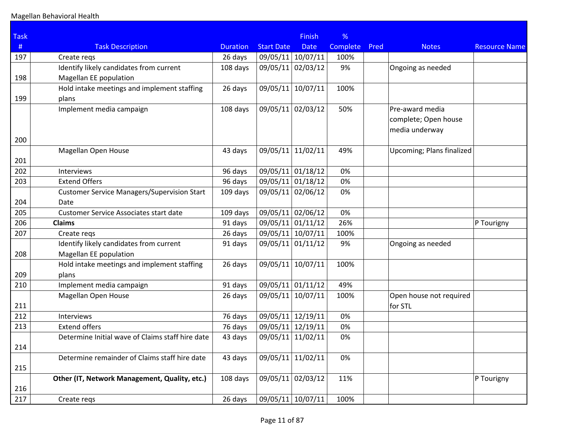| <b>Task</b> |                                                    |                 |                   | <b>Finish</b> | %        |      |                           |                      |
|-------------|----------------------------------------------------|-----------------|-------------------|---------------|----------|------|---------------------------|----------------------|
| #           | <b>Task Description</b>                            | <b>Duration</b> | <b>Start Date</b> | <b>Date</b>   | Complete | Pred | <b>Notes</b>              | <b>Resource Name</b> |
| 197         | Create regs                                        | 26 days         | 09/05/11 10/07/11 |               | 100%     |      |                           |                      |
|             | Identify likely candidates from current            | 108 days        | 09/05/11          | 02/03/12      | 9%       |      | Ongoing as needed         |                      |
| 198         | Magellan EE population                             |                 |                   |               |          |      |                           |                      |
|             | Hold intake meetings and implement staffing        | 26 days         | 09/05/11          | 10/07/11      | 100%     |      |                           |                      |
| 199         | plans                                              |                 |                   |               |          |      |                           |                      |
|             | Implement media campaign                           | 108 days        | 09/05/11 02/03/12 |               | 50%      |      | Pre-award media           |                      |
|             |                                                    |                 |                   |               |          |      | complete; Open house      |                      |
|             |                                                    |                 |                   |               |          |      | media underway            |                      |
| 200         |                                                    |                 |                   |               |          |      |                           |                      |
|             | Magellan Open House                                | 43 days         | 09/05/11 11/02/11 |               | 49%      |      | Upcoming; Plans finalized |                      |
| 201         |                                                    |                 |                   |               |          |      |                           |                      |
| 202         | Interviews                                         | 96 days         | 09/05/11 01/18/12 |               | 0%       |      |                           |                      |
| 203         | <b>Extend Offers</b>                               | 96 days         | 09/05/11 01/18/12 |               | 0%       |      |                           |                      |
|             | <b>Customer Service Managers/Supervision Start</b> | 109 days        | 09/05/11 02/06/12 |               | 0%       |      |                           |                      |
| 204         | Date                                               |                 |                   |               |          |      |                           |                      |
| 205         | Customer Service Associates start date             | 109 days        | 09/05/11 02/06/12 |               | 0%       |      |                           |                      |
| 206         | <b>Claims</b>                                      | 91 days         | 09/05/11 01/11/12 |               | 26%      |      |                           | P Tourigny           |
| 207         | Create regs                                        | 26 days         | 09/05/11 10/07/11 |               | 100%     |      |                           |                      |
|             | Identify likely candidates from current            | 91 days         | 09/05/11 01/11/12 |               | 9%       |      | Ongoing as needed         |                      |
| 208         | Magellan EE population                             |                 |                   |               |          |      |                           |                      |
|             | Hold intake meetings and implement staffing        | 26 days         | 09/05/11          | 10/07/11      | 100%     |      |                           |                      |
| 209         | plans                                              |                 |                   |               |          |      |                           |                      |
| 210         | Implement media campaign                           | 91 days         | 09/05/11 01/11/12 |               | 49%      |      |                           |                      |
|             | Magellan Open House                                | 26 days         | 09/05/11 10/07/11 |               | 100%     |      | Open house not required   |                      |
| 211         |                                                    |                 |                   |               |          |      | for STL                   |                      |
| 212         | Interviews                                         | 76 days         | 09/05/11 12/19/11 |               | 0%       |      |                           |                      |
| 213         | <b>Extend offers</b>                               | 76 days         | 09/05/11          | 12/19/11      | 0%       |      |                           |                      |
|             | Determine Initial wave of Claims staff hire date   | 43 days         | 09/05/11          | 11/02/11      | 0%       |      |                           |                      |
| 214         |                                                    |                 |                   |               |          |      |                           |                      |
|             | Determine remainder of Claims staff hire date      | 43 days         | 09/05/11          | 11/02/11      | 0%       |      |                           |                      |
| 215         |                                                    |                 |                   |               |          |      |                           |                      |
|             | Other (IT, Network Management, Quality, etc.)      | 108 days        | 09/05/11 02/03/12 |               | 11%      |      |                           | P Tourigny           |
| 216         |                                                    |                 |                   |               |          |      |                           |                      |
| 217         | Create regs                                        | 26 days         | 09/05/11 10/07/11 |               | 100%     |      |                           |                      |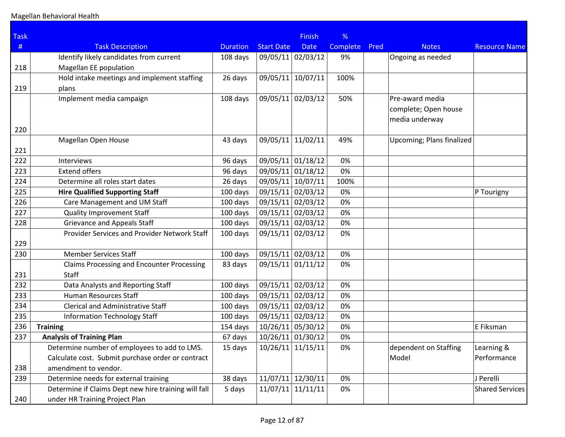| <b>Task</b> |                                                                   |                 |                     | <b>Finish</b> | %        |      |                                                           |                      |
|-------------|-------------------------------------------------------------------|-----------------|---------------------|---------------|----------|------|-----------------------------------------------------------|----------------------|
| #           | <b>Task Description</b>                                           | <b>Duration</b> | <b>Start Date</b>   | <b>Date</b>   | Complete | Pred | <b>Notes</b>                                              | <b>Resource Name</b> |
|             | Identify likely candidates from current                           | 108 days        | 09/05/11 02/03/12   |               | 9%       |      | Ongoing as needed                                         |                      |
| 218         | Magellan EE population                                            |                 |                     |               |          |      |                                                           |                      |
|             | Hold intake meetings and implement staffing                       | 26 days         | 09/05/11            | 10/07/11      | 100%     |      |                                                           |                      |
| 219         | plans                                                             |                 |                     |               |          |      |                                                           |                      |
|             | Implement media campaign                                          | 108 days        | 09/05/11 02/03/12   |               | 50%      |      | Pre-award media<br>complete; Open house<br>media underway |                      |
| 220         |                                                                   |                 |                     |               |          |      |                                                           |                      |
| 221         | Magellan Open House                                               | 43 days         | 09/05/11            | 11/02/11      | 49%      |      | Upcoming; Plans finalized                                 |                      |
| 222         | Interviews                                                        | 96 days         | 09/05/11 01/18/12   |               | 0%       |      |                                                           |                      |
| 223         | <b>Extend offers</b>                                              | 96 days         | 09/05/11 01/18/12   |               | 0%       |      |                                                           |                      |
| 224         | Determine all roles start dates                                   | 26 days         | 09/05/11            | 10/07/11      | 100%     |      |                                                           |                      |
| 225         | <b>Hire Qualified Supporting Staff</b>                            | 100 days        | 09/15/11            | 02/03/12      | 0%       |      |                                                           | P Tourigny           |
| 226         | Care Management and UM Staff                                      | 100 days        | 09/15/11 02/03/12   |               | 0%       |      |                                                           |                      |
| 227         | <b>Quality Improvement Staff</b>                                  | 100 days        | 09/15/11 02/03/12   |               | 0%       |      |                                                           |                      |
| 228         | <b>Grievance and Appeals Staff</b>                                | 100 days        | 09/15/11 02/03/12   |               | 0%       |      |                                                           |                      |
| 229         | Provider Services and Provider Network Staff                      | 100 days        | 09/15/11 02/03/12   |               | 0%       |      |                                                           |                      |
| 230         | <b>Member Services Staff</b>                                      | 100 days        | 09/15/11 02/03/12   |               | 0%       |      |                                                           |                      |
| 231         | <b>Claims Processing and Encounter Processing</b><br><b>Staff</b> | 83 days         | 09/15/11 01/11/12   |               | 0%       |      |                                                           |                      |
| 232         | Data Analysts and Reporting Staff                                 | 100 days        | 09/15/11 02/03/12   |               | 0%       |      |                                                           |                      |
| 233         | Human Resources Staff                                             | 100 days        | 09/15/11 02/03/12   |               | 0%       |      |                                                           |                      |
| 234         | <b>Clerical and Administrative Staff</b>                          | 100 days        | 09/15/11 02/03/12   |               | 0%       |      |                                                           |                      |
| 235         | <b>Information Technology Staff</b>                               | 100 days        | 09/15/11 02/03/12   |               | 0%       |      |                                                           |                      |
| 236         | <b>Training</b>                                                   | 154 days        | 10/26/11 05/30/12   |               | 0%       |      |                                                           | E Fiksman            |
| 237         | <b>Analysis of Training Plan</b>                                  | 67 days         | 10/26/11 01/30/12   |               | 0%       |      |                                                           |                      |
|             | Determine number of employees to add to LMS.                      | 15 days         | $10/26/11$ 11/15/11 |               | 0%       |      | dependent on Staffing                                     | Learning &           |
|             | Calculate cost. Submit purchase order or contract                 |                 |                     |               |          |      | Model                                                     | Performance          |
| 238         | amendment to vendor.                                              |                 |                     |               |          |      |                                                           |                      |
| 239         | Determine needs for external training                             | 38 days         | $11/07/11$ 12/30/11 |               | 0%       |      |                                                           | J Perelli            |
|             | Determine if Claims Dept new hire training will fall              | 5 days          | 11/07/11            | 11/11/11      | 0%       |      |                                                           | Shared Services      |
| 240         | under HR Training Project Plan                                    |                 |                     |               |          |      |                                                           |                      |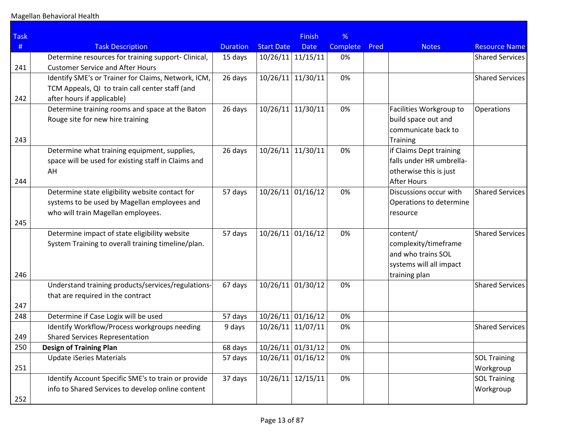| <b>Task</b> |                                                     |                 |                   | <b>Finish</b>       | %        |      |                          |                        |
|-------------|-----------------------------------------------------|-----------------|-------------------|---------------------|----------|------|--------------------------|------------------------|
| $\#$        | <b>Task Description</b>                             | <b>Duration</b> | <b>Start Date</b> | <b>Date</b>         | Complete | Pred | <b>Notes</b>             | <b>Resource Name</b>   |
|             | Determine resources for training support- Clinical, | 15 days         | 10/26/11          | 11/15/11            | 0%       |      |                          | <b>Shared Services</b> |
| 241         | <b>Customer Service and After Hours</b>             |                 |                   |                     |          |      |                          |                        |
|             | Identify SME's or Trainer for Claims, Network, ICM, | 26 days         | 10/26/11          | 11/30/11            | 0%       |      |                          | <b>Shared Services</b> |
|             | TCM Appeals, QI to train call center staff (and     |                 |                   |                     |          |      |                          |                        |
| 242         | after hours if applicable)                          |                 |                   |                     |          |      |                          |                        |
|             | Determine training rooms and space at the Baton     | 26 days         | 10/26/11          | 11/30/11            | 0%       |      | Facilities Workgroup to  | Operations             |
|             | Rouge site for new hire training                    |                 |                   |                     |          |      | build space out and      |                        |
|             |                                                     |                 |                   |                     |          |      | communicate back to      |                        |
| 243         |                                                     |                 |                   |                     |          |      | <b>Training</b>          |                        |
|             | Determine what training equipment, supplies,        | 26 days         | 10/26/11          | 11/30/11            | 0%       |      | if Claims Dept training  |                        |
|             | space will be used for existing staff in Claims and |                 |                   |                     |          |      | falls under HR umbrella- |                        |
|             | AH                                                  |                 |                   |                     |          |      | otherwise this is just   |                        |
| 244         |                                                     |                 |                   |                     |          |      | <b>After Hours</b>       |                        |
|             | Determine state eligibility website contact for     | 57 days         | 10/26/11          | 01/16/12            | 0%       |      | Discussions occur with   | <b>Shared Services</b> |
|             | systems to be used by Magellan employees and        |                 |                   |                     |          |      | Operations to determine  |                        |
|             | who will train Magellan employees.                  |                 |                   |                     |          |      | resource                 |                        |
| 245         |                                                     |                 |                   |                     |          |      |                          |                        |
|             | Determine impact of state eligibility website       | 57 days         | 10/26/11          | 01/16/12            | 0%       |      | content/                 | <b>Shared Services</b> |
|             | System Training to overall training timeline/plan.  |                 |                   |                     |          |      | complexity/timeframe     |                        |
|             |                                                     |                 |                   |                     |          |      | and who trains SOL       |                        |
|             |                                                     |                 |                   |                     |          |      | systems will all impact  |                        |
| 246         |                                                     |                 |                   |                     |          |      | training plan            |                        |
|             | Understand training products/services/regulations-  | 67 days         | 10/26/11          | 01/30/12            | 0%       |      |                          | <b>Shared Services</b> |
|             | that are required in the contract                   |                 |                   |                     |          |      |                          |                        |
| 247<br>248  | Determine if Case Logix will be used                | 57 days         | 10/26/11          | 01/16/12            | 0%       |      |                          |                        |
|             | Identify Workflow/Process workgroups needing        | 9 days          | 10/26/11          | 11/07/11            | 0%       |      |                          | <b>Shared Services</b> |
| 249         | <b>Shared Services Representation</b>               |                 |                   |                     |          |      |                          |                        |
| 250         | <b>Design of Training Plan</b>                      | 68 days         |                   | $10/26/11$ 01/31/12 | 0%       |      |                          |                        |
|             | <b>Update iSeries Materials</b>                     | 57 days         | 10/26/11          | 01/16/12            | 0%       |      |                          | <b>SOL Training</b>    |
| 251         |                                                     |                 |                   |                     |          |      |                          | Workgroup              |
|             | Identify Account Specific SME's to train or provide | 37 days         | 10/26/11          | 12/15/11            | 0%       |      |                          | <b>SOL Training</b>    |
|             | info to Shared Services to develop online content   |                 |                   |                     |          |      |                          | Workgroup              |
| 252         |                                                     |                 |                   |                     |          |      |                          |                        |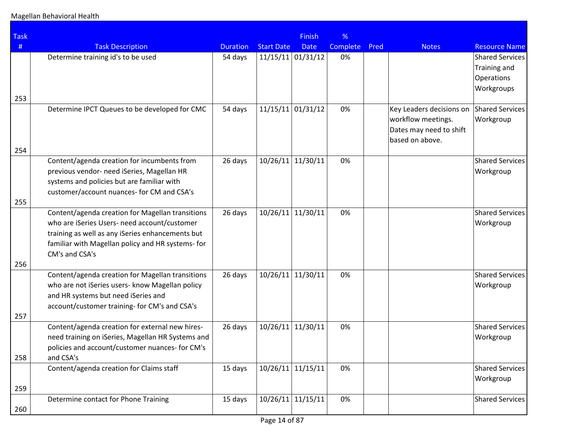| <b>Task</b> |                                                                                                                                                                                                                             |                 |                     | <b>Finish</b>       | %        |      |                                                                                              |                                                             |
|-------------|-----------------------------------------------------------------------------------------------------------------------------------------------------------------------------------------------------------------------------|-----------------|---------------------|---------------------|----------|------|----------------------------------------------------------------------------------------------|-------------------------------------------------------------|
| #           | <b>Task Description</b>                                                                                                                                                                                                     | <b>Duration</b> | <b>Start Date</b>   | <b>Date</b>         | Complete | Pred | <b>Notes</b>                                                                                 | <b>Resource Name</b>                                        |
| 253         | Determine training id's to be used                                                                                                                                                                                          | 54 days         | $11/15/11$ 01/31/12 |                     | 0%       |      |                                                                                              | Shared Services<br>Training and<br>Operations<br>Workgroups |
| 254         | Determine IPCT Queues to be developed for CMC                                                                                                                                                                               | 54 days         | 11/15/11            | 01/31/12            | 0%       |      | Key Leaders decisions on<br>workflow meetings.<br>Dates may need to shift<br>based on above. | Shared Services<br>Workgroup                                |
| 255         | Content/agenda creation for incumbents from<br>previous vendor- need iSeries, Magellan HR<br>systems and policies but are familiar with<br>customer/account nuances- for CM and CSA's                                       | 26 days         | 10/26/11            | 11/30/11            | 0%       |      |                                                                                              | Shared Services<br>Workgroup                                |
|             | Content/agenda creation for Magellan transitions<br>who are iSeries Users- need account/customer<br>training as well as any iSeries enhancements but<br>familiar with Magellan policy and HR systems- for<br>CM's and CSA's | 26 days         | 10/26/11            | 11/30/11            | 0%       |      |                                                                                              | Shared Services<br>Workgroup                                |
| 256<br>257  | Content/agenda creation for Magellan transitions<br>who are not iSeries users- know Magellan policy<br>and HR systems but need iSeries and<br>account/customer training- for CM's and CSA's                                 | 26 days         | 10/26/11            | 11/30/11            | 0%       |      |                                                                                              | Shared Services<br>Workgroup                                |
| 258         | Content/agenda creation for external new hires-<br>need training on iSeries, Magellan HR Systems and<br>policies and account/customer nuances- for CM's<br>and CSA's                                                        | 26 days         | 10/26/11            | 11/30/11            | 0%       |      |                                                                                              | Shared Services<br>Workgroup                                |
| 259         | Content/agenda creation for Claims staff                                                                                                                                                                                    | 15 days         | $10/26/11$ 11/15/11 |                     | 0%       |      |                                                                                              | Shared Services<br>Workgroup                                |
| 260         | Determine contact for Phone Training                                                                                                                                                                                        | 15 days         |                     | $10/26/11$ 11/15/11 | 0%       |      |                                                                                              | Shared Services                                             |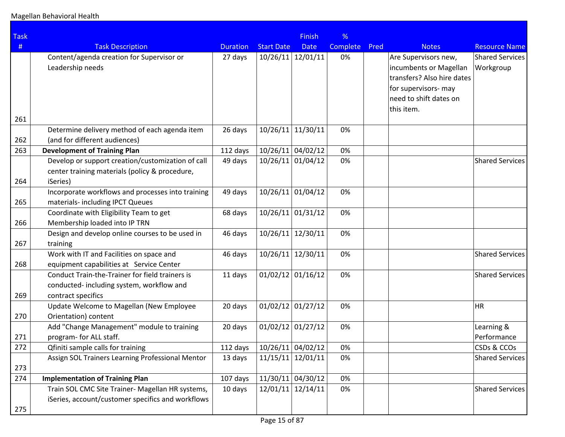| <b>Task</b> |                                                                                          |                     |                     | <b>Finish</b>       | %        |      |                            |                        |
|-------------|------------------------------------------------------------------------------------------|---------------------|---------------------|---------------------|----------|------|----------------------------|------------------------|
| #           | <b>Task Description</b>                                                                  | <b>Duration</b>     | <b>Start Date</b>   | <b>Date</b>         | Complete | Pred | <b>Notes</b>               | <b>Resource Name</b>   |
|             | Content/agenda creation for Supervisor or                                                | 27 days             | 10/26/11            | 12/01/11            | 0%       |      | Are Supervisors new,       | <b>Shared Services</b> |
|             | Leadership needs                                                                         |                     |                     |                     |          |      | incumbents or Magellan     | Workgroup              |
|             |                                                                                          |                     |                     |                     |          |      | transfers? Also hire dates |                        |
|             |                                                                                          |                     |                     |                     |          |      | for supervisors- may       |                        |
|             |                                                                                          |                     |                     |                     |          |      | need to shift dates on     |                        |
|             |                                                                                          |                     |                     |                     |          |      | this item.                 |                        |
| 261         |                                                                                          |                     |                     |                     |          |      |                            |                        |
|             | Determine delivery method of each agenda item                                            | 26 days             | 10/26/11            | 11/30/11            | 0%       |      |                            |                        |
| 262<br>263  | (and for different audiences)                                                            |                     |                     | 10/26/11 04/02/12   | 0%       |      |                            |                        |
|             | <b>Development of Training Plan</b><br>Develop or support creation/customization of call | 112 days<br>49 days | 10/26/11            | 01/04/12            | 0%       |      |                            | <b>Shared Services</b> |
|             | center training materials (policy & procedure,                                           |                     |                     |                     |          |      |                            |                        |
| 264         | iSeries)                                                                                 |                     |                     |                     |          |      |                            |                        |
|             | Incorporate workflows and processes into training                                        | 49 days             | 10/26/11            | 01/04/12            | 0%       |      |                            |                        |
| 265         | materials- including IPCT Queues                                                         |                     |                     |                     |          |      |                            |                        |
|             | Coordinate with Eligibility Team to get                                                  | 68 days             | 10/26/11            | 01/31/12            | 0%       |      |                            |                        |
| 266         | Membership loaded into IP TRN                                                            |                     |                     |                     |          |      |                            |                        |
|             | Design and develop online courses to be used in                                          | 46 days             | 10/26/11            | 12/30/11            | 0%       |      |                            |                        |
| 267         | training                                                                                 |                     |                     |                     |          |      |                            |                        |
|             | Work with IT and Facilities on space and                                                 | 46 days             | 10/26/11            | 12/30/11            | 0%       |      |                            | <b>Shared Services</b> |
| 268         | equipment capabilities at Service Center                                                 |                     |                     |                     |          |      |                            |                        |
|             | Conduct Train-the-Trainer for field trainers is                                          | 11 days             |                     | $01/02/12$ 01/16/12 | 0%       |      |                            | <b>Shared Services</b> |
|             | conducted-including system, workflow and                                                 |                     |                     |                     |          |      |                            |                        |
| 269         | contract specifics                                                                       |                     |                     |                     |          |      |                            |                        |
|             | Update Welcome to Magellan (New Employee                                                 | 20 days             | $01/02/12$ 01/27/12 |                     | 0%       |      |                            | ∣HR                    |
| 270         | Orientation) content                                                                     |                     |                     |                     |          |      |                            |                        |
|             | Add "Change Management" module to training                                               | 20 days             | $01/02/12$ 01/27/12 |                     | 0%       |      |                            | Learning &             |
| 271         | program- for ALL staff.                                                                  |                     |                     |                     |          |      |                            | Performance            |
| 272         | Qfiniti sample calls for training                                                        | 112 days            |                     | 10/26/11 04/02/12   | 0%       |      |                            | CSDs & CCOs            |
|             | Assign SOL Trainers Learning Professional Mentor                                         | 13 days             | $11/15/11$ 12/01/11 |                     | 0%       |      |                            | <b>Shared Services</b> |
| 273         |                                                                                          |                     |                     |                     |          |      |                            |                        |
| 274         | <b>Implementation of Training Plan</b>                                                   | 107 days            | 11/30/11 04/30/12   |                     | 0%       |      |                            |                        |
|             | Train SOL CMC Site Trainer- Magellan HR systems,                                         | 10 days             |                     | $12/01/11$ 12/14/11 | 0%       |      |                            | <b>Shared Services</b> |
|             | iSeries, account/customer specifics and workflows                                        |                     |                     |                     |          |      |                            |                        |
| 275         |                                                                                          |                     |                     |                     |          |      |                            |                        |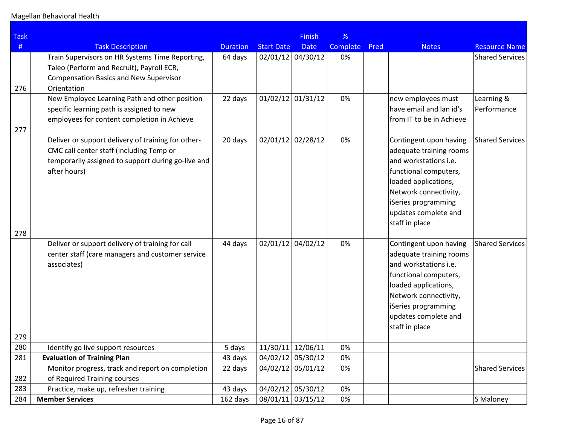| <b>Task</b> |                                                                                                                                                                      |                 |                   | <b>Finish</b>       | %        |      |                                                                                                                                                                                                                       |                           |
|-------------|----------------------------------------------------------------------------------------------------------------------------------------------------------------------|-----------------|-------------------|---------------------|----------|------|-----------------------------------------------------------------------------------------------------------------------------------------------------------------------------------------------------------------------|---------------------------|
| #           | <b>Task Description</b>                                                                                                                                              | <b>Duration</b> | <b>Start Date</b> | <b>Date</b>         | Complete | Pred | <b>Notes</b>                                                                                                                                                                                                          | <b>Resource Name</b>      |
| 276         | Train Supervisors on HR Systems Time Reporting,<br>Taleo (Perform and Recruit), Payroll ECR,<br><b>Compensation Basics and New Supervisor</b><br>Orientation         | 64 days         |                   | $02/01/12$ 04/30/12 | 0%       |      |                                                                                                                                                                                                                       | <b>Shared Services</b>    |
| 277         | New Employee Learning Path and other position<br>specific learning path is assigned to new<br>employees for content completion in Achieve                            | 22 days         |                   | $01/02/12$ 01/31/12 | 0%       |      | new employees must<br>have email and lan id's<br>from IT to be in Achieve                                                                                                                                             | Learning &<br>Performance |
|             | Deliver or support delivery of training for other-<br>CMC call center staff (including Temp or<br>temporarily assigned to support during go-live and<br>after hours) | 20 days         |                   | $02/01/12$ 02/28/12 | 0%       |      | Contingent upon having<br>adequate training rooms<br>and workstations i.e.<br>functional computers,<br>loaded applications,<br>Network connectivity,<br>iSeries programming<br>updates complete and<br>staff in place | Shared Services           |
| 278<br>279  | Deliver or support delivery of training for call<br>center staff (care managers and customer service<br>associates)                                                  | 44 days         |                   | $02/01/12$ 04/02/12 | 0%       |      | Contingent upon having<br>adequate training rooms<br>and workstations i.e.<br>functional computers,<br>loaded applications,<br>Network connectivity,<br>iSeries programming<br>updates complete and<br>staff in place | Shared Services           |
| 280         | Identify go live support resources                                                                                                                                   | 5 days          |                   | 11/30/11 12/06/11   | 0%       |      |                                                                                                                                                                                                                       |                           |
| 281         | <b>Evaluation of Training Plan</b>                                                                                                                                   | 43 days         |                   | 04/02/12 05/30/12   | 0%       |      |                                                                                                                                                                                                                       |                           |
| 282         | Monitor progress, track and report on completion<br>of Required Training courses                                                                                     | 22 days         |                   | 04/02/12 05/01/12   | 0%       |      |                                                                                                                                                                                                                       | <b>Shared Services</b>    |
| 283         | Practice, make up, refresher training                                                                                                                                | 43 days         |                   | 04/02/12 05/30/12   | 0%       |      |                                                                                                                                                                                                                       |                           |
| 284         | <b>Member Services</b>                                                                                                                                               | 162 days        |                   | 08/01/11 03/15/12   | 0%       |      |                                                                                                                                                                                                                       | S Maloney                 |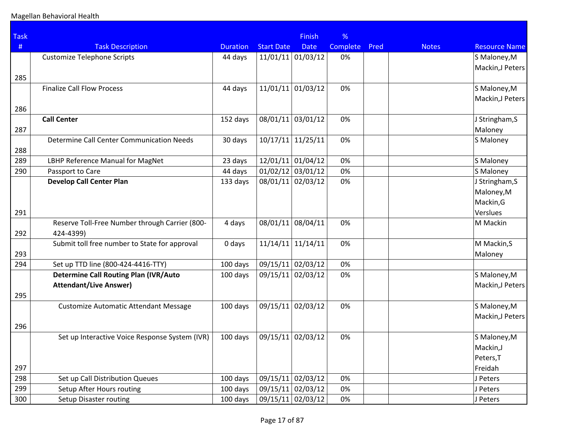| <b>Task</b> |                                                  |                 |                     | <b>Finish</b>     | %               |      |              |                      |
|-------------|--------------------------------------------------|-----------------|---------------------|-------------------|-----------------|------|--------------|----------------------|
| #           | <b>Task Description</b>                          | <b>Duration</b> | <b>Start Date</b>   | <b>Date</b>       | <b>Complete</b> | Pred | <b>Notes</b> | <b>Resource Name</b> |
|             | <b>Customize Telephone Scripts</b>               | 44 days         | 11/01/11            | 01/03/12          | 0%              |      |              | S Maloney, M         |
|             |                                                  |                 |                     |                   |                 |      |              | Mackin, J Peters     |
| 285         |                                                  |                 |                     |                   |                 |      |              |                      |
|             | <b>Finalize Call Flow Process</b>                | 44 days         | 11/01/11            | 01/03/12          | 0%              |      |              | S Maloney, M         |
|             |                                                  |                 |                     |                   |                 |      |              | Mackin, J Peters     |
| 286         |                                                  |                 |                     |                   |                 |      |              |                      |
|             | <b>Call Center</b>                               | 152 days        | 08/01/11            | 03/01/12          | 0%              |      |              | J Stringham, S       |
| 287         |                                                  |                 |                     |                   |                 |      |              | Maloney              |
|             | <b>Determine Call Center Communication Needs</b> | 30 days         | $10/17/11$ 11/25/11 |                   | 0%              |      |              | S Maloney            |
| 288         |                                                  |                 |                     |                   |                 |      |              |                      |
| 289         | LBHP Reference Manual for MagNet                 | 23 days         | 12/01/11            | 01/04/12          | 0%              |      |              | S Maloney            |
| 290         | Passport to Care                                 | 44 days         | 01/02/12            | 03/01/12          | 0%              |      |              | S Maloney            |
|             | <b>Develop Call Center Plan</b>                  | 133 days        | 08/01/11            | 02/03/12          | 0%              |      |              | J Stringham, S       |
|             |                                                  |                 |                     |                   |                 |      |              | Maloney, M           |
|             |                                                  |                 |                     |                   |                 |      |              | Mackin, G            |
| 291         |                                                  |                 |                     |                   |                 |      |              | Verslues             |
|             | Reserve Toll-Free Number through Carrier (800-   | 4 days          | 08/01/11            | 08/04/11          | 0%              |      |              | M Mackin             |
| 292         | 424-4399)                                        |                 |                     |                   |                 |      |              |                      |
|             | Submit toll free number to State for approval    | 0 days          | 11/14/11            | 11/14/11          | 0%              |      |              | M Mackin, S          |
| 293         |                                                  |                 |                     |                   |                 |      |              | Maloney              |
| 294         | Set up TTD line (800-424-4416-TTY)               | 100 days        |                     | 09/15/11 02/03/12 | 0%              |      |              |                      |
|             | <b>Determine Call Routing Plan (IVR/Auto</b>     | 100 days        | 09/15/11            | 02/03/12          | 0%              |      |              | S Maloney, M         |
|             | <b>Attendant/Live Answer)</b>                    |                 |                     |                   |                 |      |              | Mackin, J Peters     |
| 295         |                                                  |                 |                     |                   |                 |      |              |                      |
|             | <b>Customize Automatic Attendant Message</b>     | 100 days        | 09/15/11            | 02/03/12          | 0%              |      |              | S Maloney, M         |
|             |                                                  |                 |                     |                   |                 |      |              | Mackin, J Peters     |
| 296         |                                                  |                 |                     |                   |                 |      |              |                      |
|             | Set up Interactive Voice Response System (IVR)   | 100 days        | 09/15/11 02/03/12   |                   | 0%              |      |              | S Maloney, M         |
|             |                                                  |                 |                     |                   |                 |      |              | Mackin,J             |
|             |                                                  |                 |                     |                   |                 |      |              | Peters, T            |
| 297         |                                                  |                 |                     |                   |                 |      |              | Freidah              |
| 298         | Set up Call Distribution Queues                  | 100 days        | 09/15/11            | 02/03/12          | 0%              |      |              | J Peters             |
| 299         | Setup After Hours routing                        | 100 days        | 09/15/11 02/03/12   |                   | 0%              |      |              | J Peters             |
| 300         | Setup Disaster routing                           | 100 days        |                     | 09/15/11 02/03/12 | 0%              |      |              | J Peters             |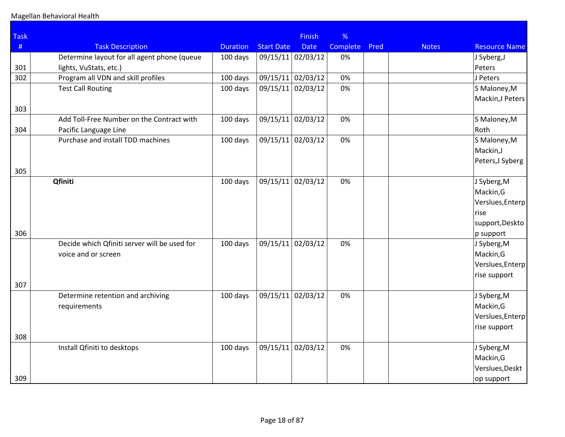| <b>Task</b> |                                              |                 |                   | <b>Finish</b>     | %        |      |              |                          |
|-------------|----------------------------------------------|-----------------|-------------------|-------------------|----------|------|--------------|--------------------------|
| #           | <b>Task Description</b>                      | <b>Duration</b> | <b>Start Date</b> | <b>Date</b>       | Complete | Pred | <b>Notes</b> | <b>Resource Name</b>     |
|             | Determine layout for all agent phone (queue  | 100 days        |                   | 09/15/11 02/03/12 | 0%       |      |              | J Syberg, J              |
| 301         | lights, VuStats, etc.)                       |                 |                   |                   |          |      |              | Peters                   |
| 302         | Program all VDN and skill profiles           | 100 days        | 09/15/11 02/03/12 |                   | 0%       |      |              | J Peters                 |
|             | <b>Test Call Routing</b>                     | 100 days        | 09/15/11          | 02/03/12          | 0%       |      |              | S Maloney, M             |
|             |                                              |                 |                   |                   |          |      |              | Mackin,J Peters          |
| 303         |                                              |                 |                   |                   |          |      |              |                          |
|             | Add Toll-Free Number on the Contract with    | 100 days        | 09/15/11          | 02/03/12          | 0%       |      |              | S Maloney, M             |
| 304         | Pacific Language Line                        |                 |                   |                   |          |      |              | Roth                     |
|             | Purchase and install TDD machines            | 100 days        | 09/15/11          | 02/03/12          | 0%       |      |              | S Maloney, M             |
|             |                                              |                 |                   |                   |          |      |              | Mackin,J                 |
|             |                                              |                 |                   |                   |          |      |              | Peters, J Syberg         |
| 305         |                                              |                 |                   |                   |          |      |              |                          |
|             | Qfiniti                                      | 100 days        | 09/15/11          | 02/03/12          | 0%       |      |              | J Syberg, M              |
|             |                                              |                 |                   |                   |          |      |              | Mackin, G                |
|             |                                              |                 |                   |                   |          |      |              | Verslues, Enterp         |
|             |                                              |                 |                   |                   |          |      |              | lrise<br>support, Deskto |
| 306         |                                              |                 |                   |                   |          |      |              | $ p\>subport$            |
|             | Decide which Qfiniti server will be used for | 100 days        | 09/15/11          | 02/03/12          | 0%       |      |              | J Syberg, M              |
|             | voice and or screen                          |                 |                   |                   |          |      |              | Mackin, G                |
|             |                                              |                 |                   |                   |          |      |              | Verslues, Enterp         |
|             |                                              |                 |                   |                   |          |      |              | rise support             |
| 307         |                                              |                 |                   |                   |          |      |              |                          |
|             | Determine retention and archiving            | 100 days        | 09/15/11          | 02/03/12          | 0%       |      |              | J Syberg, M              |
|             | requirements                                 |                 |                   |                   |          |      |              | Mackin, G                |
|             |                                              |                 |                   |                   |          |      |              | Verslues, Enterp         |
|             |                                              |                 |                   |                   |          |      |              | rise support             |
| 308         |                                              |                 |                   |                   |          |      |              |                          |
|             | Install Qfiniti to desktops                  | 100 days        | 09/15/11          | 02/03/12          | 0%       |      |              | J Syberg, M              |
|             |                                              |                 |                   |                   |          |      |              | Mackin, G                |
|             |                                              |                 |                   |                   |          |      |              | Verslues, Deskt          |
| 309         |                                              |                 |                   |                   |          |      |              | op support               |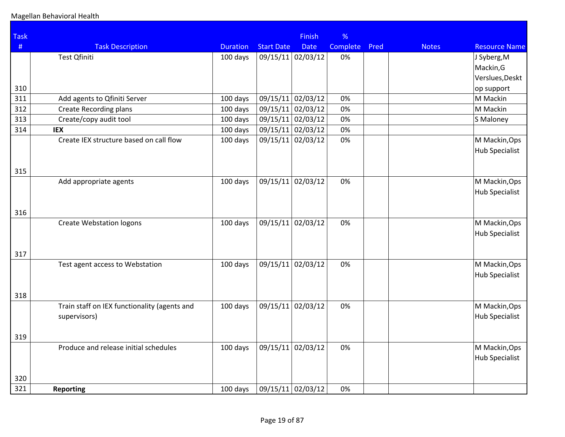| <b>Task</b> |                                              |                 |                   | <b>Finish</b>     | %               |      |              |                      |
|-------------|----------------------------------------------|-----------------|-------------------|-------------------|-----------------|------|--------------|----------------------|
| #           | <b>Task Description</b>                      | <b>Duration</b> | <b>Start Date</b> | <b>Date</b>       | <b>Complete</b> | Pred | <b>Notes</b> | <b>Resource Name</b> |
|             | <b>Test Qfiniti</b>                          | 100 days        |                   | 09/15/11 02/03/12 | 0%              |      |              | J Syberg, M          |
|             |                                              |                 |                   |                   |                 |      |              | Mackin, G            |
|             |                                              |                 |                   |                   |                 |      |              | Verslues, Deskt      |
| 310         |                                              |                 |                   |                   |                 |      |              | op support           |
| 311         | Add agents to Qfiniti Server                 | 100 days        |                   | 09/15/11 02/03/12 | 0%              |      |              | M Mackin             |
| 312         | <b>Create Recording plans</b>                | 100 days        | 09/15/11          | 02/03/12          | 0%              |      |              | M Mackin             |
| 313         | Create/copy audit tool                       | 100 days        |                   | 09/15/11 02/03/12 | 0%              |      |              | S Maloney            |
| 314         | <b>IEX</b>                                   | 100 days        |                   | 09/15/11 02/03/12 | 0%              |      |              |                      |
|             | Create IEX structure based on call flow      | 100 days        | 09/15/11          | 02/03/12          | 0%              |      |              | M Mackin, Ops        |
|             |                                              |                 |                   |                   |                 |      |              | Hub Specialist       |
|             |                                              |                 |                   |                   |                 |      |              |                      |
| 315         |                                              |                 |                   |                   |                 |      |              |                      |
|             | Add appropriate agents                       | 100 days        |                   | 09/15/11 02/03/12 | 0%              |      |              | M Mackin, Ops        |
|             |                                              |                 |                   |                   |                 |      |              | Hub Specialist       |
|             |                                              |                 |                   |                   |                 |      |              |                      |
| 316         |                                              |                 |                   |                   |                 |      |              |                      |
|             | <b>Create Webstation logons</b>              | 100 days        | 09/15/11          | 02/03/12          | 0%              |      |              | M Mackin, Ops        |
|             |                                              |                 |                   |                   |                 |      |              | Hub Specialist       |
|             |                                              |                 |                   |                   |                 |      |              |                      |
| 317         |                                              |                 |                   |                   |                 |      |              |                      |
|             | Test agent access to Webstation              | 100 days        |                   | 09/15/11 02/03/12 | 0%              |      |              | M Mackin, Ops        |
|             |                                              |                 |                   |                   |                 |      |              | Hub Specialist       |
|             |                                              |                 |                   |                   |                 |      |              |                      |
| 318         |                                              |                 |                   |                   |                 |      |              |                      |
|             | Train staff on IEX functionality (agents and | 100 days        | 09/15/11          | 02/03/12          | 0%              |      |              | M Mackin, Ops        |
|             | supervisors)                                 |                 |                   |                   |                 |      |              | Hub Specialist       |
|             |                                              |                 |                   |                   |                 |      |              |                      |
| 319         |                                              |                 |                   |                   |                 |      |              |                      |
|             | Produce and release initial schedules        | 100 days        | 09/15/11          | 02/03/12          | 0%              |      |              | M Mackin, Ops        |
|             |                                              |                 |                   |                   |                 |      |              | Hub Specialist       |
|             |                                              |                 |                   |                   |                 |      |              |                      |
| 320         |                                              |                 |                   |                   |                 |      |              |                      |
| 321         | <b>Reporting</b>                             | 100 days        |                   | 09/15/11 02/03/12 | 0%              |      |              |                      |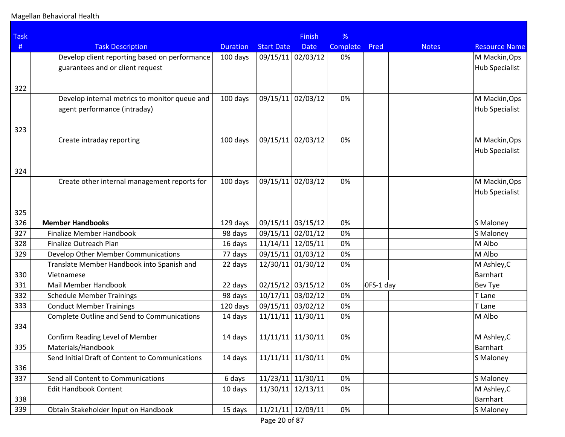| <b>Task</b> |                                                 |                 |                     | <b>Finish</b>       | %        |           |              |                      |
|-------------|-------------------------------------------------|-----------------|---------------------|---------------------|----------|-----------|--------------|----------------------|
| #           | <b>Task Description</b>                         | <b>Duration</b> | <b>Start Date</b>   | <b>Date</b>         | Complete | Pred      | <b>Notes</b> | <b>Resource Name</b> |
|             | Develop client reporting based on performance   | 100 days        | 09/15/11            | 02/03/12            | 0%       |           |              | M Mackin, Ops        |
|             | guarantees and or client request                |                 |                     |                     |          |           |              | Hub Specialist       |
|             |                                                 |                 |                     |                     |          |           |              |                      |
| 322         |                                                 |                 |                     |                     |          |           |              |                      |
|             | Develop internal metrics to monitor queue and   | 100 days        | 09/15/11            | 02/03/12            | 0%       |           |              | M Mackin, Ops        |
|             | agent performance (intraday)                    |                 |                     |                     |          |           |              | Hub Specialist       |
|             |                                                 |                 |                     |                     |          |           |              |                      |
| 323         |                                                 |                 |                     |                     |          |           |              |                      |
|             | Create intraday reporting                       | 100 days        | 09/15/11            | 02/03/12            | 0%       |           |              | M Mackin, Ops        |
|             |                                                 |                 |                     |                     |          |           |              | Hub Specialist       |
|             |                                                 |                 |                     |                     |          |           |              |                      |
| 324         | Create other internal management reports for    | 100 days        | 09/15/11            | 02/03/12            | 0%       |           |              | M Mackin, Ops        |
|             |                                                 |                 |                     |                     |          |           |              | Hub Specialist       |
|             |                                                 |                 |                     |                     |          |           |              |                      |
| 325         |                                                 |                 |                     |                     |          |           |              |                      |
| 326         | <b>Member Handbooks</b>                         | 129 days        | 09/15/11            | 03/15/12            | 0%       |           |              | S Maloney            |
| 327         | <b>Finalize Member Handbook</b>                 | 98 days         | 09/15/11 02/01/12   |                     | 0%       |           |              | S Maloney            |
| 328         | Finalize Outreach Plan                          | 16 days         | 11/14/11            | 12/05/11            | 0%       |           |              | M Albo               |
| 329         | Develop Other Member Communications             | 77 days         | 09/15/11            | 01/03/12            | 0%       |           |              | M Albo               |
|             | Translate Member Handbook into Spanish and      | 22 days         | 12/30/11            | 01/30/12            | 0%       |           |              | M Ashley, C          |
| 330         | Vietnamese                                      |                 |                     |                     |          |           |              | Barnhart             |
| 331         | Mail Member Handbook                            | 22 days         | $02/15/12$ 03/15/12 |                     | 0%       | OFS-1 day |              | Bev Tye              |
| 332         | <b>Schedule Member Trainings</b>                | 98 days         | 10/17/11 03/02/12   |                     | 0%       |           |              | T Lane               |
| 333         | <b>Conduct Member Trainings</b>                 | 120 days        | 09/15/11            | 03/02/12            | 0%       |           |              | T Lane               |
|             | Complete Outline and Send to Communications     | 14 days         | 11/11/11            | 11/30/11            | 0%       |           |              | M Albo               |
| 334         |                                                 |                 |                     |                     |          |           |              |                      |
|             | Confirm Reading Level of Member                 | 14 days         | $11/11/11$ 11/30/11 |                     | 0%       |           |              | M Ashley, C          |
| 335         | Materials/Handbook                              |                 |                     |                     |          |           |              | Barnhart             |
|             | Send Initial Draft of Content to Communications | 14 days         | $11/11/11$ 11/30/11 |                     | 0%       |           |              | S Maloney            |
| 336         |                                                 |                 |                     |                     |          |           |              |                      |
| 337         | Send all Content to Communications              | 6 days          | $11/23/11$ 11/30/11 |                     | 0%       |           |              | S Maloney            |
|             | <b>Edit Handbook Content</b>                    | 10 days         | 11/30/11            | 12/13/11            | 0%       |           |              | M Ashley, C          |
| 338         |                                                 |                 |                     |                     |          |           |              | Barnhart             |
| 339         | Obtain Stakeholder Input on Handbook            | 15 days         |                     | $11/21/11$ 12/09/11 | 0%       |           |              | S Maloney            |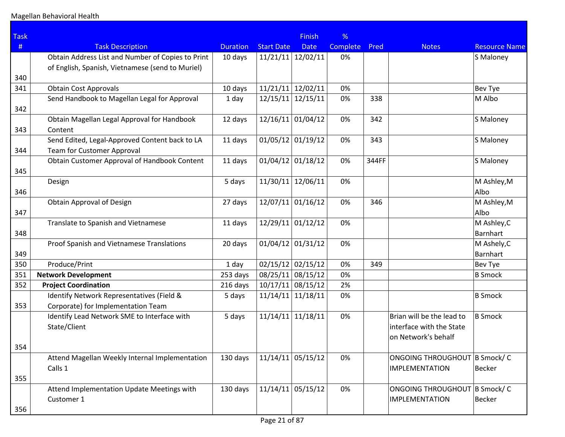| <b>Task</b> |                                                   |                 |                   | <b>Finish</b>       | %        |       |                              |                      |
|-------------|---------------------------------------------------|-----------------|-------------------|---------------------|----------|-------|------------------------------|----------------------|
| #           | <b>Task Description</b>                           | <b>Duration</b> | <b>Start Date</b> | <b>Date</b>         | Complete | Pred  | <b>Notes</b>                 | <b>Resource Name</b> |
|             | Obtain Address List and Number of Copies to Print | 10 days         | 11/21/11          | 12/02/11            | 0%       |       |                              | S Maloney            |
|             | of English, Spanish, Vietnamese (send to Muriel)  |                 |                   |                     |          |       |                              |                      |
| 340         |                                                   |                 |                   |                     |          |       |                              |                      |
| 341         | <b>Obtain Cost Approvals</b>                      | 10 days         | 11/21/11          | 12/02/11            | 0%       |       |                              | Bev Tye              |
| 342         | Send Handbook to Magellan Legal for Approval      | 1 day           | 12/15/11          | 12/15/11            | 0%       | 338   |                              | M Albo               |
|             | Obtain Magellan Legal Approval for Handbook       | 12 days         |                   | $12/16/11$ 01/04/12 | 0%       | 342   |                              | S Maloney            |
| 343         | Content                                           |                 |                   |                     |          |       |                              |                      |
|             | Send Edited, Legal-Approved Content back to LA    | 11 days         |                   | $01/05/12$ 01/19/12 | 0%       | 343   |                              | S Maloney            |
| 344         | Team for Customer Approval                        |                 |                   |                     |          |       |                              |                      |
|             | Obtain Customer Approval of Handbook Content      | 11 days         |                   | $01/04/12$ 01/18/12 | 0%       | 344FF |                              | S Maloney            |
| 345         |                                                   |                 |                   |                     |          |       |                              |                      |
|             | Design                                            | 5 days          | 11/30/11          | 12/06/11            | 0%       |       |                              | M Ashley, M          |
| 346         |                                                   |                 |                   |                     |          |       |                              | Albo                 |
|             | Obtain Approval of Design                         | 27 days         |                   | $12/07/11$ 01/16/12 | 0%       | 346   |                              | M Ashley, M          |
| 347         |                                                   |                 |                   |                     |          |       |                              | Albo                 |
|             | Translate to Spanish and Vietnamese               | 11 days         |                   | 12/29/11 01/12/12   | 0%       |       |                              | M Ashley, C          |
| 348         |                                                   |                 |                   |                     |          |       |                              | Barnhart             |
|             | Proof Spanish and Vietnamese Translations         | 20 days         |                   | $01/04/12$ 01/31/12 | 0%       |       |                              | M Ashely, C          |
| 349         |                                                   |                 |                   |                     |          |       |                              | Barnhart             |
| 350         | Produce/Print                                     | 1 day           |                   | $02/15/12$ 02/15/12 | 0%       | 349   |                              | Bev Tye              |
| 351         | <b>Network Development</b>                        | 253 days        |                   | 08/25/11 08/15/12   | 0%       |       |                              | <b>B</b> Smock       |
| 352         | <b>Project Coordination</b>                       | 216 days        |                   | $10/17/11$ 08/15/12 | 2%       |       |                              |                      |
|             | Identify Network Representatives (Field &         | 5 days          | 11/14/11          | 11/18/11            | 0%       |       |                              | <b>B</b> Smock       |
| 353         | Corporate) for Implementation Team                |                 |                   |                     |          |       |                              |                      |
|             | Identify Lead Network SME to Interface with       | 5 days          | 11/14/11          | 11/18/11            | 0%       |       | Brian will be the lead to    | <b>B</b> Smock       |
|             | State/Client                                      |                 |                   |                     |          |       | interface with the State     |                      |
|             |                                                   |                 |                   |                     |          |       | on Network's behalf          |                      |
| 354         |                                                   |                 |                   |                     |          |       |                              |                      |
|             | Attend Magellan Weekly Internal Implementation    | 130 days        |                   | $11/14/11$ 05/15/12 | 0%       |       | ONGOING THROUGHOUT B Smock/C |                      |
|             | Calls 1                                           |                 |                   |                     |          |       | <b>IMPLEMENTATION</b>        | Becker               |
| 355         |                                                   |                 |                   |                     |          |       |                              |                      |
|             | Attend Implementation Update Meetings with        | 130 days        |                   | $11/14/11$ 05/15/12 | 0%       |       | ONGOING THROUGHOUT B Smock/C |                      |
|             | Customer 1                                        |                 |                   |                     |          |       | <b>IMPLEMENTATION</b>        | Becker               |
| 356         |                                                   |                 |                   |                     |          |       |                              |                      |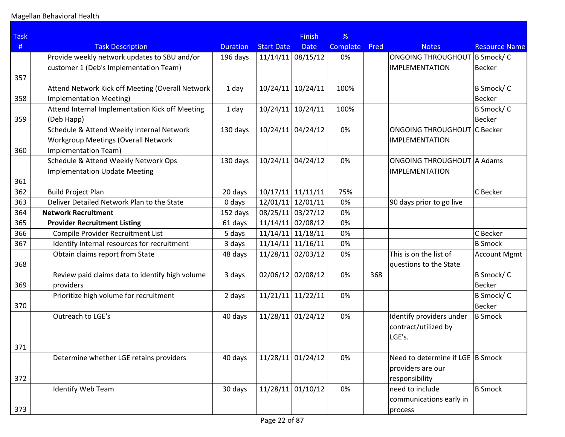| <b>Task</b> |                                                  |                 |                     | <b>Finish</b> | %        |      |                                    |                      |
|-------------|--------------------------------------------------|-----------------|---------------------|---------------|----------|------|------------------------------------|----------------------|
| #           | <b>Task Description</b>                          | <b>Duration</b> | <b>Start Date</b>   | <b>Date</b>   | Complete | Pred | <b>Notes</b>                       | <b>Resource Name</b> |
|             | Provide weekly network updates to SBU and/or     | 196 days        | $11/14/11$ 08/15/12 |               | 0%       |      | ONGOING THROUGHOUT   B Smock/ C    |                      |
|             | customer 1 (Deb's Implementation Team)           |                 |                     |               |          |      | <b>IMPLEMENTATION</b>              | <b>Becker</b>        |
| 357         |                                                  |                 |                     |               |          |      |                                    |                      |
|             | Attend Network Kick off Meeting (Overall Network | 1 day           | 10/24/11            | 10/24/11      | 100%     |      |                                    | B Smock/C            |
| 358         | <b>Implementation Meeting)</b>                   |                 |                     |               |          |      |                                    | <b>Becker</b>        |
|             | Attend Internal Implementation Kick off Meeting  | 1 day           | 10/24/11            | 10/24/11      | 100%     |      |                                    | B Smock/C            |
| 359         | (Deb Happ)                                       |                 |                     |               |          |      |                                    | <b>Becker</b>        |
|             | Schedule & Attend Weekly Internal Network        | 130 days        | 10/24/11 04/24/12   |               | 0%       |      | <b>ONGOING THROUGHOUT C Becker</b> |                      |
|             | <b>Workgroup Meetings (Overall Network</b>       |                 |                     |               |          |      | <b>IMPLEMENTATION</b>              |                      |
| 360         | Implementation Team)                             |                 |                     |               |          |      |                                    |                      |
|             | Schedule & Attend Weekly Network Ops             | 130 days        | 10/24/11            | 04/24/12      | 0%       |      | ONGOING THROUGHOUT A Adams         |                      |
|             | <b>Implementation Update Meeting</b>             |                 |                     |               |          |      | <b>IMPLEMENTATION</b>              |                      |
| 361         |                                                  |                 |                     |               |          |      |                                    |                      |
| 362         | <b>Build Project Plan</b>                        | 20 days         | 10/17/11            | 11/11/11      | 75%      |      |                                    | C Becker             |
| 363         | Deliver Detailed Network Plan to the State       | 0 days          | 12/01/11            | 12/01/11      | 0%       |      | 90 days prior to go live           |                      |
| 364         | <b>Network Recruitment</b>                       | 152 days        | 08/25/11 03/27/12   |               | 0%       |      |                                    |                      |
| 365         | <b>Provider Recruitment Listing</b>              | 61 days         | $11/14/11$ 02/08/12 |               | 0%       |      |                                    |                      |
| 366         | Compile Provider Recruitment List                | 5 days          | 11/14/11            | 11/18/11      | 0%       |      |                                    | C Becker             |
| 367         | Identify Internal resources for recruitment      | 3 days          | $11/14/11$ 11/16/11 |               | 0%       |      |                                    | <b>B</b> Smock       |
|             | Obtain claims report from State                  | 48 days         | 11/28/11 02/03/12   |               | 0%       |      | This is on the list of             | <b>Account Mgmt</b>  |
| 368         |                                                  |                 |                     |               |          |      | questions to the State             |                      |
|             | Review paid claims data to identify high volume  | 3 days          | 02/06/12 02/08/12   |               | 0%       | 368  |                                    | B Smock/C            |
| 369         | providers                                        |                 |                     |               |          |      |                                    | <b>Becker</b>        |
|             | Prioritize high volume for recruitment           | 2 days          | $11/21/11$ 11/22/11 |               | 0%       |      |                                    | B Smock/C            |
| 370         |                                                  |                 |                     |               |          |      |                                    | <b>Becker</b>        |
|             | Outreach to LGE's                                | 40 days         | 11/28/11 01/24/12   |               | 0%       |      | Identify providers under           | <b>B</b> Smock       |
|             |                                                  |                 |                     |               |          |      | contract/utilized by               |                      |
|             |                                                  |                 |                     |               |          |      | LGE's.                             |                      |
| 371         |                                                  |                 |                     |               |          |      |                                    |                      |
|             | Determine whether LGE retains providers          | 40 days         | 11/28/11 01/24/12   |               | 0%       |      | Need to determine if LGE B Smock   |                      |
|             |                                                  |                 |                     |               |          |      | providers are our                  |                      |
| 372         |                                                  |                 |                     |               |          |      | responsibility                     |                      |
|             | <b>Identify Web Team</b>                         | 30 days         | 11/28/11 01/10/12   |               | 0%       |      | need to include                    | <b>B</b> Smock       |
|             |                                                  |                 |                     |               |          |      | communications early in            |                      |
| 373         |                                                  |                 |                     |               |          |      | process                            |                      |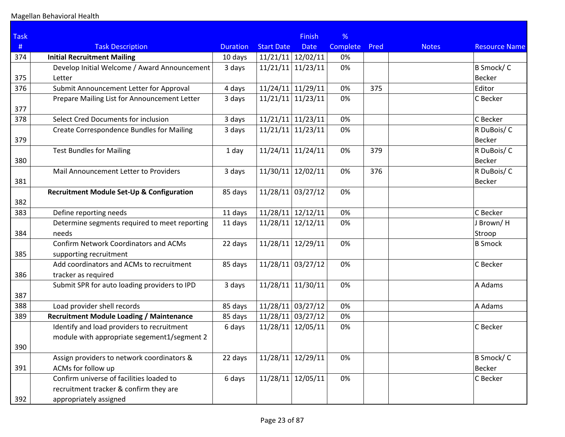| <b>Task</b> |                                                  |                 |                     | <b>Finish</b> | %        |      |              |                      |
|-------------|--------------------------------------------------|-----------------|---------------------|---------------|----------|------|--------------|----------------------|
| #           | <b>Task Description</b>                          | <b>Duration</b> | <b>Start Date</b>   | <b>Date</b>   | Complete | Pred | <b>Notes</b> | <b>Resource Name</b> |
| 374         | <b>Initial Recruitment Mailing</b>               | 10 days         | 11/21/11            | 12/02/11      | 0%       |      |              |                      |
|             | Develop Initial Welcome / Award Announcement     | 3 days          | 11/21/11            | 11/23/11      | 0%       |      |              | B Smock/C            |
| 375         | Letter                                           |                 |                     |               |          |      |              | <b>Becker</b>        |
| 376         | Submit Announcement Letter for Approval          | 4 days          | 11/24/11 11/29/11   |               | 0%       | 375  |              | Editor               |
|             | Prepare Mailing List for Announcement Letter     | 3 days          | 11/21/11            | 11/23/11      | 0%       |      |              | C Becker             |
| 377         |                                                  |                 |                     |               |          |      |              |                      |
| 378         | Select Cred Documents for inclusion              | 3 days          | $11/21/11$ 11/23/11 |               | 0%       |      |              | C Becker             |
|             | <b>Create Correspondence Bundles for Mailing</b> | 3 days          | 11/21/11            | 11/23/11      | 0%       |      |              | R DuBois/C           |
| 379         |                                                  |                 |                     |               |          |      |              | <b>Becker</b>        |
|             | <b>Test Bundles for Mailing</b>                  | 1 day           | 11/24/11            | 11/24/11      | 0%       | 379  |              | R DuBois/C           |
| 380         |                                                  |                 |                     |               |          |      |              | <b>Becker</b>        |
|             | Mail Announcement Letter to Providers            | 3 days          | 11/30/11            | 12/02/11      | 0%       | 376  |              | R DuBois/C           |
| 381         |                                                  |                 |                     |               |          |      |              | Becker               |
|             | Recruitment Module Set-Up & Configuration        | 85 days         | $11/28/11$ 03/27/12 |               | 0%       |      |              |                      |
| 382         |                                                  |                 |                     |               |          |      |              |                      |
| 383         | Define reporting needs                           | 11 days         | 11/28/11            | 12/12/11      | 0%       |      |              | C Becker             |
|             | Determine segments required to meet reporting    | 11 days         | 11/28/11            | 12/12/11      | 0%       |      |              | J Brown/H            |
| 384         | needs                                            |                 |                     |               |          |      |              | Stroop               |
|             | <b>Confirm Network Coordinators and ACMs</b>     | 22 days         | 11/28/11            | 12/29/11      | 0%       |      |              | <b>B</b> Smock       |
| 385         | supporting recruitment                           |                 |                     |               |          |      |              |                      |
|             | Add coordinators and ACMs to recruitment         | 85 days         | 11/28/11            | 03/27/12      | 0%       |      |              | C Becker             |
| 386         | tracker as required                              |                 |                     |               |          |      |              |                      |
| 387         | Submit SPR for auto loading providers to IPD     | 3 days          | 11/28/11            | 11/30/11      | 0%       |      |              | A Adams              |
| 388         | Load provider shell records                      | 85 days         | $11/28/11$ 03/27/12 |               | 0%       |      |              | A Adams              |
| 389         | <b>Recruitment Module Loading / Maintenance</b>  | 85 days         | $11/28/11$ 03/27/12 |               | 0%       |      |              |                      |
|             | Identify and load providers to recruitment       | 6 days          | 11/28/11            | 12/05/11      | 0%       |      |              | C Becker             |
|             | module with appropriate segement1/segment 2      |                 |                     |               |          |      |              |                      |
| 390         |                                                  |                 |                     |               |          |      |              |                      |
|             | Assign providers to network coordinators &       | 22 days         | 11/28/11            | 12/29/11      | 0%       |      |              | B Smock/C            |
| 391         | ACMs for follow up                               |                 |                     |               |          |      |              | Becker               |
|             | Confirm universe of facilities loaded to         | 6 days          | 11/28/11            | 12/05/11      | 0%       |      |              | C Becker             |
|             | recruitment tracker & confirm they are           |                 |                     |               |          |      |              |                      |
| 392         | appropriately assigned                           |                 |                     |               |          |      |              |                      |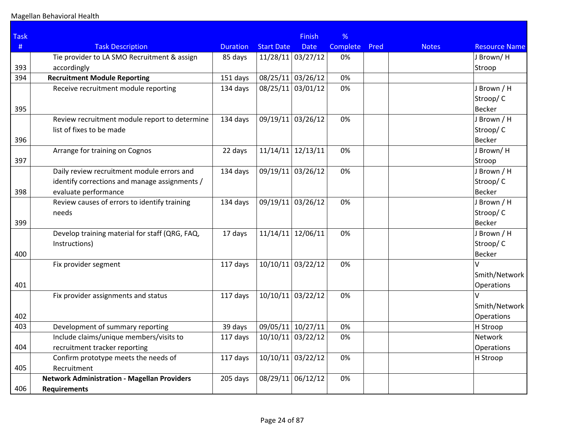| <b>Task</b> |                                                    |                 |                     | <b>Finish</b> | %               |      |              |                      |
|-------------|----------------------------------------------------|-----------------|---------------------|---------------|-----------------|------|--------------|----------------------|
| #           | <b>Task Description</b>                            | <b>Duration</b> | <b>Start Date</b>   | <b>Date</b>   | <b>Complete</b> | Pred | <b>Notes</b> | <b>Resource Name</b> |
|             | Tie provider to LA SMO Recruitment & assign        | 85 days         | $11/28/11$ 03/27/12 |               | 0%              |      |              | J Brown/H            |
| 393         | accordingly                                        |                 |                     |               |                 |      |              | Stroop               |
| 394         | <b>Recruitment Module Reporting</b>                | 151 days        | 08/25/11            | 03/26/12      | 0%              |      |              |                      |
|             | Receive recruitment module reporting               | 134 days        | 08/25/11            | 03/01/12      | 0%              |      |              | J Brown / H          |
|             |                                                    |                 |                     |               |                 |      |              | Stroop/C             |
| 395         |                                                    |                 |                     |               |                 |      |              | <b>Becker</b>        |
|             | Review recruitment module report to determine      | 134 days        | 09/19/11 03/26/12   |               | 0%              |      |              | J Brown / H          |
|             | list of fixes to be made                           |                 |                     |               |                 |      |              | Stroop/C             |
| 396         |                                                    |                 |                     |               |                 |      |              | <b>Becker</b>        |
|             | Arrange for training on Cognos                     | 22 days         | $11/14/11$ 12/13/11 |               | 0%              |      |              | J Brown/H            |
| 397         |                                                    |                 |                     |               |                 |      |              | Stroop               |
|             | Daily review recruitment module errors and         | 134 days        | 09/19/11            | 03/26/12      | 0%              |      |              | J Brown / H          |
|             | identify corrections and manage assignments /      |                 |                     |               |                 |      |              | Stroop/C             |
| 398         | evaluate performance                               |                 |                     |               |                 |      |              | <b>Becker</b>        |
|             | Review causes of errors to identify training       | 134 days        | 09/19/11 03/26/12   |               | 0%              |      |              | J Brown / H          |
|             | needs                                              |                 |                     |               |                 |      |              | Stroop/C             |
| 399         |                                                    |                 |                     |               |                 |      |              | <b>Becker</b>        |
|             | Develop training material for staff (QRG, FAQ,     | 17 days         | 11/14/11            | 12/06/11      | 0%              |      |              | J Brown / H          |
|             | Instructions)                                      |                 |                     |               |                 |      |              | Stroop/C             |
| 400         |                                                    |                 |                     |               |                 |      |              | <b>Becker</b>        |
|             | Fix provider segment                               | 117 days        | 10/10/11            | 03/22/12      | 0%              |      |              | $\sqrt{ }$           |
|             |                                                    |                 |                     |               |                 |      |              | Smith/Network        |
| 401         |                                                    |                 |                     |               |                 |      |              | <b>Operations</b>    |
|             | Fix provider assignments and status                | 117 days        | $10/10/11$ 03/22/12 |               | 0%              |      |              |                      |
|             |                                                    |                 |                     |               |                 |      |              | Smith/Network        |
| 402         |                                                    |                 |                     |               |                 |      |              | Operations           |
| 403         | Development of summary reporting                   | 39 days         | 09/05/11 10/27/11   |               | 0%              |      |              | H Stroop             |
|             | Include claims/unique members/visits to            | 117 days        | 10/10/11            | 03/22/12      | 0%              |      |              | Network              |
| 404         | recruitment tracker reporting                      |                 |                     |               |                 |      |              | Operations           |
|             | Confirm prototype meets the needs of               | 117 days        | $10/10/11$ 03/22/12 |               | 0%              |      |              | H Stroop             |
| 405         | Recruitment                                        |                 |                     |               |                 |      |              |                      |
|             | <b>Network Administration - Magellan Providers</b> | 205 days        | 08/29/11            | 06/12/12      | 0%              |      |              |                      |
| 406         | <b>Requirements</b>                                |                 |                     |               |                 |      |              |                      |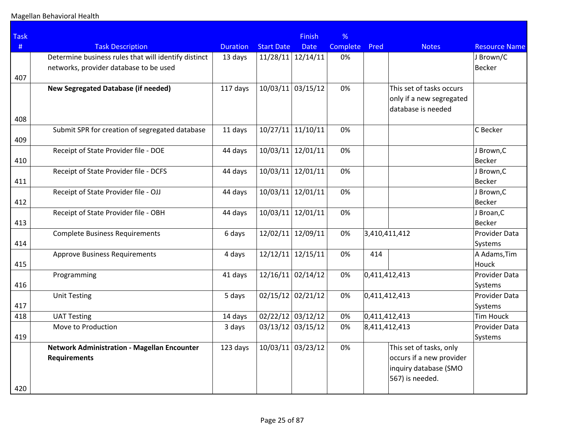| <b>Task</b> |                                                                                                |                 |                   | <b>Finish</b>       | %        |               |                                                                                                 |                             |
|-------------|------------------------------------------------------------------------------------------------|-----------------|-------------------|---------------------|----------|---------------|-------------------------------------------------------------------------------------------------|-----------------------------|
| #           | <b>Task Description</b>                                                                        | <b>Duration</b> | <b>Start Date</b> | <b>Date</b>         | Complete | Pred          | <b>Notes</b>                                                                                    | <b>Resource Name</b>        |
| 407         | Determine business rules that will identify distinct<br>networks, provider database to be used | 13 days         | 11/28/11          | 12/14/11            | 0%       |               |                                                                                                 | J Brown/C<br>Becker         |
| 408         | New Segregated Database (if needed)                                                            | 117 days        |                   | $10/03/11$ 03/15/12 | 0%       |               | This set of tasks occurs<br>only if a new segregated<br>database is needed                      |                             |
| 409         | Submit SPR for creation of segregated database                                                 | 11 days         | 10/27/11          | 11/10/11            | 0%       |               |                                                                                                 | C Becker                    |
| 410         | Receipt of State Provider file - DOE                                                           | 44 days         | 10/03/11          | 12/01/11            | 0%       |               |                                                                                                 | J Brown, C<br>Becker        |
| 411         | Receipt of State Provider file - DCFS                                                          | 44 days         | 10/03/11          | 12/01/11            | 0%       |               |                                                                                                 | J Brown, C<br><b>Becker</b> |
| 412         | Receipt of State Provider file - OJJ                                                           | 44 days         | 10/03/11          | 12/01/11            | 0%       |               |                                                                                                 | J Brown, C<br>Becker        |
| 413         | Receipt of State Provider file - OBH                                                           | 44 days         | 10/03/11          | 12/01/11            | 0%       |               |                                                                                                 | J Broan, C<br>Becker        |
| 414         | <b>Complete Business Requirements</b>                                                          | 6 days          | 12/02/11          | 12/09/11            | 0%       |               | 3,410,411,412                                                                                   | Provider Data<br>Systems    |
| 415         | <b>Approve Business Requirements</b>                                                           | 4 days          | 12/12/11          | 12/15/11            | 0%       | 414           |                                                                                                 | A Adams, Tim<br>Houck       |
| 416         | Programming                                                                                    | 41 days         |                   | $12/16/11$ 02/14/12 | 0%       |               | 0,411,412,413                                                                                   | Provider Data<br>Systems    |
| 417         | <b>Unit Testing</b>                                                                            | 5 days          |                   | $02/15/12$ 02/21/12 | 0%       |               | 0,411,412,413                                                                                   | Provider Data<br>Systems    |
| 418         | <b>UAT Testing</b>                                                                             | 14 days         |                   | 02/22/12 03/12/12   | 0%       |               | 0,411,412,413                                                                                   | Tim Houck                   |
| 419         | Move to Production                                                                             | 3 days          |                   | 03/13/12 03/15/12   | 0%       | 8,411,412,413 |                                                                                                 | Provider Data<br>Systems    |
| 420         | <b>Network Administration - Magellan Encounter</b><br><b>Requirements</b>                      | 123 days        |                   | 10/03/11 03/23/12   | 0%       |               | This set of tasks, only<br>occurs if a new provider<br>inquiry database (SMO<br>567) is needed. |                             |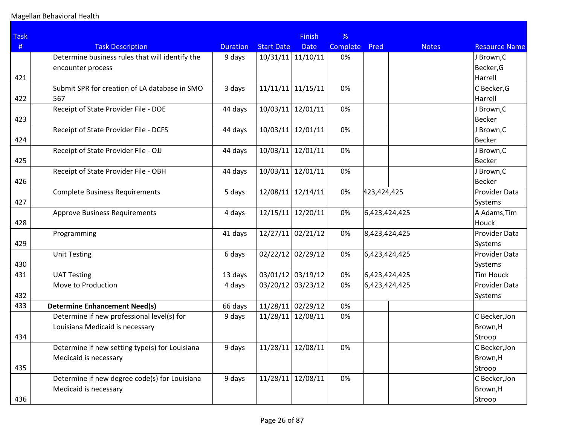| <b>Task</b> |                                                 |                 |                     | <b>Finish</b> | %        |               |              |                      |
|-------------|-------------------------------------------------|-----------------|---------------------|---------------|----------|---------------|--------------|----------------------|
| $\#$        | <b>Task Description</b>                         | <b>Duration</b> | <b>Start Date</b>   | <b>Date</b>   | Complete | Pred          | <b>Notes</b> | <b>Resource Name</b> |
|             | Determine business rules that will identify the | 9 days          | 10/31/11            | 11/10/11      | 0%       |               |              | J Brown, C           |
|             | encounter process                               |                 |                     |               |          |               |              | Becker,G             |
| 421         |                                                 |                 |                     |               |          |               |              | Harrell              |
|             | Submit SPR for creation of LA database in SMO   | 3 days          | 11/11/11            | 11/15/11      | 0%       |               |              | C Becker, G          |
| 422         | 567                                             |                 |                     |               |          |               |              | Harrell              |
|             | Receipt of State Provider File - DOE            | 44 days         | 10/03/11            | 12/01/11      | 0%       |               |              | J Brown, C           |
| 423         |                                                 |                 |                     |               |          |               |              | <b>Becker</b>        |
|             | Receipt of State Provider File - DCFS           | 44 days         | 10/03/11            | 12/01/11      | 0%       |               |              | J Brown, C           |
| 424         |                                                 |                 |                     |               |          |               |              | Becker               |
|             | Receipt of State Provider File - OJJ            | 44 days         | 10/03/11            | 12/01/11      | 0%       |               |              | J Brown, C           |
| 425         |                                                 |                 |                     |               |          |               |              | Becker               |
|             | Receipt of State Provider File - OBH            | 44 days         | 10/03/11            | 12/01/11      | 0%       |               |              | J Brown, C           |
| 426         |                                                 |                 |                     |               |          |               |              | <b>Becker</b>        |
|             | <b>Complete Business Requirements</b>           | 5 days          | 12/08/11            | 12/14/11      | 0%       | 423,424,425   |              | Provider Data        |
| 427         |                                                 |                 |                     |               |          |               |              | Systems              |
|             | <b>Approve Business Requirements</b>            | 4 days          | 12/15/11            | 12/20/11      | 0%       | 6,423,424,425 |              | A Adams, Tim         |
| 428         |                                                 |                 |                     |               |          |               |              | Houck                |
|             | Programming                                     | 41 days         | 12/27/11            | 02/21/12      | 0%       | 8,423,424,425 |              | Provider Data        |
| 429         |                                                 |                 |                     |               |          |               |              | Systems              |
|             | <b>Unit Testing</b>                             | 6 days          | $02/22/12$ 02/29/12 |               | 0%       | 6,423,424,425 |              | Provider Data        |
| 430         |                                                 |                 |                     |               |          |               |              | Systems              |
| 431         | <b>UAT Testing</b>                              | 13 days         | 03/01/12 03/19/12   |               | 0%       | 6,423,424,425 |              | <b>Tim Houck</b>     |
|             | Move to Production                              | 4 days          | 03/20/12 03/23/12   |               | 0%       | 6,423,424,425 |              | Provider Data        |
| 432         |                                                 |                 |                     |               |          |               |              | Systems              |
| 433         | <b>Determine Enhancement Need(s)</b>            | 66 days         | 11/28/11 02/29/12   |               | 0%       |               |              |                      |
|             | Determine if new professional level(s) for      | 9 days          | 11/28/11            | 12/08/11      | 0%       |               |              | C Becker, Jon        |
|             | Louisiana Medicaid is necessary                 |                 |                     |               |          |               |              | Brown, H             |
| 434         |                                                 |                 |                     |               |          |               |              | Stroop               |
|             | Determine if new setting type(s) for Louisiana  | 9 days          | $11/28/11$ 12/08/11 |               | 0%       |               |              | C Becker, Jon        |
|             | Medicaid is necessary                           |                 |                     |               |          |               |              | Brown,H              |
| 435         |                                                 |                 |                     |               |          |               |              | Stroop               |
|             | Determine if new degree code(s) for Louisiana   | 9 days          | 11/28/11            | 12/08/11      | 0%       |               |              | C Becker, Jon        |
|             | Medicaid is necessary                           |                 |                     |               |          |               |              | Brown,H              |
| 436         |                                                 |                 |                     |               |          |               |              | Stroop               |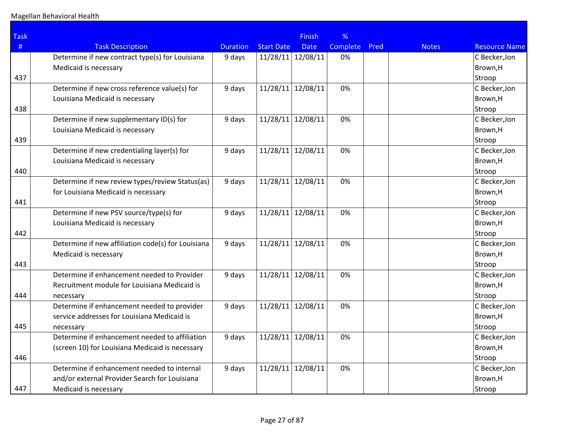| <b>Task</b> |                                                    |                 |                   | Finish            | %        |      |              |                      |
|-------------|----------------------------------------------------|-----------------|-------------------|-------------------|----------|------|--------------|----------------------|
| #           | <b>Task Description</b>                            | <b>Duration</b> | <b>Start Date</b> | <b>Date</b>       | Complete | Pred | <b>Notes</b> | <b>Resource Name</b> |
|             | Determine if new contract type(s) for Louisiana    | 9 days          |                   | 11/28/11 12/08/11 | 0%       |      |              | C Becker, Jon        |
|             | Medicaid is necessary                              |                 |                   |                   |          |      |              | Brown,H              |
| 437         |                                                    |                 |                   |                   |          |      |              | Stroop               |
|             | Determine if new cross reference value(s) for      | 9 days          |                   | 11/28/11 12/08/11 | 0%       |      |              | C Becker, Jon        |
|             | Louisiana Medicaid is necessary                    |                 |                   |                   |          |      |              | Brown,H              |
| 438         |                                                    |                 |                   |                   |          |      |              | Stroop               |
|             | Determine if new supplementary ID(s) for           | 9 days          |                   | 11/28/11 12/08/11 | 0%       |      |              | C Becker, Jon        |
|             | Louisiana Medicaid is necessary                    |                 |                   |                   |          |      |              | Brown,H              |
| 439         |                                                    |                 |                   |                   |          |      |              | Stroop               |
|             | Determine if new credentialing layer(s) for        | 9 days          |                   | 11/28/11 12/08/11 | 0%       |      |              | C Becker, Jon        |
|             | Louisiana Medicaid is necessary                    |                 |                   |                   |          |      |              | Brown,H              |
| 440         |                                                    |                 |                   |                   |          |      |              | Stroop               |
|             | Determine if new review types/review Status(as)    | 9 days          |                   | 11/28/11 12/08/11 | 0%       |      |              | C Becker, Jon        |
|             | for Louisiana Medicaid is necessary                |                 |                   |                   |          |      |              | Brown,H              |
| 441         |                                                    |                 |                   |                   |          |      |              | Stroop               |
|             | Determine if new PSV source/type(s) for            | 9 days          | 11/28/11          | 12/08/11          | 0%       |      |              | C Becker, Jon        |
|             | Louisiana Medicaid is necessary                    |                 |                   |                   |          |      |              | Brown,H              |
| 442         |                                                    |                 |                   |                   |          |      |              | Stroop               |
|             | Determine if new affiliation code(s) for Louisiana | 9 days          | 11/28/11          | 12/08/11          | 0%       |      |              | C Becker, Jon        |
|             | Medicaid is necessary                              |                 |                   |                   |          |      |              | Brown,H              |
| 443         |                                                    |                 |                   |                   |          |      |              | Stroop               |
|             | Determine if enhancement needed to Provider        | 9 days          |                   | 11/28/11 12/08/11 | 0%       |      |              | C Becker, Jon        |
|             | Recruitment module for Louisiana Medicaid is       |                 |                   |                   |          |      |              | Brown,H              |
| 444         | necessary                                          |                 |                   |                   |          |      |              | Stroop               |
|             | Determine if enhancement needed to provider        | 9 days          |                   | 11/28/11 12/08/11 | 0%       |      |              | C Becker, Jon        |
|             | service addresses for Louisiana Medicaid is        |                 |                   |                   |          |      |              | Brown,H              |
| 445         | necessary                                          |                 |                   |                   |          |      |              | Stroop               |
|             | Determine if enhancement needed to affiliation     | 9 days          | 11/28/11 12/08/11 |                   | 0%       |      |              | C Becker, Jon        |
|             | (screen 10) for Louisiana Medicaid is necessary    |                 |                   |                   |          |      |              | Brown,H              |
| 446         |                                                    |                 |                   |                   |          |      |              | Stroop               |
|             | Determine if enhancement needed to internal        | 9 days          | 11/28/11          | 12/08/11          | 0%       |      |              | C Becker, Jon        |
|             | and/or external Provider Search for Louisiana      |                 |                   |                   |          |      |              | Brown,H              |
| 447         | Medicaid is necessary                              |                 |                   |                   |          |      |              | Stroop               |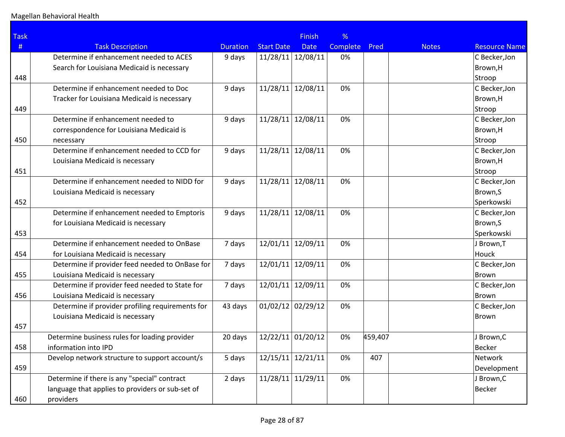| <b>Task</b> |                                                  |                 |                     | <b>Finish</b> | %        |         |              |                      |
|-------------|--------------------------------------------------|-----------------|---------------------|---------------|----------|---------|--------------|----------------------|
| $\#$        | <b>Task Description</b>                          | <b>Duration</b> | <b>Start Date</b>   | <b>Date</b>   | Complete | Pred    | <b>Notes</b> | <b>Resource Name</b> |
|             | Determine if enhancement needed to ACES          | 9 days          | 11/28/11 12/08/11   |               | 0%       |         |              | C Becker, Jon        |
|             | Search for Louisiana Medicaid is necessary       |                 |                     |               |          |         |              | Brown, H             |
| 448         |                                                  |                 |                     |               |          |         |              | Stroop               |
|             | Determine if enhancement needed to Doc           | 9 days          | 11/28/11            | 12/08/11      | 0%       |         |              | C Becker, Jon        |
|             | Tracker for Louisiana Medicaid is necessary      |                 |                     |               |          |         |              | Brown, H             |
| 449         |                                                  |                 |                     |               |          |         |              | Stroop               |
|             | Determine if enhancement needed to               | 9 days          | 11/28/11            | 12/08/11      | 0%       |         |              | C Becker, Jon        |
|             | correspondence for Louisiana Medicaid is         |                 |                     |               |          |         |              | Brown, H             |
| 450         | necessary                                        |                 |                     |               |          |         |              | Stroop               |
|             | Determine if enhancement needed to CCD for       | 9 days          | 11/28/11            | 12/08/11      | 0%       |         |              | C Becker, Jon        |
|             | Louisiana Medicaid is necessary                  |                 |                     |               |          |         |              | Brown, H             |
| 451         |                                                  |                 |                     |               |          |         |              | Stroop               |
|             | Determine if enhancement needed to NIDD for      | 9 days          | 11/28/11            | 12/08/11      | 0%       |         |              | C Becker, Jon        |
|             | Louisiana Medicaid is necessary                  |                 |                     |               |          |         |              | Brown, S             |
| 452         |                                                  |                 |                     |               |          |         |              | Sperkowski           |
|             | Determine if enhancement needed to Emptoris      | 9 days          | 11/28/11            | 12/08/11      | 0%       |         |              | C Becker, Jon        |
|             | for Louisiana Medicaid is necessary              |                 |                     |               |          |         |              | Brown, S             |
| 453         |                                                  |                 |                     |               |          |         |              | Sperkowski           |
|             | Determine if enhancement needed to OnBase        | 7 days          | 12/01/11 12/09/11   |               | 0%       |         |              | J Brown, T           |
| 454         | for Louisiana Medicaid is necessary              |                 |                     |               |          |         |              | Houck                |
|             | Determine if provider feed needed to OnBase for  | 7 days          | 12/01/11            | 12/09/11      | 0%       |         |              | C Becker, Jon        |
| 455         | Louisiana Medicaid is necessary                  |                 |                     |               |          |         |              | Brown                |
|             | Determine if provider feed needed to State for   | 7 days          | 12/01/11            | 12/09/11      | 0%       |         |              | C Becker, Jon        |
| 456         | Louisiana Medicaid is necessary                  |                 |                     |               |          |         |              | Brown                |
|             | Determine if provider profiling requirements for | 43 days         | $01/02/12$ 02/29/12 |               | 0%       |         |              | C Becker, Jon        |
|             | Louisiana Medicaid is necessary                  |                 |                     |               |          |         |              | Brown                |
| 457         |                                                  |                 |                     |               |          |         |              |                      |
|             | Determine business rules for loading provider    | 20 days         | 12/22/11 01/20/12   |               | 0%       | 459,407 |              | J Brown, C           |
| 458         | information into IPD                             |                 |                     |               |          |         |              | <b>Becker</b>        |
|             | Develop network structure to support account/s   | 5 days          | 12/15/11            | 12/21/11      | 0%       | 407     |              | Network              |
| 459         |                                                  |                 |                     |               |          |         |              | Development          |
|             | Determine if there is any "special" contract     | 2 days          | 11/28/11 11/29/11   |               | 0%       |         |              | J Brown, C           |
|             | language that applies to providers or sub-set of |                 |                     |               |          |         |              | <b>Becker</b>        |
| 460         | providers                                        |                 |                     |               |          |         |              |                      |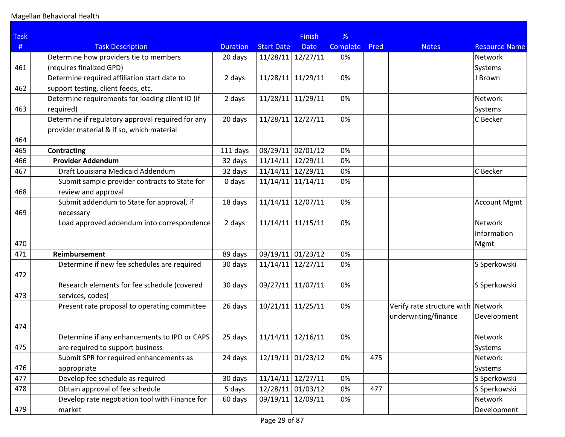| <b>Task</b> |                                                   |                 |                     | <b>Finish</b>     | %        |      |                                    |                      |
|-------------|---------------------------------------------------|-----------------|---------------------|-------------------|----------|------|------------------------------------|----------------------|
| #           | <b>Task Description</b>                           | <b>Duration</b> | <b>Start Date</b>   | <b>Date</b>       | Complete | Pred | <b>Notes</b>                       | <b>Resource Name</b> |
|             | Determine how providers tie to members            | 20 days         | $11/28/11$ 12/27/11 |                   | 0%       |      |                                    | Network              |
| 461         | (requires finalized GPD)                          |                 |                     |                   |          |      |                                    | Systems              |
|             | Determine required affiliation start date to      | 2 days          | 11/28/11 11/29/11   |                   | 0%       |      |                                    | J Brown              |
| 462         | support testing, client feeds, etc.               |                 |                     |                   |          |      |                                    |                      |
|             | Determine requirements for loading client ID (if  | 2 days          | 11/28/11 11/29/11   |                   | 0%       |      |                                    | Network              |
| 463         | required)                                         |                 |                     |                   |          |      |                                    | Systems              |
|             | Determine if regulatory approval required for any | 20 days         | 11/28/11            | 12/27/11          | 0%       |      |                                    | C Becker             |
|             | provider material & if so, which material         |                 |                     |                   |          |      |                                    |                      |
| 464         |                                                   |                 |                     |                   |          |      |                                    |                      |
| 465         | <b>Contracting</b>                                | 111 days        | 08/29/11 02/01/12   |                   | 0%       |      |                                    |                      |
| 466         | <b>Provider Addendum</b>                          | 32 days         | $11/14/11$ 12/29/11 |                   | 0%       |      |                                    |                      |
| 467         | Draft Louisiana Medicaid Addendum                 | 32 days         | $11/14/11$ 12/29/11 |                   | 0%       |      |                                    | C Becker             |
|             | Submit sample provider contracts to State for     | 0 days          | 11/14/11            | 11/14/11          | 0%       |      |                                    |                      |
| 468         | review and approval                               |                 |                     |                   |          |      |                                    |                      |
|             | Submit addendum to State for approval, if         | 18 days         | 11/14/11            | 12/07/11          | 0%       |      |                                    | Account Mgmt         |
| 469         | necessary                                         |                 |                     |                   |          |      |                                    |                      |
|             | Load approved addendum into correspondence        | 2 days          | $11/14/11$ 11/15/11 |                   | 0%       |      |                                    | Network              |
|             |                                                   |                 |                     |                   |          |      |                                    | Information          |
| 470         |                                                   |                 |                     |                   |          |      |                                    | Mgmt                 |
| 471         | Reimbursement                                     | 89 days         | 09/19/11 01/23/12   |                   | 0%       |      |                                    |                      |
|             | Determine if new fee schedules are required       | 30 days         | 11/14/11            | 12/27/11          | 0%       |      |                                    | S Sperkowski         |
| 472         |                                                   |                 |                     |                   |          |      |                                    |                      |
|             | Research elements for fee schedule (covered       | 30 days         | 09/27/11            | 11/07/11          | 0%       |      |                                    | S Sperkowski         |
| 473         | services, codes)                                  |                 |                     |                   |          |      |                                    |                      |
|             | Present rate proposal to operating committee      | 26 days         | 10/21/11            | 11/25/11          | 0%       |      | Verify rate structure with Network |                      |
|             |                                                   |                 |                     |                   |          |      | underwriting/finance               | Development          |
| 474         |                                                   |                 |                     |                   |          |      |                                    |                      |
|             | Determine if any enhancements to IPD or CAPS      | 25 days         | 11/14/11            | 12/16/11          | 0%       |      |                                    | <b>Network</b>       |
| 475         | are required to support business                  |                 |                     |                   |          |      |                                    | Systems              |
|             | Submit SPR for required enhancements as           | 24 days         | 12/19/11            | 01/23/12          | 0%       | 475  |                                    | Network              |
| 476         | appropriate                                       |                 |                     |                   |          |      |                                    | Systems              |
| 477         | Develop fee schedule as required                  | 30 days         | $11/14/11$ 12/27/11 |                   | 0%       |      |                                    | S Sperkowski         |
| 478         | Obtain approval of fee schedule                   | 5 days          |                     | 12/28/11 01/03/12 | 0%       | 477  |                                    | S Sperkowski         |
|             | Develop rate negotiation tool with Finance for    | 60 days         |                     | 09/19/11 12/09/11 | 0%       |      |                                    | Network              |
| 479         | market                                            |                 |                     |                   |          |      |                                    | Development          |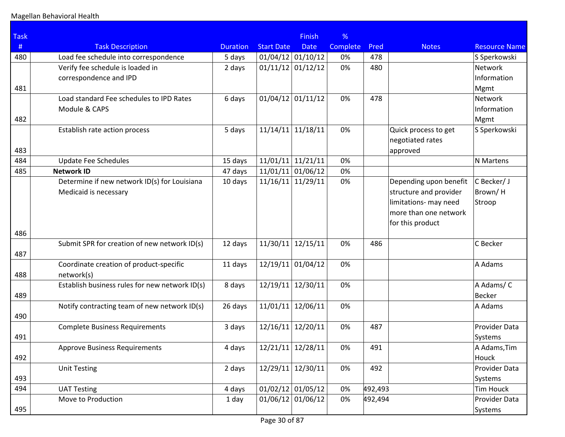| <b>Task</b> |                                                |                 |                     | <b>Finish</b> | %               |         |                        |                            |
|-------------|------------------------------------------------|-----------------|---------------------|---------------|-----------------|---------|------------------------|----------------------------|
| #           | <b>Task Description</b>                        | <b>Duration</b> | <b>Start Date</b>   | <b>Date</b>   | <b>Complete</b> | Pred    | <b>Notes</b>           | <b>Resource Name</b>       |
| 480         | Load fee schedule into correspondence          | 5 days          | $01/04/12$ 01/10/12 |               | 0%              | 478     |                        | S Sperkowski               |
|             | Verify fee schedule is loaded in               | 2 days          | $01/11/12$ 01/12/12 |               | 0%              | 480     |                        | Network                    |
|             | correspondence and IPD                         |                 |                     |               |                 |         |                        | Information                |
| 481         |                                                |                 |                     |               |                 |         |                        | Mgmt                       |
|             | Load standard Fee schedules to IPD Rates       | 6 days          | $01/04/12$ 01/11/12 |               | 0%              | 478     |                        | Network                    |
|             | Module & CAPS                                  |                 |                     |               |                 |         |                        | Information                |
| 482         |                                                |                 |                     |               |                 |         |                        | Mgmt                       |
|             | Establish rate action process                  | 5 days          | 11/14/11            | 11/18/11      | 0%              |         | Quick process to get   | S Sperkowski               |
|             |                                                |                 |                     |               |                 |         | negotiated rates       |                            |
| 483         |                                                |                 |                     |               |                 |         | approved               |                            |
| 484         | <b>Update Fee Schedules</b>                    | 15 days         | $11/01/11$ 11/21/11 |               | 0%              |         |                        | N Martens                  |
| 485         | <b>Network ID</b>                              | 47 days         | $11/01/11$ 01/06/12 |               | 0%              |         |                        |                            |
|             | Determine if new network ID(s) for Louisiana   | 10 days         | 11/16/11            | 11/29/11      | 0%              |         | Depending upon benefit | C Becker/ J                |
|             | Medicaid is necessary                          |                 |                     |               |                 |         | structure and provider | Brown/H                    |
|             |                                                |                 |                     |               |                 |         | limitations- may need  | Stroop                     |
|             |                                                |                 |                     |               |                 |         | more than one network  |                            |
|             |                                                |                 |                     |               |                 |         | for this product       |                            |
| 486         |                                                |                 |                     |               |                 |         |                        |                            |
|             | Submit SPR for creation of new network ID(s)   | 12 days         | 11/30/11            | 12/15/11      | 0%              | 486     |                        | C Becker                   |
| 487         |                                                |                 |                     |               |                 |         |                        |                            |
|             | Coordinate creation of product-specific        | 11 days         | 12/19/11            | 01/04/12      | 0%              |         |                        | A Adams                    |
| 488         | network(s)                                     |                 | 12/19/11            |               |                 |         |                        |                            |
| 489         | Establish business rules for new network ID(s) | 8 days          |                     | 12/30/11      | 0%              |         |                        | A Adams/C<br><b>Becker</b> |
|             | Notify contracting team of new network ID(s)   | 26 days         | 11/01/11            | 12/06/11      | 0%              |         |                        | A Adams                    |
| 490         |                                                |                 |                     |               |                 |         |                        |                            |
|             | <b>Complete Business Requirements</b>          | 3 days          | 12/16/11            | 12/20/11      | 0%              | 487     |                        | Provider Data              |
| 491         |                                                |                 |                     |               |                 |         |                        | Systems                    |
|             | <b>Approve Business Requirements</b>           | 4 days          | 12/21/11 12/28/11   |               | 0%              | 491     |                        | A Adams, Tim               |
| 492         |                                                |                 |                     |               |                 |         |                        | Houck                      |
|             | <b>Unit Testing</b>                            | 2 days          | $12/29/11$ 12/30/11 |               | 0%              | 492     |                        | Provider Data              |
| 493         |                                                |                 |                     |               |                 |         |                        | Systems                    |
| 494         | <b>UAT Testing</b>                             | 4 days          | $01/02/12$ 01/05/12 |               | 0%              | 492,493 |                        | <b>Tim Houck</b>           |
|             | Move to Production                             | 1 day           | $01/06/12$ 01/06/12 |               | 0%              | 492,494 |                        | Provider Data              |
| 495         |                                                |                 |                     |               |                 |         |                        | Systems                    |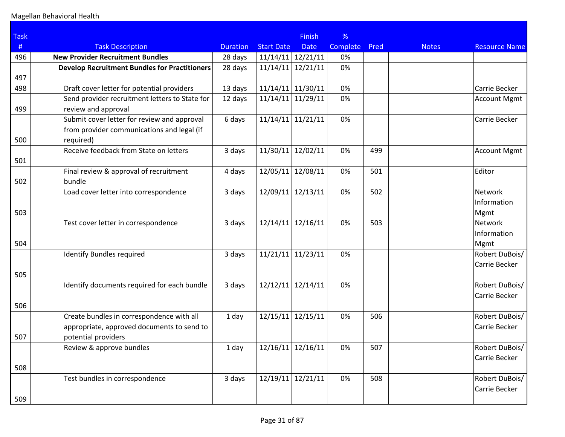| <b>Task</b> |                                                      |                 |                     | <b>Finish</b>       | %               |      |              |                      |
|-------------|------------------------------------------------------|-----------------|---------------------|---------------------|-----------------|------|--------------|----------------------|
| #           | <b>Task Description</b>                              | <b>Duration</b> | <b>Start Date</b>   | <b>Date</b>         | <b>Complete</b> | Pred | <b>Notes</b> | <b>Resource Name</b> |
| 496         | <b>New Provider Recruitment Bundles</b>              | 28 days         | $11/14/11$ 12/21/11 |                     | 0%              |      |              |                      |
|             | <b>Develop Recruitment Bundles for Practitioners</b> | 28 days         | 11/14/11            | 12/21/11            | 0%              |      |              |                      |
| 497         |                                                      |                 |                     |                     |                 |      |              |                      |
| 498         | Draft cover letter for potential providers           | 13 days         | $11/14/11$ 11/30/11 |                     | 0%              |      |              | Carrie Becker        |
|             | Send provider recruitment letters to State for       | 12 days         | $11/14/11$ 11/29/11 |                     | 0%              |      |              | <b>Account Mgmt</b>  |
| 499         | review and approval                                  |                 |                     |                     |                 |      |              |                      |
|             | Submit cover letter for review and approval          | 6 days          |                     | $11/14/11$ 11/21/11 | 0%              |      |              | Carrie Becker        |
|             | from provider communications and legal (if           |                 |                     |                     |                 |      |              |                      |
| 500         | required)                                            |                 |                     |                     |                 |      |              |                      |
|             | Receive feedback from State on letters               | 3 days          | 11/30/11            | 12/02/11            | 0%              | 499  |              | <b>Account Mgmt</b>  |
| 501         |                                                      |                 |                     |                     |                 |      |              |                      |
|             | Final review & approval of recruitment               | 4 days          |                     | 12/05/11 12/08/11   | 0%              | 501  |              | Editor               |
| 502         | bundle                                               |                 |                     |                     |                 |      |              |                      |
|             | Load cover letter into correspondence                | 3 days          | 12/09/11            | 12/13/11            | 0%              | 502  |              | <b>Network</b>       |
|             |                                                      |                 |                     |                     |                 |      |              | Information          |
| 503         |                                                      |                 |                     |                     |                 |      |              | Mgmt                 |
|             | Test cover letter in correspondence                  | 3 days          |                     | $12/14/11$ 12/16/11 | 0%              | 503  |              | <b>Network</b>       |
|             |                                                      |                 |                     |                     |                 |      |              | Information          |
| 504         |                                                      |                 |                     |                     |                 |      |              | Mgmt                 |
|             | <b>Identify Bundles required</b>                     | 3 days          | $11/21/11$ 11/23/11 |                     | 0%              |      |              | Robert DuBois/       |
|             |                                                      |                 |                     |                     |                 |      |              | Carrie Becker        |
| 505         |                                                      |                 |                     |                     |                 |      |              |                      |
|             | Identify documents required for each bundle          | 3 days          | 12/12/11            | 12/14/11            | 0%              |      |              | Robert DuBois/       |
|             |                                                      |                 |                     |                     |                 |      |              | Carrie Becker        |
| 506         |                                                      |                 |                     |                     |                 |      |              |                      |
|             | Create bundles in correspondence with all            | 1 day           |                     | $12/15/11$ 12/15/11 | 0%              | 506  |              | Robert DuBois/       |
|             | appropriate, approved documents to send to           |                 |                     |                     |                 |      |              | Carrie Becker        |
| 507         | potential providers                                  |                 |                     |                     |                 |      |              |                      |
|             | Review & approve bundles                             | 1 day           |                     | $12/16/11$ 12/16/11 | $0\%$           | 507  |              | Robert DuBois/       |
|             |                                                      |                 |                     |                     |                 |      |              | Carrie Becker        |
| 508         |                                                      |                 |                     |                     |                 |      |              |                      |
|             | Test bundles in correspondence                       | 3 days          |                     | $12/19/11$ 12/21/11 | 0%              | 508  |              | Robert DuBois/       |
|             |                                                      |                 |                     |                     |                 |      |              | Carrie Becker        |
| 509         |                                                      |                 |                     |                     |                 |      |              |                      |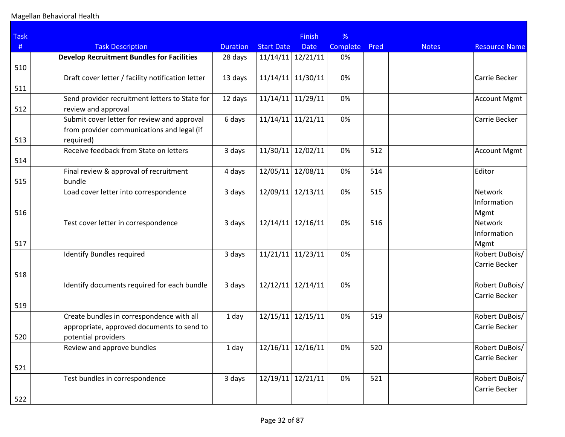| <b>Task</b> |                                                   |                 |                     | <b>Finish</b>       | %               |      |              |                      |
|-------------|---------------------------------------------------|-----------------|---------------------|---------------------|-----------------|------|--------------|----------------------|
| #           | <b>Task Description</b>                           | <b>Duration</b> | <b>Start Date</b>   | <b>Date</b>         | <b>Complete</b> | Pred | <b>Notes</b> | <b>Resource Name</b> |
|             | <b>Develop Recruitment Bundles for Facilities</b> | 28 days         | $11/14/11$ 12/21/11 |                     | 0%              |      |              |                      |
| 510         |                                                   |                 |                     |                     |                 |      |              |                      |
|             | Draft cover letter / facility notification letter | 13 days         | 11/14/11            | 11/30/11            | 0%              |      |              | Carrie Becker        |
| 511         |                                                   |                 |                     |                     |                 |      |              |                      |
|             | Send provider recruitment letters to State for    | 12 days         |                     | $11/14/11$ 11/29/11 | 0%              |      |              | <b>Account Mgmt</b>  |
| 512         | review and approval                               |                 |                     |                     |                 |      |              |                      |
|             | Submit cover letter for review and approval       | 6 days          | $11/14/11$ 11/21/11 |                     | 0%              |      |              | Carrie Becker        |
|             | from provider communications and legal (if        |                 |                     |                     |                 |      |              |                      |
| 513         | required)                                         |                 |                     |                     |                 |      |              |                      |
|             | Receive feedback from State on letters            | 3 days          | 11/30/11            | 12/02/11            | 0%              | 512  |              | <b>Account Mgmt</b>  |
| 514         |                                                   |                 |                     |                     |                 |      |              |                      |
|             | Final review & approval of recruitment            | 4 days          |                     | 12/05/11 12/08/11   | 0%              | 514  |              | Editor               |
| 515         | bundle                                            |                 |                     |                     |                 |      |              |                      |
|             | Load cover letter into correspondence             | 3 days          | 12/09/11            | 12/13/11            | 0%              | 515  |              | <b>Network</b>       |
|             |                                                   |                 |                     |                     |                 |      |              | Information          |
| 516         |                                                   |                 |                     |                     |                 |      |              | Mgmt                 |
|             | Test cover letter in correspondence               | 3 days          |                     | $12/14/11$ 12/16/11 | 0%              | 516  |              | <b>Network</b>       |
|             |                                                   |                 |                     |                     |                 |      |              | Information          |
| 517         |                                                   |                 |                     |                     |                 |      |              | Mgmt                 |
|             | <b>Identify Bundles required</b>                  | 3 days          | $11/21/11$ 11/23/11 |                     | 0%              |      |              | Robert DuBois/       |
|             |                                                   |                 |                     |                     |                 |      |              | Carrie Becker        |
| 518         |                                                   |                 |                     |                     |                 |      |              |                      |
|             | Identify documents required for each bundle       | 3 days          | 12/12/11            | 12/14/11            | 0%              |      |              | Robert DuBois/       |
|             |                                                   |                 |                     |                     |                 |      |              | Carrie Becker        |
| 519         |                                                   |                 |                     |                     |                 |      |              |                      |
|             | Create bundles in correspondence with all         | 1 day           |                     | $12/15/11$ 12/15/11 | 0%              | 519  |              | Robert DuBois/       |
|             | appropriate, approved documents to send to        |                 |                     |                     |                 |      |              | Carrie Becker        |
| 520         | potential providers                               |                 |                     |                     |                 |      |              |                      |
|             | Review and approve bundles                        | 1 day           |                     | $12/16/11$ 12/16/11 | $0\%$           | 520  |              | Robert DuBois/       |
|             |                                                   |                 |                     |                     |                 |      |              | Carrie Becker        |
| 521         |                                                   |                 |                     |                     |                 |      |              |                      |
|             | Test bundles in correspondence                    | 3 days          |                     | $12/19/11$ 12/21/11 | 0%              | 521  |              | Robert DuBois/       |
|             |                                                   |                 |                     |                     |                 |      |              | Carrie Becker        |
| 522         |                                                   |                 |                     |                     |                 |      |              |                      |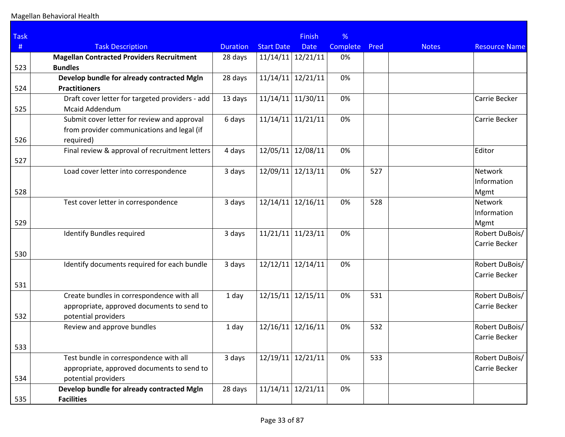| <b>Task</b> |                                                  |                 |                   | <b>Finish</b> | %        |      |              |                      |
|-------------|--------------------------------------------------|-----------------|-------------------|---------------|----------|------|--------------|----------------------|
| #           | <b>Task Description</b>                          | <b>Duration</b> | <b>Start Date</b> | <b>Date</b>   | Complete | Pred | <b>Notes</b> | <b>Resource Name</b> |
|             | <b>Magellan Contracted Providers Recruitment</b> | 28 days         | 11/14/11          | 12/21/11      | 0%       |      |              |                      |
| 523         | <b>Bundles</b>                                   |                 |                   |               |          |      |              |                      |
|             | Develop bundle for already contracted MgIn       | 28 days         | 11/14/11          | 12/21/11      | 0%       |      |              |                      |
| 524         | <b>Practitioners</b>                             |                 |                   |               |          |      |              |                      |
|             | Draft cover letter for targeted providers - add  | 13 days         | 11/14/11          | 11/30/11      | 0%       |      |              | Carrie Becker        |
| 525         | <b>Mcaid Addendum</b>                            |                 |                   |               |          |      |              |                      |
|             | Submit cover letter for review and approval      | 6 days          | 11/14/11          | 11/21/11      | 0%       |      |              | Carrie Becker        |
|             | from provider communications and legal (if       |                 |                   |               |          |      |              |                      |
| 526         | required)                                        |                 |                   |               |          |      |              |                      |
|             | Final review & approval of recruitment letters   | 4 days          | 12/05/11          | 12/08/11      | 0%       |      |              | Editor               |
| 527         |                                                  |                 |                   |               |          |      |              |                      |
|             | Load cover letter into correspondence            | 3 days          | 12/09/11          | 12/13/11      | 0%       | 527  |              | Network              |
|             |                                                  |                 |                   |               |          |      |              | Information          |
| 528         |                                                  |                 |                   |               |          |      |              | Mgmt                 |
|             | Test cover letter in correspondence              | 3 days          | 12/14/11          | 12/16/11      | 0%       | 528  |              | <b>Network</b>       |
|             |                                                  |                 |                   |               |          |      |              | Information          |
| 529         |                                                  |                 |                   |               |          |      |              | Mgmt                 |
|             | <b>Identify Bundles required</b>                 | 3 days          | 11/21/11          | 11/23/11      | 0%       |      |              | Robert DuBois/       |
|             |                                                  |                 |                   |               |          |      |              | Carrie Becker        |
| 530         |                                                  |                 |                   |               |          |      |              |                      |
|             | Identify documents required for each bundle      | 3 days          | 12/12/11          | 12/14/11      | 0%       |      |              | Robert DuBois/       |
|             |                                                  |                 |                   |               |          |      |              | Carrie Becker        |
| 531         |                                                  |                 |                   |               |          |      |              |                      |
|             | Create bundles in correspondence with all        | 1 day           | 12/15/11          | 12/15/11      | 0%       | 531  |              | Robert DuBois/       |
|             | appropriate, approved documents to send to       |                 |                   |               |          |      |              | Carrie Becker        |
| 532         | potential providers                              |                 |                   |               |          |      |              |                      |
|             | Review and approve bundles                       | 1 day           | 12/16/11          | 12/16/11      | 0%       | 532  |              | Robert DuBois/       |
|             |                                                  |                 |                   |               |          |      |              | Carrie Becker        |
| 533         |                                                  |                 |                   |               |          |      |              |                      |
|             | Test bundle in correspondence with all           | 3 days          | 12/19/11          | 12/21/11      | 0%       | 533  |              | Robert DuBois/       |
|             | appropriate, approved documents to send to       |                 |                   |               |          |      |              | Carrie Becker        |
| 534         | potential providers                              |                 |                   |               |          |      |              |                      |
|             | Develop bundle for already contracted Mgln       | 28 days         | 11/14/11          | 12/21/11      | 0%       |      |              |                      |
| 535         | <b>Facilities</b>                                |                 |                   |               |          |      |              |                      |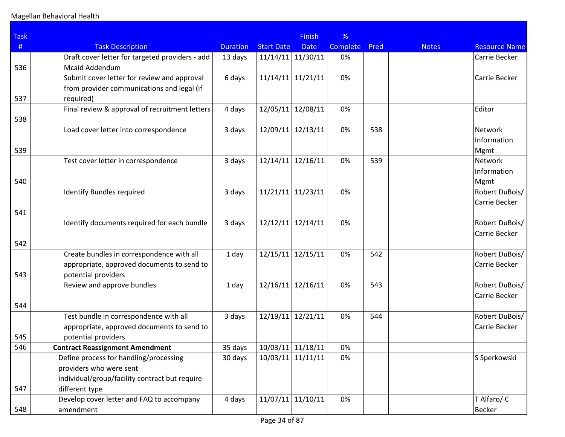| <b>Task</b> |                                                 |                 |                     | <b>Finish</b> | %        |      |              |                      |
|-------------|-------------------------------------------------|-----------------|---------------------|---------------|----------|------|--------------|----------------------|
| #           | <b>Task Description</b>                         | <b>Duration</b> | <b>Start Date</b>   | <b>Date</b>   | Complete | Pred | <b>Notes</b> | <b>Resource Name</b> |
|             | Draft cover letter for targeted providers - add | 13 days         | 11/14/11            | 11/30/11      | 0%       |      |              | Carrie Becker        |
| 536         | <b>Mcaid Addendum</b>                           |                 |                     |               |          |      |              |                      |
|             | Submit cover letter for review and approval     | 6 days          | 11/14/11            | 11/21/11      | 0%       |      |              | Carrie Becker        |
|             | from provider communications and legal (if      |                 |                     |               |          |      |              |                      |
| 537         | required)                                       |                 |                     |               |          |      |              |                      |
|             | Final review & approval of recruitment letters  | 4 days          | 12/05/11            | 12/08/11      | 0%       |      |              | Editor               |
| 538         |                                                 |                 |                     |               |          |      |              |                      |
|             | Load cover letter into correspondence           | 3 days          | 12/09/11            | 12/13/11      | 0%       | 538  |              | Network              |
|             |                                                 |                 |                     |               |          |      |              | Information          |
| 539         |                                                 |                 |                     |               |          |      |              | Mgmt                 |
|             | Test cover letter in correspondence             | 3 days          | 12/14/11            | 12/16/11      | 0%       | 539  |              | Network              |
|             |                                                 |                 |                     |               |          |      |              | Information          |
| 540         |                                                 |                 |                     |               |          |      |              | Mgmt                 |
|             | <b>Identify Bundles required</b>                | 3 days          | 11/21/11            | 11/23/11      | 0%       |      |              | Robert DuBois/       |
|             |                                                 |                 |                     |               |          |      |              | Carrie Becker        |
| 541         |                                                 |                 |                     |               |          |      |              |                      |
|             | Identify documents required for each bundle     | 3 days          | 12/12/11            | 12/14/11      | 0%       |      |              | Robert DuBois/       |
| 542         |                                                 |                 |                     |               |          |      |              | Carrie Becker        |
|             | Create bundles in correspondence with all       | 1 day           | 12/15/11            | 12/15/11      | 0%       | 542  |              | Robert DuBois/       |
|             | appropriate, approved documents to send to      |                 |                     |               |          |      |              | Carrie Becker        |
| 543         | potential providers                             |                 |                     |               |          |      |              |                      |
|             | Review and approve bundles                      | 1 day           | 12/16/11            | 12/16/11      | 0%       | 543  |              | Robert DuBois/       |
|             |                                                 |                 |                     |               |          |      |              | Carrie Becker        |
| 544         |                                                 |                 |                     |               |          |      |              |                      |
|             | Test bundle in correspondence with all          | 3 days          | 12/19/11            | 12/21/11      | 0%       | 544  |              | Robert DuBois/       |
|             | appropriate, approved documents to send to      |                 |                     |               |          |      |              | Carrie Becker        |
| 545         | potential providers                             |                 |                     |               |          |      |              |                      |
| 546         | <b>Contract Reassignment Amendment</b>          | 35 days         | $10/03/11$ 11/18/11 |               | 0%       |      |              |                      |
|             | Define process for handling/processing          | 30 days         | 10/03/11            | 11/11/11      | 0%       |      |              | S Sperkowski         |
|             | providers who were sent                         |                 |                     |               |          |      |              |                      |
|             | individual/group/facility contract but require  |                 |                     |               |          |      |              |                      |
| 547         | different type                                  |                 |                     |               |          |      |              |                      |
|             | Develop cover letter and FAQ to accompany       | 4 days          | 11/07/11            | 11/10/11      | 0%       |      |              | T Alfaro/ C          |
| 548         | amendment                                       |                 |                     |               |          |      |              | <b>Becker</b>        |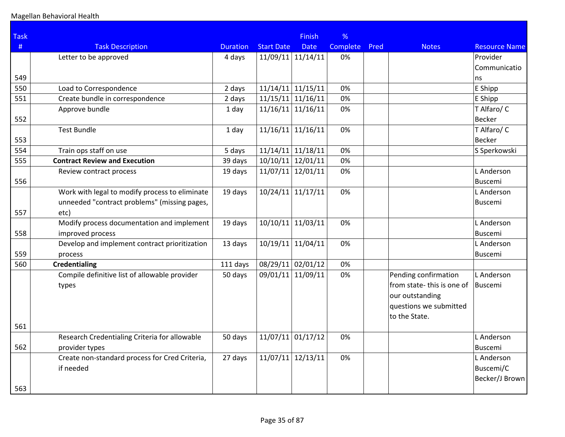| <b>Task</b> |                                                |                 |                     | Finish      | %        |      |                           |                      |
|-------------|------------------------------------------------|-----------------|---------------------|-------------|----------|------|---------------------------|----------------------|
| #           | <b>Task Description</b>                        | <b>Duration</b> | <b>Start Date</b>   | <b>Date</b> | Complete | Pred | <b>Notes</b>              | <b>Resource Name</b> |
|             | Letter to be approved                          | 4 days          | $11/09/11$ 11/14/11 |             | 0%       |      |                           | Provider             |
|             |                                                |                 |                     |             |          |      |                           | Communicatio         |
| 549         |                                                |                 |                     |             |          |      |                           | ns                   |
| 550         | Load to Correspondence                         | 2 days          | 11/14/11 11/15/11   |             | 0%       |      |                           | E Shipp              |
| 551         | Create bundle in correspondence                | 2 days          | $11/15/11$ 11/16/11 |             | 0%       |      |                           | E Shipp              |
|             | Approve bundle                                 | 1 day           | $11/16/11$ 11/16/11 |             | 0%       |      |                           | T Alfaro/ C          |
| 552         |                                                |                 |                     |             |          |      |                           | Becker               |
|             | <b>Test Bundle</b>                             | 1 day           | $11/16/11$ 11/16/11 |             | 0%       |      |                           | T Alfaro/ C          |
| 553         |                                                |                 |                     |             |          |      |                           | Becker               |
| 554         | Train ops staff on use                         | 5 days          | $11/14/11$ 11/18/11 |             | 0%       |      |                           | S Sperkowski         |
| 555         | <b>Contract Review and Execution</b>           | 39 days         | 10/10/11 12/01/11   |             | 0%       |      |                           |                      |
|             | Review contract process                        | 19 days         | 11/07/11 12/01/11   |             | 0%       |      |                           | L Anderson           |
| 556         |                                                |                 |                     |             |          |      |                           | <b>Buscemi</b>       |
|             | Work with legal to modify process to eliminate | 19 days         | 10/24/11 11/17/11   |             | 0%       |      |                           | L Anderson           |
|             | unneeded "contract problems" (missing pages,   |                 |                     |             |          |      |                           | Buscemi              |
| 557         | etc)                                           |                 |                     |             |          |      |                           |                      |
|             | Modify process documentation and implement     | 19 days         | 10/10/11 11/03/11   |             | 0%       |      |                           | L Anderson           |
| 558         | improved process                               |                 |                     |             |          |      |                           | Buscemi              |
|             | Develop and implement contract prioritization  | 13 days         | 10/19/11 11/04/11   |             | 0%       |      |                           | L Anderson           |
| 559         | process                                        |                 |                     |             |          |      |                           | Buscemi              |
| 560         | <b>Credentialing</b>                           | 111 days        | 08/29/11 02/01/12   |             | 0%       |      |                           |                      |
|             | Compile definitive list of allowable provider  | 50 days         | 09/01/11 11/09/11   |             | 0%       |      | Pending confirmation      | L Anderson           |
|             | types                                          |                 |                     |             |          |      | from state-this is one of | Buscemi              |
|             |                                                |                 |                     |             |          |      | our outstanding           |                      |
|             |                                                |                 |                     |             |          |      | questions we submitted    |                      |
|             |                                                |                 |                     |             |          |      | to the State.             |                      |
| 561         |                                                |                 |                     |             |          |      |                           |                      |
|             | Research Credentialing Criteria for allowable  | 50 days         | 11/07/11 01/17/12   |             | 0%       |      |                           | L Anderson           |
| 562         | provider types                                 |                 |                     |             |          |      |                           | Buscemi              |
|             | Create non-standard process for Cred Criteria, | 27 days         | 11/07/11 12/13/11   |             | 0%       |      |                           | L Anderson           |
|             | if needed                                      |                 |                     |             |          |      |                           | Buscemi/C            |
|             |                                                |                 |                     |             |          |      |                           | Becker/J Brown       |
| 563         |                                                |                 |                     |             |          |      |                           |                      |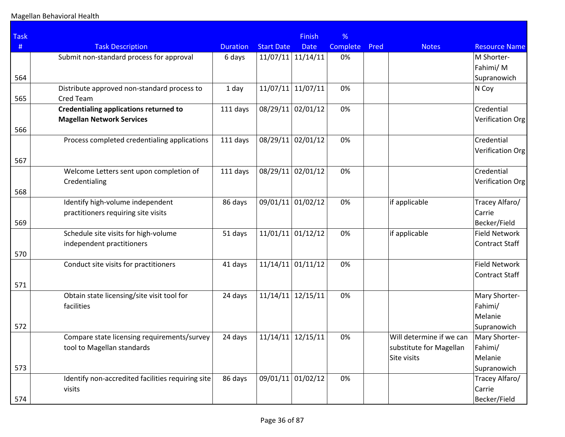| <b>Task</b> |                                                                                   |                 |                   | <b>Finish</b>     | %        |      |                                                                    |                                          |
|-------------|-----------------------------------------------------------------------------------|-----------------|-------------------|-------------------|----------|------|--------------------------------------------------------------------|------------------------------------------|
| #           | <b>Task Description</b>                                                           | <b>Duration</b> | <b>Start Date</b> | <b>Date</b>       | Complete | Pred | <b>Notes</b>                                                       | <b>Resource Name</b>                     |
| 564         | Submit non-standard process for approval                                          | 6 days          | 11/07/11          | 11/14/11          | 0%       |      |                                                                    | M Shorter-<br>Fahimi/M<br>Supranowich    |
| 565         | Distribute approved non-standard process to<br>Cred Team                          | 1 day           | 11/07/11          | 11/07/11          | 0%       |      |                                                                    | N Coy                                    |
| 566         | <b>Credentialing applications returned to</b><br><b>Magellan Network Services</b> | 111 days        | 08/29/11          | 02/01/12          | 0%       |      |                                                                    | Credential<br>Verification Org           |
|             | Process completed credentialing applications                                      | 111 days        | 08/29/11          | 02/01/12          | 0%       |      |                                                                    | Credential<br>Verification Org           |
| 567<br>568  | Welcome Letters sent upon completion of<br>Credentialing                          | 111 days        | 08/29/11          | 02/01/12          | 0%       |      |                                                                    | Credential<br>Verification Org           |
| 569         | Identify high-volume independent<br>practitioners requiring site visits           | 86 days         | 09/01/11          | 01/02/12          | 0%       |      | if applicable                                                      | Tracey Alfaro/<br>Carrie<br>Becker/Field |
| 570         | Schedule site visits for high-volume<br>independent practitioners                 | 51 days         | 11/01/11          | 01/12/12          | 0%       |      | if applicable                                                      | Field Network<br>Contract Staff          |
|             | Conduct site visits for practitioners                                             | 41 days         | 11/14/11          | 01/11/12          | 0%       |      |                                                                    | Field Network<br>Contract Staff          |
| 571         |                                                                                   |                 |                   |                   |          |      |                                                                    |                                          |
|             | Obtain state licensing/site visit tool for<br>facilities                          | 24 days         | 11/14/11          | 12/15/11          | 0%       |      |                                                                    | Mary Shorter-<br>Fahimi/<br>Melanie      |
| 572         |                                                                                   |                 |                   |                   |          |      |                                                                    | Supranowich                              |
|             | Compare state licensing requirements/survey<br>tool to Magellan standards         | 24 days         | 11/14/11          | 12/15/11          | 0%       |      | Will determine if we can<br>substitute for Magellan<br>Site visits | Mary Shorter-<br>Fahimi/<br>Melanie      |
| 573         |                                                                                   |                 |                   |                   |          |      |                                                                    | Supranowich                              |
| 574         | Identify non-accredited facilities requiring site<br>visits                       | 86 days         |                   | 09/01/11 01/02/12 | 0%       |      |                                                                    | Tracey Alfaro/<br>Carrie<br>Becker/Field |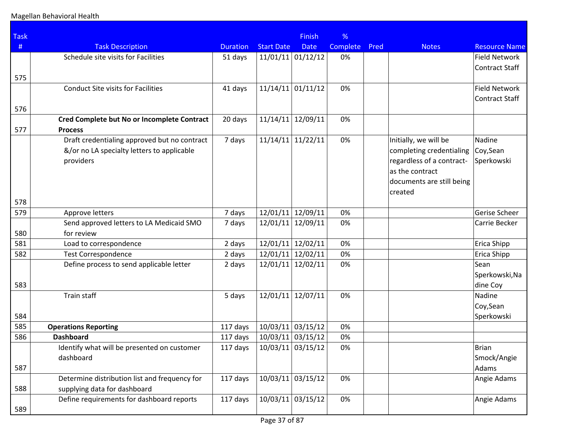| <b>Task</b> |                                               |                 |                     | <b>Finish</b>       | %               |      |                           |                      |
|-------------|-----------------------------------------------|-----------------|---------------------|---------------------|-----------------|------|---------------------------|----------------------|
| #           | <b>Task Description</b>                       | <b>Duration</b> | <b>Start Date</b>   | <b>Date</b>         | <b>Complete</b> | Pred | <b>Notes</b>              | <b>Resource Name</b> |
|             | Schedule site visits for Facilities           | 51 days         |                     | $11/01/11$ 01/12/12 | 0%              |      |                           | <b>Field Network</b> |
|             |                                               |                 |                     |                     |                 |      |                           | Contract Staff       |
| 575         |                                               |                 |                     |                     |                 |      |                           |                      |
|             | <b>Conduct Site visits for Facilities</b>     | 41 days         | 11/14/11            | 01/11/12            | 0%              |      |                           | <b>Field Network</b> |
|             |                                               |                 |                     |                     |                 |      |                           | Contract Staff       |
| 576         |                                               |                 |                     |                     |                 |      |                           |                      |
|             | Cred Complete but No or Incomplete Contract   | 20 days         | 11/14/11            | 12/09/11            | 0%              |      |                           |                      |
| 577         | <b>Process</b>                                |                 |                     |                     |                 |      |                           |                      |
|             | Draft credentialing approved but no contract  | 7 days          | 11/14/11            | 11/22/11            | 0%              |      | Initially, we will be     | Nadine               |
|             | &/or no LA specialty letters to applicable    |                 |                     |                     |                 |      | completing credentialing  | Coy, Sean            |
|             | providers                                     |                 |                     |                     |                 |      | regardless of a contract- | Sperkowski           |
|             |                                               |                 |                     |                     |                 |      | as the contract           |                      |
|             |                                               |                 |                     |                     |                 |      | documents are still being |                      |
|             |                                               |                 |                     |                     |                 |      | created                   |                      |
| 578         |                                               |                 |                     |                     |                 |      |                           |                      |
| 579         | Approve letters                               | 7 days          |                     | 12/01/11 12/09/11   | 0%              |      |                           | Gerise Scheer        |
|             | Send approved letters to LA Medicaid SMO      | 7 days          | 12/01/11            | 12/09/11            | 0%              |      |                           | Carrie Becker        |
| 580         | for review                                    |                 |                     |                     |                 |      |                           |                      |
| 581         | Load to correspondence                        | 2 days          | 12/01/11            | 12/02/11            | 0%              |      |                           | Erica Shipp          |
| 582         | <b>Test Correspondence</b>                    | 2 days          | 12/01/11            | 12/02/11            | 0%              |      |                           | <b>Erica Shipp</b>   |
|             | Define process to send applicable letter      | 2 days          | 12/01/11            | 12/02/11            | 0%              |      |                           | Sean                 |
|             |                                               |                 |                     |                     |                 |      |                           | Sperkowski, Na       |
| 583         |                                               |                 |                     |                     |                 |      |                           | dine Coy             |
|             | Train staff                                   | 5 days          | 12/01/11            | 12/07/11            | 0%              |      |                           | Nadine               |
|             |                                               |                 |                     |                     |                 |      |                           | Coy, Sean            |
| 584         |                                               |                 |                     |                     |                 |      |                           | Sperkowski           |
| 585         | <b>Operations Reporting</b>                   | 117 days        | 10/03/11            | 03/15/12            | 0%              |      |                           |                      |
| 586         | <b>Dashboard</b>                              | 117 days        |                     | $10/03/11$ 03/15/12 | 0%              |      |                           |                      |
|             | Identify what will be presented on customer   | 117 days        | $10/03/11$ 03/15/12 |                     | 0%              |      |                           | Brian                |
|             | dashboard                                     |                 |                     |                     |                 |      |                           | Smock/Angie          |
| 587         |                                               |                 |                     |                     |                 |      |                           | Adams                |
|             | Determine distribution list and frequency for | 117 days        | 10/03/11            | 03/15/12            | 0%              |      |                           | Angie Adams          |
| 588         | supplying data for dashboard                  |                 |                     |                     |                 |      |                           |                      |
|             | Define requirements for dashboard reports     | 117 days        | 10/03/11            | 03/15/12            | 0%              |      |                           | Angie Adams          |
| 589         |                                               |                 |                     |                     |                 |      |                           |                      |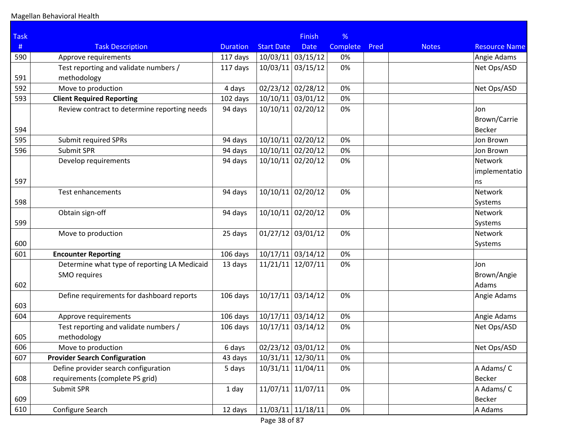| <b>Task</b> |                                              |                 |                                | <b>Finish</b> | %               |      |              |                      |
|-------------|----------------------------------------------|-----------------|--------------------------------|---------------|-----------------|------|--------------|----------------------|
| #           | <b>Task Description</b>                      | <b>Duration</b> | <b>Start Date</b>              | <b>Date</b>   | <b>Complete</b> | Pred | <b>Notes</b> | <b>Resource Name</b> |
| 590         | Approve requirements                         | 117 days        | $10/03/11$ 03/15/12            |               | 0%              |      |              | Angie Adams          |
|             | Test reporting and validate numbers /        | 117 days        | 10/03/11                       | 03/15/12      | 0%              |      |              | Net Ops/ASD          |
| 591         | methodology                                  |                 |                                |               |                 |      |              |                      |
| 592         | Move to production                           | 4 days          | 02/23/12 02/28/12              |               | 0%              |      |              | Net Ops/ASD          |
| 593         | <b>Client Required Reporting</b>             | 102 days        | 10/10/11 03/01/12              |               | 0%              |      |              |                      |
|             | Review contract to determine reporting needs | 94 days         | 10/10/11 02/20/12              |               | 0%              |      |              | Jon                  |
|             |                                              |                 |                                |               |                 |      |              | Brown/Carrie         |
| 594         |                                              |                 |                                |               |                 |      |              | <b>Becker</b>        |
| 595         | Submit required SPRs                         | 94 days         | 10/10/11                       | 02/20/12      | 0%              |      |              | Jon Brown            |
| 596         | Submit SPR                                   | 94 days         | $10/10/11$ 02/20/12            |               | 0%              |      |              | Jon Brown            |
|             | Develop requirements                         | 94 days         | 10/10/11 02/20/12              |               | 0%              |      |              | Network              |
|             |                                              |                 |                                |               |                 |      |              | implementatio        |
| 597         |                                              |                 |                                |               |                 |      |              | ns                   |
|             | Test enhancements                            | 94 days         | 10/10/11                       | 02/20/12      | 0%              |      |              | Network              |
| 598         |                                              |                 |                                |               |                 |      |              | Systems              |
|             | Obtain sign-off                              | 94 days         | 10/10/11 02/20/12              |               | 0%              |      |              | Network              |
| 599         |                                              |                 |                                |               |                 |      |              | Systems              |
|             | Move to production                           | 25 days         | 01/27/12                       | 03/01/12      | 0%              |      |              | Network              |
| 600         |                                              |                 |                                |               |                 |      |              | Systems              |
| 601         | <b>Encounter Reporting</b>                   | 106 days        | $10/17/11$ 03/14/12            |               | 0%              |      |              |                      |
|             | Determine what type of reporting LA Medicaid | 13 days         | 11/21/11                       | 12/07/11      | 0%              |      |              | Jon                  |
|             | SMO requires                                 |                 |                                |               |                 |      |              | Brown/Angie          |
| 602         |                                              |                 |                                |               |                 |      |              | Adams                |
|             | Define requirements for dashboard reports    | 106 days        | $10/17/11$ 03/14/12            |               | 0%              |      |              | Angie Adams          |
| 603         |                                              |                 |                                |               |                 |      |              |                      |
| 604         | Approve requirements                         | 106 days        | $10/17/11$ 03/14/12            |               | 0%              |      |              | Angie Adams          |
|             | Test reporting and validate numbers /        | 106 days        | 10/17/11                       | 03/14/12      | 0%              |      |              | Net Ops/ASD          |
| 605         | methodology                                  |                 |                                |               |                 |      |              |                      |
| 606         | Move to production                           | 6 days          | $\overline{02/23/12}$ 03/01/12 |               | 0%              |      |              | Net Ops/ASD          |
| 607         | <b>Provider Search Configuration</b>         | 43 days         | 10/31/11 12/30/11              |               | 0%              |      |              |                      |
|             | Define provider search configuration         | 5 days          | 10/31/11 11/04/11              |               | 0%              |      |              | A Adams/C            |
| 608         | requirements (complete PS grid)              |                 |                                |               |                 |      |              | <b>Becker</b>        |
|             | Submit SPR                                   | 1 day           | 11/07/11                       | 11/07/11      | 0%              |      |              | A Adams/C            |
| 609         |                                              |                 |                                |               |                 |      |              | Becker               |
| 610         | Configure Search                             | 12 days         | $11/03/11$ 11/18/11            |               | 0%              |      |              | A Adams              |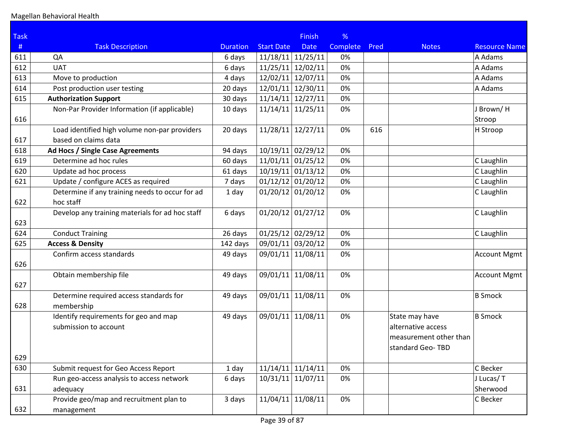| <b>Task</b> |                                                 |                 |                     | <b>Finish</b>       | %               |      |                        |                      |
|-------------|-------------------------------------------------|-----------------|---------------------|---------------------|-----------------|------|------------------------|----------------------|
| $\#$        | <b>Task Description</b>                         | <b>Duration</b> | <b>Start Date</b>   | <b>Date</b>         | <b>Complete</b> | Pred | <b>Notes</b>           | <b>Resource Name</b> |
| 611         | QA                                              | 6 days          | $11/18/11$ 11/25/11 |                     | 0%              |      |                        | A Adams              |
| 612         | <b>UAT</b>                                      | 6 days          | 11/25/11            | 12/02/11            | 0%              |      |                        | A Adams              |
| 613         | Move to production                              | 4 days          | 12/02/11            | 12/07/11            | 0%              |      |                        | A Adams              |
| 614         | Post production user testing                    | 20 days         | 12/01/11            | 12/30/11            | 0%              |      |                        | A Adams              |
| 615         | <b>Authorization Support</b>                    | 30 days         | $11/14/11$ 12/27/11 |                     | 0%              |      |                        |                      |
|             | Non-Par Provider Information (if applicable)    | 10 days         | 11/14/11            | 11/25/11            | 0%              |      |                        | J Brown/H            |
| 616         |                                                 |                 |                     |                     |                 |      |                        | Stroop               |
|             | Load identified high volume non-par providers   | 20 days         | 11/28/11            | 12/27/11            | 0%              | 616  |                        | H Stroop             |
| 617         | based on claims data                            |                 |                     |                     |                 |      |                        |                      |
| 618         | Ad Hocs / Single Case Agreements                | 94 days         | 10/19/11            | 02/29/12            | 0%              |      |                        |                      |
| 619         | Determine ad hoc rules                          | 60 days         | $11/01/11$ 01/25/12 |                     | 0%              |      |                        | C Laughlin           |
| 620         | Update ad hoc process                           | 61 days         | $10/19/11$ 01/13/12 |                     | 0%              |      |                        | C Laughlin           |
| 621         | Update / configure ACES as required             | 7 days          | $01/12/12$ 01/20/12 |                     | 0%              |      |                        | C Laughlin           |
|             | Determine if any training needs to occur for ad | 1 day           | $01/20/12$ 01/20/12 |                     | 0%              |      |                        | C Laughlin           |
| 622         | hoc staff                                       |                 |                     |                     |                 |      |                        |                      |
| 623         | Develop any training materials for ad hoc staff | 6 days          | $01/20/12$ 01/27/12 |                     | 0%              |      |                        | C Laughlin           |
| 624         | <b>Conduct Training</b>                         | 26 days         |                     | $01/25/12$ 02/29/12 | 0%              |      |                        | C Laughlin           |
| 625         | <b>Access &amp; Density</b>                     | 142 days        | 09/01/11 03/20/12   |                     | 0%              |      |                        |                      |
|             | Confirm access standards                        | 49 days         | 09/01/11            | 11/08/11            | 0%              |      |                        | Account Mgmt         |
| 626         |                                                 |                 |                     |                     |                 |      |                        |                      |
|             | Obtain membership file                          | 49 days         | 09/01/11            | 11/08/11            | 0%              |      |                        | <b>Account Mgmt</b>  |
| 627         |                                                 |                 |                     |                     |                 |      |                        |                      |
|             | Determine required access standards for         | 49 days         |                     | 09/01/11 11/08/11   | 0%              |      |                        | <b>B</b> Smock       |
| 628         | membership                                      |                 |                     |                     |                 |      |                        |                      |
|             | Identify requirements for geo and map           | 49 days         | 09/01/11            | 11/08/11            | 0%              |      | State may have         | <b>B</b> Smock       |
|             | submission to account                           |                 |                     |                     |                 |      | alternative access     |                      |
|             |                                                 |                 |                     |                     |                 |      | measurement other than |                      |
|             |                                                 |                 |                     |                     |                 |      | standard Geo-TBD       |                      |
| 629         |                                                 |                 |                     |                     |                 |      |                        |                      |
| 630         | Submit request for Geo Access Report            | 1 day           |                     | $11/14/11$ 11/14/11 | 0%              |      |                        | C Becker             |
|             | Run geo-access analysis to access network       | 6 days          | 10/31/11            | 11/07/11            | 0%              |      |                        | J Lucas/T            |
| 631         | adequacy                                        |                 |                     |                     |                 |      |                        | Sherwood             |
|             | Provide geo/map and recruitment plan to         | 3 days          | 11/04/11            | 11/08/11            | 0%              |      |                        | C Becker             |
| 632         | management                                      |                 |                     |                     |                 |      |                        |                      |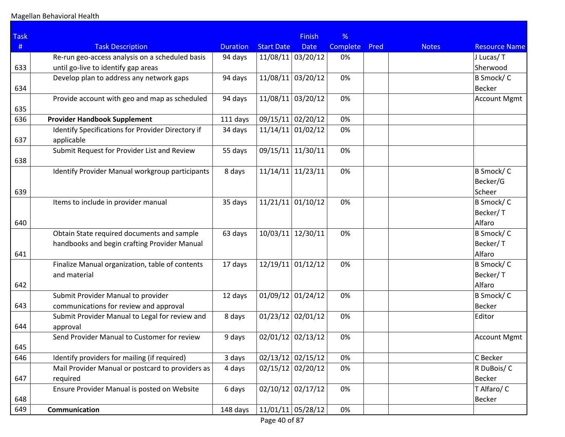| <b>Task</b> |                                                                 |                 |                     | <b>Finish</b>       | %        |      |              |                      |
|-------------|-----------------------------------------------------------------|-----------------|---------------------|---------------------|----------|------|--------------|----------------------|
| #           | <b>Task Description</b>                                         | <b>Duration</b> | <b>Start Date</b>   | <b>Date</b>         | Complete | Pred | <b>Notes</b> | <b>Resource Name</b> |
|             | Re-run geo-access analysis on a scheduled basis                 | 94 days         |                     | 11/08/11 03/20/12   | 0%       |      |              | J Lucas/T            |
| 633         | until go-live to identify gap areas                             |                 |                     |                     |          |      |              | Sherwood             |
|             | Develop plan to address any network gaps                        | 94 days         | 11/08/11            | 03/20/12            | 0%       |      |              | B Smock/C            |
| 634         |                                                                 |                 |                     |                     |          |      |              | <b>Becker</b>        |
| 635         | Provide account with geo and map as scheduled                   | 94 days         |                     | 11/08/11 03/20/12   | 0%       |      |              | <b>Account Mgmt</b>  |
| 636         | <b>Provider Handbook Supplement</b>                             | 111 days        |                     | 09/15/11 02/20/12   | 0%       |      |              |                      |
| 637         | Identify Specifications for Provider Directory if<br>applicable | 34 days         |                     | $11/14/11$ 01/02/12 | 0%       |      |              |                      |
|             | Submit Request for Provider List and Review                     | 55 days         | 09/15/11            | 11/30/11            | 0%       |      |              |                      |
| 638         |                                                                 |                 |                     |                     |          |      |              |                      |
|             | Identify Provider Manual workgroup participants                 | 8 days          |                     | $11/14/11$ 11/23/11 | 0%       |      |              | B Smock/C            |
|             |                                                                 |                 |                     |                     |          |      |              | Becker/G             |
| 639         |                                                                 |                 |                     |                     |          |      |              | Scheer               |
|             | Items to include in provider manual                             | 35 days         |                     | $11/21/11$ 01/10/12 | 0%       |      |              | B Smock/C            |
|             |                                                                 |                 |                     |                     |          |      |              | Becker/T             |
| 640         |                                                                 |                 |                     |                     |          |      |              | Alfaro               |
|             | Obtain State required documents and sample                      | 63 days         | 10/03/11            | 12/30/11            | 0%       |      |              | B Smock/C            |
|             | handbooks and begin crafting Provider Manual                    |                 |                     |                     |          |      |              | Becker/T             |
| 641         |                                                                 |                 |                     |                     |          |      |              | Alfaro               |
|             | Finalize Manual organization, table of contents                 | 17 days         |                     | 12/19/11 01/12/12   | 0%       |      |              | B Smock/C            |
|             | and material                                                    |                 |                     |                     |          |      |              | Becker/T             |
| 642         |                                                                 |                 |                     |                     |          |      |              | Alfaro               |
|             | Submit Provider Manual to provider                              | 12 days         | $01/09/12$ 01/24/12 |                     | 0%       |      |              | B Smock/C            |
| 643         | communications for review and approval                          |                 |                     |                     |          |      |              | <b>Becker</b>        |
|             | Submit Provider Manual to Legal for review and                  | 8 days          |                     | $01/23/12$ 02/01/12 | 0%       |      |              | Editor               |
| 644         | approval                                                        |                 |                     |                     |          |      |              |                      |
|             | Send Provider Manual to Customer for review                     | 9 days          |                     | 02/01/12 02/13/12   | 0%       |      |              | <b>Account Mgmt</b>  |
| 645         |                                                                 |                 |                     |                     |          |      |              |                      |
| 646         | Identify providers for mailing (if required)                    | 3 days          |                     | $02/13/12$ 02/15/12 | 0%       |      |              | C Becker             |
|             | Mail Provider Manual or postcard to providers as                | 4 days          |                     | $02/15/12$ 02/20/12 | 0%       |      |              | R DuBois/C           |
| 647         | required                                                        |                 |                     |                     |          |      |              | <b>Becker</b>        |
|             | Ensure Provider Manual is posted on Website                     | 6 days          |                     | $02/10/12$ 02/17/12 | 0%       |      |              | T Alfaro/ C          |
| 648         |                                                                 |                 |                     |                     |          |      |              | Becker               |
| 649         | Communication                                                   | 148 days        |                     | $11/01/11$ 05/28/12 | 0%       |      |              |                      |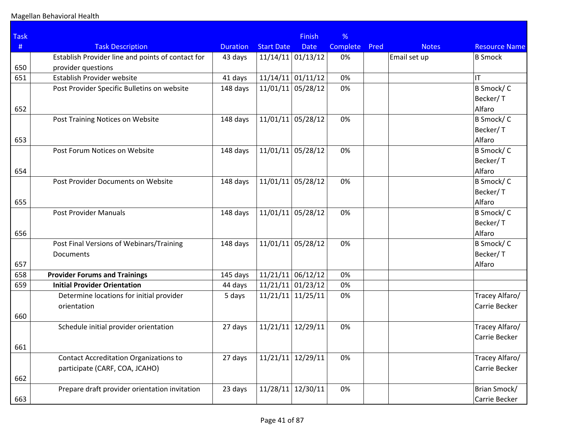| <b>Task</b> |                                                   |                 |                     | <b>Finish</b>       | %        |      |              |                      |
|-------------|---------------------------------------------------|-----------------|---------------------|---------------------|----------|------|--------------|----------------------|
| #           | <b>Task Description</b>                           | <b>Duration</b> | <b>Start Date</b>   | <b>Date</b>         | Complete | Pred | <b>Notes</b> | <b>Resource Name</b> |
|             | Establish Provider line and points of contact for | 43 days         |                     | $11/14/11$ 01/13/12 | 0%       |      | Email set up | <b>B</b> Smock       |
| 650         | provider questions                                |                 |                     |                     |          |      |              |                      |
| 651         | Establish Provider website                        | 41 days         | 11/14/11            | 01/11/12            | 0%       |      |              | IT                   |
|             | Post Provider Specific Bulletins on website       | 148 days        | 11/01/11            | 05/28/12            | 0%       |      |              | B Smock/C            |
|             |                                                   |                 |                     |                     |          |      |              | Becker/T             |
| 652         |                                                   |                 |                     |                     |          |      |              | Alfaro               |
|             | Post Training Notices on Website                  | 148 days        | 11/01/11            | 05/28/12            | 0%       |      |              | B Smock/C            |
|             |                                                   |                 |                     |                     |          |      |              | Becker/T             |
| 653         |                                                   |                 |                     |                     |          |      |              | Alfaro               |
|             | Post Forum Notices on Website                     | 148 days        | 11/01/11            | 05/28/12            | 0%       |      |              | B Smock/C            |
|             |                                                   |                 |                     |                     |          |      |              | Becker/T             |
| 654         |                                                   |                 |                     |                     |          |      |              | Alfaro               |
|             | Post Provider Documents on Website                | 148 days        | 11/01/11            | 05/28/12            | 0%       |      |              | B Smock/C            |
|             |                                                   |                 |                     |                     |          |      |              | Becker/T             |
| 655         |                                                   |                 |                     |                     |          |      |              | Alfaro               |
|             | <b>Post Provider Manuals</b>                      | 148 days        | 11/01/11            | 05/28/12            | 0%       |      |              | B Smock/C            |
|             |                                                   |                 |                     |                     |          |      |              | Becker/T             |
| 656         |                                                   |                 |                     |                     |          |      |              | Alfaro               |
|             | Post Final Versions of Webinars/Training          | 148 days        | 11/01/11            | 05/28/12            | 0%       |      |              | B Smock/C            |
|             | Documents                                         |                 |                     |                     |          |      |              | Becker/T             |
| 657         |                                                   |                 |                     |                     |          |      |              | Alfaro               |
| 658         | <b>Provider Forums and Trainings</b>              | 145 days        | 11/21/11            | 06/12/12            | 0%       |      |              |                      |
| 659         | <b>Initial Provider Orientation</b>               | 44 days         | 11/21/11            | 01/23/12            | 0%       |      |              |                      |
|             | Determine locations for initial provider          | 5 days          | $11/21/11$ 11/25/11 |                     | 0%       |      |              | Tracey Alfaro/       |
|             | orientation                                       |                 |                     |                     |          |      |              | Carrie Becker        |
| 660         |                                                   |                 |                     |                     |          |      |              |                      |
|             | Schedule initial provider orientation             | 27 days         | 11/21/11            | 12/29/11            | 0%       |      |              | Tracey Alfaro/       |
|             |                                                   |                 |                     |                     |          |      |              | Carrie Becker        |
| 661         |                                                   |                 |                     |                     |          |      |              |                      |
|             | <b>Contact Accreditation Organizations to</b>     | 27 days         | 11/21/11            | 12/29/11            | 0%       |      |              | Tracey Alfaro/       |
|             | participate (CARF, COA, JCAHO)                    |                 |                     |                     |          |      |              | Carrie Becker        |
| 662         |                                                   |                 |                     |                     |          |      |              |                      |
|             | Prepare draft provider orientation invitation     | 23 days         | 11/28/11            | 12/30/11            | 0%       |      |              | Brian Smock/         |
| 663         |                                                   |                 |                     |                     |          |      |              | Carrie Becker        |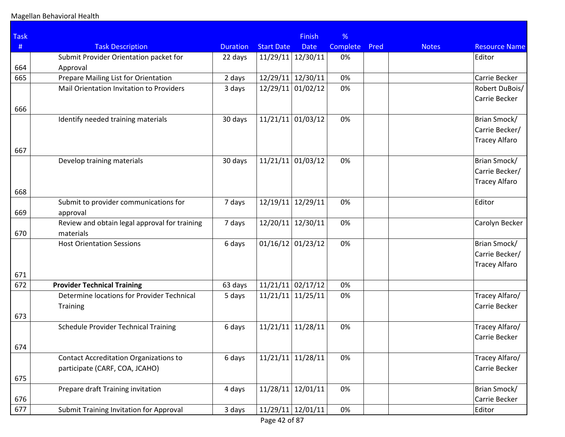| <b>Task</b> |                                                                                  |                 |                     | <b>Finish</b> | %        |      |              |                      |
|-------------|----------------------------------------------------------------------------------|-----------------|---------------------|---------------|----------|------|--------------|----------------------|
| #           | <b>Task Description</b>                                                          | <b>Duration</b> | <b>Start Date</b>   | <b>Date</b>   | Complete | Pred | <b>Notes</b> | <b>Resource Name</b> |
|             | Submit Provider Orientation packet for                                           | 22 days         | 11/29/11 12/30/11   |               | 0%       |      |              | Editor               |
| 664         | Approval                                                                         |                 |                     |               |          |      |              |                      |
| 665         | Prepare Mailing List for Orientation                                             | 2 days          | 12/29/11            | 12/30/11      | 0%       |      |              | Carrie Becker        |
|             | Mail Orientation Invitation to Providers                                         | 3 days          | 12/29/11            | 01/02/12      | 0%       |      |              | Robert DuBois/       |
|             |                                                                                  |                 |                     |               |          |      |              | Carrie Becker        |
| 666         |                                                                                  |                 |                     |               |          |      |              |                      |
|             | Identify needed training materials                                               | 30 days         | $11/21/11$ 01/03/12 |               | 0%       |      |              | Brian Smock/         |
|             |                                                                                  |                 |                     |               |          |      |              | Carrie Becker/       |
|             |                                                                                  |                 |                     |               |          |      |              | <b>Tracey Alfaro</b> |
| 667         |                                                                                  |                 |                     |               |          |      |              |                      |
|             | Develop training materials                                                       | 30 days         | 11/21/11            | 01/03/12      | 0%       |      |              | Brian Smock/         |
|             |                                                                                  |                 |                     |               |          |      |              | Carrie Becker/       |
|             |                                                                                  |                 |                     |               |          |      |              | <b>Tracey Alfaro</b> |
| 668         |                                                                                  |                 |                     |               |          |      |              |                      |
|             | Submit to provider communications for                                            | 7 days          | 12/19/11            | 12/29/11      | 0%       |      |              | Editor               |
| 669         | approval                                                                         |                 |                     |               |          |      |              |                      |
|             | Review and obtain legal approval for training                                    | 7 days          | 12/20/11            | 12/30/11      | 0%       |      |              | Carolyn Becker       |
| 670         | materials                                                                        |                 |                     |               |          |      |              |                      |
|             | <b>Host Orientation Sessions</b>                                                 | 6 days          | $01/16/12$ 01/23/12 |               | 0%       |      |              | Brian Smock/         |
|             |                                                                                  |                 |                     |               |          |      |              | Carrie Becker/       |
|             |                                                                                  |                 |                     |               |          |      |              | <b>Tracey Alfaro</b> |
| 671         |                                                                                  |                 |                     |               |          |      |              |                      |
| 672         | <b>Provider Technical Training</b><br>Determine locations for Provider Technical | 63 days         | $11/21/11$ 02/17/12 |               | 0%<br>0% |      |              | Tracey Alfaro/       |
|             |                                                                                  | 5 days          | $11/21/11$ 11/25/11 |               |          |      |              | Carrie Becker        |
| 673         | <b>Training</b>                                                                  |                 |                     |               |          |      |              |                      |
|             | Schedule Provider Technical Training                                             | 6 days          | 11/21/11            | 11/28/11      | 0%       |      |              | Tracey Alfaro/       |
|             |                                                                                  |                 |                     |               |          |      |              | Carrie Becker        |
| 674         |                                                                                  |                 |                     |               |          |      |              |                      |
|             | <b>Contact Accreditation Organizations to</b>                                    | 6 days          | 11/21/11            | 11/28/11      | 0%       |      |              | Tracey Alfaro/       |
|             | participate (CARF, COA, JCAHO)                                                   |                 |                     |               |          |      |              | Carrie Becker        |
| 675         |                                                                                  |                 |                     |               |          |      |              |                      |
|             | Prepare draft Training invitation                                                | 4 days          | 11/28/11            | 12/01/11      | 0%       |      |              | Brian Smock/         |
| 676         |                                                                                  |                 |                     |               |          |      |              | Carrie Becker        |
| 677         | Submit Training Invitation for Approval                                          | 3 days          | $11/29/11$ 12/01/11 |               | 0%       |      |              | Editor               |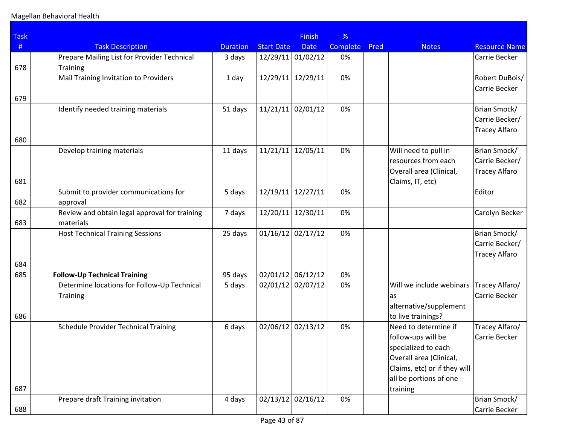| <b>Task</b> |                                                            |                 |                   | <b>Finish</b>       | %        |      |                                           |                      |
|-------------|------------------------------------------------------------|-----------------|-------------------|---------------------|----------|------|-------------------------------------------|----------------------|
| #           | <b>Task Description</b>                                    | <b>Duration</b> | <b>Start Date</b> | <b>Date</b>         | Complete | Pred | <b>Notes</b>                              | <b>Resource Name</b> |
|             | Prepare Mailing List for Provider Technical                | 3 days          |                   | 12/29/11 01/02/12   | 0%       |      |                                           | Carrie Becker        |
| 678         | <b>Training</b>                                            |                 |                   |                     |          |      |                                           |                      |
|             | Mail Training Invitation to Providers                      | 1 day           | 12/29/11          | 12/29/11            | 0%       |      |                                           | Robert DuBois/       |
|             |                                                            |                 |                   |                     |          |      |                                           | Carrie Becker        |
| 679         |                                                            |                 |                   |                     |          |      |                                           |                      |
|             | Identify needed training materials                         | 51 days         | 11/21/11          | 02/01/12            | 0%       |      |                                           | Brian Smock/         |
|             |                                                            |                 |                   |                     |          |      |                                           | Carrie Becker/       |
| 680         |                                                            |                 |                   |                     |          |      |                                           | <b>Tracey Alfaro</b> |
|             | Develop training materials                                 | 11 days         | 11/21/11          | 12/05/11            | 0%       |      | Will need to pull in                      | Brian Smock/         |
|             |                                                            |                 |                   |                     |          |      | resources from each                       | Carrie Becker/       |
|             |                                                            |                 |                   |                     |          |      | Overall area (Clinical,                   | <b>Tracey Alfaro</b> |
| 681         |                                                            |                 |                   |                     |          |      | Claims, IT, etc)                          |                      |
|             | Submit to provider communications for                      | 5 days          |                   | $12/19/11$ 12/27/11 | 0%       |      |                                           | Editor               |
| 682         | approval                                                   |                 |                   |                     |          |      |                                           |                      |
| 683         | Review and obtain legal approval for training<br>materials | 7 days          | 12/20/11          | 12/30/11            | 0%       |      |                                           | Carolyn Becker       |
|             | <b>Host Technical Training Sessions</b>                    | 25 days         | 01/16/12          | 02/17/12            | 0%       |      |                                           | Brian Smock/         |
|             |                                                            |                 |                   |                     |          |      |                                           | Carrie Becker/       |
|             |                                                            |                 |                   |                     |          |      |                                           | <b>Tracey Alfaro</b> |
| 684         |                                                            |                 |                   |                     |          |      |                                           |                      |
| 685         | <b>Follow-Up Technical Training</b>                        | 95 days         |                   | $02/01/12$ 06/12/12 | 0%       |      |                                           |                      |
|             | Determine locations for Follow-Up Technical                | 5 days          |                   | 02/01/12 02/07/12   | 0%       |      | Will we include webinars                  | Tracey Alfaro/       |
|             | Training                                                   |                 |                   |                     |          |      | as                                        | Carrie Becker        |
|             |                                                            |                 |                   |                     |          |      | alternative/supplement                    |                      |
| 686         |                                                            |                 |                   |                     |          |      | to live trainings?                        |                      |
|             | <b>Schedule Provider Technical Training</b>                | 6 days          |                   | $02/06/12$ 02/13/12 | 0%       |      | Need to determine if                      | Tracey Alfaro/       |
|             |                                                            |                 |                   |                     |          |      | follow-ups will be<br>specialized to each | Carrie Becker        |
|             |                                                            |                 |                   |                     |          |      | Overall area (Clinical,                   |                      |
|             |                                                            |                 |                   |                     |          |      | Claims, etc) or if they will              |                      |
|             |                                                            |                 |                   |                     |          |      | all be portions of one                    |                      |
| 687         |                                                            |                 |                   |                     |          |      | training                                  |                      |
|             | Prepare draft Training invitation                          | 4 days          |                   | $02/13/12$ 02/16/12 | 0%       |      |                                           | Brian Smock/         |
| 688         |                                                            |                 |                   |                     |          |      |                                           | Carrie Becker        |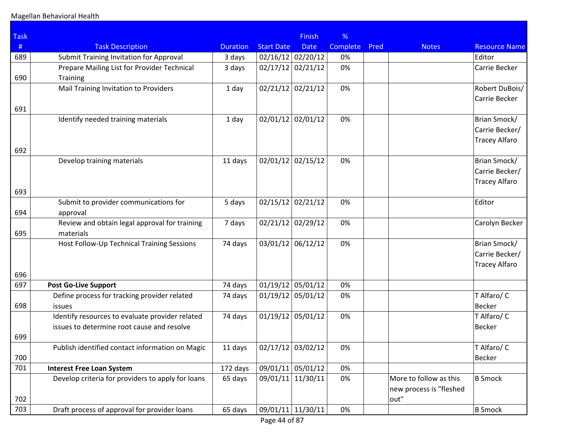| <b>Task</b> |                                                   |                 |                     | <b>Finish</b> | %               |      |                                 |                      |
|-------------|---------------------------------------------------|-----------------|---------------------|---------------|-----------------|------|---------------------------------|----------------------|
| #           | <b>Task Description</b>                           | <b>Duration</b> | <b>Start Date</b>   | <b>Date</b>   | <b>Complete</b> | Pred | <b>Notes</b>                    | <b>Resource Name</b> |
| 689         | Submit Training Invitation for Approval           | 3 days          | 02/16/12 02/20/12   |               | 0%              |      |                                 | Editor               |
|             | Prepare Mailing List for Provider Technical       | 3 days          | 02/17/12            | 02/21/12      | 0%              |      |                                 | Carrie Becker        |
| 690         | Training                                          |                 |                     |               |                 |      |                                 |                      |
|             | Mail Training Invitation to Providers             | 1 day           | $02/21/12$ 02/21/12 |               | 0%              |      |                                 | Robert DuBois/       |
|             |                                                   |                 |                     |               |                 |      |                                 | Carrie Becker        |
| 691         |                                                   |                 |                     |               |                 |      |                                 |                      |
|             | Identify needed training materials                | 1 day           | 02/01/12            | 02/01/12      | 0%              |      |                                 | Brian Smock/         |
|             |                                                   |                 |                     |               |                 |      |                                 | Carrie Becker/       |
| 692         |                                                   |                 |                     |               |                 |      |                                 | <b>Tracey Alfaro</b> |
|             | Develop training materials                        | 11 days         | $02/01/12$ 02/15/12 |               | 0%              |      |                                 | Brian Smock/         |
|             |                                                   |                 |                     |               |                 |      |                                 | Carrie Becker/       |
|             |                                                   |                 |                     |               |                 |      |                                 | <b>Tracey Alfaro</b> |
| 693         |                                                   |                 |                     |               |                 |      |                                 |                      |
|             | Submit to provider communications for             | 5 days          | 02/15/12            | 02/21/12      | 0%              |      |                                 | Editor               |
| 694         | approval                                          |                 |                     |               |                 |      |                                 |                      |
|             | Review and obtain legal approval for training     | 7 days          | 02/21/12            | 02/29/12      | 0%              |      |                                 | Carolyn Becker       |
| 695         | materials                                         |                 |                     |               |                 |      |                                 |                      |
|             | Host Follow-Up Technical Training Sessions        | 74 days         | 03/01/12            | 06/12/12      | 0%              |      |                                 | Brian Smock/         |
|             |                                                   |                 |                     |               |                 |      |                                 | Carrie Becker/       |
| 696         |                                                   |                 |                     |               |                 |      |                                 | <b>Tracey Alfaro</b> |
| 697         | <b>Post Go-Live Support</b>                       | 74 days         | $01/19/12$ 05/01/12 |               | 0%              |      |                                 |                      |
|             | Define process for tracking provider related      | 74 days         | $01/19/12$ 05/01/12 |               | 0%              |      |                                 | T Alfaro/ C          |
| 698         | issues                                            |                 |                     |               |                 |      |                                 | <b>Becker</b>        |
|             | Identify resources to evaluate provider related   | 74 days         | 01/19/12            | 05/01/12      | 0%              |      |                                 | T Alfaro/ C          |
|             | issues to determine root cause and resolve        |                 |                     |               |                 |      |                                 | <b>Becker</b>        |
| 699         |                                                   |                 |                     |               |                 |      |                                 |                      |
|             | Publish identified contact information on Magic   | 11 days         | $02/17/12$ 03/02/12 |               | 0%              |      |                                 | T Alfaro/ C          |
| 700         |                                                   |                 |                     |               |                 |      |                                 | <b>Becker</b>        |
| 701         | <b>Interest Free Loan System</b>                  | 172 days        | 09/01/11 05/01/12   |               | 0%              |      |                                 |                      |
|             | Develop criteria for providers to apply for loans | 65 days         | 09/01/11            | 11/30/11      | 0%              |      | More to follow as this          | <b>B</b> Smock       |
| 702         |                                                   |                 |                     |               |                 |      | new process is "fleshed<br>out" |                      |
| 703         | Draft process of approval for provider loans      | 65 days         | 09/01/11 11/30/11   |               | 0%              |      |                                 | <b>B</b> Smock       |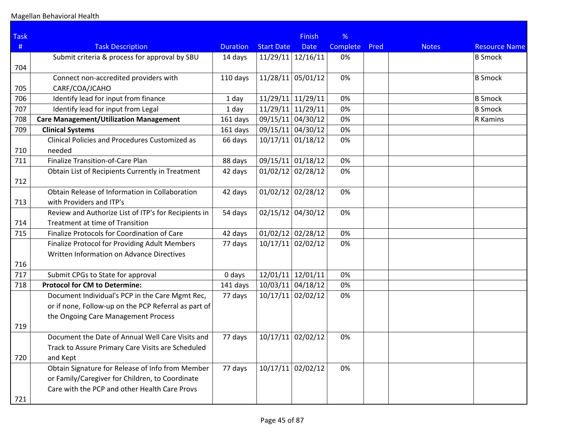| <b>Task</b> |                                                      |                 |                     | <b>Finish</b>       | %               |      |              |                      |
|-------------|------------------------------------------------------|-----------------|---------------------|---------------------|-----------------|------|--------------|----------------------|
| #           | <b>Task Description</b>                              | <b>Duration</b> | <b>Start Date</b>   | <b>Date</b>         | <b>Complete</b> | Pred | <b>Notes</b> | <b>Resource Name</b> |
|             | Submit criteria & process for approval by SBU        | 14 days         | $11/29/11$ 12/16/11 |                     | 0%              |      |              | <b>B</b> Smock       |
| 704         |                                                      |                 |                     |                     |                 |      |              |                      |
|             | Connect non-accredited providers with                | 110 days        | $11/28/11$ 05/01/12 |                     | 0%              |      |              | <b>B</b> Smock       |
| 705         | CARF/COA/JCAHO                                       |                 |                     |                     |                 |      |              |                      |
| 706         | Identify lead for input from finance                 | 1 day           | $11/29/11$ 11/29/11 |                     | 0%              |      |              | <b>B</b> Smock       |
| 707         | Identify lead for input from Legal                   | 1 day           | $11/29/11$ 11/29/11 |                     | 0%              |      |              | <b>B</b> Smock       |
| 708         | <b>Care Management/Utilization Management</b>        | 161 days        | 09/15/11 04/30/12   |                     | 0%              |      |              | R Kamins             |
| 709         | <b>Clinical Systems</b>                              | 161 days        | 09/15/11 04/30/12   |                     | 0%              |      |              |                      |
|             | Clinical Policies and Procedures Customized as       | 66 days         | $10/17/11$ 01/18/12 |                     | 0%              |      |              |                      |
| 710         | needed                                               |                 |                     |                     |                 |      |              |                      |
| 711         | Finalize Transition-of-Care Plan                     | 88 days         | 09/15/11 01/18/12   |                     | 0%              |      |              |                      |
|             | Obtain List of Recipients Currently in Treatment     | 42 days         | $01/02/12$ 02/28/12 |                     | 0%              |      |              |                      |
| 712         |                                                      |                 |                     |                     |                 |      |              |                      |
|             | Obtain Release of Information in Collaboration       | 42 days         | $01/02/12$ 02/28/12 |                     | 0%              |      |              |                      |
| 713         | with Providers and ITP's                             |                 |                     |                     |                 |      |              |                      |
|             | Review and Authorize List of ITP's for Recipients in | 54 days         | 02/15/12 04/30/12   |                     | 0%              |      |              |                      |
| 714         | Treatment at time of Transition                      |                 |                     |                     |                 |      |              |                      |
| 715         | Finalize Protocols for Coordination of Care          | 42 days         | $01/02/12$ 02/28/12 |                     | 0%              |      |              |                      |
|             | Finalize Protocol for Providing Adult Members        | 77 days         | $10/17/11$ 02/02/12 |                     | 0%              |      |              |                      |
|             | Written Information on Advance Directives            |                 |                     |                     |                 |      |              |                      |
| 716         |                                                      |                 |                     |                     |                 |      |              |                      |
| 717         | Submit CPGs to State for approval                    | 0 days          | $12/01/11$ 12/01/11 |                     | 0%              |      |              |                      |
| 718         | <b>Protocol for CM to Determine:</b>                 | 141 days        | 10/03/11 04/18/12   |                     | 0%              |      |              |                      |
|             | Document Individual's PCP in the Care Mgmt Rec,      | 77 days         | $10/17/11$ 02/02/12 |                     | 0%              |      |              |                      |
|             | or if none, Follow-up on the PCP Referral as part of |                 |                     |                     |                 |      |              |                      |
|             | the Ongoing Care Management Process                  |                 |                     |                     |                 |      |              |                      |
| 719         |                                                      |                 |                     |                     |                 |      |              |                      |
|             | Document the Date of Annual Well Care Visits and     | 77 days         | 10/17/11            | 02/02/12            | 0%              |      |              |                      |
|             | Track to Assure Primary Care Visits are Scheduled    |                 |                     |                     |                 |      |              |                      |
| 720         | and Kept                                             |                 |                     |                     |                 |      |              |                      |
|             | Obtain Signature for Release of Info from Member     | 77 days         |                     | $10/17/11$ 02/02/12 | 0%              |      |              |                      |
|             | or Family/Caregiver for Children, to Coordinate      |                 |                     |                     |                 |      |              |                      |
|             | Care with the PCP and other Health Care Provs        |                 |                     |                     |                 |      |              |                      |
| 721         |                                                      |                 |                     |                     |                 |      |              |                      |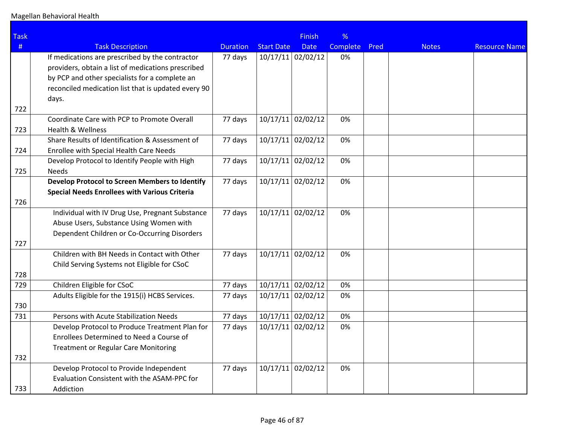| <b>Task</b> |                                                                                         |                 |                   | <b>Finish</b>       | %        |      |              |                      |
|-------------|-----------------------------------------------------------------------------------------|-----------------|-------------------|---------------------|----------|------|--------------|----------------------|
| #           | <b>Task Description</b>                                                                 | <b>Duration</b> | <b>Start Date</b> | <b>Date</b>         | Complete | Pred | <b>Notes</b> | <b>Resource Name</b> |
|             | If medications are prescribed by the contractor                                         | 77 days         |                   | $10/17/11$ 02/02/12 | 0%       |      |              |                      |
|             | providers, obtain a list of medications prescribed                                      |                 |                   |                     |          |      |              |                      |
|             | by PCP and other specialists for a complete an                                          |                 |                   |                     |          |      |              |                      |
|             | reconciled medication list that is updated every 90                                     |                 |                   |                     |          |      |              |                      |
|             | days.                                                                                   |                 |                   |                     |          |      |              |                      |
| 722         |                                                                                         |                 |                   |                     |          |      |              |                      |
|             | Coordinate Care with PCP to Promote Overall                                             | 77 days         |                   | $10/17/11$ 02/02/12 | 0%       |      |              |                      |
| 723         | <b>Health &amp; Wellness</b>                                                            |                 |                   |                     |          |      |              |                      |
|             | Share Results of Identification & Assessment of                                         | 77 days         |                   | $10/17/11$ 02/02/12 | 0%       |      |              |                      |
| 724         | Enrollee with Special Health Care Needs                                                 |                 |                   |                     |          |      |              |                      |
|             | Develop Protocol to Identify People with High                                           | 77 days         |                   | $10/17/11$ 02/02/12 | 0%       |      |              |                      |
| 725         | <b>Needs</b>                                                                            |                 |                   |                     |          |      |              |                      |
|             | Develop Protocol to Screen Members to Identify                                          | 77 days         |                   | 10/17/11 02/02/12   | 0%       |      |              |                      |
|             | <b>Special Needs Enrollees with Various Criteria</b>                                    |                 |                   |                     |          |      |              |                      |
| 726         |                                                                                         |                 |                   | $10/17/11$ 02/02/12 | 0%       |      |              |                      |
|             | Individual with IV Drug Use, Pregnant Substance                                         | 77 days         |                   |                     |          |      |              |                      |
|             | Abuse Users, Substance Using Women with<br>Dependent Children or Co-Occurring Disorders |                 |                   |                     |          |      |              |                      |
| 727         |                                                                                         |                 |                   |                     |          |      |              |                      |
|             | Children with BH Needs in Contact with Other                                            | 77 days         |                   | $10/17/11$ 02/02/12 | 0%       |      |              |                      |
|             | Child Serving Systems not Eligible for CSoC                                             |                 |                   |                     |          |      |              |                      |
| 728         |                                                                                         |                 |                   |                     |          |      |              |                      |
| 729         | Children Eligible for CSoC                                                              | 77 days         |                   | 10/17/11 02/02/12   | 0%       |      |              |                      |
|             | Adults Eligible for the 1915(i) HCBS Services.                                          | 77 days         |                   | $10/17/11$ 02/02/12 | 0%       |      |              |                      |
| 730         |                                                                                         |                 |                   |                     |          |      |              |                      |
| 731         | Persons with Acute Stabilization Needs                                                  | 77 days         |                   | $10/17/11$ 02/02/12 | 0%       |      |              |                      |
|             | Develop Protocol to Produce Treatment Plan for                                          | 77 days         |                   | $10/17/11$ 02/02/12 | 0%       |      |              |                      |
|             | Enrollees Determined to Need a Course of                                                |                 |                   |                     |          |      |              |                      |
|             | <b>Treatment or Regular Care Monitoring</b>                                             |                 |                   |                     |          |      |              |                      |
| 732         |                                                                                         |                 |                   |                     |          |      |              |                      |
|             | Develop Protocol to Provide Independent                                                 | 77 days         |                   | $10/17/11$ 02/02/12 | 0%       |      |              |                      |
|             | Evaluation Consistent with the ASAM-PPC for                                             |                 |                   |                     |          |      |              |                      |
| 733         | Addiction                                                                               |                 |                   |                     |          |      |              |                      |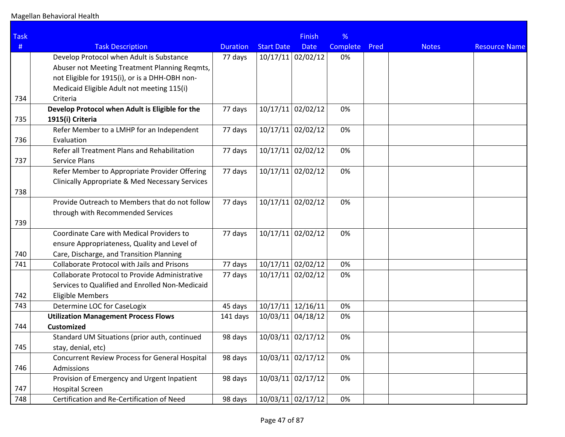| <b>Task</b> |                                                            |                 |                   | <b>Finish</b>       | %        |      |              |                      |
|-------------|------------------------------------------------------------|-----------------|-------------------|---------------------|----------|------|--------------|----------------------|
| #           | <b>Task Description</b>                                    | <b>Duration</b> | <b>Start Date</b> | <b>Date</b>         | Complete | Pred | <b>Notes</b> | <b>Resource Name</b> |
|             | Develop Protocol when Adult is Substance                   | 77 days         |                   | $10/17/11$ 02/02/12 | 0%       |      |              |                      |
|             | Abuser not Meeting Treatment Planning Reqmts,              |                 |                   |                     |          |      |              |                      |
|             | not Eligible for 1915(i), or is a DHH-OBH non-             |                 |                   |                     |          |      |              |                      |
|             | Medicaid Eligible Adult not meeting 115(i)                 |                 |                   |                     |          |      |              |                      |
| 734         | Criteria                                                   |                 |                   |                     |          |      |              |                      |
|             | Develop Protocol when Adult is Eligible for the            | 77 days         | 10/17/11          | 02/02/12            | 0%       |      |              |                      |
| 735         | 1915(i) Criteria                                           |                 |                   |                     |          |      |              |                      |
|             | Refer Member to a LMHP for an Independent                  | 77 days         |                   | $10/17/11$ 02/02/12 | 0%       |      |              |                      |
| 736         | Evaluation                                                 |                 |                   |                     |          |      |              |                      |
|             | Refer all Treatment Plans and Rehabilitation               | 77 days         |                   | $10/17/11$ 02/02/12 | 0%       |      |              |                      |
| 737         | Service Plans                                              |                 |                   |                     |          |      |              |                      |
|             | Refer Member to Appropriate Provider Offering              | 77 days         |                   | $10/17/11$ 02/02/12 | 0%       |      |              |                      |
|             | <b>Clinically Appropriate &amp; Med Necessary Services</b> |                 |                   |                     |          |      |              |                      |
| 738         |                                                            |                 |                   |                     |          |      |              |                      |
|             | Provide Outreach to Members that do not follow             | 77 days         |                   | $10/17/11$ 02/02/12 | 0%       |      |              |                      |
|             | through with Recommended Services                          |                 |                   |                     |          |      |              |                      |
| 739         |                                                            |                 |                   |                     |          |      |              |                      |
|             | Coordinate Care with Medical Providers to                  | 77 days         | 10/17/11          | 02/02/12            | 0%       |      |              |                      |
|             | ensure Appropriateness, Quality and Level of               |                 |                   |                     |          |      |              |                      |
| 740         | Care, Discharge, and Transition Planning                   |                 |                   |                     |          |      |              |                      |
| 741         | <b>Collaborate Protocol with Jails and Prisons</b>         | 77 days         |                   | $10/17/11$ 02/02/12 | 0%       |      |              |                      |
|             | Collaborate Protocol to Provide Administrative             | 77 days         | 10/17/11          | 02/02/12            | 0%       |      |              |                      |
|             | Services to Qualified and Enrolled Non-Medicaid            |                 |                   |                     |          |      |              |                      |
| 742         | <b>Eligible Members</b>                                    |                 |                   |                     |          |      |              |                      |
| 743         | Determine LOC for CaseLogix                                | 45 days         |                   | $10/17/11$ 12/16/11 | 0%       |      |              |                      |
|             | <b>Utilization Management Process Flows</b>                | 141 days        |                   | 10/03/11 04/18/12   | 0%       |      |              |                      |
| 744         | <b>Customized</b>                                          |                 |                   |                     |          |      |              |                      |
|             | Standard UM Situations (prior auth, continued              | 98 days         |                   | $10/03/11$ 02/17/12 | 0%       |      |              |                      |
| 745         | stay, denial, etc)                                         |                 |                   |                     |          |      |              |                      |
|             | Concurrent Review Process for General Hospital             | 98 days         |                   | $10/03/11$ 02/17/12 | 0%       |      |              |                      |
| 746         | Admissions                                                 |                 |                   |                     |          |      |              |                      |
|             | Provision of Emergency and Urgent Inpatient                | 98 days         |                   | 10/03/11 02/17/12   | 0%       |      |              |                      |
| 747         | <b>Hospital Screen</b>                                     |                 |                   |                     |          |      |              |                      |
| 748         | Certification and Re-Certification of Need                 | 98 days         |                   | 10/03/11 02/17/12   | 0%       |      |              |                      |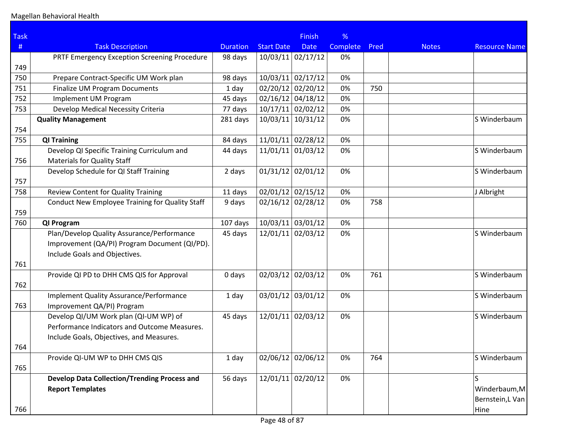| <b>Task</b> |                                                     |                 |                     | <b>Finish</b> | %        |      |              |                      |
|-------------|-----------------------------------------------------|-----------------|---------------------|---------------|----------|------|--------------|----------------------|
| #           | <b>Task Description</b>                             | <b>Duration</b> | <b>Start Date</b>   | <b>Date</b>   | Complete | Pred | <b>Notes</b> | <b>Resource Name</b> |
|             | PRTF Emergency Exception Screening Procedure        | 98 days         | $10/03/11$ 02/17/12 |               | 0%       |      |              |                      |
| 749         |                                                     |                 |                     |               |          |      |              |                      |
| 750         | Prepare Contract-Specific UM Work plan              | 98 days         | $10/03/11$ 02/17/12 |               | 0%       |      |              |                      |
| 751         | <b>Finalize UM Program Documents</b>                | 1 day           | 02/20/12 02/20/12   |               | 0%       | 750  |              |                      |
| 752         | Implement UM Program                                | 45 days         | $02/16/12$ 04/18/12 |               | 0%       |      |              |                      |
| 753         | Develop Medical Necessity Criteria                  | 77 days         | $10/17/11$ 02/02/12 |               | 0%       |      |              |                      |
|             | <b>Quality Management</b>                           | 281 days        | 10/03/11            | 10/31/12      | 0%       |      |              | S Winderbaum         |
| 754         |                                                     |                 |                     |               |          |      |              |                      |
| 755         | <b>QI Training</b>                                  | 84 days         | $11/01/11$ 02/28/12 |               | 0%       |      |              |                      |
|             | Develop QI Specific Training Curriculum and         | 44 days         | $11/01/11$ 01/03/12 |               | 0%       |      |              | S Winderbaum         |
| 756         | <b>Materials for Quality Staff</b>                  |                 |                     |               |          |      |              |                      |
|             | Develop Schedule for QI Staff Training              | 2 days          | $01/31/12$ 02/01/12 |               | 0%       |      |              | S Winderbaum         |
| 757         |                                                     |                 |                     |               |          |      |              |                      |
| 758         | <b>Review Content for Quality Training</b>          | 11 days         | $02/01/12$ 02/15/12 |               | 0%       |      |              | J Albright           |
|             | Conduct New Employee Training for Quality Staff     | 9 days          | 02/16/12 02/28/12   |               | 0%       | 758  |              |                      |
| 759         |                                                     |                 |                     |               |          |      |              |                      |
| 760         | QI Program                                          | 107 days        | 10/03/11 03/01/12   |               | 0%       |      |              |                      |
|             | Plan/Develop Quality Assurance/Performance          | 45 days         | 12/01/11            | 02/03/12      | 0%       |      |              | S Winderbaum         |
|             | Improvement (QA/PI) Program Document (QI/PD).       |                 |                     |               |          |      |              |                      |
|             | Include Goals and Objectives.                       |                 |                     |               |          |      |              |                      |
| 761         |                                                     |                 |                     |               |          |      |              |                      |
|             | Provide QI PD to DHH CMS QIS for Approval           | 0 days          | 02/03/12 02/03/12   |               | 0%       | 761  |              | S Winderbaum         |
| 762         |                                                     |                 |                     |               |          |      |              |                      |
|             | <b>Implement Quality Assurance/Performance</b>      | 1 day           | 03/01/12 03/01/12   |               | 0%       |      |              | S Winderbaum         |
| 763         | Improvement QA/PI) Program                          |                 |                     |               |          |      |              |                      |
|             | Develop QI/UM Work plan (QI-UM WP) of               | 45 days         | 12/01/11 02/03/12   |               | 0%       |      |              | S Winderbaum         |
|             | Performance Indicators and Outcome Measures.        |                 |                     |               |          |      |              |                      |
|             | Include Goals, Objectives, and Measures.            |                 |                     |               |          |      |              |                      |
| 764         |                                                     |                 |                     |               |          |      |              |                      |
|             | Provide QI-UM WP to DHH CMS QIS                     | 1 day           | $02/06/12$ 02/06/12 |               | 0%       | 764  |              | S Winderbaum         |
| 765         |                                                     |                 |                     |               |          |      |              |                      |
|             | <b>Develop Data Collection/Trending Process and</b> | 56 days         | 12/01/11 02/20/12   |               | 0%       |      |              |                      |
|             | <b>Report Templates</b>                             |                 |                     |               |          |      |              | Winderbaum, M        |
|             |                                                     |                 |                     |               |          |      |              | Bernstein, L Van     |
| 766         |                                                     |                 |                     |               |          |      |              | Hine                 |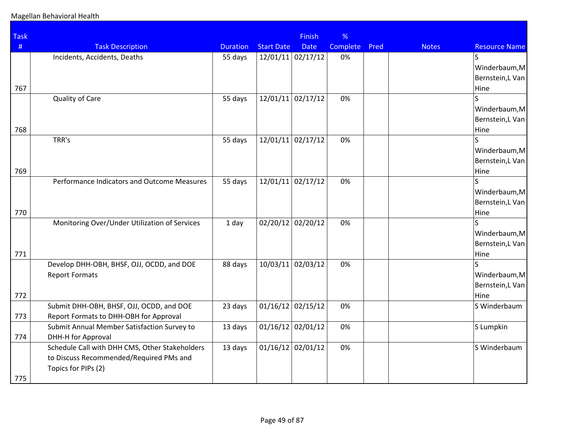## Magellan Behavioral Health

| <b>Task</b> |                                                |                 |                   | <b>Finish</b>       | %        |      |              |                          |
|-------------|------------------------------------------------|-----------------|-------------------|---------------------|----------|------|--------------|--------------------------|
| $\#$        | <b>Task Description</b>                        | <b>Duration</b> | <b>Start Date</b> | <b>Date</b>         | Complete | Pred | <b>Notes</b> | <b>Resource Name</b>     |
|             | Incidents, Accidents, Deaths                   | 55 days         |                   | $12/01/11$ 02/17/12 | 0%       |      |              | $\overline{S}$           |
|             |                                                |                 |                   |                     |          |      |              | Winderbaum, M            |
|             |                                                |                 |                   |                     |          |      |              | Bernstein, L Van         |
| 767         |                                                |                 |                   |                     |          |      |              | Hine                     |
|             | <b>Quality of Care</b>                         | 55 days         |                   | $12/01/11$ 02/17/12 | 0%       |      |              |                          |
|             |                                                |                 |                   |                     |          |      |              | Winderbaum, M            |
|             |                                                |                 |                   |                     |          |      |              | Bernstein, L Van         |
| 768         | TRR's                                          | 55 days         |                   | $12/01/11$ 02/17/12 | 0%       |      |              | Hine                     |
|             |                                                |                 |                   |                     |          |      |              | Winderbaum, M            |
|             |                                                |                 |                   |                     |          |      |              | Bernstein, L Van         |
| 769         |                                                |                 |                   |                     |          |      |              | Hine                     |
|             | Performance Indicators and Outcome Measures    | 55 days         |                   | $12/01/11$ 02/17/12 | 0%       |      |              |                          |
|             |                                                |                 |                   |                     |          |      |              | Winderbaum, M            |
|             |                                                |                 |                   |                     |          |      |              | Bernstein, L Van         |
| 770         |                                                |                 |                   |                     |          |      |              | Hine                     |
|             | Monitoring Over/Under Utilization of Services  | 1 day           |                   | 02/20/12 02/20/12   | 0%       |      |              |                          |
|             |                                                |                 |                   |                     |          |      |              | Winderbaum, M            |
|             |                                                |                 |                   |                     |          |      |              | Bernstein, L Van         |
| 771         |                                                |                 |                   |                     |          |      |              | Hine                     |
|             | Develop DHH-OBH, BHSF, OJJ, OCDD, and DOE      | 88 days         | 10/03/11          | 02/03/12            | 0%       |      |              |                          |
|             | <b>Report Formats</b>                          |                 |                   |                     |          |      |              | Winderbaum, M            |
| 772         |                                                |                 |                   |                     |          |      |              | Bernstein, L Van<br>Hine |
|             | Submit DHH-OBH, BHSF, OJJ, OCDD, and DOE       | 23 days         |                   | $01/16/12$ 02/15/12 | 0%       |      |              | S Winderbaum             |
| 773         | Report Formats to DHH-OBH for Approval         |                 |                   |                     |          |      |              |                          |
|             | Submit Annual Member Satisfaction Survey to    | 13 days         |                   | $01/16/12$ 02/01/12 | 0%       |      |              | S Lumpkin                |
| 774         | DHH-H for Approval                             |                 |                   |                     |          |      |              |                          |
|             | Schedule Call with DHH CMS, Other Stakeholders | 13 days         |                   | $01/16/12$ 02/01/12 | 0%       |      |              | S Winderbaum             |
|             | to Discuss Recommended/Required PMs and        |                 |                   |                     |          |      |              |                          |
|             | Topics for PIPs (2)                            |                 |                   |                     |          |      |              |                          |
| 775         |                                                |                 |                   |                     |          |      |              |                          |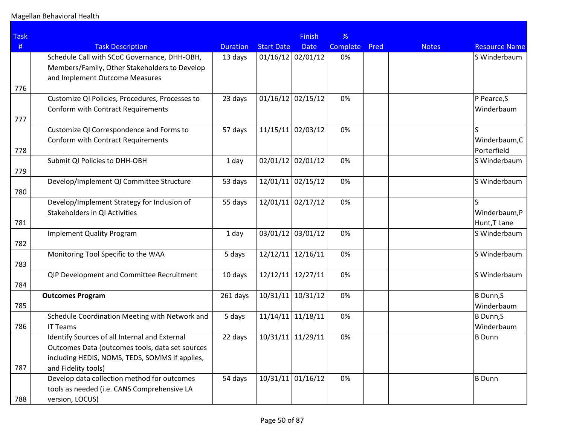| <b>Task</b> |                                                 |                 |                     | <b>Finish</b>       | %        |      |              |                              |
|-------------|-------------------------------------------------|-----------------|---------------------|---------------------|----------|------|--------------|------------------------------|
| #           | <b>Task Description</b>                         | <b>Duration</b> | <b>Start Date</b>   | <b>Date</b>         | Complete | Pred | <b>Notes</b> | <b>Resource Name</b>         |
|             | Schedule Call with SCoC Governance, DHH-OBH,    | 13 days         | $01/16/12$ 02/01/12 |                     | 0%       |      |              | S Winderbaum                 |
|             | Members/Family, Other Stakeholders to Develop   |                 |                     |                     |          |      |              |                              |
|             | and Implement Outcome Measures                  |                 |                     |                     |          |      |              |                              |
| 776         |                                                 |                 |                     |                     |          |      |              |                              |
|             | Customize QI Policies, Procedures, Processes to | 23 days         | 01/16/12            | 02/15/12            | 0%       |      |              | P Pearce, S                  |
|             | Conform with Contract Requirements              |                 |                     |                     |          |      |              | Winderbaum                   |
| 777         |                                                 |                 |                     |                     |          |      |              |                              |
|             | Customize QI Correspondence and Forms to        | 57 days         | 11/15/11            | 02/03/12            | 0%       |      |              | S                            |
|             | Conform with Contract Requirements              |                 |                     |                     |          |      |              | Winderbaum, C<br>Porterfield |
| 778         | Submit QI Policies to DHH-OBH                   | 1 day           | 02/01/12            | 02/01/12            | 0%       |      |              | S Winderbaum                 |
| 779         |                                                 |                 |                     |                     |          |      |              |                              |
|             | Develop/Implement QI Committee Structure        | 53 days         | 12/01/11            | 02/15/12            | 0%       |      |              | S Winderbaum                 |
| 780         |                                                 |                 |                     |                     |          |      |              |                              |
|             | Develop/Implement Strategy for Inclusion of     | 55 days         | 12/01/11 02/17/12   |                     | 0%       |      |              |                              |
|             | Stakeholders in QI Activities                   |                 |                     |                     |          |      |              | Winderbaum,P                 |
| 781         |                                                 |                 |                     |                     |          |      |              | Hunt, T Lane                 |
|             | <b>Implement Quality Program</b>                | 1 day           | 03/01/12            | 03/01/12            | 0%       |      |              | S Winderbaum                 |
| 782         |                                                 |                 |                     |                     |          |      |              |                              |
|             | Monitoring Tool Specific to the WAA             | 5 days          | 12/12/11            | 12/16/11            | 0%       |      |              | S Winderbaum                 |
| 783         |                                                 |                 |                     |                     |          |      |              |                              |
|             | QIP Development and Committee Recruitment       | 10 days         | 12/12/11            | 12/27/11            | 0%       |      |              | S Winderbaum                 |
| 784         |                                                 |                 |                     |                     |          |      |              |                              |
|             | <b>Outcomes Program</b>                         | 261 days        | 10/31/11            | 10/31/12            | 0%       |      |              | B Dunn,S                     |
| 785         | Schedule Coordination Meeting with Network and  | 5 days          | 11/14/11            | 11/18/11            | 0%       |      |              | Winderbaum<br>B Dunn,S       |
| 786         | <b>IT Teams</b>                                 |                 |                     |                     |          |      |              | Winderbaum                   |
|             | Identify Sources of all Internal and External   | 22 days         | $10/31/11$ 11/29/11 |                     | 0%       |      |              | B Dunn                       |
|             | Outcomes Data (outcomes tools, data set sources |                 |                     |                     |          |      |              |                              |
|             | including HEDIS, NOMS, TEDS, SOMMS if applies,  |                 |                     |                     |          |      |              |                              |
| 787         | and Fidelity tools)                             |                 |                     |                     |          |      |              |                              |
|             | Develop data collection method for outcomes     | 54 days         |                     | $10/31/11$ 01/16/12 | 0%       |      |              | B Dunn                       |
|             | tools as needed (i.e. CANS Comprehensive LA     |                 |                     |                     |          |      |              |                              |
| 788         | version, LOCUS)                                 |                 |                     |                     |          |      |              |                              |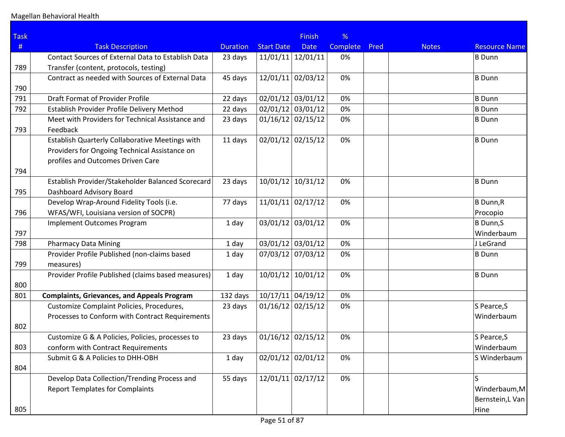| <b>Task</b> |                                                    |                 |                     | <b>Finish</b> | %        |      |              |                      |
|-------------|----------------------------------------------------|-----------------|---------------------|---------------|----------|------|--------------|----------------------|
| #           | <b>Task Description</b>                            | <b>Duration</b> | <b>Start Date</b>   | <b>Date</b>   | Complete | Pred | <b>Notes</b> | <b>Resource Name</b> |
|             | Contact Sources of External Data to Establish Data | 23 days         | 11/01/11            | 12/01/11      | 0%       |      |              | <b>B</b> Dunn        |
| 789         | Transfer (content, protocols, testing)             |                 |                     |               |          |      |              |                      |
|             | Contract as needed with Sources of External Data   | 45 days         | 12/01/11 02/03/12   |               | 0%       |      |              | <b>B</b> Dunn        |
| 790         |                                                    |                 |                     |               |          |      |              |                      |
| 791         | Draft Format of Provider Profile                   | 22 days         | 02/01/12 03/01/12   |               | 0%       |      |              | <b>B</b> Dunn        |
| 792         | Establish Provider Profile Delivery Method         | 22 days         | 02/01/12 03/01/12   |               | 0%       |      |              | <b>B</b> Dunn        |
|             | Meet with Providers for Technical Assistance and   | 23 days         | $01/16/12$ 02/15/12 |               | 0%       |      |              | <b>B</b> Dunn        |
| 793         | Feedback                                           |                 |                     |               |          |      |              |                      |
|             | Establish Quarterly Collaborative Meetings with    | 11 days         | 02/01/12            | 02/15/12      | 0%       |      |              | <b>B</b> Dunn        |
|             | Providers for Ongoing Technical Assistance on      |                 |                     |               |          |      |              |                      |
|             | profiles and Outcomes Driven Care                  |                 |                     |               |          |      |              |                      |
| 794         |                                                    |                 |                     |               |          |      |              |                      |
|             | Establish Provider/Stakeholder Balanced Scorecard  | 23 days         | 10/01/12            | 10/31/12      | 0%       |      |              | <b>B</b> Dunn        |
| 795         | Dashboard Advisory Board                           |                 |                     |               |          |      |              |                      |
|             | Develop Wrap-Around Fidelity Tools (i.e.           | 77 days         | $11/01/11$ 02/17/12 |               | 0%       |      |              | <b>B</b> Dunn, R     |
| 796         | WFAS/WFI, Louisiana version of SOCPR)              |                 |                     |               |          |      |              | Procopio             |
|             | <b>Implement Outcomes Program</b>                  | 1 day           | 03/01/12 03/01/12   |               | 0%       |      |              | <b>B</b> Dunn, S     |
| 797         |                                                    |                 |                     |               |          |      |              | Winderbaum           |
| 798         | <b>Pharmacy Data Mining</b>                        | 1 day           | 03/01/12 03/01/12   |               | 0%       |      |              | J LeGrand            |
|             | Provider Profile Published (non-claims based       | 1 day           | 07/03/12 07/03/12   |               | 0%       |      |              | <b>B</b> Dunn        |
| 799         | measures)                                          |                 |                     |               |          |      |              |                      |
|             | Provider Profile Published (claims based measures) | 1 day           | 10/01/12            | 10/01/12      | 0%       |      |              | <b>B</b> Dunn        |
| 800         |                                                    |                 |                     |               |          |      |              |                      |
| 801         | <b>Complaints, Grievances, and Appeals Program</b> | 132 days        | $10/17/11$ 04/19/12 |               | 0%       |      |              |                      |
|             | Customize Complaint Policies, Procedures,          | 23 days         | $01/16/12$ 02/15/12 |               | 0%       |      |              | S Pearce, S          |
|             | Processes to Conform with Contract Requirements    |                 |                     |               |          |      |              | Winderbaum           |
| 802         |                                                    |                 |                     |               |          |      |              |                      |
|             | Customize G & A Policies, Policies, processes to   | 23 days         | 01/16/12            | 02/15/12      | 0%       |      |              | S Pearce, S          |
| 803         | conform with Contract Requirements                 |                 |                     |               |          |      |              | Winderbaum           |
|             | Submit G & A Policies to DHH-OBH                   | 1 day           | 02/01/12 02/01/12   |               | 0%       |      |              | S Winderbaum         |
| 804         |                                                    |                 |                     |               |          |      |              |                      |
|             | Develop Data Collection/Trending Process and       | 55 days         | $12/01/11$ 02/17/12 |               | 0%       |      |              | S                    |
|             | <b>Report Templates for Complaints</b>             |                 |                     |               |          |      |              | Winderbaum, M        |
|             |                                                    |                 |                     |               |          |      |              | Bernstein, L Van     |
| 805         |                                                    |                 |                     |               |          |      |              | Hine                 |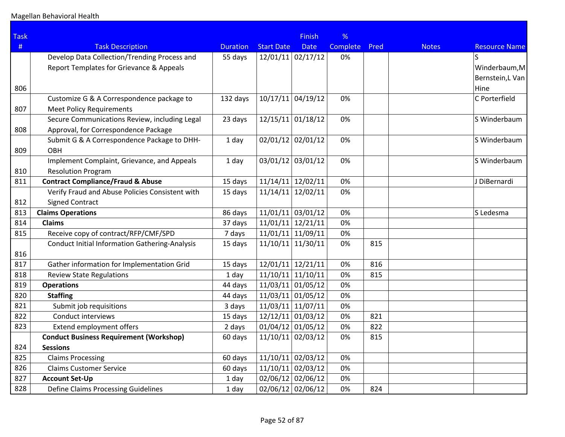| <b>Task</b> |                                                       |                 |                     | <b>Finish</b> | %        |      |              |                      |
|-------------|-------------------------------------------------------|-----------------|---------------------|---------------|----------|------|--------------|----------------------|
| #           | <b>Task Description</b>                               | <b>Duration</b> | <b>Start Date</b>   | <b>Date</b>   | Complete | Pred | <b>Notes</b> | <b>Resource Name</b> |
|             | Develop Data Collection/Trending Process and          | 55 days         | $12/01/11$ 02/17/12 |               | 0%       |      |              | ls                   |
|             | Report Templates for Grievance & Appeals              |                 |                     |               |          |      |              | Winderbaum, M        |
|             |                                                       |                 |                     |               |          |      |              | Bernstein,L Van      |
| 806         |                                                       |                 |                     |               |          |      |              | Hine                 |
|             | Customize G & A Correspondence package to             | 132 days        | $10/17/11$ 04/19/12 |               | 0%       |      |              | C Porterfield        |
| 807         | <b>Meet Policy Requirements</b>                       |                 |                     |               |          |      |              |                      |
|             | Secure Communications Review, including Legal         | 23 days         | $12/15/11$ 01/18/12 |               | 0%       |      |              | S Winderbaum         |
| 808         | Approval, for Correspondence Package                  |                 |                     |               |          |      |              |                      |
|             | Submit G & A Correspondence Package to DHH-           | 1 day           | 02/01/12 02/01/12   |               | 0%       |      |              | S Winderbaum         |
| 809         | <b>OBH</b>                                            |                 |                     |               |          |      |              |                      |
|             | Implement Complaint, Grievance, and Appeals           | 1 day           | 03/01/12 03/01/12   |               | 0%       |      |              | S Winderbaum         |
| 810         | <b>Resolution Program</b>                             |                 |                     |               |          |      |              |                      |
| 811         | <b>Contract Compliance/Fraud &amp; Abuse</b>          | 15 days         | $11/14/11$ 12/02/11 |               | 0%       |      |              | J DiBernardi         |
|             | Verify Fraud and Abuse Policies Consistent with       | 15 days         | $11/14/11$ 12/02/11 |               | 0%       |      |              |                      |
| 812         | <b>Signed Contract</b>                                |                 |                     |               |          |      |              |                      |
| 813         | <b>Claims Operations</b>                              | 86 days         | $11/01/11$ 03/01/12 |               | 0%       |      |              | S Ledesma            |
| 814         | <b>Claims</b>                                         | 37 days         | $11/01/11$ 12/21/11 |               | 0%       |      |              |                      |
| 815         | Receive copy of contract/RFP/CMF/SPD                  | 7 days          | $11/01/11$ 11/09/11 |               | 0%       |      |              |                      |
|             | <b>Conduct Initial Information Gathering-Analysis</b> | 15 days         | $11/10/11$ 11/30/11 |               | 0%       | 815  |              |                      |
| 816         |                                                       |                 |                     |               |          |      |              |                      |
| 817         | Gather information for Implementation Grid            | 15 days         | 12/01/11 12/21/11   |               | 0%       | 816  |              |                      |
| 818         | <b>Review State Regulations</b>                       | 1 day           | $11/10/11$ 11/10/11 |               | 0%       | 815  |              |                      |
| 819         | <b>Operations</b>                                     | 44 days         | $11/03/11$ 01/05/12 |               | 0%       |      |              |                      |
| 820         | <b>Staffing</b>                                       | 44 days         | $11/03/11$ 01/05/12 |               | 0%       |      |              |                      |
| 821         | Submit job requisitions                               | 3 days          | $11/03/11$ 11/07/11 |               | 0%       |      |              |                      |
| 822         | Conduct interviews                                    | 15 days         | $12/12/11$ 01/03/12 |               | 0%       | 821  |              |                      |
| 823         | Extend employment offers                              | 2 days          | $01/04/12$ 01/05/12 |               | 0%       | 822  |              |                      |
|             | <b>Conduct Business Requirement (Workshop)</b>        | 60 days         | 11/10/11 02/03/12   |               | 0%       | 815  |              |                      |
| 824         | <b>Sessions</b>                                       |                 |                     |               |          |      |              |                      |
| 825         | <b>Claims Processing</b>                              | 60 days         | $11/10/11$ 02/03/12 |               | 0%       |      |              |                      |
| 826         | <b>Claims Customer Service</b>                        | 60 days         | $11/10/11$ 02/03/12 |               | 0%       |      |              |                      |
| 827         | <b>Account Set-Up</b>                                 | 1 day           | 02/06/12 02/06/12   |               | 0%       |      |              |                      |
| 828         | <b>Define Claims Processing Guidelines</b>            | 1 day           | 02/06/12 02/06/12   |               | 0%       | 824  |              |                      |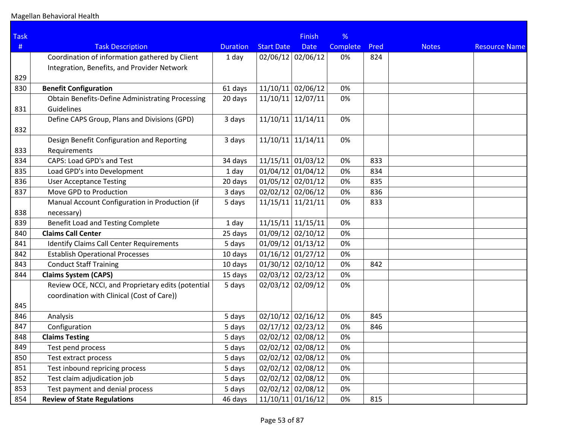| <b>Task</b> |                                                         |                 |                     | <b>Finish</b> | %               |      |              |                      |
|-------------|---------------------------------------------------------|-----------------|---------------------|---------------|-----------------|------|--------------|----------------------|
| #           | <b>Task Description</b>                                 | <b>Duration</b> | <b>Start Date</b>   | <b>Date</b>   | <b>Complete</b> | Pred | <b>Notes</b> | <b>Resource Name</b> |
|             | Coordination of information gathered by Client          | 1 day           | 02/06/12 02/06/12   |               | 0%              | 824  |              |                      |
|             | Integration, Benefits, and Provider Network             |                 |                     |               |                 |      |              |                      |
| 829         |                                                         |                 |                     |               |                 |      |              |                      |
| 830         | <b>Benefit Configuration</b>                            | 61 days         | $11/10/11$ 02/06/12 |               | 0%              |      |              |                      |
|             | <b>Obtain Benefits-Define Administrating Processing</b> | 20 days         | $11/10/11$ 12/07/11 |               | 0%              |      |              |                      |
| 831         | <b>Guidelines</b>                                       |                 |                     |               |                 |      |              |                      |
|             | Define CAPS Group, Plans and Divisions (GPD)            | 3 days          | $11/10/11$ 11/14/11 |               | 0%              |      |              |                      |
| 832         |                                                         |                 |                     |               |                 |      |              |                      |
|             | Design Benefit Configuration and Reporting              | 3 days          | $11/10/11$ 11/14/11 |               | 0%              |      |              |                      |
| 833         | Requirements                                            |                 |                     |               |                 |      |              |                      |
| 834         | CAPS: Load GPD's and Test                               | 34 days         | $11/15/11$ 01/03/12 |               | 0%              | 833  |              |                      |
| 835         | Load GPD's into Development                             | 1 day           | $01/04/12$ 01/04/12 |               | 0%              | 834  |              |                      |
| 836         | <b>User Acceptance Testing</b>                          | 20 days         | $01/05/12$ 02/01/12 |               | 0%              | 835  |              |                      |
| 837         | Move GPD to Production                                  | 3 days          | 02/02/12 02/06/12   |               | 0%              | 836  |              |                      |
|             | Manual Account Configuration in Production (if          | 5 days          | $11/15/11$ 11/21/11 |               | 0%              | 833  |              |                      |
| 838         | necessary)                                              |                 |                     |               |                 |      |              |                      |
| 839         | Benefit Load and Testing Complete                       | 1 day           | $11/15/11$ 11/15/11 |               | 0%              |      |              |                      |
| 840         | <b>Claims Call Center</b>                               | 25 days         | $01/09/12$ 02/10/12 |               | 0%              |      |              |                      |
| 841         | <b>Identify Claims Call Center Requirements</b>         | 5 days          | $01/09/12$ 01/13/12 |               | 0%              |      |              |                      |
| 842         | <b>Establish Operational Processes</b>                  | 10 days         | $01/16/12$ 01/27/12 |               | 0%              |      |              |                      |
| 843         | <b>Conduct Staff Training</b>                           | 10 days         | $01/30/12$ 02/10/12 |               | 0%              | 842  |              |                      |
| 844         | <b>Claims System (CAPS)</b>                             | 15 days         | 02/03/12 02/23/12   |               | 0%              |      |              |                      |
|             | Review OCE, NCCI, and Proprietary edits (potential      | 5 days          | 02/03/12 02/09/12   |               | 0%              |      |              |                      |
|             | coordination with Clinical (Cost of Care))              |                 |                     |               |                 |      |              |                      |
| 845         |                                                         |                 |                     |               |                 |      |              |                      |
| 846         | Analysis                                                | 5 days          | $02/10/12$ 02/16/12 |               | 0%              | 845  |              |                      |
| 847         | Configuration                                           | 5 days          | $02/17/12$ 02/23/12 |               | 0%              | 846  |              |                      |
| 848         | <b>Claims Testing</b>                                   | 5 days          | 02/02/12 02/08/12   |               | 0%              |      |              |                      |
| 849         | Test pend process                                       | 5 days          | 02/02/12 02/08/12   |               | 0%              |      |              |                      |
| 850         | Test extract process                                    | 5 days          | $02/02/12$ 02/08/12 |               | 0%              |      |              |                      |
| 851         | Test inbound repricing process                          | 5 days          | 02/02/12 02/08/12   |               | 0%              |      |              |                      |
| 852         | Test claim adjudication job                             | 5 days          | $02/02/12$ 02/08/12 |               | 0%              |      |              |                      |
| 853         | Test payment and denial process                         | 5 days          | $02/02/12$ 02/08/12 |               | 0%              |      |              |                      |
| 854         | <b>Review of State Regulations</b>                      | 46 days         | $11/10/11$ 01/16/12 |               | 0%              | 815  |              |                      |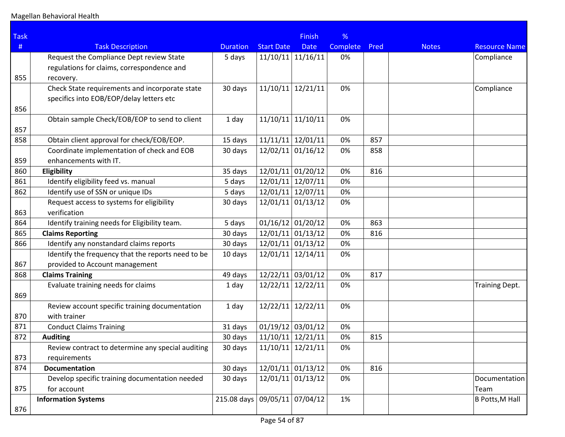| <b>Task</b> |                                                    |                               |                     | <b>Finish</b>       | %               |      |              |                        |
|-------------|----------------------------------------------------|-------------------------------|---------------------|---------------------|-----------------|------|--------------|------------------------|
| #           | <b>Task Description</b>                            | <b>Duration</b>               | <b>Start Date</b>   | <b>Date</b>         | <b>Complete</b> | Pred | <b>Notes</b> | <b>Resource Name</b>   |
|             | Request the Compliance Dept review State           | 5 days                        | $11/10/11$ 11/16/11 |                     | 0%              |      |              | Compliance             |
|             | regulations for claims, correspondence and         |                               |                     |                     |                 |      |              |                        |
| 855         | recovery.                                          |                               |                     |                     |                 |      |              |                        |
|             | Check State requirements and incorporate state     | 30 days                       | 11/10/11            | 12/21/11            | 0%              |      |              | Compliance             |
|             | specifics into EOB/EOP/delay letters etc           |                               |                     |                     |                 |      |              |                        |
| 856         |                                                    |                               |                     |                     |                 |      |              |                        |
|             | Obtain sample Check/EOB/EOP to send to client      | 1 day                         | $11/10/11$ 11/10/11 |                     | 0%              |      |              |                        |
| 857         |                                                    |                               |                     |                     |                 |      |              |                        |
| 858         | Obtain client approval for check/EOB/EOP.          | 15 days                       | $11/11/11$ 12/01/11 |                     | 0%              | 857  |              |                        |
|             | Coordinate implementation of check and EOB         | 30 days                       | $12/02/11$ 01/16/12 |                     | 0%              | 858  |              |                        |
| 859         | enhancements with IT.                              |                               |                     |                     |                 |      |              |                        |
| 860         | Eligibility                                        | 35 days                       | $12/01/11$ 01/20/12 |                     | 0%              | 816  |              |                        |
| 861         | Identify eligibility feed vs. manual               | 5 days                        | 12/01/11 12/07/11   |                     | 0%              |      |              |                        |
| 862         | Identify use of SSN or unique IDs                  | 5 days                        | 12/01/11 12/07/11   |                     | 0%              |      |              |                        |
|             | Request access to systems for eligibility          | 30 days                       | $12/01/11$ 01/13/12 |                     | 0%              |      |              |                        |
| 863         | verification                                       |                               |                     |                     |                 |      |              |                        |
| 864         | Identify training needs for Eligibility team.      | 5 days                        | $01/16/12$ 01/20/12 |                     | 0%              | 863  |              |                        |
| 865         | <b>Claims Reporting</b>                            | 30 days                       | $12/01/11$ 01/13/12 |                     | 0%              | 816  |              |                        |
| 866         | Identify any nonstandard claims reports            | 30 days                       | $12/01/11$ 01/13/12 |                     | 0%              |      |              |                        |
|             | Identify the frequency that the reports need to be | 10 days                       | $12/01/11$ 12/14/11 |                     | 0%              |      |              |                        |
| 867         | provided to Account management                     |                               |                     |                     |                 |      |              |                        |
| 868         | <b>Claims Training</b>                             | 49 days                       | $12/22/11$ 03/01/12 |                     | 0%              | 817  |              |                        |
|             | Evaluate training needs for claims                 | 1 day                         | $12/22/11$ 12/22/11 |                     | 0%              |      |              | <b>Training Dept.</b>  |
| 869         |                                                    |                               |                     |                     |                 |      |              |                        |
|             | Review account specific training documentation     | 1 day                         | 12/22/11 12/22/11   |                     | 0%              |      |              |                        |
| 870         | with trainer                                       |                               |                     |                     |                 |      |              |                        |
| 871         | <b>Conduct Claims Training</b>                     | 31 days                       | $01/19/12$ 03/01/12 |                     | 0%              |      |              |                        |
| 872         | <b>Auditing</b>                                    | 30 days                       | $11/10/11$ 12/21/11 |                     | 0%              | 815  |              |                        |
|             | Review contract to determine any special auditing  | 30 days                       | $11/10/11$ 12/21/11 |                     | 0%              |      |              |                        |
| 873         | requirements                                       |                               |                     |                     |                 |      |              |                        |
| 874         | <b>Documentation</b>                               | 30 days                       |                     | $12/01/11$ 01/13/12 | 0%              | 816  |              |                        |
|             | Develop specific training documentation needed     | 30 days                       | $12/01/11$ 01/13/12 |                     | 0%              |      |              | Documentation          |
| 875         | for account                                        |                               |                     |                     |                 |      |              | Team                   |
|             | <b>Information Systems</b>                         | 215.08 days 09/05/11 07/04/12 |                     |                     | 1%              |      |              | <b>B Potts, M Hall</b> |
| 876         |                                                    |                               |                     |                     |                 |      |              |                        |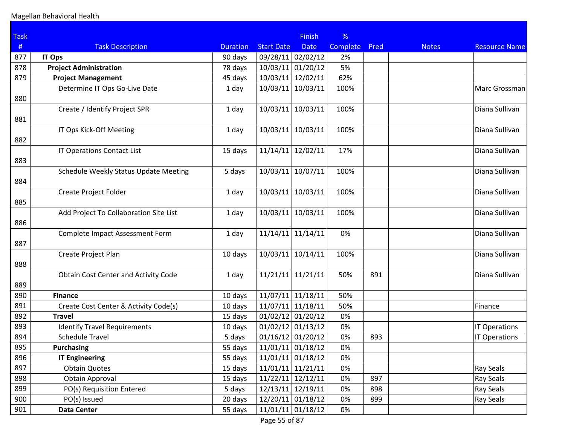| <b>Task</b> |                                              |                 |                     | <b>Finish</b>       | %        |      |              |                      |
|-------------|----------------------------------------------|-----------------|---------------------|---------------------|----------|------|--------------|----------------------|
| #           | <b>Task Description</b>                      | <b>Duration</b> | <b>Start Date</b>   | <b>Date</b>         | Complete | Pred | <b>Notes</b> | <b>Resource Name</b> |
| 877         | <b>IT Ops</b>                                | 90 days         | 09/28/11 02/02/12   |                     | 2%       |      |              |                      |
| 878         | <b>Project Administration</b>                | 78 days         | 10/03/11            | 01/20/12            | 5%       |      |              |                      |
| 879         | <b>Project Management</b>                    | 45 days         | 10/03/11            | 12/02/11            | 62%      |      |              |                      |
| 880         | Determine IT Ops Go-Live Date                | 1 day           | 10/03/11            | 10/03/11            | 100%     |      |              | Marc Grossman        |
| 881         | Create / Identify Project SPR                | 1 day           | 10/03/11            | 10/03/11            | 100%     |      |              | Diana Sullivan       |
| 882         | IT Ops Kick-Off Meeting                      | 1 day           | 10/03/11            | 10/03/11            | 100%     |      |              | Diana Sullivan       |
| 883         | IT Operations Contact List                   | 15 days         | 11/14/11            | 12/02/11            | 17%      |      |              | Diana Sullivan       |
| 884         | <b>Schedule Weekly Status Update Meeting</b> | 5 days          | 10/03/11            | 10/07/11            | 100%     |      |              | Diana Sullivan       |
| 885         | Create Project Folder                        | 1 day           | 10/03/11            | 10/03/11            | 100%     |      |              | Diana Sullivan       |
| 886         | Add Project To Collaboration Site List       | 1 day           | 10/03/11            | 10/03/11            | 100%     |      |              | Diana Sullivan       |
| 887         | <b>Complete Impact Assessment Form</b>       | 1 day           | 11/14/11            | 11/14/11            | 0%       |      |              | Diana Sullivan       |
| 888         | Create Project Plan                          | 10 days         | 10/03/11            | 10/14/11            | 100%     |      |              | Diana Sullivan       |
| 889         | Obtain Cost Center and Activity Code         | 1 day           | 11/21/11            | 11/21/11            | 50%      | 891  |              | Diana Sullivan       |
| 890         | <b>Finance</b>                               | 10 days         |                     | $11/07/11$ 11/18/11 | 50%      |      |              |                      |
| 891         | Create Cost Center & Activity Code(s)        | 10 days         |                     | $11/07/11$ 11/18/11 | 50%      |      |              | Finance              |
| 892         | <b>Travel</b>                                | 15 days         |                     | $01/02/12$ 01/20/12 | 0%       |      |              |                      |
| 893         | <b>Identify Travel Requirements</b>          | 10 days         | $01/02/12$ 01/13/12 |                     | 0%       |      |              | <b>IT Operations</b> |
| 894         | <b>Schedule Travel</b>                       | 5 days          |                     | $01/16/12$ 01/20/12 | 0%       | 893  |              | <b>IT Operations</b> |
| 895         | <b>Purchasing</b>                            | 55 days         |                     | $11/01/11$ 01/18/12 | 0%       |      |              |                      |
| 896         | <b>IT Engineering</b>                        | 55 days         |                     | $11/01/11$ 01/18/12 | 0%       |      |              |                      |
| 897         | <b>Obtain Quotes</b>                         | 15 days         |                     | $11/01/11$ 11/21/11 | 0%       |      |              | Ray Seals            |
| 898         | <b>Obtain Approval</b>                       | 15 days         | $11/22/11$ 12/12/11 |                     | 0%       | 897  |              | Ray Seals            |
| 899         | PO(s) Requisition Entered                    | 5 days          |                     | 12/13/11 12/19/11   | 0%       | 898  |              | Ray Seals            |
| 900         | PO(s) Issued                                 | 20 days         |                     | 12/20/11 01/18/12   | 0%       | 899  |              | Ray Seals            |
| 901         | <b>Data Center</b>                           | 55 days         |                     | $11/01/11$ 01/18/12 | 0%       |      |              |                      |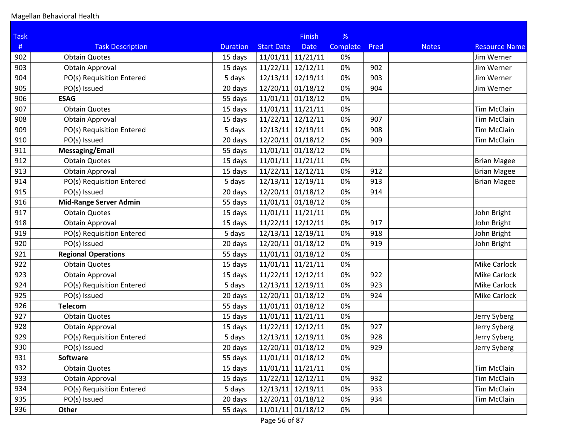| <b>Task</b> |                               |                 |                     | <b>Finish</b>       | %        |      |              |                      |
|-------------|-------------------------------|-----------------|---------------------|---------------------|----------|------|--------------|----------------------|
| #           | <b>Task Description</b>       | <b>Duration</b> | <b>Start Date</b>   | <b>Date</b>         | Complete | Pred | <b>Notes</b> | <b>Resource Name</b> |
| 902         | <b>Obtain Quotes</b>          | 15 days         | $11/01/11$ 11/21/11 |                     | 0%       |      |              | Jim Werner           |
| 903         | <b>Obtain Approval</b>        | 15 days         | $11/22/11$ 12/12/11 |                     | 0%       | 902  |              | Jim Werner           |
| 904         | PO(s) Requisition Entered     | 5 days          | 12/13/11 12/19/11   |                     | 0%       | 903  |              | Jim Werner           |
| 905         | PO(s) Issued                  | 20 days         | $12/20/11$ 01/18/12 |                     | 0%       | 904  |              | Jim Werner           |
| 906         | <b>ESAG</b>                   | 55 days         | $11/01/11$ 01/18/12 |                     | 0%       |      |              |                      |
| 907         | <b>Obtain Quotes</b>          | 15 days         | $11/01/11$ 11/21/11 |                     | 0%       |      |              | <b>Tim McClain</b>   |
| 908         | <b>Obtain Approval</b>        | 15 days         | $11/22/11$ 12/12/11 |                     | 0%       | 907  |              | <b>Tim McClain</b>   |
| 909         | PO(s) Requisition Entered     | 5 days          | 12/13/11 12/19/11   |                     | 0%       | 908  |              | <b>Tim McClain</b>   |
| 910         | PO(s) Issued                  | 20 days         | 12/20/11 01/18/12   |                     | 0%       | 909  |              | <b>Tim McClain</b>   |
| 911         | <b>Messaging/Email</b>        | 55 days         | 11/01/11 01/18/12   |                     | 0%       |      |              |                      |
| 912         | <b>Obtain Quotes</b>          | 15 days         | $11/01/11$ 11/21/11 |                     | 0%       |      |              | <b>Brian Magee</b>   |
| 913         | <b>Obtain Approval</b>        | 15 days         | $11/22/11$ 12/12/11 |                     | 0%       | 912  |              | <b>Brian Magee</b>   |
| 914         | PO(s) Requisition Entered     | 5 days          | 12/13/11 12/19/11   |                     | 0%       | 913  |              | <b>Brian Magee</b>   |
| 915         | PO(s) Issued                  | 20 days         | 12/20/11 01/18/12   |                     | 0%       | 914  |              |                      |
| 916         | <b>Mid-Range Server Admin</b> | 55 days         | 11/01/11 01/18/12   |                     | 0%       |      |              |                      |
| 917         | <b>Obtain Quotes</b>          | 15 days         | $11/01/11$ 11/21/11 |                     | 0%       |      |              | John Bright          |
| 918         | <b>Obtain Approval</b>        | 15 days         | $11/22/11$ 12/12/11 |                     | 0%       | 917  |              | John Bright          |
| 919         | PO(s) Requisition Entered     | 5 days          | 12/13/11 12/19/11   |                     | 0%       | 918  |              | John Bright          |
| 920         | PO(s) Issued                  | 20 days         | 12/20/11 01/18/12   |                     | 0%       | 919  |              | John Bright          |
| 921         | <b>Regional Operations</b>    | 55 days         | $11/01/11$ 01/18/12 |                     | 0%       |      |              |                      |
| 922         | <b>Obtain Quotes</b>          | 15 days         | $11/01/11$ 11/21/11 |                     | 0%       |      |              | Mike Carlock         |
| 923         | <b>Obtain Approval</b>        | 15 days         | $11/22/11$ 12/12/11 |                     | 0%       | 922  |              | Mike Carlock         |
| 924         | PO(s) Requisition Entered     | 5 days          | 12/13/11 12/19/11   |                     | 0%       | 923  |              | Mike Carlock         |
| 925         | PO(s) Issued                  | 20 days         | 12/20/11 01/18/12   |                     | 0%       | 924  |              | Mike Carlock         |
| 926         | <b>Telecom</b>                | 55 days         | $11/01/11$ 01/18/12 |                     | 0%       |      |              |                      |
| 927         | <b>Obtain Quotes</b>          | 15 days         | $11/01/11$ 11/21/11 |                     | 0%       |      |              | Jerry Syberg         |
| 928         | <b>Obtain Approval</b>        | 15 days         | $11/22/11$ 12/12/11 |                     | 0%       | 927  |              | Jerry Syberg         |
| 929         | PO(s) Requisition Entered     | 5 days          | 12/13/11 12/19/11   |                     | 0%       | 928  |              | Jerry Syberg         |
| 930         | PO(s) Issued                  | 20 days         |                     | $12/20/11$ 01/18/12 | 0%       | 929  |              | Jerry Syberg         |
| 931         | <b>Software</b>               | 55 days         | $11/01/11$ 01/18/12 |                     | 0%       |      |              |                      |
| 932         | <b>Obtain Quotes</b>          | 15 days         | $11/01/11$ 11/21/11 |                     | 0%       |      |              | <b>Tim McClain</b>   |
| 933         | <b>Obtain Approval</b>        | 15 days         | $11/22/11$ 12/12/11 |                     | 0%       | 932  |              | <b>Tim McClain</b>   |
| 934         | PO(s) Requisition Entered     | 5 days          | 12/13/11 12/19/11   |                     | 0%       | 933  |              | <b>Tim McClain</b>   |
| 935         | PO(s) Issued                  | 20 days         | 12/20/11 01/18/12   |                     | 0%       | 934  |              | <b>Tim McClain</b>   |
| 936         | Other                         | 55 days         |                     | $11/01/11$ 01/18/12 | 0%       |      |              |                      |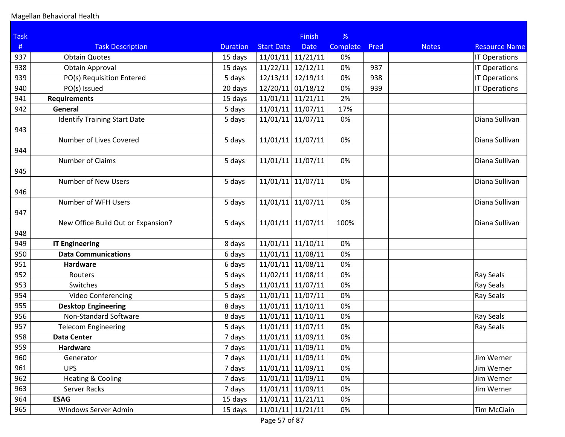| <b>Task</b> |                                     |                 |                     | <b>Finish</b> | %        |      |              |                      |
|-------------|-------------------------------------|-----------------|---------------------|---------------|----------|------|--------------|----------------------|
| #           | <b>Task Description</b>             | <b>Duration</b> | <b>Start Date</b>   | <b>Date</b>   | Complete | Pred | <b>Notes</b> | <b>Resource Name</b> |
| 937         | <b>Obtain Quotes</b>                | 15 days         | 11/01/11            | 11/21/11      | 0%       |      |              | <b>IT Operations</b> |
| 938         | <b>Obtain Approval</b>              | 15 days         | 11/22/11            | 12/12/11      | 0%       | 937  |              | <b>IT Operations</b> |
| 939         | PO(s) Requisition Entered           | 5 days          | 12/13/11            | 12/19/11      | 0%       | 938  |              | <b>IT Operations</b> |
| 940         | PO(s) Issued                        | 20 days         | 12/20/11            | 01/18/12      | 0%       | 939  |              | IT Operations        |
| 941         | <b>Requirements</b>                 | 15 days         | $11/01/11$ 11/21/11 |               | 2%       |      |              |                      |
| 942         | General                             | 5 days          | 11/01/11 11/07/11   |               | 17%      |      |              |                      |
| 943         | <b>Identify Training Start Date</b> | 5 days          | 11/01/11            | 11/07/11      | 0%       |      |              | Diana Sullivan       |
| 944         | Number of Lives Covered             | 5 days          | 11/01/11            | 11/07/11      | 0%       |      |              | Diana Sullivan       |
| 945         | Number of Claims                    | 5 days          | 11/01/11 11/07/11   |               | 0%       |      |              | Diana Sullivan       |
| 946         | Number of New Users                 | 5 days          | 11/01/11            | 11/07/11      | 0%       |      |              | Diana Sullivan       |
| 947         | Number of WFH Users                 | 5 days          | 11/01/11            | 11/07/11      | 0%       |      |              | Diana Sullivan       |
| 948         | New Office Build Out or Expansion?  | 5 days          | 11/01/11 11/07/11   |               | 100%     |      |              | Diana Sullivan       |
| 949         | <b>IT Engineering</b>               | 8 days          | 11/01/11 11/10/11   |               | 0%       |      |              |                      |
| 950         | <b>Data Communications</b>          | 6 days          | 11/01/11            | 11/08/11      | 0%       |      |              |                      |
| 951         | <b>Hardware</b>                     | 6 days          | 11/01/11            | 11/08/11      | 0%       |      |              |                      |
| 952         | Routers                             | 5 days          | 11/02/11            | 11/08/11      | 0%       |      |              | Ray Seals            |
| 953         | Switches                            | 5 days          | 11/01/11            | 11/07/11      | 0%       |      |              | Ray Seals            |
| 954         | Video Conferencing                  | 5 days          | 11/01/11 11/07/11   |               | 0%       |      |              | Ray Seals            |
| 955         | <b>Desktop Engineering</b>          | 8 days          | $11/01/11$ 11/10/11 |               | 0%       |      |              |                      |
| 956         | Non-Standard Software               | 8 days          | 11/01/11            | 11/10/11      | 0%       |      |              | Ray Seals            |
| 957         | <b>Telecom Engineering</b>          | 5 days          | 11/01/11            | 11/07/11      | 0%       |      |              | Ray Seals            |
| 958         | <b>Data Center</b>                  | 7 days          | 11/01/11 11/09/11   |               | 0%       |      |              |                      |
| 959         | Hardware                            | 7 days          | $11/01/11$ 11/09/11 |               | 0%       |      |              |                      |
| 960         | Generator                           | 7 days          | 11/01/11 11/09/11   |               | 0%       |      |              | Jim Werner           |
| 961         | <b>UPS</b>                          | 7 days          | $11/01/11$ 11/09/11 |               | 0%       |      |              | Jim Werner           |
| 962         | <b>Heating &amp; Cooling</b>        | 7 days          | 11/01/11 11/09/11   |               | 0%       |      |              | Jim Werner           |
| 963         | Server Racks                        | 7 days          | $11/01/11$ 11/09/11 |               | 0%       |      |              | Jim Werner           |
| 964         | <b>ESAG</b>                         | 15 days         | $11/01/11$ 11/21/11 |               | 0%       |      |              |                      |
| 965         | Windows Server Admin                | 15 days         | $11/01/11$ 11/21/11 |               | 0%       |      |              | <b>Tim McClain</b>   |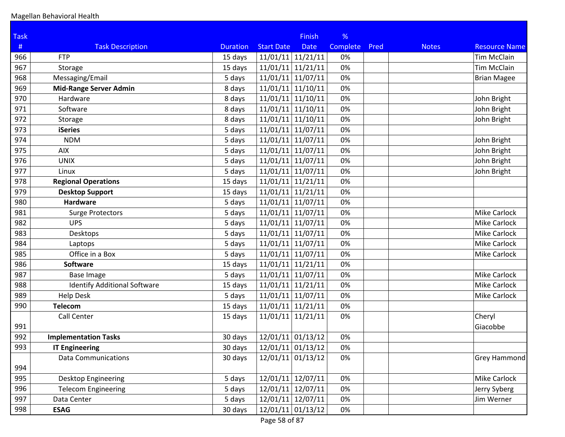| <b>Task</b> |                                     |                 |                            | <b>Finish</b>       | %        |      |              |                      |
|-------------|-------------------------------------|-----------------|----------------------------|---------------------|----------|------|--------------|----------------------|
| $\#$        | <b>Task Description</b>             | <b>Duration</b> | <b>Start Date</b>          | <b>Date</b>         | Complete | Pred | <b>Notes</b> | <b>Resource Name</b> |
| 966         | <b>FTP</b>                          | 15 days         | 11/01/11                   | 11/21/11            | 0%       |      |              | <b>Tim McClain</b>   |
| 967         | Storage                             | 15 days         | 11/01/11                   | 11/21/11            | 0%       |      |              | <b>Tim McClain</b>   |
| 968         | Messaging/Email                     | 5 days          | 11/01/11                   | 11/07/11            | 0%       |      |              | <b>Brian Magee</b>   |
| 969         | <b>Mid-Range Server Admin</b>       | 8 days          | 11/01/11                   | 11/10/11            | 0%       |      |              |                      |
| 970         | Hardware                            | 8 days          | $11/01/11$ 11/10/11        |                     | 0%       |      |              | John Bright          |
| 971         | Software                            | 8 days          | $11/01/11$ 11/10/11        |                     | 0%       |      |              | John Bright          |
| 972         | Storage                             | 8 days          | $11/01/11$ 11/10/11        |                     | 0%       |      |              | John Bright          |
| 973         | <b>iSeries</b>                      | 5 days          | 11/01/11                   | 11/07/11            | 0%       |      |              |                      |
| 974         | <b>NDM</b>                          | 5 days          | 11/01/11                   | 11/07/11            | 0%       |      |              | John Bright          |
| 975         | AIX                                 | 5 days          | $11/01/11$ 11/07/11        |                     | 0%       |      |              | John Bright          |
| 976         | <b>UNIX</b>                         | 5 days          | $11/01/11$ 11/07/11        |                     | 0%       |      |              | John Bright          |
| 977         | Linux                               | 5 days          | $11/01/11$ 11/07/11        |                     | 0%       |      |              | John Bright          |
| 978         | <b>Regional Operations</b>          | 15 days         | $11/01/11$ 11/21/11        |                     | 0%       |      |              |                      |
| 979         | <b>Desktop Support</b>              | 15 days         | 11/01/11                   | 11/21/11            | 0%       |      |              |                      |
| 980         | <b>Hardware</b>                     | 5 days          | $11/01/11$ 11/07/11        |                     | 0%       |      |              |                      |
| 981         | <b>Surge Protectors</b>             | 5 days          | 11/01/11                   | 11/07/11            | 0%       |      |              | <b>Mike Carlock</b>  |
| 982         | <b>UPS</b>                          | 5 days          | $11/01/11$ 11/07/11        |                     | 0%       |      |              | <b>Mike Carlock</b>  |
| 983         | Desktops                            | 5 days          | $11/01/11$ 11/07/11        |                     | 0%       |      |              | Mike Carlock         |
| 984         | Laptops                             | 5 days          | $11/01/11$ 11/07/11        |                     | 0%       |      |              | Mike Carlock         |
| 985         | Office in a Box                     | 5 days          | $11/01/11$ 11/07/11        |                     | 0%       |      |              | Mike Carlock         |
| 986         | <b>Software</b>                     | 15 days         | 11/01/11                   | 11/21/11            | 0%       |      |              |                      |
| 987         | <b>Base Image</b>                   | 5 days          | 11/01/11                   | 11/07/11            | 0%       |      |              | <b>Mike Carlock</b>  |
| 988         | <b>Identify Additional Software</b> | 15 days         | 11/01/11                   | 11/21/11            | 0%       |      |              | Mike Carlock         |
| 989         | <b>Help Desk</b>                    | 5 days          | $11/01/11$ 11/07/11        |                     | 0%       |      |              | Mike Carlock         |
| 990         | <b>Telecom</b>                      | 15 days         | $11/01/11$ 11/21/11        |                     | 0%       |      |              |                      |
|             | <b>Call Center</b>                  | 15 days         | 11/01/11                   | 11/21/11            | 0%       |      |              | Cheryl               |
| 991         |                                     |                 |                            |                     |          |      |              | Giacobbe             |
| 992         | <b>Implementation Tasks</b>         | 30 days         | $12/01/11$ 01/13/12        |                     | 0%       |      |              |                      |
| 993         | <b>IT Engineering</b>               | 30 days         | $\sqrt{12/01/11}$ 01/13/12 |                     | 0%       |      |              |                      |
|             | <b>Data Communications</b>          | 30 days         | 12/01/11 01/13/12          |                     | 0%       |      |              | <b>Grey Hammond</b>  |
| 994         |                                     |                 |                            |                     |          |      |              |                      |
| 995         | <b>Desktop Engineering</b>          | 5 days          | 12/01/11 12/07/11          |                     | 0%       |      |              | Mike Carlock         |
| 996         | <b>Telecom Engineering</b>          | 5 days          | 12/01/11 12/07/11          |                     | 0%       |      |              | Jerry Syberg         |
| 997         | Data Center                         | 5 days          | 12/01/11 12/07/11          |                     | 0%       |      |              | Jim Werner           |
| 998         | <b>ESAG</b>                         | 30 days         |                            | $12/01/11$ 01/13/12 | 0%       |      |              |                      |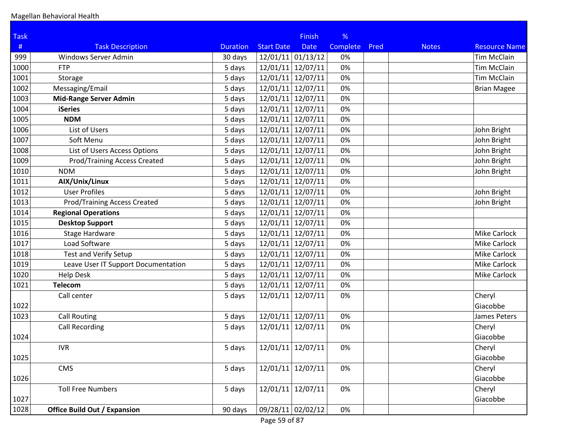| <b>Task</b> |                                     |                 |                     | <b>Finish</b>     | %        |      |              |                      |
|-------------|-------------------------------------|-----------------|---------------------|-------------------|----------|------|--------------|----------------------|
| #           | <b>Task Description</b>             | <b>Duration</b> | <b>Start Date</b>   | <b>Date</b>       | Complete | Pred | <b>Notes</b> | <b>Resource Name</b> |
| 999         | Windows Server Admin                | 30 days         | $12/01/11$ 01/13/12 |                   | 0%       |      |              | <b>Tim McClain</b>   |
| 1000        | <b>FTP</b>                          | 5 days          | 12/01/11            | 12/07/11          | 0%       |      |              | <b>Tim McClain</b>   |
| 1001        | Storage                             | 5 days          | 12/01/11            | 12/07/11          | 0%       |      |              | <b>Tim McClain</b>   |
| 1002        | Messaging/Email                     | 5 days          | 12/01/11            | 12/07/11          | 0%       |      |              | <b>Brian Magee</b>   |
| 1003        | <b>Mid-Range Server Admin</b>       | 5 days          | 12/01/11 12/07/11   |                   | 0%       |      |              |                      |
| 1004        | <b>iSeries</b>                      | 5 days          | 12/01/11 12/07/11   |                   | 0%       |      |              |                      |
| 1005        | <b>NDM</b>                          | 5 days          | 12/01/11            | 12/07/11          | 0%       |      |              |                      |
| 1006        | List of Users                       | 5 days          | 12/01/11            | 12/07/11          | 0%       |      |              | John Bright          |
| 1007        | Soft Menu                           | 5 days          | 12/01/11            | 12/07/11          | 0%       |      |              | John Bright          |
| 1008        | List of Users Access Options        | 5 days          | 12/01/11 12/07/11   |                   | 0%       |      |              | John Bright          |
| 1009        | <b>Prod/Training Access Created</b> | 5 days          | 12/01/11 12/07/11   |                   | 0%       |      |              | John Bright          |
| 1010        | <b>NDM</b>                          | 5 days          | 12/01/11 12/07/11   |                   | 0%       |      |              | John Bright          |
| 1011        | AIX/Unix/Linux                      | 5 days          | 12/01/11            | 12/07/11          | 0%       |      |              |                      |
| 1012        | <b>User Profiles</b>                | 5 days          | 12/01/11            | 12/07/11          | 0%       |      |              | John Bright          |
| 1013        | <b>Prod/Training Access Created</b> | 5 days          | 12/01/11            | 12/07/11          | 0%       |      |              | John Bright          |
| 1014        | <b>Regional Operations</b>          | 5 days          | 12/01/11            | 12/07/11          | 0%       |      |              |                      |
| 1015        | <b>Desktop Support</b>              | 5 days          | 12/01/11 12/07/11   |                   | 0%       |      |              |                      |
| 1016        | Stage Hardware                      | 5 days          | 12/01/11 12/07/11   |                   | 0%       |      |              | <b>Mike Carlock</b>  |
| 1017        | Load Software                       | 5 days          | 12/01/11 12/07/11   |                   | 0%       |      |              | Mike Carlock         |
| 1018        | Test and Verify Setup               | 5 days          | 12/01/11 12/07/11   |                   | 0%       |      |              | Mike Carlock         |
| 1019        | Leave User IT Support Documentation | 5 days          | 12/01/11            | 12/07/11          | 0%       |      |              | Mike Carlock         |
| 1020        | <b>Help Desk</b>                    | 5 days          | 12/01/11            | 12/07/11          | 0%       |      |              | Mike Carlock         |
| 1021        | <b>Telecom</b>                      | 5 days          | 12/01/11 12/07/11   |                   | 0%       |      |              |                      |
|             | Call center                         | 5 days          | 12/01/11 12/07/11   |                   | 0%       |      |              | Cheryl               |
| 1022        |                                     |                 |                     |                   |          |      |              | Giacobbe             |
| 1023        | <b>Call Routing</b>                 | 5 days          | 12/01/11 12/07/11   |                   | 0%       |      |              | James Peters         |
|             | <b>Call Recording</b>               | 5 days          | 12/01/11            | 12/07/11          | 0%       |      |              | Cheryl               |
| 1024        |                                     |                 |                     |                   |          |      |              | Giacobbe             |
|             | <b>IVR</b>                          | 5 days          | 12/01/11 12/07/11   |                   | 0%       |      |              | Cheryl               |
| 1025        |                                     |                 |                     |                   |          |      |              | Giacobbe             |
|             | <b>CMS</b>                          | 5 days          | 12/01/11 12/07/11   |                   | 0%       |      |              | Cheryl               |
| 1026        |                                     |                 |                     |                   |          |      |              | Giacobbe             |
|             | <b>Toll Free Numbers</b>            | 5 days          | 12/01/11            | 12/07/11          | 0%       |      |              | Cheryl               |
| 1027        |                                     |                 |                     |                   |          |      |              | Giacobbe             |
| 1028        | <b>Office Build Out / Expansion</b> | 90 days         |                     | 09/28/11 02/02/12 | 0%       |      |              |                      |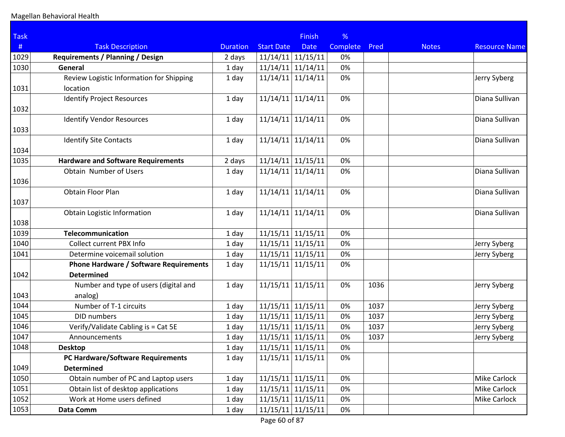| <b>Task</b> |                                               |                 |                     | <b>Finish</b>       | %               |      |              |                      |
|-------------|-----------------------------------------------|-----------------|---------------------|---------------------|-----------------|------|--------------|----------------------|
| #           | <b>Task Description</b>                       | <b>Duration</b> | <b>Start Date</b>   | <b>Date</b>         | <b>Complete</b> | Pred | <b>Notes</b> | <b>Resource Name</b> |
| 1029        | <b>Requirements / Planning / Design</b>       | 2 days          | $11/14/11$ 11/15/11 |                     | 0%              |      |              |                      |
| 1030        | General                                       | 1 day           | $11/14/11$ 11/14/11 |                     | 0%              |      |              |                      |
|             | Review Logistic Information for Shipping      | 1 day           | 11/14/11            | 11/14/11            | 0%              |      |              | Jerry Syberg         |
| 1031        | location                                      |                 |                     |                     |                 |      |              |                      |
| 1032        | <b>Identify Project Resources</b>             | 1 day           | 11/14/11            | 11/14/11            | 0%              |      |              | Diana Sullivan       |
|             | <b>Identify Vendor Resources</b>              | 1 day           | 11/14/11            | 11/14/11            | 0%              |      |              | Diana Sullivan       |
| 1033        |                                               |                 |                     |                     |                 |      |              |                      |
|             | <b>Identify Site Contacts</b>                 | 1 day           | 11/14/11            | 11/14/11            | 0%              |      |              | Diana Sullivan       |
| 1034        |                                               |                 |                     |                     |                 |      |              |                      |
| 1035        | <b>Hardware and Software Requirements</b>     | 2 days          | 11/14/11            | 11/15/11            | 0%              |      |              |                      |
|             | Obtain Number of Users                        | 1 day           | 11/14/11            | 11/14/11            | 0%              |      |              | Diana Sullivan       |
| 1036        |                                               |                 |                     |                     |                 |      |              |                      |
|             | Obtain Floor Plan                             | 1 day           | 11/14/11            | 11/14/11            | 0%              |      |              | Diana Sullivan       |
| 1037        |                                               |                 |                     |                     |                 |      |              |                      |
|             | Obtain Logistic Information                   | 1 day           | 11/14/11            | 11/14/11            | 0%              |      |              | Diana Sullivan       |
| 1038        |                                               |                 |                     |                     |                 |      |              |                      |
| 1039        | <b>Telecommunication</b>                      | 1 day           | 11/15/11            | 11/15/11            | 0%              |      |              |                      |
| 1040        | <b>Collect current PBX Info</b>               | 1 day           | 11/15/11            | 11/15/11            | 0%              |      |              | Jerry Syberg         |
| 1041        | Determine voicemail solution                  | 1 day           | $11/15/11$ 11/15/11 |                     | 0%              |      |              | Jerry Syberg         |
|             | <b>Phone Hardware / Software Requirements</b> | 1 day           | 11/15/11            | 11/15/11            | 0%              |      |              |                      |
| 1042        | <b>Determined</b>                             |                 |                     |                     |                 |      |              |                      |
|             | Number and type of users (digital and         | 1 day           | 11/15/11            | 11/15/11            | 0%              | 1036 |              | Jerry Syberg         |
| 1043        | analog)                                       |                 |                     |                     |                 |      |              |                      |
| 1044        | Number of T-1 circuits                        | 1 day           | $11/15/11$ 11/15/11 |                     | 0%              | 1037 |              | Jerry Syberg         |
| 1045        | <b>DID</b> numbers                            | 1 day           | $11/15/11$ 11/15/11 |                     | 0%              | 1037 |              | Jerry Syberg         |
| 1046        | Verify/Validate Cabling is = Cat 5E           | 1 day           | $11/15/11$ 11/15/11 |                     | 0%              | 1037 |              | Jerry Syberg         |
| 1047        | Announcements                                 | 1 day           | $11/15/11$ 11/15/11 |                     | 0%              | 1037 |              | Jerry Syberg         |
| 1048        | <b>Desktop</b>                                | 1 day           | $11/15/11$ 11/15/11 |                     | 0%              |      |              |                      |
|             | PC Hardware/Software Requirements             | 1 day           | $11/15/11$ 11/15/11 |                     | 0%              |      |              |                      |
| 1049        | <b>Determined</b>                             |                 |                     |                     |                 |      |              |                      |
| 1050        | Obtain number of PC and Laptop users          | 1 day           | $11/15/11$ 11/15/11 |                     | 0%              |      |              | <b>Mike Carlock</b>  |
| 1051        | Obtain list of desktop applications           | 1 day           | $11/15/11$ 11/15/11 |                     | 0%              |      |              | <b>Mike Carlock</b>  |
| 1052        | Work at Home users defined                    | 1 day           | $11/15/11$ 11/15/11 |                     | 0%              |      |              | Mike Carlock         |
| 1053        | Data Comm                                     | 1 day           |                     | $11/15/11$ 11/15/11 | 0%              |      |              |                      |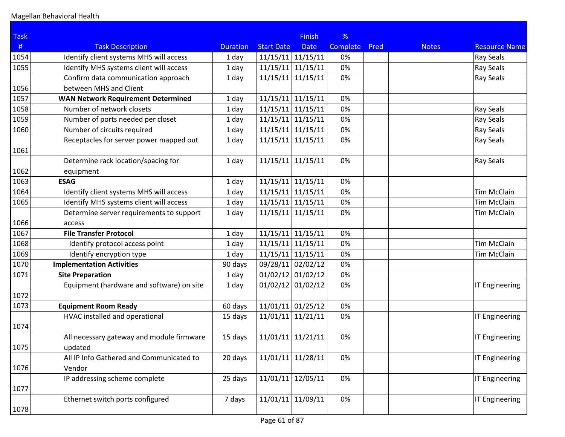| <b>Task</b>  |                                                        |                 |                      | <b>Finish</b>        | %               |      |              |                       |
|--------------|--------------------------------------------------------|-----------------|----------------------|----------------------|-----------------|------|--------------|-----------------------|
| #            | <b>Task Description</b>                                | <b>Duration</b> | <b>Start Date</b>    | <b>Date</b>          | <b>Complete</b> | Pred | <b>Notes</b> | <b>Resource Name</b>  |
| 1054         | Identify client systems MHS will access                | 1 day           | 11/15/11             | 11/15/11             | 0%              |      |              | <b>Ray Seals</b>      |
| 1055         | Identify MHS systems client will access                | 1 day           | 11/15/11             | 11/15/11             | 0%              |      |              | Ray Seals             |
|              | Confirm data communication approach                    | 1 day           | $11/15/11$ 11/15/11  |                      | 0%              |      |              | <b>Ray Seals</b>      |
| 1056         | between MHS and Client                                 |                 |                      |                      |                 |      |              |                       |
| 1057         | <b>WAN Network Requirement Determined</b>              | 1 day           | $11/15/11$ 11/15/11  |                      | 0%              |      |              |                       |
| 1058         | Number of network closets                              | 1 day           | 11/15/11             | 11/15/11             | 0%              |      |              | <b>Ray Seals</b>      |
| 1059         | Number of ports needed per closet                      | 1 day           | 11/15/11             | 11/15/11             | 0%              |      |              | <b>Ray Seals</b>      |
| 1060         | Number of circuits required                            | 1 day           | 11/15/11             | 11/15/11             | 0%              |      |              | <b>Ray Seals</b>      |
| 1061         | Receptacles for server power mapped out                | 1 day           | 11/15/11             | 11/15/11             | 0%              |      |              | Ray Seals             |
|              | Determine rack location/spacing for                    | 1 day           | 11/15/11             | 11/15/11             | 0%              |      |              | Ray Seals             |
| 1062<br>1063 | equipment                                              |                 |                      |                      |                 |      |              |                       |
| 1064         | <b>ESAG</b><br>Identify client systems MHS will access | 1 day<br>1 day  | 11/15/11<br>11/15/11 | 11/15/11<br>11/15/11 | 0%<br>0%        |      |              | <b>Tim McClain</b>    |
| 1065         | Identify MHS systems client will access                |                 | $11/15/11$ 11/15/11  |                      | 0%              |      |              | <b>Tim McClain</b>    |
|              | Determine server requirements to support               | 1 day           | $11/15/11$ 11/15/11  |                      | 0%              |      |              | <b>Tim McClain</b>    |
| 1066         | access                                                 | 1 day           |                      |                      |                 |      |              |                       |
| 1067         | <b>File Transfer Protocol</b>                          | 1 day           | 11/15/11             | 11/15/11             | 0%              |      |              |                       |
| 1068         | Identify protocol access point                         | 1 day           | 11/15/11             | 11/15/11             | 0%              |      |              | <b>Tim McClain</b>    |
| 1069         | Identify encryption type                               | 1 day           | 11/15/11             | 11/15/11             | 0%              |      |              | <b>Tim McClain</b>    |
| 1070         | <b>Implementation Activities</b>                       | 90 days         | 09/28/11             | 02/02/12             | 0%              |      |              |                       |
| 1071         | <b>Site Preparation</b>                                | 1 day           | $01/02/12$ 01/02/12  |                      | 0%              |      |              |                       |
|              | Equipment (hardware and software) on site              | 1 day           | $01/02/12$ 01/02/12  |                      | 0%              |      |              | IT Engineering        |
| 1072         |                                                        |                 |                      |                      |                 |      |              |                       |
| 1073         | <b>Equipment Room Ready</b>                            | 60 days         | 11/01/11             | 01/25/12             | 0%              |      |              |                       |
| 1074         | HVAC installed and operational                         | 15 days         | 11/01/11             | 11/21/11             | 0%              |      |              | IT Engineering        |
| 1075         | All necessary gateway and module firmware<br>updated   | 15 days         | 11/01/11             | 11/21/11             | 0%              |      |              | IT Engineering        |
|              | All IP Info Gathered and Communicated to               | 20 days         | 11/01/11             | 11/28/11             | 0%              |      |              | IT Engineering        |
| 1076         | Vendor                                                 |                 |                      |                      |                 |      |              |                       |
|              | IP addressing scheme complete                          | 25 days         | 11/01/11             | 12/05/11             | 0%              |      |              | <b>IT Engineering</b> |
| 1077         |                                                        |                 |                      |                      |                 |      |              |                       |
| 1078         | Ethernet switch ports configured                       | 7 days          | $11/01/11$ 11/09/11  |                      | 0%              |      |              | IT Engineering        |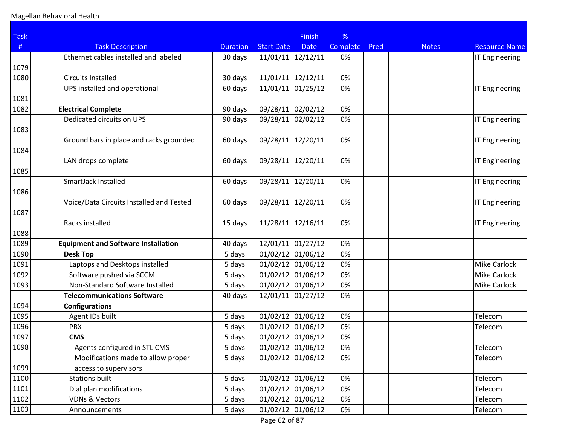| <b>Task</b> |                                            |                 |                     | <b>Finish</b>       | %               |      |              |                       |
|-------------|--------------------------------------------|-----------------|---------------------|---------------------|-----------------|------|--------------|-----------------------|
| #           | <b>Task Description</b>                    | <b>Duration</b> | <b>Start Date</b>   | <b>Date</b>         | <b>Complete</b> | Pred | <b>Notes</b> | <b>Resource Name</b>  |
|             | Ethernet cables installed and labeled      | 30 days         | $11/01/11$ 12/12/11 |                     | 0%              |      |              | <b>IT Engineering</b> |
| 1079        |                                            |                 |                     |                     |                 |      |              |                       |
| 1080        | <b>Circuits Installed</b>                  | 30 days         | 11/01/11            | 12/12/11            | 0%              |      |              |                       |
|             | UPS installed and operational              | 60 days         | 11/01/11            | 01/25/12            | 0%              |      |              | IT Engineering        |
| 1081        |                                            |                 |                     |                     |                 |      |              |                       |
| 1082        | <b>Electrical Complete</b>                 | 90 days         | 09/28/11 02/02/12   |                     | 0%              |      |              |                       |
|             | Dedicated circuits on UPS                  | 90 days         | 09/28/11            | 02/02/12            | 0%              |      |              | <b>IT Engineering</b> |
| 1083        |                                            |                 |                     |                     |                 |      |              |                       |
|             | Ground bars in place and racks grounded    | 60 days         | 09/28/11            | 12/20/11            | 0%              |      |              | IT Engineering        |
| 1084        |                                            |                 |                     |                     |                 |      |              |                       |
|             | LAN drops complete                         | 60 days         | 09/28/11            | 12/20/11            | 0%              |      |              | IT Engineering        |
| 1085        |                                            |                 |                     |                     |                 |      |              |                       |
|             | SmartJack Installed                        | 60 days         | 09/28/11            | 12/20/11            | 0%              |      |              | <b>IT Engineering</b> |
| 1086        |                                            |                 |                     |                     |                 |      |              |                       |
|             | Voice/Data Circuits Installed and Tested   | 60 days         | 09/28/11            | 12/20/11            | 0%              |      |              | <b>IT Engineering</b> |
| 1087        |                                            |                 |                     |                     |                 |      |              |                       |
|             | Racks installed                            | 15 days         | 11/28/11            | 12/16/11            | 0%              |      |              | IT Engineering        |
| 1088        |                                            |                 |                     |                     |                 |      |              |                       |
| 1089        | <b>Equipment and Software Installation</b> | 40 days         | $12/01/11$ 01/27/12 |                     | 0%              |      |              |                       |
| 1090        | <b>Desk Top</b>                            | 5 days          | $01/02/12$ 01/06/12 |                     | 0%              |      |              |                       |
| 1091        | Laptops and Desktops installed             | 5 days          | $01/02/12$ 01/06/12 |                     | 0%              |      |              | <b>Mike Carlock</b>   |
| 1092        | Software pushed via SCCM                   | 5 days          | $01/02/12$ 01/06/12 |                     | 0%              |      |              | <b>Mike Carlock</b>   |
| 1093        | Non-Standard Software Installed            | 5 days          | $01/02/12$ 01/06/12 |                     | 0%              |      |              | <b>Mike Carlock</b>   |
|             | <b>Telecommunications Software</b>         | 40 days         | $12/01/11$ 01/27/12 |                     | 0%              |      |              |                       |
| 1094        | <b>Configurations</b>                      |                 |                     |                     |                 |      |              |                       |
| 1095        | Agent IDs built                            | 5 days          | $01/02/12$ 01/06/12 |                     | 0%              |      |              | Telecom               |
| 1096        | <b>PBX</b>                                 | 5 days          | $01/02/12$ 01/06/12 |                     | 0%              |      |              | Telecom               |
| 1097        | <b>CMS</b>                                 | 5 days          | $01/02/12$ 01/06/12 |                     | 0%              |      |              |                       |
| 1098        | Agents configured in STL CMS               | 5 days          | $01/02/12$ 01/06/12 |                     | 0%              |      |              | Telecom               |
|             | Modifications made to allow proper         | 5 days          | $01/02/12$ 01/06/12 |                     | 0%              |      |              | Telecom               |
| 1099        | access to supervisors                      |                 |                     |                     |                 |      |              |                       |
| 1100        | <b>Stations built</b>                      | 5 days          | $01/02/12$ 01/06/12 |                     | 0%              |      |              | Telecom               |
| 1101        | Dial plan modifications                    | 5 days          | $01/02/12$ 01/06/12 |                     | 0%              |      |              | Telecom               |
| 1102        | <b>VDNs &amp; Vectors</b>                  | 5 days          | $01/02/12$ 01/06/12 |                     | 0%              |      |              | Telecom               |
| 1103        | Announcements                              | 5 days          |                     | $01/02/12$ 01/06/12 | 0%              |      |              | Telecom               |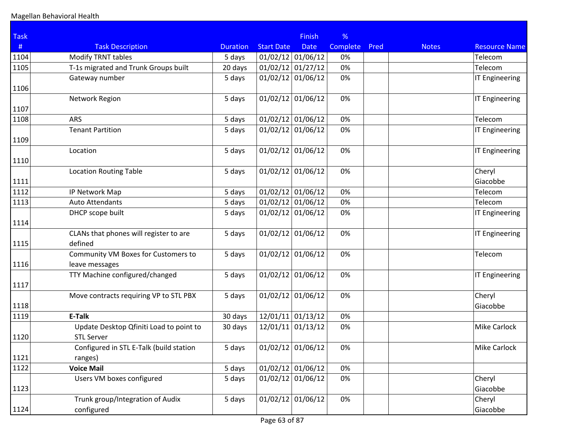| <b>Task</b> |                                                              |                 |                     | <b>Finish</b> | %        |      |              |                       |
|-------------|--------------------------------------------------------------|-----------------|---------------------|---------------|----------|------|--------------|-----------------------|
| #           | <b>Task Description</b>                                      | <b>Duration</b> | <b>Start Date</b>   | <b>Date</b>   | Complete | Pred | <b>Notes</b> | <b>Resource Name</b>  |
| 1104        | Modify TRNT tables                                           | 5 days          | $01/02/12$ 01/06/12 |               | 0%       |      |              | Telecom               |
| 1105        | T-1s migrated and Trunk Groups built                         | 20 days         | 01/02/12            | 01/27/12      | 0%       |      |              | Telecom               |
|             | Gateway number                                               | 5 days          | $01/02/12$ 01/06/12 |               | 0%       |      |              | <b>IT Engineering</b> |
| 1106        |                                                              |                 |                     |               |          |      |              |                       |
| 1107        | Network Region                                               | 5 days          | $01/02/12$ 01/06/12 |               | 0%       |      |              | <b>IT Engineering</b> |
| 1108        | ARS                                                          | 5 days          | $01/02/12$ 01/06/12 |               | 0%       |      |              | Telecom               |
| 1109        | <b>Tenant Partition</b>                                      | 5 days          | $01/02/12$ 01/06/12 |               | 0%       |      |              | <b>IT Engineering</b> |
|             | Location                                                     | 5 days          | $01/02/12$ 01/06/12 |               | 0%       |      |              | <b>IT Engineering</b> |
| 1110        |                                                              |                 |                     |               |          |      |              |                       |
|             | <b>Location Routing Table</b>                                | 5 days          | $01/02/12$ 01/06/12 |               | 0%       |      |              | Cheryl                |
| 1111        |                                                              |                 |                     |               |          |      |              | Giacobbe              |
| 1112        | IP Network Map                                               | 5 days          | $01/02/12$ 01/06/12 |               | 0%       |      |              | Telecom               |
| 1113        | <b>Auto Attendants</b>                                       | 5 days          | $01/02/12$ 01/06/12 |               | 0%       |      |              | Telecom               |
| 1114        | DHCP scope built                                             | 5 days          | $01/02/12$ 01/06/12 |               | 0%       |      |              | <b>IT Engineering</b> |
|             | CLANs that phones will register to are                       | 5 days          | $01/02/12$ 01/06/12 |               | 0%       |      |              | <b>IT Engineering</b> |
| 1115        | defined                                                      |                 |                     |               |          |      |              |                       |
|             | Community VM Boxes for Customers to                          | 5 days          | $01/02/12$ 01/06/12 |               | 0%       |      |              | Telecom               |
| 1116        | leave messages                                               |                 |                     |               |          |      |              |                       |
| 1117        | TTY Machine configured/changed                               | 5 days          | $01/02/12$ 01/06/12 |               | 0%       |      |              | <b>IT Engineering</b> |
| 1118        | Move contracts requiring VP to STL PBX                       | 5 days          | $01/02/12$ 01/06/12 |               | 0%       |      |              | Cheryl<br>Giacobbe    |
| 1119        | E-Talk                                                       | 30 days         | $12/01/11$ 01/13/12 |               | 0%       |      |              |                       |
| 1120        | Update Desktop Qfiniti Load to point to<br><b>STL Server</b> | 30 days         | 12/01/11            | 01/13/12      | 0%       |      |              | Mike Carlock          |
|             | Configured in STL E-Talk (build station                      | 5 days          | $01/02/12$ 01/06/12 |               | 0%       |      |              | Mike Carlock          |
| 1121        | ranges)                                                      |                 |                     |               |          |      |              |                       |
| 1122        | <b>Voice Mail</b>                                            | 5 days          | $01/02/12$ 01/06/12 |               | 0%       |      |              |                       |
|             | Users VM boxes configured                                    | 5 days          | $01/02/12$ 01/06/12 |               | 0%       |      |              | Cheryl                |
| 1123        |                                                              |                 |                     |               |          |      |              | Giacobbe              |
| 1124        | Trunk group/Integration of Audix<br>configured               | 5 days          | $01/02/12$ 01/06/12 |               | 0%       |      |              | Cheryl<br>Giacobbe    |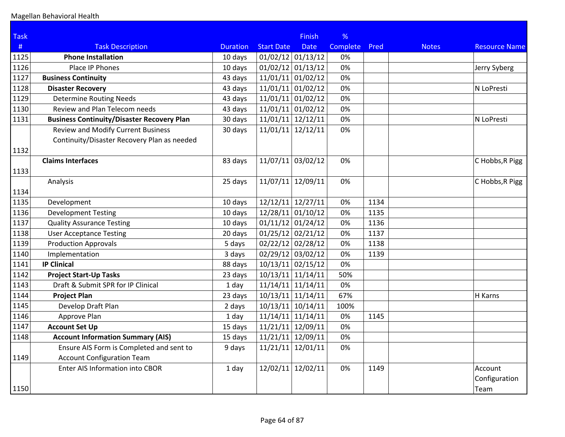| <b>Task</b> |                                                   |                 |                     | <b>Finish</b> | %        |      |              |                      |
|-------------|---------------------------------------------------|-----------------|---------------------|---------------|----------|------|--------------|----------------------|
| #           | <b>Task Description</b>                           | <b>Duration</b> | <b>Start Date</b>   | <b>Date</b>   | Complete | Pred | <b>Notes</b> | <b>Resource Name</b> |
| 1125        | <b>Phone Installation</b>                         | 10 days         | $01/02/12$ 01/13/12 |               | 0%       |      |              |                      |
| 1126        | Place IP Phones                                   | 10 days         | $01/02/12$ 01/13/12 |               | 0%       |      |              | Jerry Syberg         |
| 1127        | <b>Business Continuity</b>                        | 43 days         | $11/01/11$ 01/02/12 |               | 0%       |      |              |                      |
| 1128        | <b>Disaster Recovery</b>                          | 43 days         | $11/01/11$ 01/02/12 |               | 0%       |      |              | N LoPresti           |
| 1129        | <b>Determine Routing Needs</b>                    | 43 days         | $11/01/11$ 01/02/12 |               | 0%       |      |              |                      |
| 1130        | Review and Plan Telecom needs                     | 43 days         | $11/01/11$ 01/02/12 |               | 0%       |      |              |                      |
| 1131        | <b>Business Continuity/Disaster Recovery Plan</b> | 30 days         | $11/01/11$ 12/12/11 |               | 0%       |      |              | N LoPresti           |
|             | <b>Review and Modify Current Business</b>         | 30 days         | 11/01/11            | 12/12/11      | 0%       |      |              |                      |
|             | Continuity/Disaster Recovery Plan as needed       |                 |                     |               |          |      |              |                      |
| 1132        |                                                   |                 |                     |               |          |      |              |                      |
|             | <b>Claims Interfaces</b>                          | 83 days         | $11/07/11$ 03/02/12 |               | 0%       |      |              | C Hobbs, R Pigg      |
| 1133        |                                                   |                 |                     |               |          |      |              |                      |
|             | Analysis                                          | 25 days         | 11/07/11            | 12/09/11      | 0%       |      |              | C Hobbs, R Pigg      |
| 1134        |                                                   |                 |                     |               |          |      |              |                      |
| 1135        | Development                                       | 10 days         | $12/12/11$ 12/27/11 |               | 0%       | 1134 |              |                      |
| 1136        | <b>Development Testing</b>                        | 10 days         | $12/28/11$ 01/10/12 |               | 0%       | 1135 |              |                      |
| 1137        | <b>Quality Assurance Testing</b>                  | 10 days         | $01/11/12$ 01/24/12 |               | 0%       | 1136 |              |                      |
| 1138        | <b>User Acceptance Testing</b>                    | 20 days         | $01/25/12$ 02/21/12 |               | 0%       | 1137 |              |                      |
| 1139        | <b>Production Approvals</b>                       | 5 days          | $02/22/12$ 02/28/12 |               | 0%       | 1138 |              |                      |
| 1140        | Implementation                                    | 3 days          | 02/29/12 03/02/12   |               | 0%       | 1139 |              |                      |
| 1141        | <b>IP Clinical</b>                                | 88 days         | $10/13/11$ 02/15/12 |               | 0%       |      |              |                      |
| 1142        | <b>Project Start-Up Tasks</b>                     | 23 days         | $10/13/11$ 11/14/11 |               | 50%      |      |              |                      |
| 1143        | Draft & Submit SPR for IP Clinical                | 1 day           | $11/14/11$ 11/14/11 |               | 0%       |      |              |                      |
| 1144        | <b>Project Plan</b>                               | 23 days         | $10/13/11$ 11/14/11 |               | 67%      |      |              | H Karns              |
| 1145        | Develop Draft Plan                                | 2 days          | $10/13/11$ 10/14/11 |               | 100%     |      |              |                      |
| 1146        | Approve Plan                                      | $1$ day         | $11/14/11$ 11/14/11 |               | 0%       | 1145 |              |                      |
| 1147        | <b>Account Set Up</b>                             | 15 days         | $11/21/11$ 12/09/11 |               | 0%       |      |              |                      |
| 1148        | <b>Account Information Summary (AIS)</b>          | 15 days         | $11/21/11$ 12/09/11 |               | 0%       |      |              |                      |
|             | Ensure AIS Form is Completed and sent to          | 9 days          | $11/21/11$ 12/01/11 |               | 0%       |      |              |                      |
| 1149        | <b>Account Configuration Team</b>                 |                 |                     |               |          |      |              |                      |
|             | Enter AIS Information into CBOR                   | 1 day           | 12/02/11 12/02/11   |               | 0%       | 1149 |              | Account              |
|             |                                                   |                 |                     |               |          |      |              | Configuration        |
| 1150        |                                                   |                 |                     |               |          |      |              | Team                 |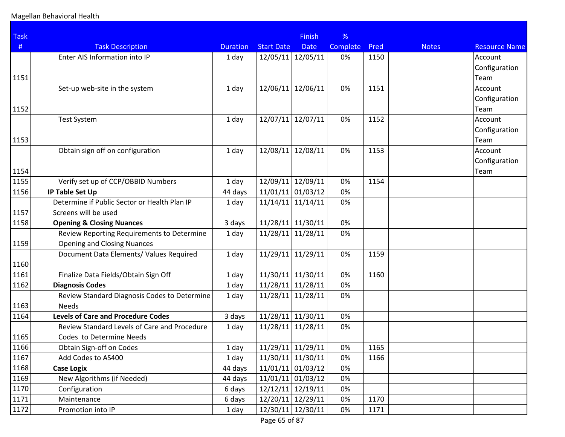| <b>Task</b> |                                              |                 |                     | <b>Finish</b> | %               |      |              |                      |
|-------------|----------------------------------------------|-----------------|---------------------|---------------|-----------------|------|--------------|----------------------|
| #           | <b>Task Description</b>                      | <b>Duration</b> | <b>Start Date</b>   | <b>Date</b>   | <b>Complete</b> | Pred | <b>Notes</b> | <b>Resource Name</b> |
|             | Enter AIS Information into IP                | 1 day           | 12/05/11            | 12/05/11      | 0%              | 1150 |              | Account              |
|             |                                              |                 |                     |               |                 |      |              | Configuration        |
| 1151        |                                              |                 |                     |               |                 |      |              | Team                 |
|             | Set-up web-site in the system                | 1 day           | 12/06/11            | 12/06/11      | 0%              | 1151 |              | Account              |
|             |                                              |                 |                     |               |                 |      |              | Configuration        |
| 1152        |                                              |                 |                     |               |                 |      |              | Team                 |
|             | <b>Test System</b>                           | 1 day           | 12/07/11            | 12/07/11      | 0%              | 1152 |              | Account              |
|             |                                              |                 |                     |               |                 |      |              | Configuration        |
| 1153        |                                              |                 |                     |               |                 |      |              | Team                 |
|             | Obtain sign off on configuration             | 1 day           | 12/08/11            | 12/08/11      | 0%              | 1153 |              | Account              |
|             |                                              |                 |                     |               |                 |      |              | Configuration        |
| 1154        |                                              |                 |                     |               |                 |      |              | Team                 |
| 1155        | Verify set up of CCP/OBBID Numbers           | 1 day           | 12/09/11            | 12/09/11      | 0%              | 1154 |              |                      |
| 1156        | <b>IP Table Set Up</b>                       | 44 days         | $11/01/11$ 01/03/12 |               | 0%              |      |              |                      |
|             | Determine if Public Sector or Health Plan IP | 1 day           | 11/14/11            | 11/14/11      | 0%              |      |              |                      |
| 1157        | Screens will be used                         |                 |                     |               |                 |      |              |                      |
| 1158        | <b>Opening &amp; Closing Nuances</b>         | 3 days          | $11/28/11$ 11/30/11 |               | 0%              |      |              |                      |
|             | Review Reporting Requirements to Determine   | 1 day           | $11/28/11$ 11/28/11 |               | 0%              |      |              |                      |
| 1159        | <b>Opening and Closing Nuances</b>           |                 |                     |               |                 |      |              |                      |
|             | Document Data Elements/ Values Required      | 1 day           | 11/29/11            | 11/29/11      | 0%              | 1159 |              |                      |
| 1160        |                                              |                 |                     |               |                 |      |              |                      |
| 1161        | Finalize Data Fields/Obtain Sign Off         | 1 day           | 11/30/11            | 11/30/11      | 0%              | 1160 |              |                      |
| 1162        | <b>Diagnosis Codes</b>                       | 1 day           | $11/28/11$ 11/28/11 |               | 0%              |      |              |                      |
|             | Review Standard Diagnosis Codes to Determine | 1 day           | 11/28/11            | 11/28/11      | 0%              |      |              |                      |
| 1163        | <b>Needs</b>                                 |                 |                     |               |                 |      |              |                      |
| 1164        | <b>Levels of Care and Procedure Codes</b>    | 3 days          | 11/28/11            | 11/30/11      | 0%              |      |              |                      |
|             | Review Standard Levels of Care and Procedure | 1 day           | 11/28/11            | 11/28/11      | 0%              |      |              |                      |
| 1165        | Codes to Determine Needs                     |                 |                     |               |                 |      |              |                      |
| 1166        | Obtain Sign-off on Codes                     | 1 day           | $11/29/11$ 11/29/11 |               | 0%              | 1165 |              |                      |
| 1167        | Add Codes to AS400                           | 1 day           | $11/30/11$ 11/30/11 |               | 0%              | 1166 |              |                      |
| 1168        | <b>Case Logix</b>                            | 44 days         | $11/01/11$ 01/03/12 |               | 0%              |      |              |                      |
| 1169        | New Algorithms (if Needed)                   | 44 days         | $11/01/11$ 01/03/12 |               | 0%              |      |              |                      |
| 1170        | Configuration                                | 6 days          | 12/12/11 12/19/11   |               | 0%              |      |              |                      |
| 1171        | Maintenance                                  | 6 days          | $12/20/11$ 12/29/11 |               | 0%              | 1170 |              |                      |
| 1172        | Promotion into IP                            | 1 day           | $12/30/11$ 12/30/11 |               | 0%              | 1171 |              |                      |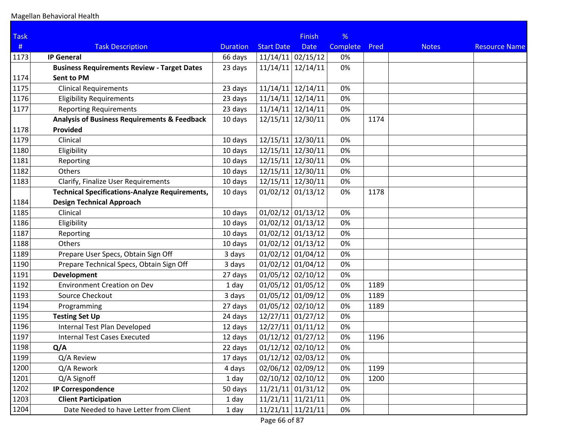| <b>Task</b> |                                                         |                 |                     | <b>Finish</b> | %        |      |              |                      |
|-------------|---------------------------------------------------------|-----------------|---------------------|---------------|----------|------|--------------|----------------------|
| #           | <b>Task Description</b>                                 | <b>Duration</b> | <b>Start Date</b>   | <b>Date</b>   | Complete | Pred | <b>Notes</b> | <b>Resource Name</b> |
| 1173        | <b>IP General</b>                                       | 66 days         | $11/14/11$ 02/15/12 |               | 0%       |      |              |                      |
|             | <b>Business Requirements Review - Target Dates</b>      | 23 days         | 11/14/11            | 12/14/11      | 0%       |      |              |                      |
| 1174        | Sent to PM                                              |                 |                     |               |          |      |              |                      |
| 1175        | <b>Clinical Requirements</b>                            | 23 days         | $11/14/11$ 12/14/11 |               | 0%       |      |              |                      |
| 1176        | <b>Eligibility Requirements</b>                         | 23 days         | $11/14/11$ 12/14/11 |               | 0%       |      |              |                      |
| 1177        | <b>Reporting Requirements</b>                           | 23 days         | $11/14/11$ 12/14/11 |               | 0%       |      |              |                      |
|             | <b>Analysis of Business Requirements &amp; Feedback</b> | 10 days         | 12/15/11            | 12/30/11      | 0%       | 1174 |              |                      |
| 1178        | Provided                                                |                 |                     |               |          |      |              |                      |
| 1179        | Clinical                                                | 10 days         | 12/15/11            | 12/30/11      | 0%       |      |              |                      |
| 1180        | Eligibility                                             | 10 days         | 12/15/11 12/30/11   |               | 0%       |      |              |                      |
| 1181        | Reporting                                               | 10 days         | 12/15/11 12/30/11   |               | 0%       |      |              |                      |
| 1182        | Others                                                  | 10 days         | 12/15/11 12/30/11   |               | 0%       |      |              |                      |
| 1183        | Clarify, Finalize User Requirements                     | 10 days         | 12/15/11 12/30/11   |               | 0%       |      |              |                      |
|             | <b>Technical Specifications-Analyze Requirements,</b>   | 10 days         | $01/02/12$ 01/13/12 |               | 0%       | 1178 |              |                      |
| 1184        | <b>Design Technical Approach</b>                        |                 |                     |               |          |      |              |                      |
| 1185        | Clinical                                                | 10 days         | $01/02/12$ 01/13/12 |               | 0%       |      |              |                      |
| 1186        | Eligibility                                             | 10 days         | $01/02/12$ 01/13/12 |               | 0%       |      |              |                      |
| 1187        | Reporting                                               | 10 days         | $01/02/12$ 01/13/12 |               | 0%       |      |              |                      |
| 1188        | Others                                                  | 10 days         | $01/02/12$ 01/13/12 |               | 0%       |      |              |                      |
| 1189        | Prepare User Specs, Obtain Sign Off                     | 3 days          | $01/02/12$ 01/04/12 |               | 0%       |      |              |                      |
| 1190        | Prepare Technical Specs, Obtain Sign Off                | 3 days          | $01/02/12$ 01/04/12 |               | 0%       |      |              |                      |
| 1191        | <b>Development</b>                                      | 27 days         | $01/05/12$ 02/10/12 |               | 0%       |      |              |                      |
| 1192        | <b>Environment Creation on Dev</b>                      | 1 day           | $01/05/12$ 01/05/12 |               | 0%       | 1189 |              |                      |
| 1193        | Source Checkout                                         | 3 days          | 01/05/12 01/09/12   |               | 0%       | 1189 |              |                      |
| 1194        | Programming                                             | 27 days         | $01/05/12$ 02/10/12 |               | 0%       | 1189 |              |                      |
| 1195        | <b>Testing Set Up</b>                                   | 24 days         | $12/27/11$ 01/27/12 |               | 0%       |      |              |                      |
| 1196        | Internal Test Plan Developed                            | 12 days         | $12/27/11$ 01/11/12 |               | 0%       |      |              |                      |
| 1197        | <b>Internal Test Cases Executed</b>                     | 12 days         | $01/12/12$ 01/27/12 |               | 0%       | 1196 |              |                      |
| 1198        | Q/A                                                     | 22 days         | $01/12/12$ 02/10/12 |               | 0%       |      |              |                      |
| 1199        | Q/A Review                                              | 17 days         | $01/12/12$ 02/03/12 |               | 0%       |      |              |                      |
| 1200        | Q/A Rework                                              | 4 days          | $02/06/12$ 02/09/12 |               | 0%       | 1199 |              |                      |
| 1201        | Q/A Signoff                                             | 1 day           | 02/10/12 02/10/12   |               | 0%       | 1200 |              |                      |
| 1202        | <b>IP Correspondence</b>                                | 50 days         | $11/21/11$ 01/31/12 |               | 0%       |      |              |                      |
| 1203        | <b>Client Participation</b>                             | 1 day           | $11/21/11$ 11/21/11 |               | 0%       |      |              |                      |
| 1204        | Date Needed to have Letter from Client                  | 1 day           | $11/21/11$ 11/21/11 |               | 0%       |      |              |                      |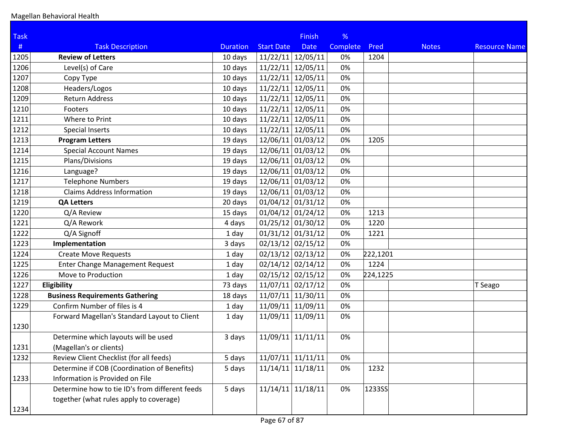| <b>Task</b> |                                                |                 |                     | <b>Finish</b> | %        |          |              |                      |
|-------------|------------------------------------------------|-----------------|---------------------|---------------|----------|----------|--------------|----------------------|
| #           | <b>Task Description</b>                        | <b>Duration</b> | <b>Start Date</b>   | <b>Date</b>   | Complete | Pred     | <b>Notes</b> | <b>Resource Name</b> |
| 1205        | <b>Review of Letters</b>                       | 10 days         | 11/22/11            | 12/05/11      | 0%       | 1204     |              |                      |
| 1206        | Level(s) of Care                               | 10 days         | 11/22/11            | 12/05/11      | 0%       |          |              |                      |
| 1207        | Copy Type                                      | 10 days         | 11/22/11            | 12/05/11      | 0%       |          |              |                      |
| 1208        | Headers/Logos                                  | 10 days         | 11/22/11            | 12/05/11      | 0%       |          |              |                      |
| 1209        | <b>Return Address</b>                          | 10 days         | 11/22/11            | 12/05/11      | 0%       |          |              |                      |
| 1210        | Footers                                        | 10 days         | 11/22/11            | 12/05/11      | 0%       |          |              |                      |
| 1211        | Where to Print                                 | 10 days         | 11/22/11            | 12/05/11      | 0%       |          |              |                      |
| 1212        | <b>Special Inserts</b>                         | 10 days         | 11/22/11            | 12/05/11      | 0%       |          |              |                      |
| 1213        | <b>Program Letters</b>                         | 19 days         | 12/06/11 01/03/12   |               | 0%       | 1205     |              |                      |
| 1214        | <b>Special Account Names</b>                   | 19 days         | 12/06/11 01/03/12   |               | 0%       |          |              |                      |
| 1215        | Plans/Divisions                                | 19 days         | 12/06/11 01/03/12   |               | 0%       |          |              |                      |
| 1216        | Language?                                      | 19 days         | 12/06/11 01/03/12   |               | 0%       |          |              |                      |
| 1217        | <b>Telephone Numbers</b>                       | 19 days         | 12/06/11 01/03/12   |               | 0%       |          |              |                      |
| 1218        | <b>Claims Address Information</b>              | 19 days         | 12/06/11 01/03/12   |               | 0%       |          |              |                      |
| 1219        | <b>QA Letters</b>                              | 20 days         | $01/04/12$ 01/31/12 |               | 0%       |          |              |                      |
| 1220        | Q/A Review                                     | 15 days         | $01/04/12$ 01/24/12 |               | 0%       | 1213     |              |                      |
| 1221        | Q/A Rework                                     | 4 days          | $01/25/12$ 01/30/12 |               | 0%       | 1220     |              |                      |
| 1222        | Q/A Signoff                                    | 1 day           | $01/31/12$ 01/31/12 |               | 0%       | 1221     |              |                      |
| 1223        | Implementation                                 | 3 days          | $02/13/12$ 02/15/12 |               | 0%       |          |              |                      |
| 1224        | <b>Create Move Requests</b>                    | 1 day           | $02/13/12$ 02/13/12 |               | 0%       | 222,1201 |              |                      |
| 1225        | <b>Enter Change Management Request</b>         | 1 day           | $02/14/12$ 02/14/12 |               | 0%       | 1224     |              |                      |
| 1226        | Move to Production                             | 1 day           | $02/15/12$ 02/15/12 |               | 0%       | 224,1225 |              |                      |
| 1227        | Eligibility                                    | 73 days         | $11/07/11$ 02/17/12 |               | 0%       |          |              | T Seago              |
| 1228        | <b>Business Requirements Gathering</b>         | 18 days         | 11/07/11            | 11/30/11      | 0%       |          |              |                      |
| 1229        | Confirm Number of files is 4                   | 1 day           | 11/09/11 11/09/11   |               | 0%       |          |              |                      |
|             | Forward Magellan's Standard Layout to Client   | 1 day           | 11/09/11            | 11/09/11      | 0%       |          |              |                      |
| 1230        |                                                |                 |                     |               |          |          |              |                      |
|             | Determine which layouts will be used           | 3 days          | 11/09/11            | 11/11/11      | 0%       |          |              |                      |
| 1231        | (Magellan's or clients)                        |                 |                     |               |          |          |              |                      |
| 1232        | Review Client Checklist (for all feeds)        | 5 days          | 11/07/11            | 11/11/11      | 0%       |          |              |                      |
|             | Determine if COB (Coordination of Benefits)    | 5 days          | 11/14/11            | 11/18/11      | 0%       | 1232     |              |                      |
| 1233        | Information is Provided on File                |                 |                     |               |          |          |              |                      |
|             | Determine how to tie ID's from different feeds | 5 days          | $11/14/11$ 11/18/11 |               | 0%       | 1233SS   |              |                      |
|             | together (what rules apply to coverage)        |                 |                     |               |          |          |              |                      |
| 1234        |                                                |                 |                     |               |          |          |              |                      |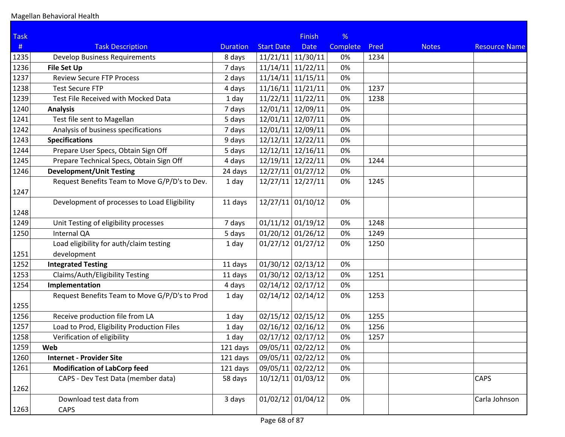| <b>Task</b> |                                               |                 |                     | <b>Finish</b>       | %        |      |              |                      |
|-------------|-----------------------------------------------|-----------------|---------------------|---------------------|----------|------|--------------|----------------------|
| #           | <b>Task Description</b>                       | <b>Duration</b> | <b>Start Date</b>   | <b>Date</b>         | Complete | Pred | <b>Notes</b> | <b>Resource Name</b> |
| 1235        | <b>Develop Business Requirements</b>          | 8 days          | $11/21/11$ 11/30/11 |                     | 0%       | 1234 |              |                      |
| 1236        | <b>File Set Up</b>                            | 7 days          | $11/14/11$ 11/22/11 |                     | 0%       |      |              |                      |
| 1237        | <b>Review Secure FTP Process</b>              | 2 days          | $11/14/11$ 11/15/11 |                     | 0%       |      |              |                      |
| 1238        | <b>Test Secure FTP</b>                        | 4 days          | $11/16/11$ 11/21/11 |                     | 0%       | 1237 |              |                      |
| 1239        | Test File Received with Mocked Data           | 1 day           | $11/22/11$ 11/22/11 |                     | 0%       | 1238 |              |                      |
| 1240        | <b>Analysis</b>                               | 7 days          | 12/01/11 12/09/11   |                     | 0%       |      |              |                      |
| 1241        | Test file sent to Magellan                    | 5 days          | 12/01/11 12/07/11   |                     | 0%       |      |              |                      |
| 1242        | Analysis of business specifications           | 7 days          | 12/01/11 12/09/11   |                     | 0%       |      |              |                      |
| 1243        | <b>Specifications</b>                         | 9 days          | 12/12/11 12/22/11   |                     | 0%       |      |              |                      |
| 1244        | Prepare User Specs, Obtain Sign Off           | 5 days          | $12/12/11$ 12/16/11 |                     | 0%       |      |              |                      |
| 1245        | Prepare Technical Specs, Obtain Sign Off      | 4 days          | 12/19/11 12/22/11   |                     | 0%       | 1244 |              |                      |
| 1246        | <b>Development/Unit Testing</b>               | 24 days         | $12/27/11$ 01/27/12 |                     | 0%       |      |              |                      |
|             | Request Benefits Team to Move G/P/D's to Dev. | 1 day           | $12/27/11$ 12/27/11 |                     | 0%       | 1245 |              |                      |
| 1247        |                                               |                 |                     |                     |          |      |              |                      |
|             | Development of processes to Load Eligibility  | 11 days         | $12/27/11$ 01/10/12 |                     | 0%       |      |              |                      |
| 1248        |                                               |                 |                     |                     |          |      |              |                      |
| 1249        | Unit Testing of eligibility processes         | 7 days          | $01/11/12$ 01/19/12 |                     | 0%       | 1248 |              |                      |
| 1250        | Internal QA                                   | 5 days          | $01/20/12$ 01/26/12 |                     | 0%       | 1249 |              |                      |
|             | Load eligibility for auth/claim testing       | 1 day           | $01/27/12$ 01/27/12 |                     | 0%       | 1250 |              |                      |
| 1251        | development                                   |                 |                     |                     |          |      |              |                      |
| 1252        | <b>Integrated Testing</b>                     | 11 days         | $01/30/12$ 02/13/12 |                     | 0%       |      |              |                      |
| 1253        | Claims/Auth/Eligibility Testing               | 11 days         | $01/30/12$ 02/13/12 |                     | 0%       | 1251 |              |                      |
| 1254        | Implementation                                | 4 days          | $02/14/12$ 02/17/12 |                     | 0%       |      |              |                      |
|             | Request Benefits Team to Move G/P/D's to Prod | 1 day           | $02/14/12$ 02/14/12 |                     | 0%       | 1253 |              |                      |
| 1255        |                                               |                 |                     |                     |          |      |              |                      |
| 1256        | Receive production file from LA               | 1 day           | $02/15/12$ 02/15/12 |                     | 0%       | 1255 |              |                      |
| 1257        | Load to Prod, Eligibility Production Files    | 1 day           | $02/16/12$ 02/16/12 |                     | 0%       | 1256 |              |                      |
| 1258        | Verification of eligibility                   | 1 day           | $02/17/12$ 02/17/12 |                     | 0%       | 1257 |              |                      |
| 1259        | Web                                           | 121 days        | 09/05/11 02/22/12   |                     | 0%       |      |              |                      |
| 1260        | <b>Internet - Provider Site</b>               | 121 days        | 09/05/11 02/22/12   |                     | 0%       |      |              |                      |
| 1261        | <b>Modification of LabCorp feed</b>           | 121 days        | 09/05/11 02/22/12   |                     | 0%       |      |              |                      |
|             | CAPS - Dev Test Data (member data)            | 58 days         | $10/12/11$ 01/03/12 |                     | 0%       |      |              | <b>CAPS</b>          |
| 1262        |                                               |                 |                     |                     |          |      |              |                      |
|             | Download test data from                       | 3 days          |                     | $01/02/12$ 01/04/12 | 0%       |      |              | Carla Johnson        |
| 1263        | CAPS                                          |                 |                     |                     |          |      |              |                      |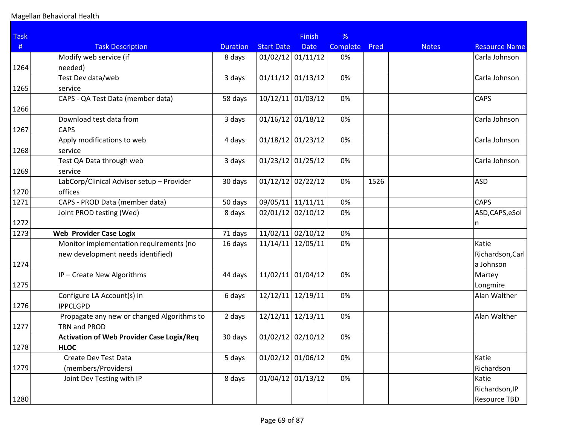| <b>Task</b> |                                                  |                 |                     | <b>Finish</b>       | %               |      |              |                      |
|-------------|--------------------------------------------------|-----------------|---------------------|---------------------|-----------------|------|--------------|----------------------|
| #           | <b>Task Description</b>                          | <b>Duration</b> | <b>Start Date</b>   | <b>Date</b>         | <b>Complete</b> | Pred | <b>Notes</b> | <b>Resource Name</b> |
|             | Modify web service (if                           | 8 days          | $01/02/12$ 01/11/12 |                     | 0%              |      |              | Carla Johnson        |
| 1264        | needed)                                          |                 |                     |                     |                 |      |              |                      |
|             | Test Dev data/web                                | 3 days          | $01/11/12$ 01/13/12 |                     | 0%              |      |              | Carla Johnson        |
| 1265        | service                                          |                 |                     |                     |                 |      |              |                      |
|             | CAPS - QA Test Data (member data)                | 58 days         |                     | $10/12/11$ 01/03/12 | 0%              |      |              | <b>CAPS</b>          |
| 1266        |                                                  |                 |                     |                     |                 |      |              |                      |
|             | Download test data from                          | 3 days          | $01/16/12$ 01/18/12 |                     | 0%              |      |              | Carla Johnson        |
| 1267        | <b>CAPS</b>                                      |                 |                     |                     |                 |      |              |                      |
|             | Apply modifications to web                       | 4 days          | $01/18/12$ 01/23/12 |                     | 0%              |      |              | Carla Johnson        |
| 1268        | service                                          |                 |                     |                     |                 |      |              |                      |
|             | Test QA Data through web                         | 3 days          | $01/23/12$ 01/25/12 |                     | 0%              |      |              | Carla Johnson        |
| 1269        | service                                          |                 |                     |                     |                 |      |              |                      |
|             | LabCorp/Clinical Advisor setup - Provider        | 30 days         | 01/12/12            | 02/22/12            | 0%              | 1526 |              | <b>ASD</b>           |
| 1270        | offices                                          |                 |                     |                     |                 |      |              |                      |
| 1271        | CAPS - PROD Data (member data)                   | 50 days         | 09/05/11            | 11/11/11            | 0%              |      |              | <b>CAPS</b>          |
|             | Joint PROD testing (Wed)                         | 8 days          | 02/01/12 02/10/12   |                     | 0%              |      |              | ASD, CAPS, eSol      |
| 1272        |                                                  |                 |                     |                     |                 |      |              | n                    |
| 1273        | <b>Web Provider Case Logix</b>                   | 71 days         |                     | $11/02/11$ 02/10/12 | 0%              |      |              |                      |
|             | Monitor implementation requirements (no          | 16 days         | 11/14/11            | 12/05/11            | 0%              |      |              | Katie                |
|             | new development needs identified)                |                 |                     |                     |                 |      |              | Richardson, Carl     |
| 1274        |                                                  |                 |                     |                     |                 |      |              | a Johnson            |
|             | IP - Create New Algorithms                       | 44 days         | 11/02/11            | 01/04/12            | 0%              |      |              | Martey               |
| 1275        |                                                  |                 |                     |                     |                 |      |              | Longmire             |
|             | Configure LA Account(s) in                       | 6 days          | 12/12/11            | 12/19/11            | 0%              |      |              | Alan Walther         |
| 1276        | <b>IPPCLGPD</b>                                  |                 |                     |                     |                 |      |              |                      |
|             | Propagate any new or changed Algorithms to       | 2 days          | 12/12/11            | 12/13/11            | 0%              |      |              | Alan Walther         |
| 1277        | TRN and PROD                                     |                 |                     |                     |                 |      |              |                      |
|             | <b>Activation of Web Provider Case Logix/Req</b> | 30 days         | $01/02/12$ 02/10/12 |                     | 0%              |      |              |                      |
| 1278        | <b>HLOC</b>                                      |                 |                     |                     |                 |      |              |                      |
|             | Create Dev Test Data                             | 5 days          | $01/02/12$ 01/06/12 |                     | 0%              |      |              | Katie                |
| 1279        | (members/Providers)                              |                 |                     |                     |                 |      |              | Richardson           |
|             | Joint Dev Testing with IP                        | 8 days          | $01/04/12$ 01/13/12 |                     | 0%              |      |              | Katie                |
|             |                                                  |                 |                     |                     |                 |      |              | Richardson, IP       |
| 1280        |                                                  |                 |                     |                     |                 |      |              | <b>Resource TBD</b>  |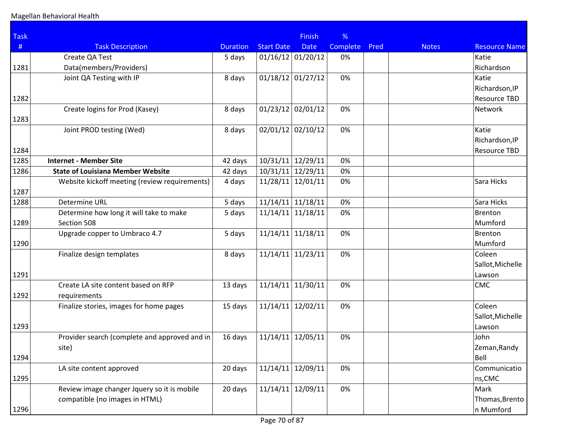| <b>Task</b> |                                               |                 |                   | <b>Finish</b>       | %               |      |              |                      |
|-------------|-----------------------------------------------|-----------------|-------------------|---------------------|-----------------|------|--------------|----------------------|
| #           | <b>Task Description</b>                       | <b>Duration</b> | <b>Start Date</b> | <b>Date</b>         | <b>Complete</b> | Pred | <b>Notes</b> | <b>Resource Name</b> |
|             | Create QA Test                                | 5 days          |                   | $01/16/12$ 01/20/12 | 0%              |      |              | Katie                |
| 1281        | Data(members/Providers)                       |                 |                   |                     |                 |      |              | Richardson           |
|             | Joint QA Testing with IP                      | 8 days          |                   | $01/18/12$ 01/27/12 | 0%              |      |              | Katie                |
|             |                                               |                 |                   |                     |                 |      |              | Richardson, IP       |
| 1282        |                                               |                 |                   |                     |                 |      |              | <b>Resource TBD</b>  |
|             | Create logins for Prod (Kasey)                | 8 days          | 01/23/12          | 02/01/12            | 0%              |      |              | Network              |
| 1283        |                                               |                 |                   |                     |                 |      |              |                      |
|             | Joint PROD testing (Wed)                      | 8 days          | 02/01/12          | 02/10/12            | 0%              |      |              | Katie                |
|             |                                               |                 |                   |                     |                 |      |              | Richardson, IP       |
| 1284        |                                               |                 |                   |                     |                 |      |              | <b>Resource TBD</b>  |
| 1285        | <b>Internet - Member Site</b>                 | 42 days         | 10/31/11          | 12/29/11            | 0%              |      |              |                      |
| 1286        | <b>State of Louisiana Member Website</b>      | 42 days         | 10/31/11          | 12/29/11            | 0%              |      |              |                      |
|             | Website kickoff meeting (review requirements) | 4 days          | 11/28/11          | 12/01/11            | 0%              |      |              | Sara Hicks           |
| 1287        |                                               |                 |                   |                     |                 |      |              |                      |
| 1288        | Determine URL                                 | 5 days          | 11/14/11          | 11/18/11            | 0%              |      |              | Sara Hicks           |
|             | Determine how long it will take to make       | 5 days          | 11/14/11          | 11/18/11            | 0%              |      |              | <b>Brenton</b>       |
| 1289        | Section 508                                   |                 |                   |                     |                 |      |              | Mumford              |
|             | Upgrade copper to Umbraco 4.7                 | 5 days          | 11/14/11          | 11/18/11            | 0%              |      |              | <b>Brenton</b>       |
| 1290        |                                               |                 |                   |                     |                 |      |              | Mumford              |
|             | Finalize design templates                     | 8 days          | 11/14/11          | 11/23/11            | 0%              |      |              | Coleen               |
|             |                                               |                 |                   |                     |                 |      |              | Sallot, Michelle     |
| 1291        |                                               |                 |                   |                     |                 |      |              | Lawson               |
|             | Create LA site content based on RFP           | 13 days         | 11/14/11          | 11/30/11            | 0%              |      |              | CMC                  |
| 1292        | requirements                                  |                 |                   |                     |                 |      |              |                      |
|             | Finalize stories, images for home pages       | 15 days         | 11/14/11          | 12/02/11            | 0%              |      |              | Coleen               |
|             |                                               |                 |                   |                     |                 |      |              | Sallot, Michelle     |
| 1293        |                                               |                 |                   |                     |                 |      |              | Lawson               |
|             | Provider search (complete and approved and in | 16 days         | 11/14/11          | 12/05/11            | 0%              |      |              | John                 |
|             | site)                                         |                 |                   |                     |                 |      |              | Zeman, Randy         |
| 1294        |                                               |                 |                   |                     |                 |      |              | Bell                 |
|             | LA site content approved                      | 20 days         | 11/14/11          | 12/09/11            | 0%              |      |              | Communicatio         |
| 1295        |                                               |                 |                   |                     |                 |      |              | ns,CMC               |
|             | Review image changer Jquery so it is mobile   | 20 days         | 11/14/11          | 12/09/11            | 0%              |      |              | Mark                 |
|             | compatible (no images in HTML)                |                 |                   |                     |                 |      |              | Thomas, Brento       |
| 1296        |                                               |                 |                   |                     |                 |      |              | n Mumford            |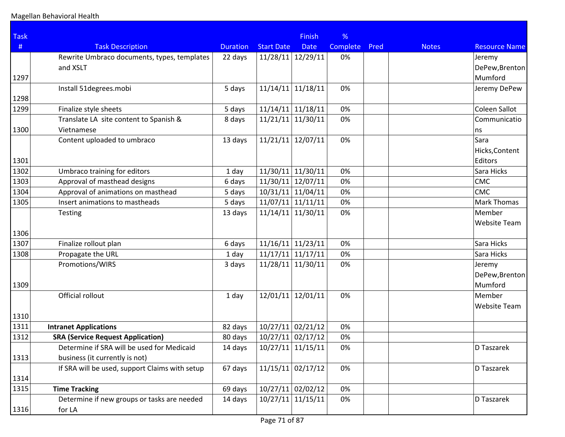| <b>Task</b> |                                                |                 |                     | <b>Finish</b>       | %               |      |              |                      |
|-------------|------------------------------------------------|-----------------|---------------------|---------------------|-----------------|------|--------------|----------------------|
| #           | <b>Task Description</b>                        | <b>Duration</b> | <b>Start Date</b>   | <b>Date</b>         | <b>Complete</b> | Pred | <b>Notes</b> | <b>Resource Name</b> |
|             | Rewrite Umbraco documents, types, templates    | 22 days         | 11/28/11            | 12/29/11            | 0%              |      |              | Jeremy               |
|             | and XSLT                                       |                 |                     |                     |                 |      |              | DePew, Brenton       |
| 1297        |                                                |                 |                     |                     |                 |      |              | Mumford              |
|             | Install 51degrees.mobi                         | 5 days          | 11/14/11            | 11/18/11            | 0%              |      |              | Jeremy DePew         |
| 1298        |                                                |                 |                     |                     |                 |      |              |                      |
| 1299        | Finalize style sheets                          | 5 days          | 11/14/11            | 11/18/11            | 0%              |      |              | <b>Coleen Sallot</b> |
|             | Translate LA site content to Spanish &         | 8 days          | 11/21/11            | 11/30/11            | 0%              |      |              | Communicatio         |
| 1300        | Vietnamese                                     |                 |                     |                     |                 |      |              | ns                   |
|             | Content uploaded to umbraco                    | 13 days         |                     | $11/21/11$ 12/07/11 | 0%              |      |              | Sara                 |
|             |                                                |                 |                     |                     |                 |      |              | Hicks, Content       |
| 1301        |                                                |                 |                     |                     |                 |      |              | Editors              |
| 1302        | Umbraco training for editors                   | 1 day           | 11/30/11            | 11/30/11            | 0%              |      |              | Sara Hicks           |
| 1303        | Approval of masthead designs                   | 6 days          | 11/30/11            | 12/07/11            | 0%              |      |              | CMC                  |
| 1304        | Approval of animations on masthead             | 5 days          | $10/31/11$ 11/04/11 |                     | 0%              |      |              | CMC                  |
| 1305        | Insert animations to mastheads                 | 5 days          |                     | $11/07/11$ 11/11/11 | 0%              |      |              | Mark Thomas          |
|             | Testing                                        | 13 days         | $11/14/11$ 11/30/11 |                     | 0%              |      |              | Member               |
|             |                                                |                 |                     |                     |                 |      |              | <b>Website Team</b>  |
| 1306        |                                                |                 |                     |                     |                 |      |              |                      |
| 1307        | Finalize rollout plan                          | 6 days          | 11/16/11            | 11/23/11            | 0%              |      |              | Sara Hicks           |
| 1308        | Propagate the URL                              | 1 day           | 11/17/11            | 11/17/11            | 0%              |      |              | Sara Hicks           |
|             | Promotions/WIRS                                | 3 days          |                     | 11/28/11 11/30/11   | 0%              |      |              | Jeremy               |
|             |                                                |                 |                     |                     |                 |      |              | DePew, Brenton       |
| 1309        |                                                |                 |                     |                     |                 |      |              | Mumford              |
|             | Official rollout                               | 1 day           | 12/01/11            | 12/01/11            | 0%              |      |              | Member               |
|             |                                                |                 |                     |                     |                 |      |              | <b>Website Team</b>  |
| 1310        |                                                |                 |                     |                     |                 |      |              |                      |
| 1311        | <b>Intranet Applications</b>                   | 82 days         |                     | $10/27/11$ 02/21/12 | 0%              |      |              |                      |
| 1312        | <b>SRA (Service Request Application)</b>       | 80 days         |                     | $10/27/11$ 02/17/12 | 0%              |      |              |                      |
|             | Determine if SRA will be used for Medicaid     | 14 days         |                     | $10/27/11$ 11/15/11 | 0%              |      |              | D Taszarek           |
| 1313        | business (it currently is not)                 |                 |                     |                     |                 |      |              |                      |
|             | If SRA will be used, support Claims with setup | 67 days         |                     | $11/15/11$ 02/17/12 | 0%              |      |              | D Taszarek           |
| 1314        |                                                |                 |                     |                     |                 |      |              |                      |
| 1315        | <b>Time Tracking</b>                           | 69 days         |                     | $10/27/11$ 02/02/12 | 0%              |      |              |                      |
|             | Determine if new groups or tasks are needed    | 14 days         |                     | $10/27/11$ 11/15/11 | 0%              |      |              | D Taszarek           |
| 1316        | for LA                                         |                 |                     |                     |                 |      |              |                      |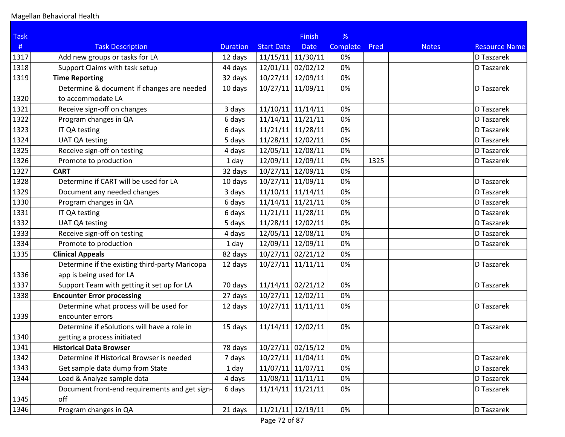| <b>Task</b> |                                                |                 |                     | <b>Finish</b> | %        |      |              |                      |
|-------------|------------------------------------------------|-----------------|---------------------|---------------|----------|------|--------------|----------------------|
| #           | <b>Task Description</b>                        | <b>Duration</b> | <b>Start Date</b>   | <b>Date</b>   | Complete | Pred | <b>Notes</b> | <b>Resource Name</b> |
| 1317        | Add new groups or tasks for LA                 | 12 days         | $11/15/11$ 11/30/11 |               | 0%       |      |              | D Taszarek           |
| 1318        | Support Claims with task setup                 | 44 days         | $12/01/11$ 02/02/12 |               | 0%       |      |              | D Taszarek           |
| 1319        | <b>Time Reporting</b>                          | 32 days         | 10/27/11 12/09/11   |               | 0%       |      |              |                      |
|             | Determine & document if changes are needed     | 10 days         | $10/27/11$ 11/09/11 |               | 0%       |      |              | D Taszarek           |
| 1320        | to accommodate LA                              |                 |                     |               |          |      |              |                      |
| 1321        | Receive sign-off on changes                    | 3 days          | $11/10/11$ 11/14/11 |               | 0%       |      |              | D Taszarek           |
| 1322        | Program changes in QA                          | 6 days          | $11/14/11$ 11/21/11 |               | 0%       |      |              | D Taszarek           |
| 1323        | IT QA testing                                  | 6 days          | $11/21/11$ 11/28/11 |               | 0%       |      |              | D Taszarek           |
| 1324        | <b>UAT QA testing</b>                          | 5 days          | 11/28/11 12/02/11   |               | 0%       |      |              | D Taszarek           |
| 1325        | Receive sign-off on testing                    | 4 days          | 12/05/11 12/08/11   |               | 0%       |      |              | D Taszarek           |
| 1326        | Promote to production                          | 1 day           | 12/09/11 12/09/11   |               | 0%       | 1325 |              | D Taszarek           |
| 1327        | <b>CART</b>                                    | 32 days         | 10/27/11 12/09/11   |               | 0%       |      |              |                      |
| 1328        | Determine if CART will be used for LA          | 10 days         | 10/27/11 11/09/11   |               | 0%       |      |              | D Taszarek           |
| 1329        | Document any needed changes                    | 3 days          | $11/10/11$ 11/14/11 |               | 0%       |      |              | D Taszarek           |
| 1330        | Program changes in QA                          | 6 days          | $11/14/11$ 11/21/11 |               | 0%       |      |              | D Taszarek           |
| 1331        | IT QA testing                                  | 6 days          | $11/21/11$ 11/28/11 |               | 0%       |      |              | D Taszarek           |
| 1332        | <b>UAT QA testing</b>                          | 5 days          | 11/28/11 12/02/11   |               | 0%       |      |              | D Taszarek           |
| 1333        | Receive sign-off on testing                    | 4 days          | 12/05/11 12/08/11   |               | 0%       |      |              | D Taszarek           |
| 1334        | Promote to production                          | 1 day           | 12/09/11 12/09/11   |               | 0%       |      |              | D Taszarek           |
| 1335        | <b>Clinical Appeals</b>                        | 82 days         | $10/27/11$ 02/21/12 |               | 0%       |      |              |                      |
|             | Determine if the existing third-party Maricopa | 12 days         | $10/27/11$ 11/11/11 |               | 0%       |      |              | D Taszarek           |
| 1336        | app is being used for LA                       |                 |                     |               |          |      |              |                      |
| 1337        | Support Team with getting it set up for LA     | 70 days         | $11/14/11$ 02/21/12 |               | 0%       |      |              | D Taszarek           |
| 1338        | <b>Encounter Error processing</b>              | 27 days         | $10/27/11$ 12/02/11 |               | 0%       |      |              |                      |
|             | Determine what process will be used for        | 12 days         | $10/27/11$ 11/11/11 |               | 0%       |      |              | D Taszarek           |
| 1339        | encounter errors                               |                 |                     |               |          |      |              |                      |
|             | Determine if eSolutions will have a role in    | 15 days         | 11/14/11            | 12/02/11      | 0%       |      |              | D Taszarek           |
| 1340        | getting a process initiated                    |                 |                     |               |          |      |              |                      |
| 1341        | <b>Historical Data Browser</b>                 | 78 days         | $10/27/11$ 02/15/12 |               | 0%       |      |              |                      |
| 1342        | Determine if Historical Browser is needed      | 7 days          | $10/27/11$ 11/04/11 |               | 0%       |      |              | D Taszarek           |
| 1343        | Get sample data dump from State                | 1 day           | $11/07/11$ 11/07/11 |               | 0%       |      |              | D Taszarek           |
| 1344        | Load & Analyze sample data                     | 4 days          | $11/08/11$ 11/11/11 |               | 0%       |      |              | D Taszarek           |
|             | Document front-end requirements and get sign-  | 6 days          | $11/14/11$ 11/21/11 |               | 0%       |      |              | D Taszarek           |
| 1345        | off                                            |                 |                     |               |          |      |              |                      |
| 1346        | Program changes in QA                          | 21 days         | $11/21/11$ 12/19/11 |               | 0%       |      |              | D Taszarek           |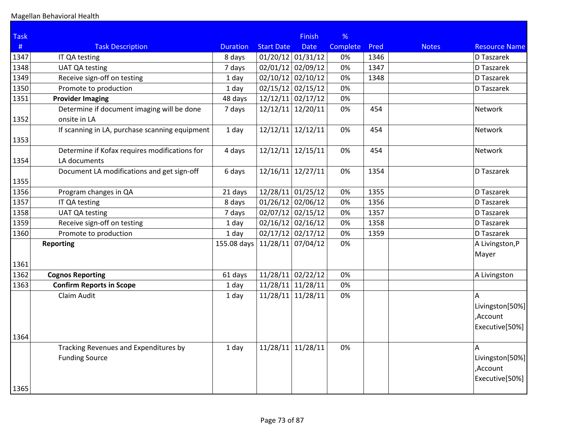| <b>Task</b> |                                                |                 |                     | <b>Finish</b>       | %        |      |              |                      |
|-------------|------------------------------------------------|-----------------|---------------------|---------------------|----------|------|--------------|----------------------|
| #           | <b>Task Description</b>                        | <b>Duration</b> | <b>Start Date</b>   | <b>Date</b>         | Complete | Pred | <b>Notes</b> | <b>Resource Name</b> |
| 1347        | IT QA testing                                  | 8 days          |                     | $01/20/12$ 01/31/12 | 0%       | 1346 |              | D Taszarek           |
| 1348        | <b>UAT QA testing</b>                          | 7 days          |                     | $02/01/12$ 02/09/12 | 0%       | 1347 |              | D Taszarek           |
| 1349        | Receive sign-off on testing                    | 1 day           |                     | $02/10/12$ 02/10/12 | 0%       | 1348 |              | D Taszarek           |
| 1350        | Promote to production                          | 1 day           |                     | $02/15/12$ 02/15/12 | 0%       |      |              | D Taszarek           |
| 1351        | <b>Provider Imaging</b>                        | 48 days         |                     | $12/12/11$ 02/17/12 | 0%       |      |              |                      |
|             | Determine if document imaging will be done     | 7 days          |                     | 12/12/11 12/20/11   | 0%       | 454  |              | <b>Network</b>       |
| 1352        | onsite in LA                                   |                 |                     |                     |          |      |              |                      |
| 1353        | If scanning in LA, purchase scanning equipment | 1 day           |                     | 12/12/11 12/12/11   | 0%       | 454  |              | Network              |
|             | Determine if Kofax requires modifications for  | 4 days          |                     | 12/12/11 12/15/11   | 0%       | 454  |              | Network              |
| 1354        | LA documents                                   |                 |                     |                     |          |      |              |                      |
| 1355        | Document LA modifications and get sign-off     | 6 days          |                     | 12/16/11 12/27/11   | 0%       | 1354 |              | D Taszarek           |
| 1356        | Program changes in QA                          | 21 days         |                     | $12/28/11$ 01/25/12 | 0%       | 1355 |              | D Taszarek           |
| 1357        | IT QA testing                                  | 8 days          |                     | $01/26/12$ 02/06/12 | 0%       | 1356 |              | D Taszarek           |
| 1358        | <b>UAT QA testing</b>                          | 7 days          |                     | $02/07/12$ 02/15/12 | 0%       | 1357 |              | D Taszarek           |
| 1359        | Receive sign-off on testing                    | 1 day           |                     | $02/16/12$ 02/16/12 | 0%       | 1358 |              | D Taszarek           |
| 1360        | Promote to production                          | 1 day           |                     | $02/17/12$ 02/17/12 | 0%       | 1359 |              | D Taszarek           |
|             | <b>Reporting</b>                               | 155.08 days     | $11/28/11$ 07/04/12 |                     | 0%       |      |              | A Livingston, P      |
| 1361        |                                                |                 |                     |                     |          |      |              | Mayer                |
| 1362        | <b>Cognos Reporting</b>                        | 61 days         |                     | $11/28/11$ 02/22/12 | 0%       |      |              | A Livingston         |
| 1363        | <b>Confirm Reports in Scope</b>                | 1 day           |                     | $11/28/11$ 11/28/11 | 0%       |      |              |                      |
|             | Claim Audit                                    | 1 day           |                     | $11/28/11$ 11/28/11 | 0%       |      |              | $\overline{A}$       |
|             |                                                |                 |                     |                     |          |      |              | Livingston[50%]      |
|             |                                                |                 |                     |                     |          |      |              | ,Account             |
|             |                                                |                 |                     |                     |          |      |              | Executive[50%]       |
| 1364        |                                                |                 |                     |                     |          |      |              |                      |
|             | Tracking Revenues and Expenditures by          | 1 day           |                     | 11/28/11 11/28/11   | 0%       |      |              | A                    |
|             | <b>Funding Source</b>                          |                 |                     |                     |          |      |              | Livingston[50%]      |
|             |                                                |                 |                     |                     |          |      |              | ,Account             |
|             |                                                |                 |                     |                     |          |      |              | Executive[50%]       |
| 1365        |                                                |                 |                     |                     |          |      |              |                      |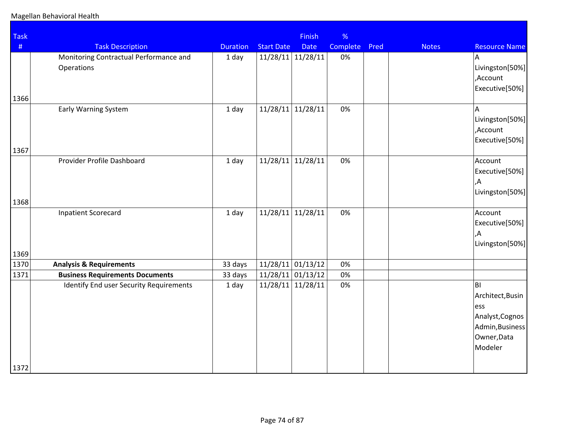| %<br>Finish<br>Complete<br><b>Date</b><br>11/28/11 11/28/11<br>0% | Pred                                                    | <b>Notes</b> | <b>Resource Name</b>                                                                          |
|-------------------------------------------------------------------|---------------------------------------------------------|--------------|-----------------------------------------------------------------------------------------------|
|                                                                   |                                                         |              |                                                                                               |
|                                                                   |                                                         |              | A                                                                                             |
|                                                                   |                                                         |              | Livingston[50%]<br>Account,<br>Executive[50%]                                                 |
|                                                                   |                                                         |              |                                                                                               |
| 11/28/11                                                          |                                                         |              | A<br>Livingston[50%]<br>,Account<br>Executive[50%]                                            |
|                                                                   |                                                         |              |                                                                                               |
| 11/28/11                                                          |                                                         |              | Account<br>Executive[50%]<br>,Α<br>Livingston[50%]                                            |
|                                                                   |                                                         |              |                                                                                               |
|                                                                   |                                                         |              | Account<br>Executive[50%]<br>,Α<br>Livingston[50%]                                            |
|                                                                   |                                                         |              |                                                                                               |
| $11/28/11$ 01/13/12                                               |                                                         |              |                                                                                               |
| $11/28/11$ 01/13/12                                               |                                                         |              |                                                                                               |
| 11/28/11                                                          |                                                         |              | BI<br>Architect, Busin<br>ess<br>Analyst, Cognos<br>Admin, Business<br>Owner, Data<br>Modeler |
|                                                                   | 0%<br>0%<br>$11/28/11$ 11/28/11<br>0%<br>0%<br>0%<br>0% |              |                                                                                               |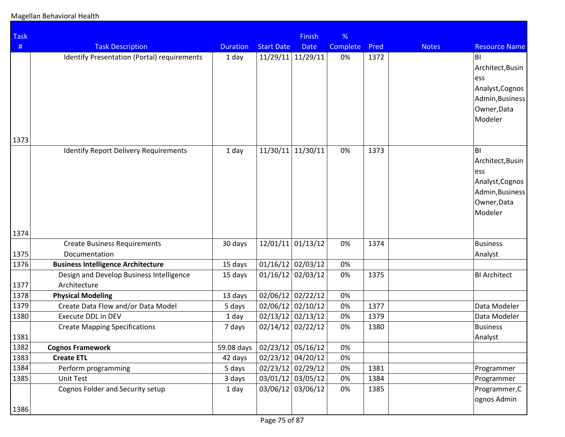| <b>Task</b> |                                                          |                                  |                     | <b>Finish</b>       | %        |      |              |                                                                                                      |
|-------------|----------------------------------------------------------|----------------------------------|---------------------|---------------------|----------|------|--------------|------------------------------------------------------------------------------------------------------|
| #           | <b>Task Description</b>                                  | <b>Duration</b>                  | <b>Start Date</b>   | <b>Date</b>         | Complete | Pred | <b>Notes</b> | <b>Resource Name</b>                                                                                 |
| 1373        | Identify Presentation (Portal) requirements              | 1 day                            | 11/29/11            | 11/29/11            | 0%       | 1372 |              | BI<br>Architect, Busin<br>ess<br>Analyst, Cognos<br>Admin, Business<br>Owner, Data<br>Modeler        |
| 1374        | <b>Identify Report Delivery Requirements</b>             | 1 day                            | 11/30/11            | 11/30/11            | 0%       | 1373 |              | <b>BI</b><br>Architect, Busin<br>ess<br>Analyst, Cognos<br>Admin, Business<br>Owner, Data<br>Modeler |
|             | <b>Create Business Requirements</b>                      | 30 days                          |                     | $12/01/11$ 01/13/12 | 0%       | 1374 |              | <b>Business</b>                                                                                      |
| 1375        | Documentation                                            |                                  |                     |                     |          |      |              | Analyst                                                                                              |
| 1376        | <b>Business Intelligence Architecture</b>                | 15 days                          | $01/16/12$ 02/03/12 |                     | 0%       |      |              |                                                                                                      |
| 1377        | Design and Develop Business Intelligence<br>Architecture | 15 days                          | $01/16/12$ 02/03/12 |                     | 0%       | 1375 |              | <b>BI Architect</b>                                                                                  |
| 1378        | <b>Physical Modeling</b>                                 | 13 days                          |                     | 02/06/12 02/22/12   | 0%       |      |              |                                                                                                      |
| 1379        | Create Data Flow and/or Data Model                       | 5 days                           |                     | 02/06/12 02/10/12   | 0%       | 1377 |              | Data Modeler                                                                                         |
| 1380        | <b>Execute DDL in DEV</b>                                | 1 day                            |                     | $02/13/12$ 02/13/12 | 0%       | 1379 |              | Data Modeler                                                                                         |
| 1381        | <b>Create Mapping Specifications</b>                     | 7 days                           | 02/14/12 02/22/12   |                     | 0%       | 1380 |              | <b>Business</b><br>Analyst                                                                           |
| 1382        | <b>Cognos Framework</b>                                  | 59.08 days   02/23/12   05/16/12 |                     |                     | 0%       |      |              |                                                                                                      |
| 1383        | <b>Create ETL</b>                                        | 42 days                          | $02/23/12$ 04/20/12 |                     | 0%       |      |              |                                                                                                      |
| 1384        | Perform programming                                      | 5 days                           |                     | $02/23/12$ 02/29/12 | 0%       | 1381 |              | Programmer                                                                                           |
| 1385        | Unit Test                                                | 3 days                           |                     | 03/01/12 03/05/12   | 0%       | 1384 |              | Programmer                                                                                           |
| 1386        | Cognos Folder and Security setup                         | 1 day                            |                     | 03/06/12 03/06/12   | 0%       | 1385 |              | Programmer, C<br>ognos Admin                                                                         |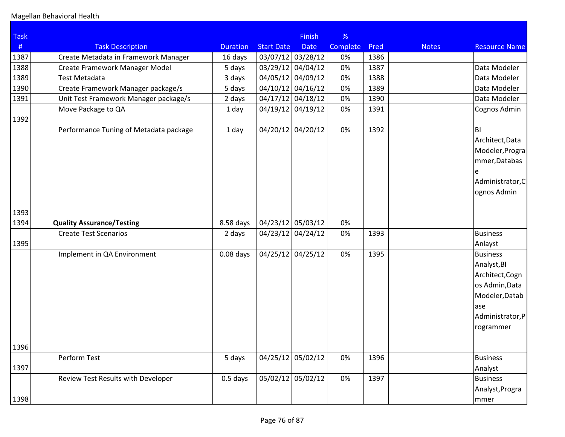| <b>Task</b> |                                        |                 |                   | <b>Finish</b>       | %        |      |              |                                                                                                                                         |
|-------------|----------------------------------------|-----------------|-------------------|---------------------|----------|------|--------------|-----------------------------------------------------------------------------------------------------------------------------------------|
| #           | <b>Task Description</b>                | <b>Duration</b> | <b>Start Date</b> | <b>Date</b>         | Complete | Pred | <b>Notes</b> | <b>Resource Name</b>                                                                                                                    |
| 1387        | Create Metadata in Framework Manager   | 16 days         |                   | 03/07/12 03/28/12   | 0%       | 1386 |              |                                                                                                                                         |
| 1388        | Create Framework Manager Model         | 5 days          |                   | $03/29/12$ 04/04/12 | 0%       | 1387 |              | Data Modeler                                                                                                                            |
| 1389        | <b>Test Metadata</b>                   | 3 days          |                   | 04/05/12 04/09/12   | 0%       | 1388 |              | Data Modeler                                                                                                                            |
| 1390        | Create Framework Manager package/s     | 5 days          |                   | $04/10/12$ 04/16/12 | 0%       | 1389 |              | Data Modeler                                                                                                                            |
| 1391        | Unit Test Framework Manager package/s  | 2 days          |                   | $04/17/12$ 04/18/12 | 0%       | 1390 |              | Data Modeler                                                                                                                            |
| 1392        | Move Package to QA                     | 1 day           |                   | $04/19/12$ 04/19/12 | 0%       | 1391 |              | Cognos Admin                                                                                                                            |
|             | Performance Tuning of Metadata package | 1 day           |                   | 04/20/12 04/20/12   | 0%       | 1392 |              | BI.<br>Architect, Data<br>Modeler, Progra<br>mmer, Databas<br>e<br>Administrator, C<br>ognos Admin                                      |
| 1393        |                                        |                 |                   |                     |          |      |              |                                                                                                                                         |
| 1394        | <b>Quality Assurance/Testing</b>       | 8.58 days       |                   | $04/23/12$ 05/03/12 | 0%       |      |              |                                                                                                                                         |
| 1395        | <b>Create Test Scenarios</b>           | 2 days          |                   | $04/23/12$ 04/24/12 | 0%       | 1393 |              | <b>Business</b>                                                                                                                         |
| 1396        | Implement in QA Environment            | $0.08$ days     |                   | $04/25/12$ 04/25/12 | 0%       | 1395 |              | Anlayst<br><b>Business</b><br>Analyst, BI<br>Architect, Cogn<br>os Admin, Data<br>Modeler, Datab<br>ase<br>Administrator,P<br>rogrammer |
| 1397        | Perform Test                           | 5 days          |                   | 04/25/12 05/02/12   | 0%       | 1396 |              | <b>Business</b><br>Analyst                                                                                                              |
|             | Review Test Results with Developer     | $0.5$ days      |                   | 05/02/12 05/02/12   | 0%       | 1397 |              | <b>Business</b><br>Analyst, Progra                                                                                                      |
| 1398        |                                        |                 |                   |                     |          |      |              | ∣mmer                                                                                                                                   |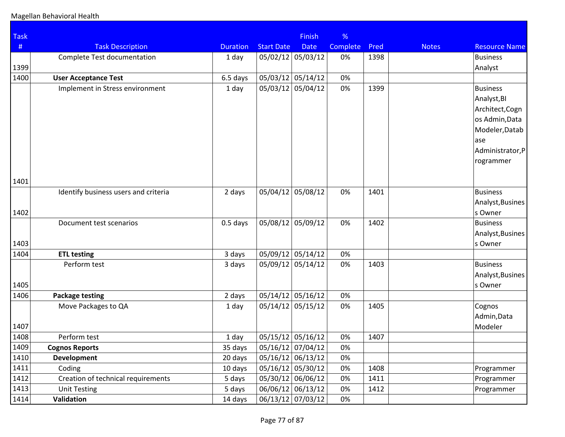| <b>Task</b> |                                      |                 |                     | <b>Finish</b> | %        |      |              |                      |
|-------------|--------------------------------------|-----------------|---------------------|---------------|----------|------|--------------|----------------------|
| #           | <b>Task Description</b>              | <b>Duration</b> | <b>Start Date</b>   | <b>Date</b>   | Complete | Pred | <b>Notes</b> | <b>Resource Name</b> |
|             | Complete Test documentation          | 1 day           | 05/02/12 05/03/12   |               | 0%       | 1398 |              | <b>Business</b>      |
| 1399        |                                      |                 |                     |               |          |      |              | Analyst              |
| 1400        | <b>User Acceptance Test</b>          | 6.5 days        | 05/03/12 05/14/12   |               | 0%       |      |              |                      |
|             | Implement in Stress environment      | 1 day           | 05/03/12 05/04/12   |               | 0%       | 1399 |              | <b>Business</b>      |
|             |                                      |                 |                     |               |          |      |              | Analyst, BI          |
|             |                                      |                 |                     |               |          |      |              | Architect, Cogn      |
|             |                                      |                 |                     |               |          |      |              | os Admin, Data       |
|             |                                      |                 |                     |               |          |      |              | Modeler, Datab       |
|             |                                      |                 |                     |               |          |      |              | ase                  |
|             |                                      |                 |                     |               |          |      |              | Administrator,P      |
|             |                                      |                 |                     |               |          |      |              | rogrammer            |
| 1401        |                                      |                 |                     |               |          |      |              |                      |
|             | Identify business users and criteria | 2 days          | 05/04/12 05/08/12   |               | 0%       | 1401 |              | <b>Business</b>      |
|             |                                      |                 |                     |               |          |      |              | Analyst, Busines     |
| 1402        |                                      |                 |                     |               |          |      |              | s Owner              |
|             | Document test scenarios              | $0.5$ days      | 05/08/12            | 05/09/12      | 0%       | 1402 |              | <b>Business</b>      |
|             |                                      |                 |                     |               |          |      |              | Analyst, Busines     |
| 1403        |                                      |                 |                     |               |          |      |              | s Owner              |
| 1404        | <b>ETL testing</b>                   | 3 days          | 05/09/12 05/14/12   |               | 0%       |      |              |                      |
|             | Perform test                         | 3 days          | 05/09/12 05/14/12   |               | 0%       | 1403 |              | <b>Business</b>      |
|             |                                      |                 |                     |               |          |      |              | Analyst, Busines     |
| 1405        |                                      |                 |                     |               |          |      |              | s Owner              |
| 1406        | <b>Package testing</b>               | 2 days          | $05/14/12$ 05/16/12 |               | 0%       |      |              |                      |
|             | Move Packages to QA                  | 1 day           | 05/14/12 05/15/12   |               | 0%       | 1405 |              | Cognos               |
|             |                                      |                 |                     |               |          |      |              | Admin, Data          |
| 1407        |                                      |                 |                     |               |          |      |              | Modeler              |
| 1408        | Perform test                         | 1 day           | $05/15/12$ 05/16/12 |               | 0%       | 1407 |              |                      |
| 1409        | <b>Cognos Reports</b>                | 35 days         | 05/16/12 07/04/12   |               | 0%       |      |              |                      |
| 1410        | <b>Development</b>                   | 20 days         | 05/16/12 06/13/12   |               | 0%       |      |              |                      |
| 1411        | Coding                               | 10 days         | 05/16/12 05/30/12   |               | 0%       | 1408 |              | Programmer           |
| 1412        | Creation of technical requirements   | 5 days          | 05/30/12 06/06/12   |               | 0%       | 1411 |              | Programmer           |
| 1413        | <b>Unit Testing</b>                  | 5 days          | 06/06/12 06/13/12   |               | 0%       | 1412 |              | Programmer           |
| 1414        | Validation                           | 14 days         | 06/13/12 07/03/12   |               | 0%       |      |              |                      |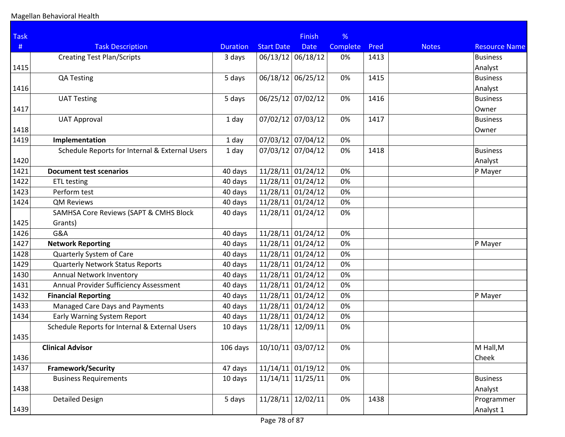| <b>Task</b> |                                                   |                 |                              | <b>Finish</b>       | %        |      |              |                      |
|-------------|---------------------------------------------------|-----------------|------------------------------|---------------------|----------|------|--------------|----------------------|
| #           | <b>Task Description</b>                           | <b>Duration</b> | <b>Start Date</b>            | <b>Date</b>         | Complete | Pred | <b>Notes</b> | <b>Resource Name</b> |
|             | <b>Creating Test Plan/Scripts</b>                 | 3 days          | 06/13/12 06/18/12            |                     | 0%       | 1413 |              | <b>Business</b>      |
| 1415        |                                                   |                 |                              |                     |          |      |              | Analyst              |
|             | <b>QA Testing</b>                                 | 5 days          | 06/18/12 06/25/12            |                     | 0%       | 1415 |              | <b>Business</b>      |
| 1416        |                                                   |                 |                              |                     |          |      |              | Analyst              |
|             | <b>UAT Testing</b>                                | 5 days          | 06/25/12 07/02/12            |                     | 0%       | 1416 |              | <b>Business</b>      |
| 1417        |                                                   |                 |                              |                     |          |      |              | Owner                |
|             | <b>UAT Approval</b>                               | 1 day           | 07/02/12 07/03/12            |                     | 0%       | 1417 |              | <b>Business</b>      |
| 1418        |                                                   |                 |                              |                     |          |      |              | Owner                |
| 1419        | Implementation                                    | 1 day           | 07/03/12 07/04/12            |                     | 0%       |      |              |                      |
|             | Schedule Reports for Internal & External Users    | 1 day           | 07/03/12 07/04/12            |                     | 0%       | 1418 |              | <b>Business</b>      |
| 1420        |                                                   |                 |                              |                     |          |      |              | Analyst              |
| 1421        | <b>Document test scenarios</b>                    | 40 days         | $11/28/11$ 01/24/12          |                     | 0%       |      |              | P Mayer              |
| 1422        | <b>ETL testing</b>                                | 40 days         | $11/28/11$ 01/24/12          |                     | 0%       |      |              |                      |
| 1423        | Perform test                                      | 40 days         | $11/28/11$ 01/24/12          |                     | 0%       |      |              |                      |
| 1424        | <b>QM Reviews</b>                                 | 40 days         | $11/28/11$ 01/24/12          |                     | 0%       |      |              |                      |
|             | <b>SAMHSA Core Reviews (SAPT &amp; CMHS Block</b> | 40 days         | $11/28/11$ 01/24/12          |                     | 0%       |      |              |                      |
| 1425        | Grants)                                           |                 |                              |                     |          |      |              |                      |
| 1426        | G&A                                               | 40 days         | $11/28/11$ 01/24/12          |                     | 0%       |      |              |                      |
| 1427        | <b>Network Reporting</b>                          | 40 days         | $11/28/11$ 01/24/12          |                     | 0%       |      |              | P Mayer              |
| 1428        | Quarterly System of Care                          | 40 days         | $11/28/11$ 01/24/12          |                     | 0%       |      |              |                      |
| 1429        | <b>Quarterly Network Status Reports</b>           | 40 days         | $11/28/11$ 01/24/12          |                     | 0%       |      |              |                      |
| 1430        | Annual Network Inventory                          | 40 days         | $11/28/11$ 01/24/12          |                     | 0%       |      |              |                      |
| 1431        | Annual Provider Sufficiency Assessment            | 40 days         | $11/28/11$ 01/24/12          |                     | 0%       |      |              |                      |
| 1432        | <b>Financial Reporting</b>                        | 40 days         | $11/28/11$ 01/24/12          |                     | 0%       |      |              | P Mayer              |
| 1433        | Managed Care Days and Payments                    | 40 days         | $11/28/11$ 01/24/12          |                     | 0%       |      |              |                      |
| 1434        | Early Warning System Report                       | 40 days         | $11/28/11$ 01/24/12          |                     | 0%       |      |              |                      |
|             | Schedule Reports for Internal & External Users    | 10 days         | 11/28/11                     | 12/09/11            | 0%       |      |              |                      |
| 1435        |                                                   |                 |                              |                     |          |      |              |                      |
|             | <b>Clinical Advisor</b>                           |                 | 106 days   10/10/11 03/07/12 |                     | 0%       |      |              | M Hall, M            |
| 1436        |                                                   |                 |                              |                     |          |      |              | Cheek                |
| 1437        | <b>Framework/Security</b>                         | 47 days         |                              | $11/14/11$ 01/19/12 | 0%       |      |              |                      |
|             | <b>Business Requirements</b>                      | 10 days         | $11/14/11$ 11/25/11          |                     | 0%       |      |              | <b>Business</b>      |
| 1438        |                                                   |                 |                              |                     |          |      |              | Analyst              |
|             | <b>Detailed Design</b>                            | 5 days          |                              | $11/28/11$ 12/02/11 | 0%       | 1438 |              | Programmer           |
| 1439        |                                                   |                 |                              |                     |          |      |              | Analyst 1            |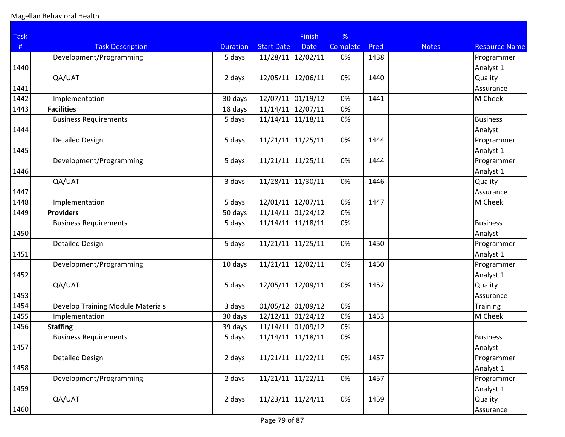| <b>Task</b> |                                          |                 |                     | <b>Finish</b> | %        |      |              |                      |
|-------------|------------------------------------------|-----------------|---------------------|---------------|----------|------|--------------|----------------------|
| #           | <b>Task Description</b>                  | <b>Duration</b> | <b>Start Date</b>   | <b>Date</b>   | Complete | Pred | <b>Notes</b> | <b>Resource Name</b> |
|             | Development/Programming                  | 5 days          | 11/28/11            | 12/02/11      | 0%       | 1438 |              | Programmer           |
| 1440        |                                          |                 |                     |               |          |      |              | Analyst 1            |
|             | QA/UAT                                   | 2 days          | 12/05/11            | 12/06/11      | 0%       | 1440 |              | Quality              |
| 1441        |                                          |                 |                     |               |          |      |              | Assurance            |
| 1442        | Implementation                           | 30 days         | $12/07/11$ 01/19/12 |               | 0%       | 1441 |              | M Cheek              |
| 1443        | <b>Facilities</b>                        | 18 days         | 11/14/11            | 12/07/11      | 0%       |      |              |                      |
|             | <b>Business Requirements</b>             | 5 days          | 11/14/11            | 11/18/11      | 0%       |      |              | <b>Business</b>      |
| 1444        |                                          |                 |                     |               |          |      |              | Analyst              |
|             | <b>Detailed Design</b>                   | 5 days          | 11/21/11            | 11/25/11      | 0%       | 1444 |              | Programmer           |
| 1445        |                                          |                 |                     |               |          |      |              | Analyst 1            |
|             | Development/Programming                  | 5 days          | 11/21/11            | 11/25/11      | 0%       | 1444 |              | Programmer           |
| 1446        |                                          |                 |                     |               |          |      |              | Analyst 1            |
|             | QA/UAT                                   | 3 days          | 11/28/11            | 11/30/11      | 0%       | 1446 |              | Quality              |
| 1447        |                                          |                 |                     |               |          |      |              | Assurance            |
| 1448        | Implementation                           | 5 days          | 12/01/11            | 12/07/11      | 0%       | 1447 |              | M Cheek              |
| 1449        | <b>Providers</b>                         | 50 days         | 11/14/11            | 01/24/12      | 0%       |      |              |                      |
|             | <b>Business Requirements</b>             | 5 days          | 11/14/11            | 11/18/11      | 0%       |      |              | <b>Business</b>      |
| 1450        |                                          |                 |                     |               |          |      |              | Analyst              |
|             | <b>Detailed Design</b>                   | 5 days          | 11/21/11            | 11/25/11      | 0%       | 1450 |              | Programmer           |
| 1451        |                                          |                 |                     |               |          |      |              | Analyst 1            |
|             | Development/Programming                  | 10 days         | 11/21/11            | 12/02/11      | 0%       | 1450 |              | Programmer           |
| 1452        |                                          |                 |                     |               |          |      |              | Analyst 1            |
|             | QA/UAT                                   | 5 days          | 12/05/11            | 12/09/11      | 0%       | 1452 |              | Quality              |
| 1453        |                                          |                 |                     |               |          |      |              | Assurance            |
| 1454        | <b>Develop Training Module Materials</b> | 3 days          | $01/05/12$ 01/09/12 |               | 0%       |      |              | <b>Training</b>      |
| 1455        | Implementation                           | 30 days         | $12/12/11$ 01/24/12 |               | 0%       | 1453 |              | M Cheek              |
| 1456        | <b>Staffing</b>                          | 39 days         | 11/14/11            | 01/09/12      | 0%       |      |              |                      |
|             | <b>Business Requirements</b>             | 5 days          | 11/14/11            | 11/18/11      | 0%       |      |              | <b>Business</b>      |
| 1457        |                                          |                 |                     |               |          |      |              | Analyst              |
|             | <b>Detailed Design</b>                   | 2 days          | 11/21/11            | 11/22/11      | 0%       | 1457 |              | Programmer           |
| 1458        |                                          |                 |                     |               |          |      |              | Analyst 1            |
|             | Development/Programming                  | 2 days          | 11/21/11            | 11/22/11      | 0%       | 1457 |              | Programmer           |
| 1459        |                                          |                 |                     |               |          |      |              | Analyst 1            |
|             | QA/UAT                                   | 2 days          | 11/23/11            | 11/24/11      | 0%       | 1459 |              | Quality              |
| 1460        |                                          |                 |                     |               |          |      |              | Assurance            |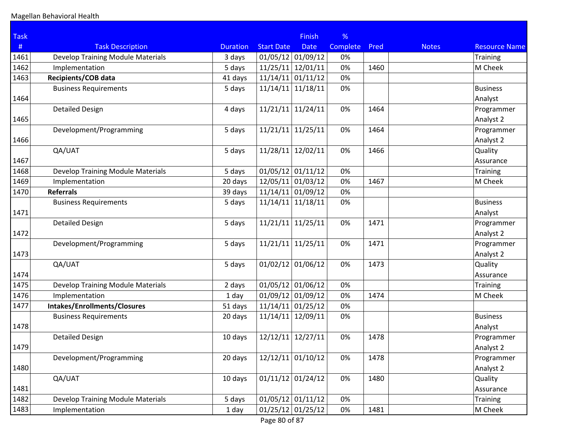| <b>Task</b> |                                          |                 |                     | <b>Finish</b>       | %               |      |              |                      |
|-------------|------------------------------------------|-----------------|---------------------|---------------------|-----------------|------|--------------|----------------------|
| #           | <b>Task Description</b>                  | <b>Duration</b> | <b>Start Date</b>   | <b>Date</b>         | <b>Complete</b> | Pred | <b>Notes</b> | <b>Resource Name</b> |
| 1461        | <b>Develop Training Module Materials</b> | 3 days          | $01/05/12$ 01/09/12 |                     | 0%              |      |              | <b>Training</b>      |
| 1462        | Implementation                           | 5 days          | 11/25/11            | 12/01/11            | 0%              | 1460 |              | M Cheek              |
| 1463        | Recipients/COB data                      | 41 days         | 11/14/11            | 01/11/12            | 0%              |      |              |                      |
|             | <b>Business Requirements</b>             | 5 days          | 11/14/11            | 11/18/11            | 0%              |      |              | <b>Business</b>      |
| 1464        |                                          |                 |                     |                     |                 |      |              | Analyst              |
|             | <b>Detailed Design</b>                   | 4 days          | 11/21/11            | 11/24/11            | 0%              | 1464 |              | Programmer           |
| 1465        |                                          |                 |                     |                     |                 |      |              | Analyst 2            |
|             | Development/Programming                  | 5 days          | 11/21/11            | 11/25/11            | 0%              | 1464 |              | Programmer           |
| 1466        |                                          |                 |                     |                     |                 |      |              | Analyst 2            |
|             | QA/UAT                                   | 5 days          | $11/28/11$ 12/02/11 |                     | 0%              | 1466 |              | Quality              |
| 1467        |                                          |                 |                     |                     |                 |      |              | Assurance            |
| 1468        | <b>Develop Training Module Materials</b> | 5 days          | $01/05/12$ 01/11/12 |                     | 0%              |      |              | <b>Training</b>      |
| 1469        | Implementation                           | 20 days         | 12/05/11            | 01/03/12            | 0%              | 1467 |              | M Cheek              |
| 1470        | <b>Referrals</b>                         | 39 days         | 11/14/11            | 01/09/12            | 0%              |      |              |                      |
|             | <b>Business Requirements</b>             | 5 days          | 11/14/11            | 11/18/11            | 0%              |      |              | <b>Business</b>      |
| 1471        |                                          |                 |                     |                     |                 |      |              | Analyst              |
|             | <b>Detailed Design</b>                   | 5 days          | 11/21/11            | 11/25/11            | 0%              | 1471 |              | Programmer           |
| 1472        |                                          |                 |                     |                     |                 |      |              | Analyst 2            |
|             | Development/Programming                  | 5 days          | 11/21/11            | 11/25/11            | 0%              | 1471 |              | Programmer           |
| 1473        |                                          |                 |                     |                     |                 |      |              | Analyst 2            |
|             | QA/UAT                                   | 5 days          | $01/02/12$ 01/06/12 |                     | 0%              | 1473 |              | Quality              |
| 1474        |                                          |                 |                     |                     |                 |      |              | Assurance            |
| 1475        | <b>Develop Training Module Materials</b> | 2 days          | $01/05/12$ 01/06/12 |                     | 0%              |      |              | <b>Training</b>      |
| 1476        | Implementation                           | 1 day           | $01/09/12$ 01/09/12 |                     | 0%              | 1474 |              | M Cheek              |
| 1477        | Intakes/Enrollments/Closures             | 51 days         | $11/14/11$ 01/25/12 |                     | 0%              |      |              |                      |
|             | <b>Business Requirements</b>             | 20 days         | 11/14/11            | 12/09/11            | 0%              |      |              | <b>Business</b>      |
| 1478        |                                          |                 |                     |                     |                 |      |              | Analyst              |
|             | <b>Detailed Design</b>                   | 10 days         | 12/12/11            | 12/27/11            | 0%              | 1478 |              | Programmer           |
| 1479        |                                          |                 |                     |                     |                 |      |              | Analyst 2            |
|             | Development/Programming                  | 20 days         | 12/12/11            | 01/10/12            | 0%              | 1478 |              | Programmer           |
| 1480        |                                          |                 |                     |                     |                 |      |              | Analyst 2            |
|             | QA/UAT                                   | 10 days         | $01/11/12$ 01/24/12 |                     | 0%              | 1480 |              | Quality              |
| 1481        |                                          |                 |                     |                     |                 |      |              | Assurance            |
| 1482        | Develop Training Module Materials        | 5 days          | $01/05/12$ 01/11/12 |                     | 0%              |      |              | <b>Training</b>      |
| 1483        | Implementation                           | 1 day           |                     | $01/25/12$ 01/25/12 | 0%              | 1481 |              | M Cheek              |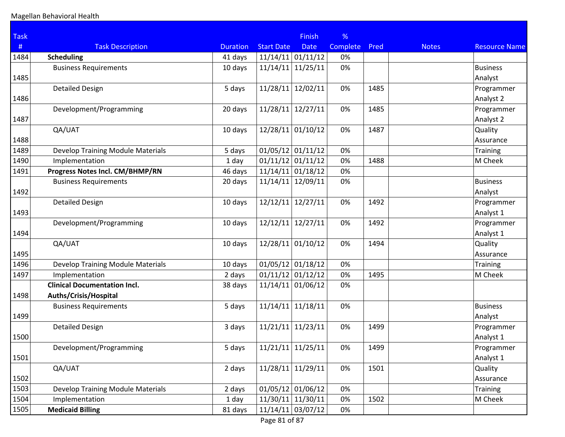| <b>Task</b> |                                          |                 |                     | <b>Finish</b>       | %        |      |              |                      |
|-------------|------------------------------------------|-----------------|---------------------|---------------------|----------|------|--------------|----------------------|
| #           | <b>Task Description</b>                  | <b>Duration</b> | <b>Start Date</b>   | <b>Date</b>         | Complete | Pred | <b>Notes</b> | <b>Resource Name</b> |
| 1484        | <b>Scheduling</b>                        | 41 days         | $11/14/11$ 01/11/12 |                     | 0%       |      |              |                      |
|             | <b>Business Requirements</b>             | 10 days         | 11/14/11            | 11/25/11            | 0%       |      |              | <b>Business</b>      |
| 1485        |                                          |                 |                     |                     |          |      |              | Analyst              |
|             | <b>Detailed Design</b>                   | 5 days          | 11/28/11            | 12/02/11            | 0%       | 1485 |              | Programmer           |
| 1486        |                                          |                 |                     |                     |          |      |              | Analyst 2            |
|             | Development/Programming                  | 20 days         | 11/28/11 12/27/11   |                     | 0%       | 1485 |              | Programmer           |
| 1487        |                                          |                 |                     |                     |          |      |              | Analyst 2            |
|             | QA/UAT                                   | 10 days         | 12/28/11 01/10/12   |                     | 0%       | 1487 |              | Quality              |
| 1488        |                                          |                 |                     |                     |          |      |              | Assurance            |
| 1489        | Develop Training Module Materials        | 5 days          | $01/05/12$ 01/11/12 |                     | 0%       |      |              | <b>Training</b>      |
| 1490        | Implementation                           | 1 day           | $01/11/12$ 01/11/12 |                     | 0%       | 1488 |              | M Cheek              |
| 1491        | Progress Notes Incl. CM/BHMP/RN          | 46 days         | $11/14/11$ 01/18/12 |                     | 0%       |      |              |                      |
|             | <b>Business Requirements</b>             | 20 days         | 11/14/11            | 12/09/11            | 0%       |      |              | <b>Business</b>      |
| 1492        |                                          |                 |                     |                     |          |      |              | Analyst              |
|             | <b>Detailed Design</b>                   | 10 days         | 12/12/11            | 12/27/11            | 0%       | 1492 |              | Programmer           |
| 1493        |                                          |                 |                     |                     |          |      |              | Analyst 1            |
|             | Development/Programming                  | 10 days         | 12/12/11            | 12/27/11            | 0%       | 1492 |              | Programmer           |
| 1494        |                                          |                 |                     |                     |          |      |              | Analyst 1            |
|             | QA/UAT                                   | 10 days         | 12/28/11 01/10/12   |                     | 0%       | 1494 |              | Quality              |
| 1495        |                                          |                 |                     |                     |          |      |              | Assurance            |
| 1496        | <b>Develop Training Module Materials</b> | 10 days         | $01/05/12$ 01/18/12 |                     | 0%       |      |              | <b>Training</b>      |
| 1497        | Implementation                           | 2 days          | $01/11/12$ 01/12/12 |                     | 0%       | 1495 |              | M Cheek              |
|             | <b>Clinical Documentation Incl.</b>      | 38 days         | $11/14/11$ 01/06/12 |                     | 0%       |      |              |                      |
| 1498        | Auths/Crisis/Hospital                    |                 |                     |                     |          |      |              |                      |
|             | <b>Business Requirements</b>             | 5 days          | $11/14/11$ 11/18/11 |                     | 0%       |      |              | <b>Business</b>      |
| 1499        |                                          |                 |                     |                     |          |      |              | Analyst              |
|             | <b>Detailed Design</b>                   | 3 days          | 11/21/11            | 11/23/11            | 0%       | 1499 |              | Programmer           |
| 1500        |                                          |                 |                     |                     |          |      |              | Analyst 1            |
|             | Development/Programming                  | 5 days          | $11/21/11$ 11/25/11 |                     | 0%       | 1499 |              | Programmer           |
| 1501        |                                          |                 |                     |                     |          |      |              | Analyst 1            |
|             | QA/UAT                                   | 2 days          |                     | $11/28/11$ 11/29/11 | 0%       | 1501 |              | Quality              |
| 1502        |                                          |                 |                     |                     |          |      |              | Assurance            |
| 1503        | Develop Training Module Materials        | 2 days          |                     | $01/05/12$ 01/06/12 | 0%       |      |              | Training             |
| 1504        | Implementation                           | 1 day           | 11/30/11 11/30/11   |                     | 0%       | 1502 |              | M Cheek              |
| 1505        | <b>Medicaid Billing</b>                  | 81 days         |                     | $11/14/11$ 03/07/12 | 0%       |      |              |                      |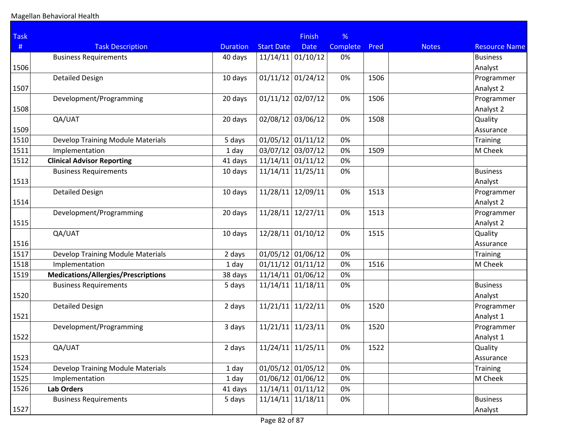| <b>Task</b> |                                            |                 |                     | <b>Finish</b> | %        |      |              |                      |
|-------------|--------------------------------------------|-----------------|---------------------|---------------|----------|------|--------------|----------------------|
| #           | <b>Task Description</b>                    | <b>Duration</b> | <b>Start Date</b>   | <b>Date</b>   | Complete | Pred | <b>Notes</b> | <b>Resource Name</b> |
|             | <b>Business Requirements</b>               | 40 days         | $11/14/11$ 01/10/12 |               | 0%       |      |              | <b>Business</b>      |
| 1506        |                                            |                 |                     |               |          |      |              | Analyst              |
|             | <b>Detailed Design</b>                     | 10 days         | $01/11/12$ 01/24/12 |               | 0%       | 1506 |              | Programmer           |
| 1507        |                                            |                 |                     |               |          |      |              | Analyst 2            |
|             | Development/Programming                    | 20 days         | $01/11/12$ 02/07/12 |               | 0%       | 1506 |              | Programmer           |
| 1508        |                                            |                 |                     |               |          |      |              | Analyst 2            |
|             | QA/UAT                                     | 20 days         | 02/08/12            | 03/06/12      | 0%       | 1508 |              | Quality              |
| 1509        |                                            |                 |                     |               |          |      |              | Assurance            |
| 1510        | <b>Develop Training Module Materials</b>   | 5 days          | 01/05/12            | 01/11/12      | 0%       |      |              | <b>Training</b>      |
| 1511        | Implementation                             | 1 day           | 03/07/12 03/07/12   |               | 0%       | 1509 |              | M Cheek              |
| 1512        | <b>Clinical Advisor Reporting</b>          | 41 days         | $11/14/11$ 01/11/12 |               | 0%       |      |              |                      |
|             | <b>Business Requirements</b>               | 10 days         | 11/14/11            | 11/25/11      | 0%       |      |              | <b>Business</b>      |
| 1513        |                                            |                 |                     |               |          |      |              | Analyst              |
|             | <b>Detailed Design</b>                     | 10 days         | 11/28/11            | 12/09/11      | 0%       | 1513 |              | Programmer           |
| 1514        |                                            |                 |                     |               |          |      |              | Analyst 2            |
|             | Development/Programming                    | 20 days         | 11/28/11            | 12/27/11      | 0%       | 1513 |              | Programmer           |
| 1515        |                                            |                 |                     |               |          |      |              | Analyst 2            |
|             | QA/UAT                                     | 10 days         | 12/28/11            | 01/10/12      | 0%       | 1515 |              | Quality              |
| 1516        |                                            |                 |                     |               |          |      |              | Assurance            |
| 1517        | <b>Develop Training Module Materials</b>   | 2 days          | $01/05/12$ 01/06/12 |               | 0%       |      |              | <b>Training</b>      |
| 1518        | Implementation                             | 1 day           | 01/11/12            | 01/11/12      | 0%       | 1516 |              | M Cheek              |
| 1519        | <b>Medications/Allergies/Prescriptions</b> | 38 days         | $11/14/11$ 01/06/12 |               | 0%       |      |              |                      |
|             | <b>Business Requirements</b>               | 5 days          | 11/14/11            | 11/18/11      | 0%       |      |              | <b>Business</b>      |
| 1520        |                                            |                 |                     |               |          |      |              | Analyst              |
|             | <b>Detailed Design</b>                     | 2 days          | 11/21/11            | 11/22/11      | 0%       | 1520 |              | Programmer           |
| 1521        |                                            |                 |                     |               |          |      |              | Analyst 1            |
|             | Development/Programming                    | 3 days          | 11/21/11            | 11/23/11      | 0%       | 1520 |              | Programmer           |
| 1522        |                                            |                 |                     |               |          |      |              | Analyst 1            |
|             | QA/UAT                                     | 2 days          | $11/24/11$ 11/25/11 |               | 0%       | 1522 |              | Quality              |
| 1523        |                                            |                 |                     |               |          |      |              | Assurance            |
| 1524        | Develop Training Module Materials          | 1 day           | $01/05/12$ 01/05/12 |               | 0%       |      |              | Training             |
| 1525        | Implementation                             | 1 day           | $01/06/12$ 01/06/12 |               | 0%       |      |              | M Cheek              |
| 1526        | Lab Orders                                 | 41 days         | $11/14/11$ 01/11/12 |               | 0%       |      |              |                      |
|             | <b>Business Requirements</b>               | 5 days          | $11/14/11$ 11/18/11 |               | 0%       |      |              | <b>Business</b>      |
| 1527        |                                            |                 |                     |               |          |      |              | Analyst              |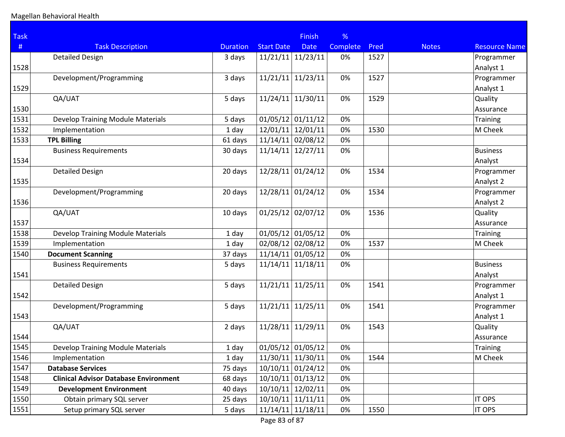| <b>Task</b> |                                              |                 |                     | <b>Finish</b> | %               |      |              |                      |
|-------------|----------------------------------------------|-----------------|---------------------|---------------|-----------------|------|--------------|----------------------|
| #           | <b>Task Description</b>                      | <b>Duration</b> | <b>Start Date</b>   | <b>Date</b>   | <b>Complete</b> | Pred | <b>Notes</b> | <b>Resource Name</b> |
|             | <b>Detailed Design</b>                       | 3 days          | 11/21/11            | 11/23/11      | 0%              | 1527 |              | Programmer           |
| 1528        |                                              |                 |                     |               |                 |      |              | Analyst 1            |
|             | Development/Programming                      | 3 days          | 11/21/11            | 11/23/11      | 0%              | 1527 |              | Programmer           |
| 1529        |                                              |                 |                     |               |                 |      |              | Analyst 1            |
|             | QA/UAT                                       | 5 days          | 11/24/11            | 11/30/11      | 0%              | 1529 |              | Quality              |
| 1530        |                                              |                 |                     |               |                 |      |              | Assurance            |
| 1531        | <b>Develop Training Module Materials</b>     | 5 days          | $01/05/12$ 01/11/12 |               | 0%              |      |              | <b>Training</b>      |
| 1532        | Implementation                               | 1 day           | 12/01/11            | 12/01/11      | 0%              | 1530 |              | M Cheek              |
| 1533        | <b>TPL Billing</b>                           | 61 days         | 11/14/11            | 02/08/12      | 0%              |      |              |                      |
|             | <b>Business Requirements</b>                 | 30 days         | 11/14/11            | 12/27/11      | 0%              |      |              | <b>Business</b>      |
| 1534        |                                              |                 |                     |               |                 |      |              | Analyst              |
|             | <b>Detailed Design</b>                       | 20 days         | 12/28/11 01/24/12   |               | 0%              | 1534 |              | Programmer           |
| 1535        |                                              |                 |                     |               |                 |      |              | Analyst 2            |
|             | Development/Programming                      | 20 days         | 12/28/11            | 01/24/12      | 0%              | 1534 |              | Programmer           |
| 1536        |                                              |                 |                     |               |                 |      |              | Analyst 2            |
|             | QA/UAT                                       | 10 days         | 01/25/12            | 02/07/12      | 0%              | 1536 |              | Quality              |
| 1537        |                                              |                 |                     |               |                 |      |              | Assurance            |
| 1538        | <b>Develop Training Module Materials</b>     | 1 day           | $01/05/12$ 01/05/12 |               | 0%              |      |              | <b>Training</b>      |
| 1539        | Implementation                               | 1 day           | 02/08/12 02/08/12   |               | 0%              | 1537 |              | M Cheek              |
| 1540        | <b>Document Scanning</b>                     | 37 days         | $11/14/11$ 01/05/12 |               | 0%              |      |              |                      |
|             | <b>Business Requirements</b>                 | 5 days          | 11/14/11            | 11/18/11      | 0%              |      |              | <b>Business</b>      |
| 1541        |                                              |                 |                     |               |                 |      |              | Analyst              |
|             | <b>Detailed Design</b>                       | 5 days          | 11/21/11            | 11/25/11      | 0%              | 1541 |              | Programmer           |
| 1542        |                                              |                 |                     |               |                 |      |              | Analyst 1            |
|             | Development/Programming                      | 5 days          | 11/21/11            | 11/25/11      | 0%              | 1541 |              | Programmer           |
| 1543        |                                              |                 |                     |               |                 |      |              | Analyst 1            |
|             | QA/UAT                                       | 2 days          | 11/28/11            | 11/29/11      | 0%              | 1543 |              | Quality              |
| 1544        |                                              |                 |                     |               |                 |      |              | Assurance            |
| 1545        | <b>Develop Training Module Materials</b>     | 1 day           | $01/05/12$ 01/05/12 |               | 0%              |      |              | <b>Training</b>      |
| 1546        | Implementation                               | 1 day           | $11/30/11$ 11/30/11 |               | 0%              | 1544 |              | M Cheek              |
| 1547        | <b>Database Services</b>                     | 75 days         | $10/10/11$ 01/24/12 |               | 0%              |      |              |                      |
| 1548        | <b>Clinical Advisor Database Environment</b> | 68 days         | $10/10/11$ 01/13/12 |               | 0%              |      |              |                      |
| 1549        | <b>Development Environment</b>               | 40 days         | 10/10/11 12/02/11   |               | 0%              |      |              |                      |
| 1550        | Obtain primary SQL server                    | 25 days         | $10/10/11$ 11/11/11 |               | 0%              |      |              | IT OPS               |
| 1551        | Setup primary SQL server                     | 5 days          | $11/14/11$ 11/18/11 |               | 0%              | 1550 |              | IT OPS               |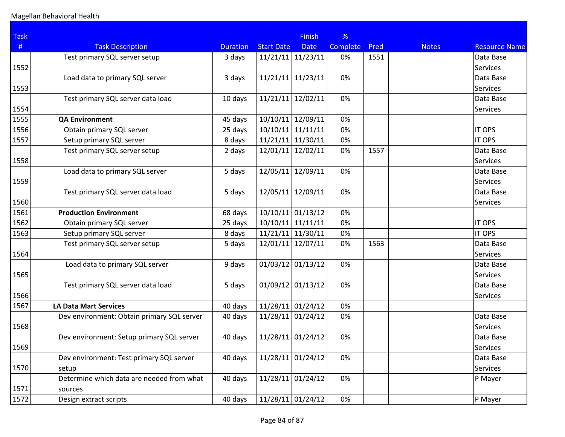| <b>Task</b> |                                            |                 |                     | <b>Finish</b>       | %               |      |              |                      |
|-------------|--------------------------------------------|-----------------|---------------------|---------------------|-----------------|------|--------------|----------------------|
| #           | <b>Task Description</b>                    | <b>Duration</b> | <b>Start Date</b>   | <b>Date</b>         | <b>Complete</b> | Pred | <b>Notes</b> | <b>Resource Name</b> |
|             | Test primary SQL server setup              | 3 days          | $11/21/11$ 11/23/11 |                     | 0%              | 1551 |              | Data Base            |
| 1552        |                                            |                 |                     |                     |                 |      |              | Services             |
|             | Load data to primary SQL server            | 3 days          | $11/21/11$ 11/23/11 |                     | 0%              |      |              | Data Base            |
| 1553        |                                            |                 |                     |                     |                 |      |              | Services             |
|             | Test primary SQL server data load          | 10 days         | $11/21/11$ 12/02/11 |                     | 0%              |      |              | Data Base            |
| 1554        |                                            |                 |                     |                     |                 |      |              | Services             |
| 1555        | <b>QA Environment</b>                      | 45 days         | 10/10/11 12/09/11   |                     | 0%              |      |              |                      |
| 1556        | Obtain primary SQL server                  | 25 days         | $10/10/11$ 11/11/11 |                     | 0%              |      |              | <b>IT OPS</b>        |
| 1557        | Setup primary SQL server                   | 8 days          | $11/21/11$ 11/30/11 |                     | 0%              |      |              | <b>IT OPS</b>        |
|             | Test primary SQL server setup              | 2 days          | $12/01/11$ 12/02/11 |                     | 0%              | 1557 |              | Data Base            |
| 1558        |                                            |                 |                     |                     |                 |      |              | Services             |
|             | Load data to primary SQL server            | 5 days          | 12/05/11 12/09/11   |                     | 0%              |      |              | Data Base            |
| 1559        |                                            |                 |                     |                     |                 |      |              | Services             |
|             | Test primary SQL server data load          | 5 days          | $12/05/11$ 12/09/11 |                     | 0%              |      |              | Data Base            |
| 1560        |                                            |                 |                     |                     |                 |      |              | <b>Services</b>      |
| 1561        | <b>Production Environment</b>              | 68 days         | $10/10/11$ 01/13/12 |                     | 0%              |      |              |                      |
| 1562        | Obtain primary SQL server                  | 25 days         | $10/10/11$ 11/11/11 |                     | 0%              |      |              | <b>IT OPS</b>        |
| 1563        | Setup primary SQL server                   | 8 days          | $11/21/11$ 11/30/11 |                     | 0%              |      |              | <b>IT OPS</b>        |
|             | Test primary SQL server setup              | 5 days          | 12/01/11 12/07/11   |                     | 0%              | 1563 |              | Data Base            |
| 1564        |                                            |                 |                     |                     |                 |      |              | Services             |
|             | Load data to primary SQL server            | 9 days          | $01/03/12$ 01/13/12 |                     | 0%              |      |              | Data Base            |
| 1565        |                                            |                 |                     |                     |                 |      |              | Services             |
|             | Test primary SQL server data load          | 5 days          | $01/09/12$ 01/13/12 |                     | 0%              |      |              | Data Base            |
| 1566        |                                            |                 |                     |                     |                 |      |              | Services             |
| 1567        | <b>LA Data Mart Services</b>               | 40 days         | $11/28/11$ 01/24/12 |                     | 0%              |      |              |                      |
|             | Dev environment: Obtain primary SQL server | 40 days         | $11/28/11$ 01/24/12 |                     | 0%              |      |              | Data Base            |
| 1568        |                                            |                 |                     |                     |                 |      |              | Services             |
|             | Dev environment: Setup primary SQL server  | 40 days         | $11/28/11$ 01/24/12 |                     | 0%              |      |              | Data Base            |
| 1569        |                                            |                 |                     |                     |                 |      |              | Services             |
|             | Dev environment: Test primary SQL server   | 40 days         | $11/28/11$ 01/24/12 |                     | 0%              |      |              | Data Base            |
| 1570        | setup                                      |                 |                     |                     |                 |      |              | Services             |
|             | Determine which data are needed from what  | 40 days         |                     | $11/28/11$ 01/24/12 | 0%              |      |              | P Mayer              |
| 1571        | sources                                    |                 |                     |                     |                 |      |              |                      |
| 1572        | Design extract scripts                     | 40 days         |                     | $11/28/11$ 01/24/12 | 0%              |      |              | P Mayer              |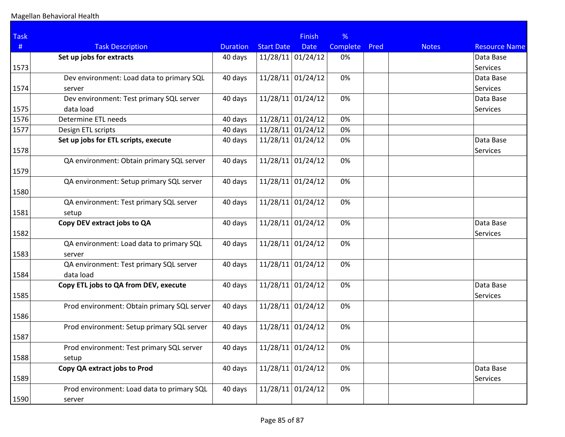| <b>Task</b> |                                             |                 |                     | <b>Finish</b> | %               |      |              |                      |
|-------------|---------------------------------------------|-----------------|---------------------|---------------|-----------------|------|--------------|----------------------|
| #           | <b>Task Description</b>                     | <b>Duration</b> | <b>Start Date</b>   | <b>Date</b>   | <b>Complete</b> | Pred | <b>Notes</b> | <b>Resource Name</b> |
|             | Set up jobs for extracts                    | 40 days         | $11/28/11$ 01/24/12 |               | 0%              |      |              | Data Base            |
| 1573        |                                             |                 |                     |               |                 |      |              | Services             |
|             | Dev environment: Load data to primary SQL   | 40 days         | $11/28/11$ 01/24/12 |               | 0%              |      |              | Data Base            |
| 1574        | server                                      |                 |                     |               |                 |      |              | <b>Services</b>      |
|             | Dev environment: Test primary SQL server    | 40 days         | $11/28/11$ 01/24/12 |               | 0%              |      |              | Data Base            |
| 1575        | data load                                   |                 |                     |               |                 |      |              | <b>Services</b>      |
| 1576        | Determine ETL needs                         | 40 days         | $11/28/11$ 01/24/12 |               | 0%              |      |              |                      |
| 1577        | Design ETL scripts                          | 40 days         | $11/28/11$ 01/24/12 |               | 0%              |      |              |                      |
|             | Set up jobs for ETL scripts, execute        | 40 days         | $11/28/11$ 01/24/12 |               | 0%              |      |              | Data Base            |
| 1578        |                                             |                 |                     |               |                 |      |              | Services             |
|             | QA environment: Obtain primary SQL server   | 40 days         | $11/28/11$ 01/24/12 |               | 0%              |      |              |                      |
| 1579        |                                             |                 |                     |               |                 |      |              |                      |
|             | QA environment: Setup primary SQL server    | 40 days         | $11/28/11$ 01/24/12 |               | 0%              |      |              |                      |
| 1580        |                                             |                 |                     |               |                 |      |              |                      |
|             | QA environment: Test primary SQL server     | 40 days         | $11/28/11$ 01/24/12 |               | 0%              |      |              |                      |
| 1581        | setup                                       |                 |                     |               |                 |      |              |                      |
|             | Copy DEV extract jobs to QA                 | 40 days         | $11/28/11$ 01/24/12 |               | 0%              |      |              | Data Base            |
| 1582        |                                             |                 |                     |               |                 |      |              | <b>Services</b>      |
|             | QA environment: Load data to primary SQL    | 40 days         | $11/28/11$ 01/24/12 |               | 0%              |      |              |                      |
| 1583        | server                                      |                 |                     |               |                 |      |              |                      |
|             | QA environment: Test primary SQL server     | 40 days         | $11/28/11$ 01/24/12 |               | 0%              |      |              |                      |
| 1584        | data load                                   |                 |                     |               |                 |      |              |                      |
|             | Copy ETL jobs to QA from DEV, execute       | 40 days         | $11/28/11$ 01/24/12 |               | 0%              |      |              | Data Base            |
| 1585        |                                             |                 |                     |               |                 |      |              | <b>Services</b>      |
|             | Prod environment: Obtain primary SQL server | 40 days         | $11/28/11$ 01/24/12 |               | 0%              |      |              |                      |
| 1586        |                                             |                 |                     |               |                 |      |              |                      |
|             | Prod environment: Setup primary SQL server  | 40 days         | $11/28/11$ 01/24/12 |               | 0%              |      |              |                      |
| 1587        |                                             |                 |                     |               |                 |      |              |                      |
|             | Prod environment: Test primary SQL server   | 40 days         | $11/28/11$ 01/24/12 |               | $0\%$           |      |              |                      |
| 1588        | setup                                       |                 |                     |               |                 |      |              |                      |
|             | Copy QA extract jobs to Prod                | 40 days         | $11/28/11$ 01/24/12 |               | 0%              |      |              | Data Base            |
| 1589        |                                             |                 |                     |               |                 |      |              | Services             |
|             | Prod environment: Load data to primary SQL  | 40 days         | $11/28/11$ 01/24/12 |               | 0%              |      |              |                      |
| 1590        | server                                      |                 |                     |               |                 |      |              |                      |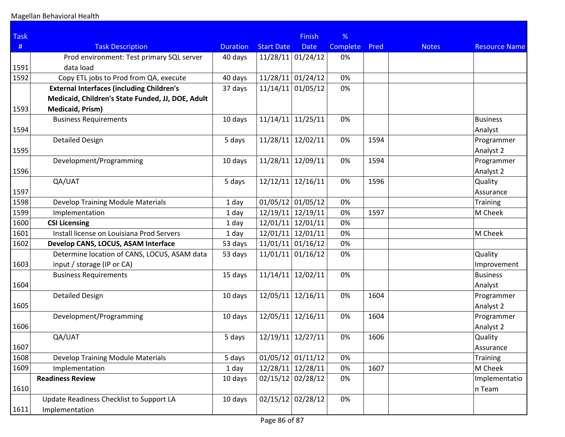| <b>Task</b> |                                                   |                 |                     | <b>Finish</b> | %        |      |              |                      |
|-------------|---------------------------------------------------|-----------------|---------------------|---------------|----------|------|--------------|----------------------|
| #           | <b>Task Description</b>                           | <b>Duration</b> | <b>Start Date</b>   | <b>Date</b>   | Complete | Pred | <b>Notes</b> | <b>Resource Name</b> |
|             | Prod environment: Test primary SQL server         | 40 days         | $11/28/11$ 01/24/12 |               | 0%       |      |              |                      |
| 1591        | data load                                         |                 |                     |               |          |      |              |                      |
| 1592        | Copy ETL jobs to Prod from QA, execute            | 40 days         | $11/28/11$ 01/24/12 |               | 0%       |      |              |                      |
|             | <b>External Interfaces (including Children's</b>  | 37 days         | $11/14/11$ 01/05/12 |               | 0%       |      |              |                      |
|             | Medicaid, Children's State Funded, JJ, DOE, Adult |                 |                     |               |          |      |              |                      |
| 1593        | Medicaid, Prism)                                  |                 |                     |               |          |      |              |                      |
|             | <b>Business Requirements</b>                      | 10 days         | $11/14/11$ 11/25/11 |               | 0%       |      |              | <b>Business</b>      |
| 1594        |                                                   |                 |                     |               |          |      |              | Analyst              |
|             | <b>Detailed Design</b>                            | 5 days          | $11/28/11$ 12/02/11 |               | 0%       | 1594 |              | Programmer           |
| 1595        |                                                   |                 |                     |               |          |      |              | Analyst 2            |
|             | Development/Programming                           | 10 days         | 11/28/11 12/09/11   |               | 0%       | 1594 |              | Programmer           |
| 1596        |                                                   |                 |                     |               |          |      |              | Analyst 2            |
|             | QA/UAT                                            | 5 days          | $12/12/11$ 12/16/11 |               | 0%       | 1596 |              | Quality              |
| 1597        |                                                   |                 |                     |               |          |      |              | Assurance            |
| 1598        | Develop Training Module Materials                 | 1 day           | $01/05/12$ 01/05/12 |               | 0%       |      |              | Training             |
| 1599        | Implementation                                    | 1 day           | 12/19/11 12/19/11   |               | 0%       | 1597 |              | M Cheek              |
| 1600        | <b>CSI Licensing</b>                              | 1 day           | 12/01/11 12/01/11   |               | 0%       |      |              |                      |
| 1601        | Install license on Louisiana Prod Servers         | 1 day           | 12/01/11 12/01/11   |               | 0%       |      |              | M Cheek              |
| 1602        | Develop CANS, LOCUS, ASAM Interface               | 53 days         | $11/01/11$ 01/16/12 |               | 0%       |      |              |                      |
|             | Determine location of CANS, LOCUS, ASAM data      | 53 days         | $11/01/11$ 01/16/12 |               | 0%       |      |              | Quality              |
| 1603        | input / storage (IP or CA)                        |                 |                     |               |          |      |              | Improvement          |
|             | <b>Business Requirements</b>                      | 15 days         | 11/14/11            | 12/02/11      | 0%       |      |              | <b>Business</b>      |
| 1604        |                                                   |                 |                     |               |          |      |              | Analyst              |
|             | <b>Detailed Design</b>                            | 10 days         | $12/05/11$ 12/16/11 |               | 0%       | 1604 |              | Programmer           |
| 1605        |                                                   |                 |                     |               |          |      |              | Analyst 2            |
|             | Development/Programming                           | 10 days         | $12/05/11$ 12/16/11 |               | 0%       | 1604 |              | Programmer           |
| 1606        |                                                   |                 |                     |               |          |      |              | Analyst 2            |
|             | QA/UAT                                            | 5 days          | 12/19/11 12/27/11   |               | 0%       | 1606 |              | Quality              |
| 1607        |                                                   |                 |                     |               |          |      |              | Assurance            |
| 1608        | <b>Develop Training Module Materials</b>          | 5 days          | $01/05/12$ 01/11/12 |               | 0%       |      |              | Training             |
| 1609        | Implementation                                    | 1 day           | 12/28/11 12/28/11   |               | 0%       | 1607 |              | M Cheek              |
|             | <b>Readiness Review</b>                           | 10 days         | 02/15/12 02/28/12   |               | 0%       |      |              | Implementatio        |
| 1610        |                                                   |                 |                     |               |          |      |              | $ n$ Team            |
|             | Update Readiness Checklist to Support LA          | 10 days         | 02/15/12 02/28/12   |               | 0%       |      |              |                      |
| 1611        | Implementation                                    |                 |                     |               |          |      |              |                      |